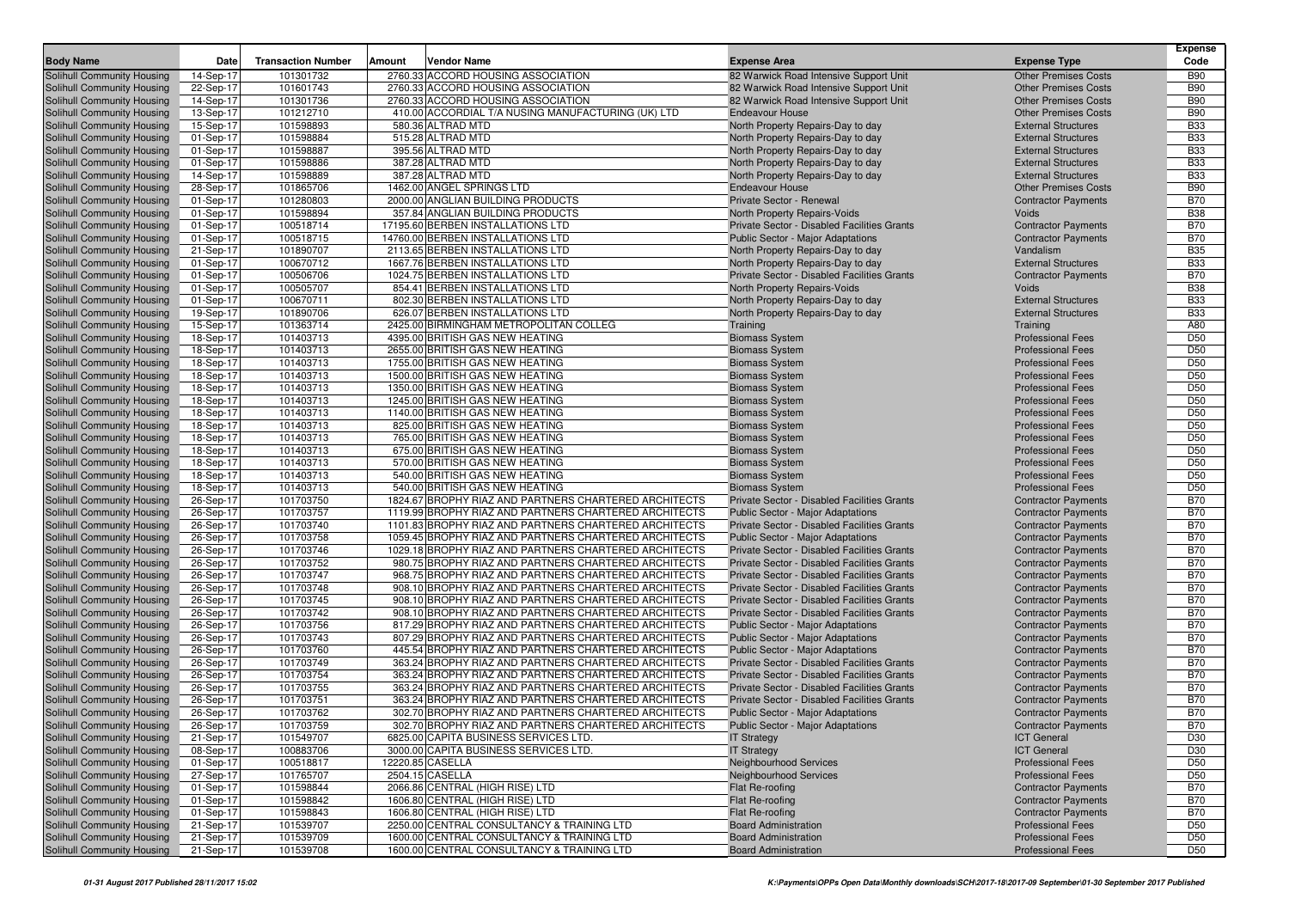|                                                          |                        |                           |                                                                                               |                                                                        |                                                          | <b>Expense</b>                     |
|----------------------------------------------------------|------------------------|---------------------------|-----------------------------------------------------------------------------------------------|------------------------------------------------------------------------|----------------------------------------------------------|------------------------------------|
| <b>Body Name</b>                                         | Date                   | <b>Transaction Number</b> | <b>Amount</b><br>Vendor Name                                                                  | <b>Expense Area</b>                                                    | <b>Expense Type</b>                                      | Code                               |
| Solihull Community Housing                               | 14-Sep-17              | 101301732                 | 2760.33 ACCORD HOUSING ASSOCIATION                                                            | 82 Warwick Road Intensive Support Unit                                 | <b>Other Premises Costs</b>                              | <b>B90</b>                         |
| Solihull Community Housing                               | 22-Sep-17              | 101601743                 | 2760.33 ACCORD HOUSING ASSOCIATION                                                            | 82 Warwick Road Intensive Support Unit                                 | <b>Other Premises Costs</b>                              | <b>B90</b>                         |
| Solihull Community Housing                               | 14-Sep-17              | 101301736                 | 2760.33 ACCORD HOUSING ASSOCIATION                                                            | 82 Warwick Road Intensive Support Unit                                 | <b>Other Premises Costs</b>                              | <b>B90</b>                         |
| Solihull Community Housing                               | 13-Sep-17              | 101212710                 | 410.00 ACCORDIAL T/A NUSING MANUFACTURING (UK) LTD                                            | <b>Endeavour House</b>                                                 | <b>Other Premises Costs</b>                              | <b>B90</b>                         |
| Solihull Community Housing                               | 15-Sep-17              | 101598893                 | 580.36 ALTRAD MTD                                                                             | North Property Repairs-Day to day                                      | <b>External Structures</b>                               | <b>B33</b>                         |
| Solihull Community Housing                               | 01-Sep-17              | 101598884                 | 515.28 ALTRAD MTD                                                                             | North Property Repairs-Day to day                                      | <b>External Structures</b>                               | <b>B33</b>                         |
| Solihull Community Housing                               | 01-Sep-17              | 101598887                 | 395.56 ALTRAD MTD                                                                             | North Property Repairs-Day to day                                      | <b>External Structures</b><br><b>External Structures</b> | <b>B33</b><br><b>B33</b>           |
| Solihull Community Housing<br>Solihull Community Housing | 01-Sep-17<br>14-Sep-17 | 101598886<br>101598889    | 387.28 ALTRAD MTD<br>387.28 ALTRAD MTD                                                        | North Property Repairs-Day to day<br>North Property Repairs-Day to day | <b>External Structures</b>                               | <b>B33</b>                         |
| Solihull Community Housing                               | 28-Sep-17              | 101865706                 | 1462.00 ANGEL SPRINGS LTD                                                                     | <b>Endeavour House</b>                                                 | <b>Other Premises Costs</b>                              | <b>B90</b>                         |
| Solihull Community Housing                               | 01-Sep-17              | 101280803                 | 2000.00 ANGLIAN BUILDING PRODUCTS                                                             | Private Sector - Renewal                                               | <b>Contractor Payments</b>                               | <b>B70</b>                         |
| Solihull Community Housing                               | 01-Sep-17              | 101598894                 | 357.84 ANGLIAN BUILDING PRODUCTS                                                              | North Property Repairs-Voids                                           | Voids                                                    | <b>B38</b>                         |
| Solihull Community Housing                               | 01-Sep-17              | 100518714                 | 17195.60 BERBEN INSTALLATIONS LTD                                                             | Private Sector - Disabled Facilities Grants                            | <b>Contractor Payments</b>                               | <b>B70</b>                         |
| Solihull Community Housing                               | 01-Sep-17              | 100518715                 | 14760.00 BERBEN INSTALLATIONS LTD                                                             | Public Sector - Major Adaptations                                      | <b>Contractor Payments</b>                               | <b>B70</b>                         |
| Solihull Community Housing                               | 21-Sep-17              | 101890707                 | 2113.65 BERBEN INSTALLATIONS LTD                                                              | North Property Repairs-Day to day                                      | Vandalism                                                | <b>B35</b>                         |
| Solihull Community Housing                               | 01-Sep-17              | 100670712                 | 1667.76 BERBEN INSTALLATIONS LTD                                                              | North Property Repairs-Day to day                                      | <b>External Structures</b>                               | <b>B33</b>                         |
| Solihull Community Housing                               | 01-Sep-17              | 100506706                 | 1024.75 BERBEN INSTALLATIONS LTD                                                              | Private Sector - Disabled Facilities Grants                            | <b>Contractor Payments</b>                               | <b>B70</b>                         |
| Solihull Community Housing                               | 01-Sep-17              | 100505707                 | 854.41 BERBEN INSTALLATIONS LTD                                                               | North Property Repairs-Voids                                           | Voids                                                    | <b>B38</b>                         |
| Solihull Community Housing                               | 01-Sep-17              | 100670711                 | 802.30 BERBEN INSTALLATIONS LTD                                                               | North Property Repairs-Day to day                                      | <b>External Structures</b>                               | <b>B33</b>                         |
| Solihull Community Housing                               | 19-Sep-17              | 101890706                 | 626.07 BERBEN INSTALLATIONS LTD                                                               | North Property Repairs-Day to day                                      | <b>External Structures</b>                               | <b>B33</b>                         |
| Solihull Community Housing                               | 15-Sep-17              | 101363714                 | 2425.00 BIRMINGHAM METROPOLITAN COLLEG                                                        | Training                                                               | Training                                                 | A80                                |
| Solihull Community Housing                               | 18-Sep-17              | 101403713                 | 4395.00 BRITISH GAS NEW HEATING                                                               | <b>Biomass System</b>                                                  | <b>Professional Fees</b>                                 | D <sub>50</sub>                    |
| Solihull Community Housing                               | 18-Sep-17              | 101403713                 | 2655.00 BRITISH GAS NEW HEATING                                                               | <b>Biomass System</b>                                                  | <b>Professional Fees</b>                                 | D <sub>50</sub>                    |
| Solihull Community Housing                               | 18-Sep-17              | 101403713                 | 1755.00 BRITISH GAS NEW HEATING                                                               | <b>Biomass System</b>                                                  | <b>Professional Fees</b>                                 | D <sub>50</sub>                    |
| Solihull Community Housing                               | 18-Sep-17              | 101403713                 | 1500.00 BRITISH GAS NEW HEATING                                                               | <b>Biomass System</b>                                                  | <b>Professional Fees</b>                                 | D <sub>50</sub>                    |
| Solihull Community Housing                               | 18-Sep-17              | 101403713                 | 1350.00 BRITISH GAS NEW HEATING                                                               | <b>Biomass System</b>                                                  | <b>Professional Fees</b>                                 | D <sub>50</sub>                    |
| Solihull Community Housing                               | 18-Sep-17              | 101403713                 | 1245.00 BRITISH GAS NEW HEATING                                                               | <b>Biomass System</b>                                                  | <b>Professional Fees</b>                                 | D <sub>50</sub>                    |
| Solihull Community Housing                               | 18-Sep-17              | 101403713                 | 1140.00 BRITISH GAS NEW HEATING                                                               | <b>Biomass System</b>                                                  | <b>Professional Fees</b>                                 | D <sub>50</sub>                    |
| Solihull Community Housing                               | 18-Sep-17              | 101403713                 | 825.00 BRITISH GAS NEW HEATING                                                                | <b>Biomass System</b>                                                  | <b>Professional Fees</b>                                 | D <sub>50</sub>                    |
| Solihull Community Housing                               | 18-Sep-17              | 101403713                 | 765.00 BRITISH GAS NEW HEATING                                                                | <b>Biomass System</b>                                                  | <b>Professional Fees</b>                                 | D <sub>50</sub>                    |
| Solihull Community Housing                               | 18-Sep-17              | 101403713                 | 675.00 BRITISH GAS NEW HEATING                                                                | <b>Biomass System</b>                                                  | <b>Professional Fees</b>                                 | D <sub>50</sub>                    |
| Solihull Community Housing                               | 18-Sep-17<br>18-Sep-17 | 101403713<br>101403713    | 570.00 BRITISH GAS NEW HEATING<br>540.00 BRITISH GAS NEW HEATING                              | <b>Biomass System</b>                                                  | <b>Professional Fees</b><br><b>Professional Fees</b>     | D <sub>50</sub><br>D <sub>50</sub> |
| Solihull Community Housing<br>Solihull Community Housing | 18-Sep-17              | 101403713                 | 540.00 BRITISH GAS NEW HEATING                                                                | <b>Biomass System</b><br><b>Biomass System</b>                         | <b>Professional Fees</b>                                 | D <sub>50</sub>                    |
| Solihull Community Housing                               | 26-Sep-17              | 101703750                 | 1824.67 BROPHY RIAZ AND PARTNERS CHARTERED ARCHITECTS                                         | Private Sector - Disabled Facilities Grants                            | <b>Contractor Payments</b>                               | <b>B70</b>                         |
| Solihull Community Housing                               | 26-Sep-17              | 101703757                 | 1119.99 BROPHY RIAZ AND PARTNERS CHARTERED ARCHITECTS                                         | <b>Public Sector - Major Adaptations</b>                               | <b>Contractor Payments</b>                               | <b>B70</b>                         |
| Solihull Community Housing                               | 26-Sep-17              | 101703740                 | 1101.83 BROPHY RIAZ AND PARTNERS CHARTERED ARCHITECTS                                         | Private Sector - Disabled Facilities Grants                            | <b>Contractor Payments</b>                               | <b>B70</b>                         |
| Solihull Community Housing                               | 26-Sep-17              | 101703758                 | 1059.45 BROPHY RIAZ AND PARTNERS CHARTERED ARCHITECTS                                         | <b>Public Sector - Major Adaptations</b>                               | <b>Contractor Payments</b>                               | <b>B70</b>                         |
| Solihull Community Housing                               | 26-Sep-17              | 101703746                 | 1029.18 BROPHY RIAZ AND PARTNERS CHARTERED ARCHITECTS                                         | Private Sector - Disabled Facilities Grants                            | <b>Contractor Payments</b>                               | <b>B70</b>                         |
| Solihull Community Housing                               | 26-Sep-17              | 101703752                 | 980.75 BROPHY RIAZ AND PARTNERS CHARTERED ARCHITECTS                                          | Private Sector - Disabled Facilities Grants                            | <b>Contractor Payments</b>                               | <b>B70</b>                         |
| Solihull Community Housing                               | 26-Sep-17              | 101703747                 | 968.75 BROPHY RIAZ AND PARTNERS CHARTERED ARCHITECTS                                          | Private Sector - Disabled Facilities Grants                            | <b>Contractor Payments</b>                               | <b>B70</b>                         |
| Solihull Community Housing                               | 26-Sep-17              | 101703748                 | 908.10 BROPHY RIAZ AND PARTNERS CHARTERED ARCHITECTS                                          | Private Sector - Disabled Facilities Grants                            | <b>Contractor Payments</b>                               | <b>B70</b>                         |
| Solihull Community Housing                               | 26-Sep-17              | 101703745                 | 908.10 BROPHY RIAZ AND PARTNERS CHARTERED ARCHITECTS                                          | Private Sector - Disabled Facilities Grants                            | <b>Contractor Payments</b>                               | <b>B70</b>                         |
| Solihull Community Housing                               | 26-Sep-17              | 101703742                 | 908.10 BROPHY RIAZ AND PARTNERS CHARTERED ARCHITECTS                                          | Private Sector - Disabled Facilities Grants                            | <b>Contractor Payments</b>                               | <b>B70</b>                         |
| Solihull Community Housing                               | 26-Sep-17              | 101703756                 | 817.29 BROPHY RIAZ AND PARTNERS CHARTERED ARCHITECTS                                          | <b>Public Sector - Major Adaptations</b>                               | <b>Contractor Payments</b>                               | <b>B70</b>                         |
| Solihull Community Housing                               | 26-Sep-17              | 101703743                 | 807.29 BROPHY RIAZ AND PARTNERS CHARTERED ARCHITECTS                                          | Public Sector - Major Adaptations                                      | <b>Contractor Payments</b>                               | <b>B70</b>                         |
| Solihull Community Housing                               | 26-Sep-17              | 101703760                 | 445.54 BROPHY RIAZ AND PARTNERS CHARTERED ARCHITECTS                                          | Public Sector - Major Adaptations                                      | <b>Contractor Payments</b>                               | <b>B70</b>                         |
| Solihull Community Housing                               | 26-Sep-17              | 101703749                 | 363.24 BROPHY RIAZ AND PARTNERS CHARTERED ARCHITECTS                                          | Private Sector - Disabled Facilities Grants                            | <b>Contractor Payments</b>                               | <b>B70</b>                         |
| Solihull Community Housing                               | 26-Sep-17              | 101703754                 | 363.24 BROPHY RIAZ AND PARTNERS CHARTERED ARCHITECTS                                          | Private Sector - Disabled Facilities Grants                            | <b>Contractor Payments</b>                               | <b>B70</b>                         |
| Solihull Community Housing                               | 26-Sep-17              | 101703755                 | 363.24 BROPHY RIAZ AND PARTNERS CHARTERED ARCHITECTS                                          | Private Sector - Disabled Facilities Grants                            | <b>Contractor Payments</b>                               | <b>B70</b>                         |
| Solihull Community Housing                               | 26-Sep-17              | 101703751                 | 363.24 BROPHY RIAZ AND PARTNERS CHARTERED ARCHITECTS                                          | Private Sector - Disabled Facilities Grants                            | <b>Contractor Payments</b>                               | <b>B70</b>                         |
| Solihull Community Housing                               | 26-Sep-17              | 101703762                 | 302.70 BROPHY RIAZ AND PARTNERS CHARTERED ARCHITECTS                                          | Public Sector - Major Adaptations                                      | <b>Contractor Payments</b>                               | <b>B70</b>                         |
| Solihull Community Housing                               | 26-Sep-17              | 101703759                 | 302.70 BROPHY RIAZ AND PARTNERS CHARTERED ARCHITECTS<br>6825.00 CAPITA BUSINESS SERVICES LTD. | Public Sector - Major Adaptations                                      | <b>Contractor Payments</b>                               | <b>B70</b>                         |
| Solihull Community Housing<br>Solihull Community Housing | 21-Sep-17<br>08-Sep-17 | 101549707<br>100883706    | 3000.00 CAPITA BUSINESS SERVICES LTD.                                                         | <b>IT Strategy</b><br><b>IT Strategy</b>                               | <b>ICT General</b><br><b>ICT General</b>                 | D30<br>D30                         |
| Solihull Community Housing                               | 01-Sep-17              | 100518817                 | 12220.85 CASELLA                                                                              | Neighbourhood Services                                                 | <b>Professional Fees</b>                                 | D50                                |
| Solihull Community Housing                               | 27-Sep-17              | 101765707                 | 2504.15 CASELLA                                                                               | Neighbourhood Services                                                 | <b>Professional Fees</b>                                 | D <sub>50</sub>                    |
| Solihull Community Housing                               | 01-Sep-17              | 101598844                 | 2066.86 CENTRAL (HIGH RISE) LTD                                                               | Flat Re-roofing                                                        | <b>Contractor Payments</b>                               | <b>B70</b>                         |
| Solihull Community Housing                               | 01-Sep-17              | 101598842                 | 1606.80 CENTRAL (HIGH RISE) LTD                                                               | Flat Re-roofing                                                        | <b>Contractor Payments</b>                               | <b>B70</b>                         |
| Solihull Community Housing                               | 01-Sep-17              | 101598843                 | 1606.80 CENTRAL (HIGH RISE) LTD                                                               | Flat Re-roofing                                                        | <b>Contractor Payments</b>                               | <b>B70</b>                         |
| Solihull Community Housing                               | 21-Sep-17              | 101539707                 | 2250.00 CENTRAL CONSULTANCY & TRAINING LTD                                                    | <b>Board Administration</b>                                            | <b>Professional Fees</b>                                 | D <sub>50</sub>                    |
| Solihull Community Housing                               | 21-Sep-17              | 101539709                 | 1600.00 CENTRAL CONSULTANCY & TRAINING LTD                                                    | <b>Board Administration</b>                                            | <b>Professional Fees</b>                                 | D50                                |
| Solihull Community Housing                               | 21-Sep-17              | 101539708                 | 1600.00 CENTRAL CONSULTANCY & TRAINING LTD                                                    | <b>Board Administration</b>                                            | <b>Professional Fees</b>                                 | D50                                |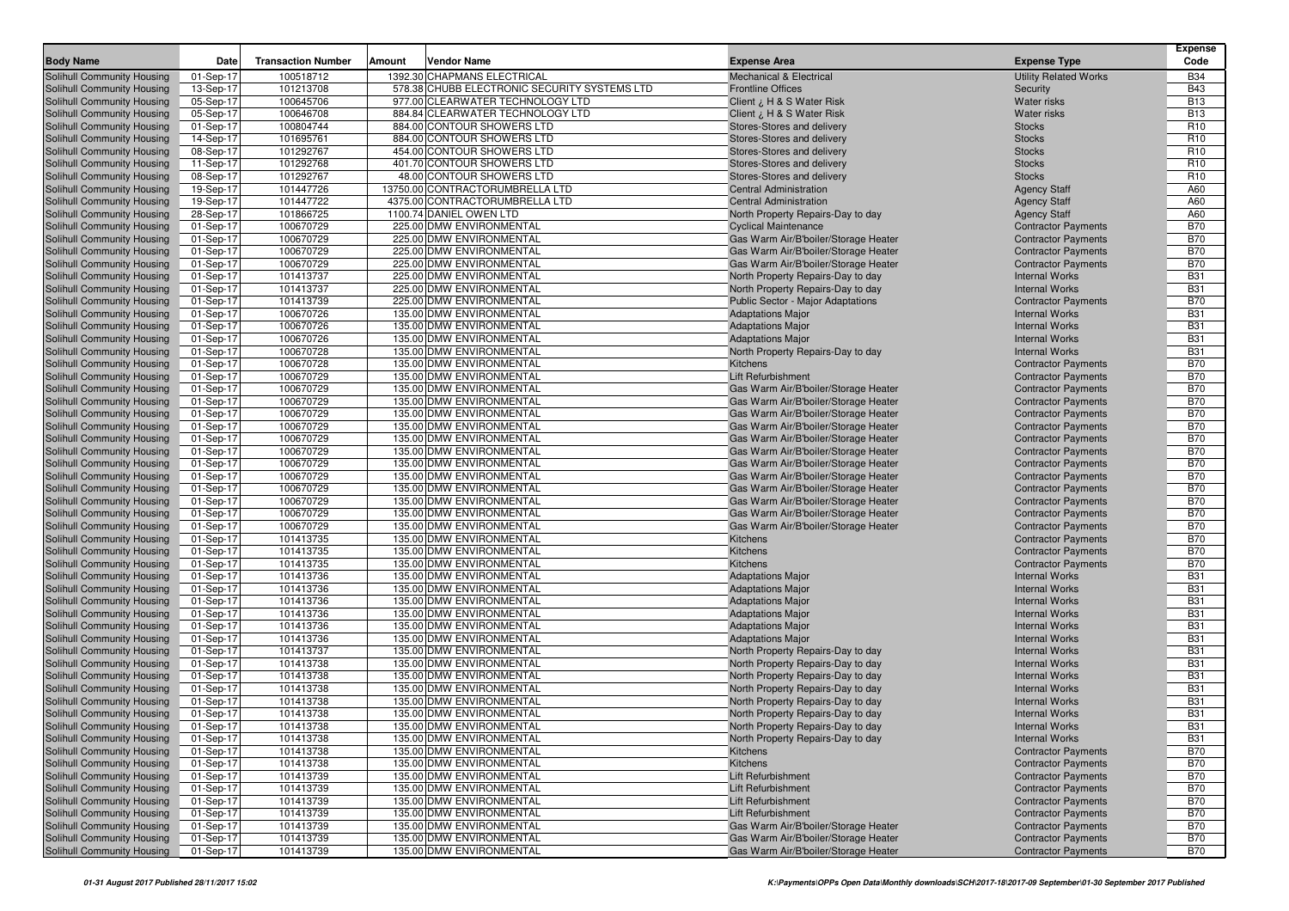|                                                          |                        |                           |                                                      |                                                                           |                                                          | <b>Expense</b>           |
|----------------------------------------------------------|------------------------|---------------------------|------------------------------------------------------|---------------------------------------------------------------------------|----------------------------------------------------------|--------------------------|
| <b>Body Name</b>                                         | Date                   | <b>Transaction Number</b> | Amount<br>Vendor Name                                | <b>Expense Area</b>                                                       | <b>Expense Type</b>                                      | Code                     |
| Solihull Community Housing                               | 01-Sep-17              | 100518712                 | 1392.30 CHAPMANS ELECTRICAL                          | <b>Mechanical &amp; Electrical</b>                                        | <b>Utility Related Works</b>                             | <b>B34</b>               |
| Solihull Community Housing                               | 13-Sep-17              | 101213708                 | 578.38 CHUBB ELECTRONIC SECURITY SYSTEMS LTD         | <b>Frontline Offices</b>                                                  | Security                                                 | <b>B43</b>               |
| Solihull Community Housing                               | 05-Sep-17              | 100645706                 | 977.00 CLEARWATER TECHNOLOGY LTD                     | Client ¿ H & S Water Risk                                                 | <b>Water risks</b>                                       | <b>B13</b>               |
| Solihull Community Housing                               | 05-Sep-17              | 100646708                 | 884.84 CLEARWATER TECHNOLOGY LTD                     | Client ¿ H & S Water Risk                                                 | <b>Water risks</b>                                       | <b>B13</b>               |
| Solihull Community Housing                               | 01-Sep-17              | 100804744                 | 884.00 CONTOUR SHOWERS LTD                           | Stores-Stores and delivery                                                | <b>Stocks</b>                                            | R <sub>10</sub>          |
| Solihull Community Housing                               | 14-Sep-17              | 101695761                 | 884.00 CONTOUR SHOWERS LTD                           | Stores-Stores and delivery                                                | <b>Stocks</b>                                            | R <sub>10</sub>          |
| Solihull Community Housing                               | 08-Sep-17              | 101292767                 | 454.00 CONTOUR SHOWERS LTD                           | Stores-Stores and delivery                                                | <b>Stocks</b>                                            | R <sub>10</sub>          |
| Solihull Community Housing                               | 11-Sep-17              | 101292768                 | 401.70 CONTOUR SHOWERS LTD                           | Stores-Stores and delivery                                                | <b>Stocks</b>                                            | R <sub>10</sub>          |
| Solihull Community Housing                               | 08-Sep-17              | 101292767                 | 48.00 CONTOUR SHOWERS LTD                            | Stores-Stores and delivery                                                | <b>Stocks</b>                                            | R <sub>10</sub>          |
| Solihull Community Housing                               | 19-Sep-17              | 101447726                 | 13750.00 CONTRACTORUMBRELLA LTD                      | <b>Central Administration</b>                                             | <b>Agency Staff</b>                                      | A60                      |
| Solihull Community Housing                               | 19-Sep-17              | 101447722                 | 4375.00 CONTRACTORUMBRELLA LTD                       | <b>Central Administration</b>                                             | <b>Agency Staff</b>                                      | A60                      |
| Solihull Community Housing                               | 28-Sep-17              | 101866725                 | 1100.74 DANIEL OWEN LTD                              | North Property Repairs-Day to day                                         | <b>Agency Staff</b>                                      | A60                      |
| Solihull Community Housing                               | 01-Sep-17              | 100670729                 | 225.00 DMW ENVIRONMENTAL                             | <b>Cyclical Maintenance</b>                                               | <b>Contractor Payments</b>                               | <b>B70</b><br><b>B70</b> |
| Solihull Community Housing<br>Solihull Community Housing | 01-Sep-17              | 100670729<br>100670729    | 225.00 DMW ENVIRONMENTAL                             | Gas Warm Air/B'boiler/Storage Heater                                      | <b>Contractor Payments</b>                               | <b>B70</b>               |
|                                                          | 01-Sep-17              | 100670729                 | 225.00 DMW ENVIRONMENTAL<br>225.00 DMW ENVIRONMENTAL | Gas Warm Air/B'boiler/Storage Heater                                      | <b>Contractor Payments</b><br><b>Contractor Payments</b> | <b>B70</b>               |
| Solihull Community Housing<br>Solihull Community Housing | 01-Sep-17<br>01-Sep-17 | 101413737                 | 225.00 DMW ENVIRONMENTAL                             | Gas Warm Air/B'boiler/Storage Heater<br>North Property Repairs-Day to day | <b>Internal Works</b>                                    | <b>B31</b>               |
| Solihull Community Housing                               | 01-Sep-17              | 101413737                 | 225.00 DMW ENVIRONMENTAL                             | North Property Repairs-Day to day                                         | <b>Internal Works</b>                                    | <b>B31</b>               |
| Solihull Community Housing                               | 01-Sep-17              | 101413739                 | 225.00 DMW ENVIRONMENTAL                             | <b>Public Sector - Major Adaptations</b>                                  | <b>Contractor Payments</b>                               | <b>B70</b>               |
| Solihull Community Housing                               | 01-Sep-17              | 100670726                 | 135.00 DMW ENVIRONMENTAL                             | <b>Adaptations Major</b>                                                  | <b>Internal Works</b>                                    | <b>B31</b>               |
| Solihull Community Housing                               | 01-Sep-17              | 100670726                 | 135.00 DMW ENVIRONMENTAL                             | <b>Adaptations Major</b>                                                  | <b>Internal Works</b>                                    | <b>B31</b>               |
| Solihull Community Housing                               | 01-Sep-17              | 100670726                 | 135.00 DMW ENVIRONMENTAL                             | <b>Adaptations Major</b>                                                  | <b>Internal Works</b>                                    | <b>B31</b>               |
| Solihull Community Housing                               | 01-Sep-17              | 100670728                 | 135.00 DMW ENVIRONMENTAL                             | North Property Repairs-Day to day                                         | <b>Internal Works</b>                                    | <b>B31</b>               |
| Solihull Community Housing                               | 01-Sep-17              | 100670728                 | 135.00 DMW ENVIRONMENTAL                             | Kitchens                                                                  | <b>Contractor Payments</b>                               | <b>B70</b>               |
| Solihull Community Housing                               | 01-Sep-17              | 100670729                 | 135.00 DMW ENVIRONMENTAL                             | Lift Refurbishment                                                        | <b>Contractor Payments</b>                               | <b>B70</b>               |
| Solihull Community Housing                               | 01-Sep-17              | 100670729                 | 135.00 DMW ENVIRONMENTAL                             | Gas Warm Air/B'boiler/Storage Heater                                      | <b>Contractor Payments</b>                               | <b>B70</b>               |
| Solihull Community Housing                               | 01-Sep-17              | 100670729                 | 135.00 DMW ENVIRONMENTAL                             | Gas Warm Air/B'boiler/Storage Heater                                      | <b>Contractor Payments</b>                               | <b>B70</b>               |
| Solihull Community Housing                               | 01-Sep-17              | 100670729                 | 135.00 DMW ENVIRONMENTAL                             | Gas Warm Air/B'boiler/Storage Heater                                      | <b>Contractor Payments</b>                               | <b>B70</b>               |
| Solihull Community Housing                               | 01-Sep-17              | 100670729                 | 135.00 DMW ENVIRONMENTAL                             | Gas Warm Air/B'boiler/Storage Heater                                      | <b>Contractor Payments</b>                               | <b>B70</b>               |
| Solihull Community Housing                               | 01-Sep-17              | 100670729                 | 135.00 DMW ENVIRONMENTAL                             | Gas Warm Air/B'boiler/Storage Heater                                      | <b>Contractor Payments</b>                               | <b>B70</b>               |
| Solihull Community Housing                               | 01-Sep-17              | 100670729                 | 135.00 DMW ENVIRONMENTAL                             | Gas Warm Air/B'boiler/Storage Heater                                      | <b>Contractor Payments</b>                               | <b>B70</b>               |
| Solihull Community Housing                               | 01-Sep-17              | 100670729                 | 135.00 DMW ENVIRONMENTAL                             | Gas Warm Air/B'boiler/Storage Heater                                      | <b>Contractor Payments</b>                               | <b>B70</b>               |
| Solihull Community Housing                               | 01-Sep-17              | 100670729                 | 135.00 DMW ENVIRONMENTAL                             | Gas Warm Air/B'boiler/Storage Heater                                      | <b>Contractor Payments</b>                               | <b>B70</b>               |
| Solihull Community Housing                               | 01-Sep-17              | 100670729                 | 135.00 DMW ENVIRONMENTAL                             | Gas Warm Air/B'boiler/Storage Heater                                      | <b>Contractor Payments</b>                               | <b>B70</b>               |
| Solihull Community Housing                               | 01-Sep-17              | 100670729                 | 135.00 DMW ENVIRONMENTAL                             | Gas Warm Air/B'boiler/Storage Heater                                      | <b>Contractor Payments</b>                               | <b>B70</b>               |
| Solihull Community Housing                               | 01-Sep-17              | 100670729                 | 135.00 DMW ENVIRONMENTAL                             | Gas Warm Air/B'boiler/Storage Heater                                      | <b>Contractor Payments</b>                               | <b>B70</b>               |
| Solihull Community Housing                               | 01-Sep-17              | 100670729                 | 135.00 DMW ENVIRONMENTAL                             | Gas Warm Air/B'boiler/Storage Heater                                      | <b>Contractor Payments</b>                               | <b>B70</b>               |
| Solihull Community Housing                               | 01-Sep-17              | 101413735                 | 135.00 DMW ENVIRONMENTAL                             | Kitchens                                                                  | <b>Contractor Payments</b>                               | <b>B70</b>               |
| Solihull Community Housing                               | 01-Sep-17              | 101413735                 | 135.00 DMW ENVIRONMENTAL                             | Kitchens                                                                  | <b>Contractor Payments</b>                               | <b>B70</b>               |
| Solihull Community Housing                               | 01-Sep-17              | 101413735                 | 135.00 DMW ENVIRONMENTAL                             | Kitchens                                                                  | <b>Contractor Payments</b>                               | <b>B70</b>               |
| Solihull Community Housing                               | 01-Sep-17              | 101413736                 | 135.00 DMW ENVIRONMENTAL                             | <b>Adaptations Major</b>                                                  | <b>Internal Works</b>                                    | <b>B31</b>               |
| Solihull Community Housing                               | 01-Sep-17              | 101413736                 | 135.00 DMW ENVIRONMENTAL                             | <b>Adaptations Major</b>                                                  | <b>Internal Works</b>                                    | <b>B31</b>               |
| Solihull Community Housing                               | 01-Sep-17              | 101413736                 | 135.00 DMW ENVIRONMENTAL                             | <b>Adaptations Major</b>                                                  | <b>Internal Works</b>                                    | <b>B31</b>               |
| Solihull Community Housing                               | 01-Sep-17              | 101413736                 | 135.00 DMW ENVIRONMENTAL                             | <b>Adaptations Major</b>                                                  | <b>Internal Works</b>                                    | <b>B31</b>               |
| Solihull Community Housing                               | 01-Sep-17              | 101413736                 | 135.00 DMW ENVIRONMENTAL                             | <b>Adaptations Major</b>                                                  | <b>Internal Works</b>                                    | <b>B31</b>               |
| Solihull Community Housing                               | 01-Sep-17              | 101413736                 | 135.00 DMW ENVIRONMENTAL                             | <b>Adaptations Major</b>                                                  | <b>Internal Works</b>                                    | <b>B31</b>               |
| Solihull Community Housing<br>Solihull Community Housing | 01-Sep-17<br>01-Sep-17 | 101413737<br>101413738    | 135.00 DMW ENVIRONMENTAL<br>135.00 DMW ENVIRONMENTAL | North Property Repairs-Day to day<br>North Property Repairs-Day to day    | <b>Internal Works</b><br><b>Internal Works</b>           | <b>B31</b><br><b>B31</b> |
| Solihull Community Housing                               | 01-Sep-17              | 101413738                 | 135.00 DMW ENVIRONMENTAL                             | North Property Repairs-Day to day                                         | <b>Internal Works</b>                                    | <b>B31</b>               |
| Solihull Community Housing                               | 01-Sep-17              | 101413738                 | 135.00 DMW ENVIRONMENTAL                             | North Property Repairs-Day to day                                         | <b>Internal Works</b>                                    | <b>B31</b>               |
| Solihull Community Housing                               | 01-Sep-17              | 101413738                 | 135.00 DMW ENVIRONMENTAL                             | North Property Repairs-Day to day                                         | <b>Internal Works</b>                                    | <b>B31</b>               |
| Solihull Community Housing                               | 01-Sep-17              | 101413738                 | 135.00 DMW ENVIRONMENTAL                             | North Property Repairs-Day to day                                         | <b>Internal Works</b>                                    | <b>B31</b>               |
| Solihull Community Housing                               | 01-Sep-17              | 101413738                 | 135.00 DMW ENVIRONMENTAL                             | North Property Repairs-Day to day                                         | <b>Internal Works</b>                                    | <b>B31</b>               |
| Solihull Community Housing                               | 01-Sep-17              | 101413738                 | 135.00 DMW ENVIRONMENTAL                             | North Property Repairs-Day to day                                         | <b>Internal Works</b>                                    | <b>B31</b>               |
| Solihull Community Housing                               | 01-Sep-17              | 101413738                 | 135.00 DMW ENVIRONMENTAL                             | <b>Kitchens</b>                                                           | <b>Contractor Payments</b>                               | <b>B70</b>               |
| Solihull Community Housing                               | 01-Sep-17              | 101413738                 | 135.00 DMW ENVIRONMENTAL                             | Kitchens                                                                  | <b>Contractor Payments</b>                               | <b>B70</b>               |
| Solihull Community Housing                               | 01-Sep-17              | 101413739                 | 135.00 DMW ENVIRONMENTAL                             | Lift Refurbishment                                                        | <b>Contractor Payments</b>                               | <b>B70</b>               |
| Solihull Community Housing                               | 01-Sep-17              | 101413739                 | 135.00 DMW ENVIRONMENTAL                             | Lift Refurbishment                                                        | <b>Contractor Payments</b>                               | <b>B70</b>               |
| Solihull Community Housing                               | 01-Sep-17              | 101413739                 | 135.00 DMW ENVIRONMENTAL                             | Lift Refurbishment                                                        | <b>Contractor Payments</b>                               | <b>B70</b>               |
| Solihull Community Housing                               | 01-Sep-17              | 101413739                 | 135.00 DMW ENVIRONMENTAL                             | Lift Refurbishment                                                        | <b>Contractor Payments</b>                               | <b>B70</b>               |
| Solihull Community Housing                               | 01-Sep-17              | 101413739                 | 135.00 DMW ENVIRONMENTAL                             | Gas Warm Air/B'boiler/Storage Heater                                      | <b>Contractor Payments</b>                               | <b>B70</b>               |
| Solihull Community Housing                               | 01-Sep-17              | 101413739                 | 135.00 DMW ENVIRONMENTAL                             | Gas Warm Air/B'boiler/Storage Heater                                      | <b>Contractor Payments</b>                               | <b>B70</b>               |
| Solihull Community Housing                               | 01-Sep-17              | 101413739                 | 135.00 DMW ENVIRONMENTAL                             | Gas Warm Air/B'boiler/Storage Heater                                      | <b>Contractor Payments</b>                               | <b>B70</b>               |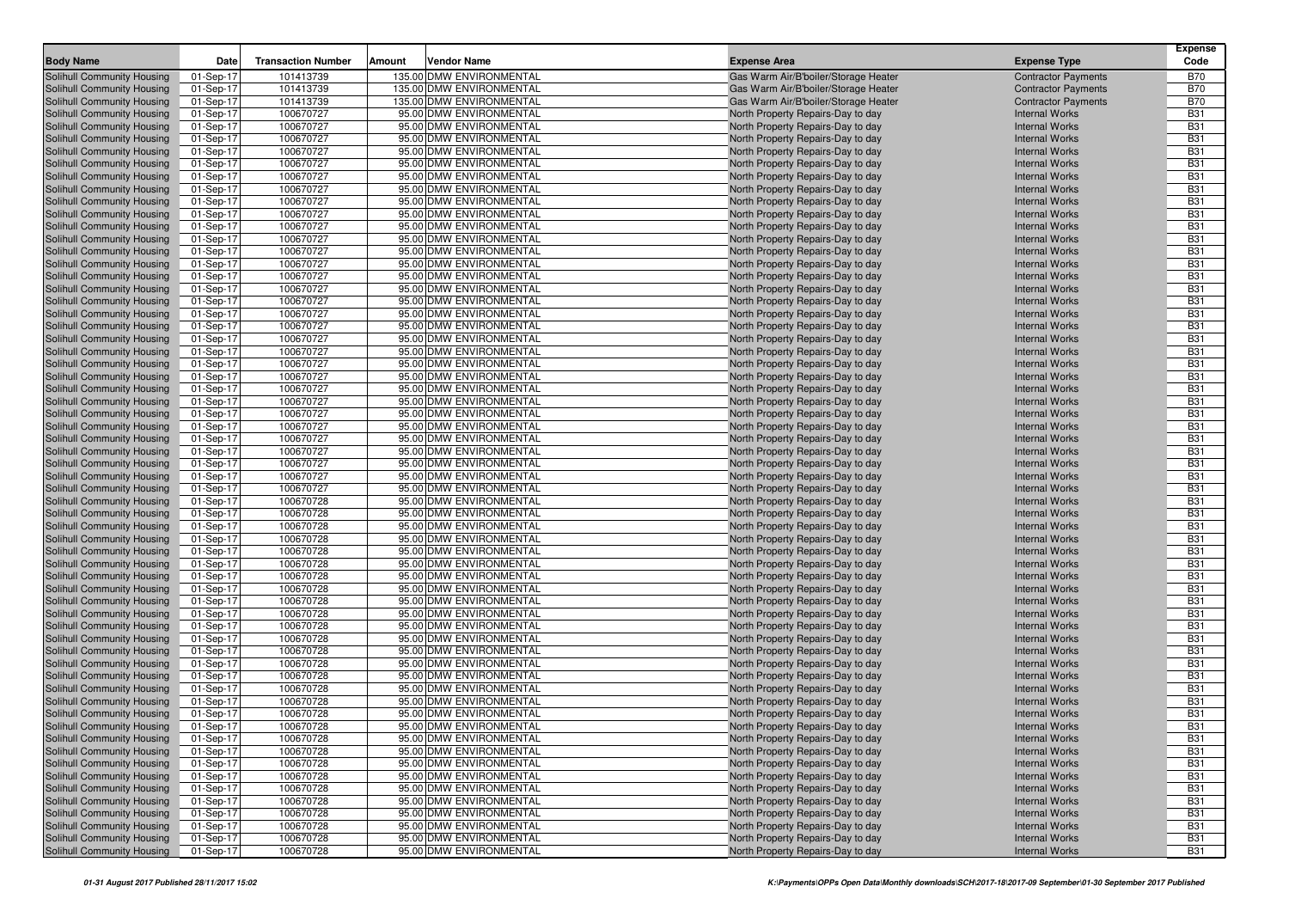| <b>Body Name</b>                                         | Date                    | <b>Transaction Number</b> | Amount | Vendor Name                                        | <b>Expense Area</b>                                                    | <b>Expense Type</b>                            | Expense<br>Code          |
|----------------------------------------------------------|-------------------------|---------------------------|--------|----------------------------------------------------|------------------------------------------------------------------------|------------------------------------------------|--------------------------|
| <b>Solihull Community Housing</b>                        | 01-Sep-17               | 101413739                 |        | 135.00 DMW ENVIRONMENTAL                           | Gas Warm Air/B'boiler/Storage Heater                                   | <b>Contractor Payments</b>                     | <b>B70</b>               |
| Solihull Community Housing                               | 01-Sep-17               | 101413739                 |        | 135.00 DMW ENVIRONMENTAL                           | Gas Warm Air/B'boiler/Storage Heater                                   | <b>Contractor Payments</b>                     | <b>B70</b>               |
| Solihull Community Housing                               | 01-Sep-17               | 101413739                 |        | 135.00 DMW ENVIRONMENTAL                           | Gas Warm Air/B'boiler/Storage Heater                                   | <b>Contractor Payments</b>                     | <b>B70</b>               |
| Solihull Community Housing                               | 01-Sep-17               | 100670727                 |        | 95.00 DMW ENVIRONMENTAL                            | North Property Repairs-Day to day                                      | <b>Internal Works</b>                          | <b>B31</b>               |
| Solihull Community Housing                               | 01-Sep-17               | 100670727                 |        | 95.00 DMW ENVIRONMENTAL                            | North Property Repairs-Day to day                                      | <b>Internal Works</b>                          | <b>B31</b>               |
| Solihull Community Housing                               | 01-Sep-17               | 100670727                 |        | 95.00 DMW ENVIRONMENTAL                            | North Property Repairs-Day to day                                      | <b>Internal Works</b>                          | <b>B31</b>               |
| Solihull Community Housing                               | 01-Sep-17               | 100670727                 |        | 95.00 DMW ENVIRONMENTAL                            | North Property Repairs-Day to day                                      | <b>Internal Works</b>                          | <b>B31</b>               |
| Solihull Community Housing                               | 01-Sep-17               | 100670727                 |        | 95.00 DMW ENVIRONMENTAL                            | North Property Repairs-Day to day                                      | <b>Internal Works</b>                          | <b>B31</b>               |
| Solihull Community Housing                               | 01-Sep-17               | 100670727                 |        | 95.00 DMW ENVIRONMENTAL                            | North Property Repairs-Day to day                                      | <b>Internal Works</b>                          | <b>B31</b>               |
| Solihull Community Housing                               | 01-Sep-17               | 100670727                 |        | 95.00 DMW ENVIRONMENTAL                            | North Property Repairs-Day to day                                      | <b>Internal Works</b>                          | <b>B31</b>               |
| Solihull Community Housing                               | 01-Sep-17               | 100670727                 |        | 95.00 DMW ENVIRONMENTAL                            | North Property Repairs-Day to day                                      | <b>Internal Works</b>                          | <b>B31</b>               |
| Solihull Community Housing                               | 01-Sep-17               | 100670727                 |        | 95.00 DMW ENVIRONMENTAL                            | North Property Repairs-Day to day                                      | <b>Internal Works</b>                          | <b>B31</b>               |
| Solihull Community Housing                               | 01-Sep-17               | 100670727                 |        | 95.00 DMW ENVIRONMENTAL                            | North Property Repairs-Day to day                                      | <b>Internal Works</b>                          | <b>B31</b>               |
| Solihull Community Housing                               | 01-Sep-17               | 100670727                 |        | 95.00 DMW ENVIRONMENTAL                            | North Property Repairs-Day to day                                      | <b>Internal Works</b>                          | <b>B31</b>               |
| Solihull Community Housing                               | 01-Sep-17               | 100670727                 |        | 95.00 DMW ENVIRONMENTAL                            | North Property Repairs-Day to day                                      | <b>Internal Works</b>                          | <b>B31</b>               |
| Solihull Community Housing                               | 01-Sep-17               | 100670727                 |        | 95.00 DMW ENVIRONMENTAL                            | North Property Repairs-Day to day                                      | <b>Internal Works</b>                          | <b>B31</b>               |
| Solihull Community Housing                               | 01-Sep-17               | 100670727                 |        | 95.00 DMW ENVIRONMENTAL                            | North Property Repairs-Day to day                                      | <b>Internal Works</b>                          | <b>B31</b>               |
| Solihull Community Housing                               | 01-Sep-17               | 100670727                 |        | 95.00 DMW ENVIRONMENTAL                            | North Property Repairs-Day to day                                      | <b>Internal Works</b>                          | <b>B31</b>               |
| Solihull Community Housing                               | 01-Sep-17               | 100670727                 |        | 95.00 DMW ENVIRONMENTAL                            | North Property Repairs-Day to day                                      | <b>Internal Works</b>                          | <b>B31</b>               |
| Solihull Community Housing                               | 01-Sep-17               | 100670727                 |        | 95.00 DMW ENVIRONMENTAL                            | North Property Repairs-Day to day                                      | <b>Internal Works</b>                          | <b>B31</b>               |
| Solihull Community Housing                               | 01-Sep-17               | 100670727                 |        | 95.00 DMW ENVIRONMENTAL                            | North Property Repairs-Day to day                                      | <b>Internal Works</b>                          | <b>B31</b>               |
| Solihull Community Housing                               | 01-Sep-17               | 100670727                 |        | 95.00 DMW ENVIRONMENTAL                            | North Property Repairs-Day to day                                      | <b>Internal Works</b>                          | <b>B31</b>               |
| Solihull Community Housing                               | 01-Sep-17               | 100670727                 |        | 95.00 DMW ENVIRONMENTAL                            | North Property Repairs-Day to day                                      | <b>Internal Works</b>                          | <b>B31</b>               |
| Solihull Community Housing                               | 01-Sep-17               | 100670727                 |        | 95.00 DMW ENVIRONMENTAL                            | North Property Repairs-Day to day                                      | <b>Internal Works</b>                          | <b>B31</b>               |
| Solihull Community Housing                               | 01-Sep-17               | 100670727                 |        | 95.00 DMW ENVIRONMENTAL                            | North Property Repairs-Day to day                                      | <b>Internal Works</b>                          | <b>B31</b>               |
| Solihull Community Housing                               | 01-Sep-17               | 100670727                 |        | 95.00 DMW ENVIRONMENTAL                            | North Property Repairs-Day to day                                      | <b>Internal Works</b>                          | <b>B31</b>               |
| Solihull Community Housing                               | 01-Sep-17               | 100670727                 |        | 95.00 DMW ENVIRONMENTAL                            | North Property Repairs-Day to day                                      | <b>Internal Works</b>                          | <b>B31</b>               |
| Solihull Community Housing                               | 01-Sep-17               | 100670727                 |        | 95.00 DMW ENVIRONMENTAL                            | North Property Repairs-Day to day                                      | <b>Internal Works</b>                          | <b>B31</b>               |
| Solihull Community Housing                               | 01-Sep-17               | 100670727                 |        | 95.00 DMW ENVIRONMENTAL                            | North Property Repairs-Day to day                                      | <b>Internal Works</b>                          | <b>B31</b>               |
| Solihull Community Housing                               | 01-Sep-17               | 100670727<br>100670727    |        | 95.00 DMW ENVIRONMENTAL<br>95.00 DMW ENVIRONMENTAL | North Property Repairs-Day to day                                      | <b>Internal Works</b>                          | <b>B31</b><br><b>B31</b> |
| Solihull Community Housing                               | 01-Sep-17               | 100670727                 |        | 95.00 DMW ENVIRONMENTAL                            | North Property Repairs-Day to day                                      | <b>Internal Works</b><br><b>Internal Works</b> | <b>B31</b>               |
| Solihull Community Housing                               | 01-Sep-17               | 100670727                 |        | 95.00 DMW ENVIRONMENTAL                            | North Property Repairs-Day to day                                      |                                                | <b>B31</b>               |
| Solihull Community Housing                               | 01-Sep-17               | 100670727                 |        | 95.00 DMW ENVIRONMENTAL                            | North Property Repairs-Day to day<br>North Property Repairs-Day to day | <b>Internal Works</b><br><b>Internal Works</b> | <b>B31</b>               |
| Solihull Community Housing<br>Solihull Community Housing | 01-Sep-17<br>01-Sep-17  | 100670728                 |        | 95.00 DMW ENVIRONMENTAL                            | North Property Repairs-Day to day                                      | <b>Internal Works</b>                          | <b>B31</b>               |
| Solihull Community Housing                               | 01-Sep-17               | 100670728                 |        | 95.00 DMW ENVIRONMENTAL                            | North Property Repairs-Day to day                                      | <b>Internal Works</b>                          | <b>B31</b>               |
| Solihull Community Housing                               | 01-Sep-17               | 100670728                 |        | 95.00 DMW ENVIRONMENTAL                            | North Property Repairs-Day to day                                      | <b>Internal Works</b>                          | <b>B31</b>               |
| Solihull Community Housing                               | 01-Sep-17               | 100670728                 |        | 95.00 DMW ENVIRONMENTAL                            | North Property Repairs-Day to day                                      | <b>Internal Works</b>                          | <b>B31</b>               |
| Solihull Community Housing                               | 01-Sep-17               | 100670728                 |        | 95.00 DMW ENVIRONMENTAL                            | North Property Repairs-Day to day                                      | <b>Internal Works</b>                          | <b>B31</b>               |
| Solihull Community Housing                               | 01-Sep-17               | 100670728                 |        | 95.00 DMW ENVIRONMENTAL                            | North Property Repairs-Day to day                                      | <b>Internal Works</b>                          | <b>B31</b>               |
| Solihull Community Housing                               | 01-Sep-17               | 100670728                 |        | 95.00 DMW ENVIRONMENTAL                            | North Property Repairs-Day to day                                      | <b>Internal Works</b>                          | <b>B31</b>               |
| Solihull Community Housing                               | 01-Sep-17               | 100670728                 |        | 95.00 DMW ENVIRONMENTAL                            | North Property Repairs-Day to day                                      | <b>Internal Works</b>                          | <b>B31</b>               |
| Solihull Community Housing                               | 01-Sep-17               | 100670728                 |        | 95.00 DMW ENVIRONMENTAL                            | North Property Repairs-Day to day                                      | <b>Internal Works</b>                          | <b>B31</b>               |
| Solihull Community Housing                               | 01-Sep-17               | 100670728                 |        | 95.00 DMW ENVIRONMENTAL                            | North Property Repairs-Day to day                                      | <b>Internal Works</b>                          | <b>B31</b>               |
| Solihull Community Housing                               | 01-Sep-17               | 100670728                 |        | 95.00 DMW ENVIRONMENTAL                            | North Property Repairs-Day to day                                      | <b>Internal Works</b>                          | <b>B31</b>               |
| Solihull Community Housing                               | 01-Sep-17               | 100670728                 |        | 95.00 DMW ENVIRONMENTAL                            | North Property Repairs-Day to day                                      | <b>Internal Works</b>                          | <b>B31</b>               |
| Solihull Community Housing                               | 01-Sep-17               | 100670728                 |        | 95.00 DMW ENVIRONMENTAL                            | North Property Repairs-Day to day                                      | <b>Internal Works</b>                          | <b>B31</b>               |
| Solihull Community Housing                               | 01-Sep-17               | 100670728                 |        | 95.00 DMW ENVIRONMENTAL                            | North Property Repairs-Day to day                                      | <b>Internal Works</b>                          | <b>B31</b>               |
| Solihull Community Housing                               | 01-Sep-17               | 100670728                 |        | 95.00 DMW ENVIRONMENTAL                            | North Property Repairs-Day to day                                      | <b>Internal Works</b>                          | <b>B31</b>               |
| Solihull Community Housing                               | 01-Sep-17               | 100670728                 |        | 95.00 DMW ENVIRONMENTAL                            | North Property Repairs-Day to day                                      | <b>Internal Works</b>                          | <b>B31</b>               |
| Solihull Community Housing                               | 01-Sep-17               | 100670728                 |        | 95.00 DMW ENVIRONMENTAL                            | North Property Repairs-Day to day                                      | <b>Internal Works</b>                          | <b>B31</b>               |
| Solihull Community Housing                               | 01-Sep-17               | 100670728                 |        | 95.00 DMW ENVIRONMENTAL                            | North Property Repairs-Day to day                                      | <b>Internal Works</b>                          | <b>B31</b>               |
| Solihull Community Housing                               | $\overline{01}$ -Sep-17 | 100670728                 |        | 95.00 DMW ENVIRONMENTAL                            | North Property Repairs-Day to day                                      | <b>Internal Works</b>                          | <b>B31</b>               |
| Solihull Community Housing                               | 01-Sep-17               | 100670728                 |        | 95.00 DMW ENVIRONMENTAL                            | North Property Repairs-Day to day                                      | <b>Internal Works</b>                          | <b>B31</b>               |
| Solihull Community Housing                               | 01-Sep-17               | 100670728                 |        | 95.00 DMW ENVIRONMENTAL                            | North Property Repairs-Day to day                                      | <b>Internal Works</b>                          | <b>B31</b>               |
| Solihull Community Housing                               | 01-Sep-17               | 100670728                 |        | 95.00 DMW ENVIRONMENTAL                            | North Property Repairs-Day to day                                      | <b>Internal Works</b>                          | <b>B31</b>               |
| Solihull Community Housing                               | 01-Sep-17               | 100670728                 |        | 95.00 DMW ENVIRONMENTAL                            | North Property Repairs-Day to day                                      | <b>Internal Works</b>                          | <b>B31</b>               |
| Solihull Community Housing                               | 01-Sep-17               | 100670728                 |        | 95.00 DMW ENVIRONMENTAL                            | North Property Repairs-Day to day                                      | <b>Internal Works</b>                          | <b>B31</b>               |
| Solihull Community Housing                               | 01-Sep-17               | 100670728                 |        | 95.00 DMW ENVIRONMENTAL                            | North Property Repairs-Day to day                                      | <b>Internal Works</b>                          | <b>B31</b>               |
| Solihull Community Housing                               | 01-Sep-17               | 100670728                 |        | 95.00 DMW ENVIRONMENTAL                            | North Property Repairs-Day to day                                      | <b>Internal Works</b>                          | <b>B31</b>               |
| Solihull Community Housing                               | 01-Sep-17               | 100670728                 |        | 95.00 DMW ENVIRONMENTAL                            | North Property Repairs-Day to day                                      | <b>Internal Works</b>                          | <b>B31</b>               |
| Solihull Community Housing                               | 01-Sep-17               | 100670728                 |        | 95.00 DMW ENVIRONMENTAL                            | North Property Repairs-Day to day                                      | <b>Internal Works</b>                          | <b>B31</b>               |
| Solihull Community Housing                               | 01-Sep-17               | 100670728                 |        | 95.00 DMW ENVIRONMENTAL                            | North Property Repairs-Day to day                                      | <b>Internal Works</b>                          | <b>B31</b>               |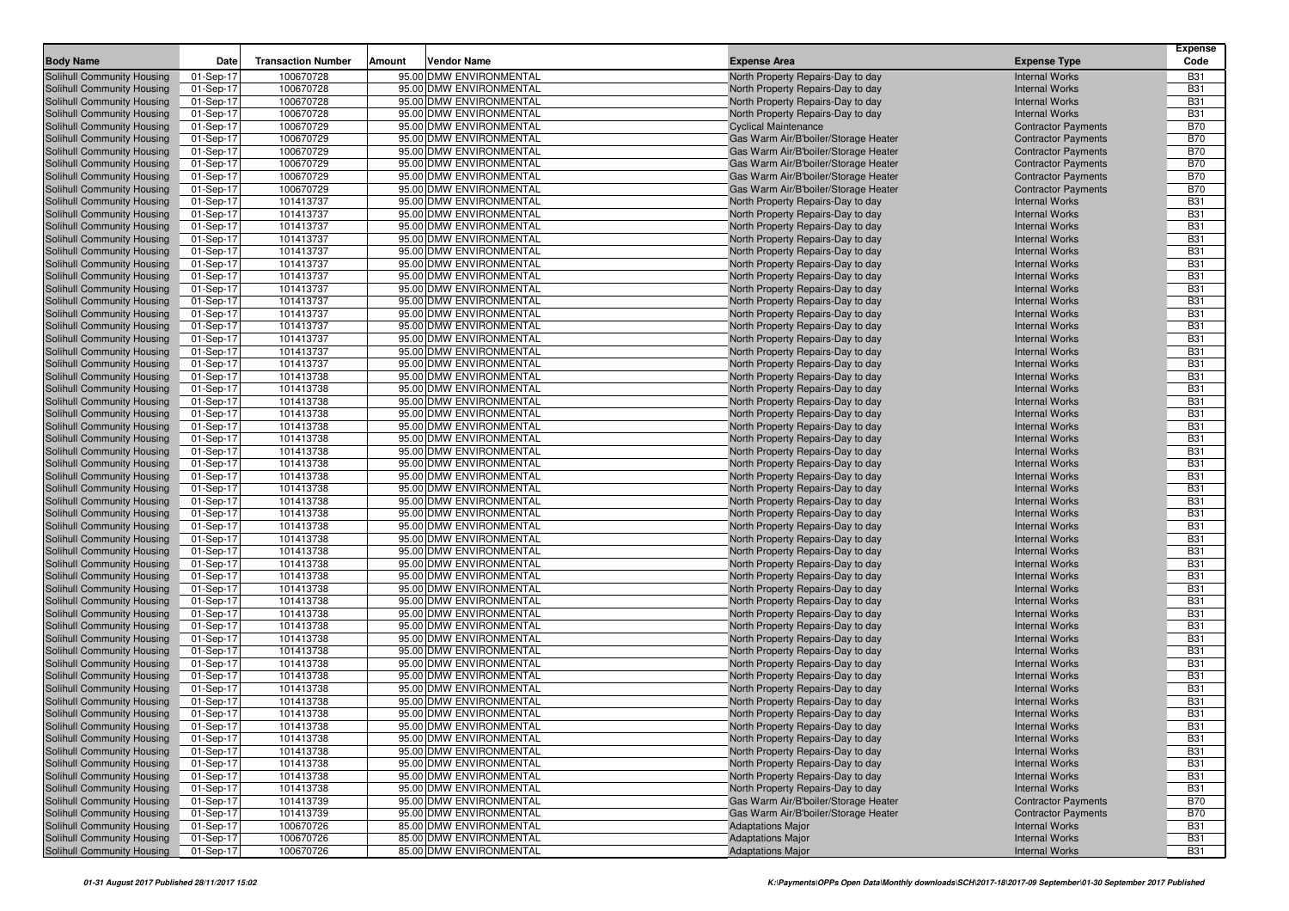|                                                          |                        |                           |        |                                                    |                                                                              |                                                          | <b>Expense</b>           |
|----------------------------------------------------------|------------------------|---------------------------|--------|----------------------------------------------------|------------------------------------------------------------------------------|----------------------------------------------------------|--------------------------|
| <b>Body Name</b>                                         | Date                   | <b>Transaction Number</b> | Amount | Vendor Name                                        | <b>Expense Area</b>                                                          | <b>Expense Type</b>                                      | Code                     |
| Solihull Community Housing                               | 01-Sep-17              | 100670728                 |        | 95.00 DMW ENVIRONMENTAL                            | North Property Repairs-Day to day                                            | <b>Internal Works</b>                                    | <b>B31</b>               |
| Solihull Community Housing                               | 01-Sep-17              | 100670728                 |        | 95.00 DMW ENVIRONMENTAL                            | North Property Repairs-Day to day                                            | <b>Internal Works</b>                                    | <b>B31</b>               |
| Solihull Community Housing                               | 01-Sep-17              | 100670728                 |        | 95.00 DMW ENVIRONMENTAL                            | North Property Repairs-Day to day                                            | <b>Internal Works</b>                                    | <b>B31</b>               |
| Solihull Community Housing                               | 01-Sep-17              | 100670728                 |        | 95.00 DMW ENVIRONMENTAL                            | North Property Repairs-Day to day                                            | <b>Internal Works</b>                                    | <b>B31</b><br><b>B70</b> |
| Solihull Community Housing                               | 01-Sep-17<br>01-Sep-17 | 100670729<br>100670729    |        | 95.00 DMW ENVIRONMENTAL<br>95.00 DMW ENVIRONMENTAL | <b>Cyclical Maintenance</b>                                                  | <b>Contractor Payments</b>                               | <b>B70</b>               |
| Solihull Community Housing<br>Solihull Community Housing | 01-Sep-17              | 100670729                 |        | 95.00 DMW ENVIRONMENTAL                            | Gas Warm Air/B'boiler/Storage Heater<br>Gas Warm Air/B'boiler/Storage Heater | <b>Contractor Payments</b><br><b>Contractor Payments</b> | <b>B70</b>               |
| Solihull Community Housing                               | 01-Sep-17              | 100670729                 |        | 95.00 DMW ENVIRONMENTAL                            | Gas Warm Air/B'boiler/Storage Heater                                         | <b>Contractor Payments</b>                               | <b>B70</b>               |
| Solihull Community Housing                               | 01-Sep-17              | 100670729                 |        | 95.00 DMW ENVIRONMENTAL                            | Gas Warm Air/B'boiler/Storage Heater                                         | <b>Contractor Payments</b>                               | <b>B70</b>               |
| Solihull Community Housing                               | 01-Sep-17              | 100670729                 |        | 95.00 DMW ENVIRONMENTAL                            | Gas Warm Air/B'boiler/Storage Heater                                         | <b>Contractor Payments</b>                               | <b>B70</b>               |
| Solihull Community Housing                               | 01-Sep-17              | 101413737                 |        | 95.00 DMW ENVIRONMENTAL                            | North Property Repairs-Day to day                                            | <b>Internal Works</b>                                    | <b>B31</b>               |
| Solihull Community Housing                               | 01-Sep-17              | 101413737                 |        | 95.00 DMW ENVIRONMENTAL                            | North Property Repairs-Day to day                                            | <b>Internal Works</b>                                    | <b>B31</b>               |
| Solihull Community Housing                               | 01-Sep-17              | 101413737                 |        | 95.00 DMW ENVIRONMENTAL                            | North Property Repairs-Day to day                                            | <b>Internal Works</b>                                    | <b>B31</b>               |
| Solihull Community Housing                               | 01-Sep-17              | 101413737                 |        | 95.00 DMW ENVIRONMENTAL                            | North Property Repairs-Day to day                                            | <b>Internal Works</b>                                    | <b>B31</b>               |
| Solihull Community Housing                               | 01-Sep-17              | 101413737                 |        | 95.00 DMW ENVIRONMENTAL                            | North Property Repairs-Day to day                                            | <b>Internal Works</b>                                    | <b>B31</b>               |
| Solihull Community Housing                               | 01-Sep-17              | 101413737                 |        | 95.00 DMW ENVIRONMENTAL                            | North Property Repairs-Day to day                                            | <b>Internal Works</b>                                    | <b>B31</b>               |
| Solihull Community Housing                               | 01-Sep-17              | 101413737                 |        | 95.00 DMW ENVIRONMENTAL                            | North Property Repairs-Day to day                                            | <b>Internal Works</b>                                    | <b>B31</b>               |
| Solihull Community Housing                               | 01-Sep-17              | 101413737                 |        | 95.00 DMW ENVIRONMENTAL                            | North Property Repairs-Day to day                                            | <b>Internal Works</b>                                    | <b>B31</b>               |
| Solihull Community Housing                               | 01-Sep-17              | 101413737                 |        | 95.00 DMW ENVIRONMENTAL                            | North Property Repairs-Day to day                                            | <b>Internal Works</b>                                    | <b>B31</b>               |
| Solihull Community Housing                               | 01-Sep-17              | 101413737                 |        | 95.00 DMW ENVIRONMENTAL                            | North Property Repairs-Day to day                                            | <b>Internal Works</b>                                    | <b>B31</b>               |
| Solihull Community Housing                               | 01-Sep-17              | 101413737                 |        | 95.00 DMW ENVIRONMENTAL                            | North Property Repairs-Day to day                                            | <b>Internal Works</b>                                    | <b>B31</b>               |
| Solihull Community Housing                               | 01-Sep-17              | 101413737                 |        | 95.00 DMW ENVIRONMENTAL                            | North Property Repairs-Day to day                                            | <b>Internal Works</b>                                    | <b>B31</b>               |
| Solihull Community Housing                               | 01-Sep-17              | 101413737                 |        | 95.00 DMW ENVIRONMENTAL                            | North Property Repairs-Day to day                                            | <b>Internal Works</b>                                    | <b>B31</b>               |
| Solihull Community Housing                               | 01-Sep-17              | 101413737                 |        | 95.00 DMW ENVIRONMENTAL                            | North Property Repairs-Day to day                                            | <b>Internal Works</b>                                    | <b>B31</b>               |
| Solihull Community Housing                               | 01-Sep-17              | 101413738                 |        | 95.00 DMW ENVIRONMENTAL                            | North Property Repairs-Day to day                                            | <b>Internal Works</b>                                    | <b>B31</b>               |
| Solihull Community Housing                               | 01-Sep-17              | 101413738                 |        | 95.00 DMW ENVIRONMENTAL                            | North Property Repairs-Day to day                                            | <b>Internal Works</b>                                    | <b>B31</b>               |
| Solihull Community Housing                               | 01-Sep-17              | 101413738                 |        | 95.00 DMW ENVIRONMENTAL                            | North Property Repairs-Day to day                                            | <b>Internal Works</b>                                    | <b>B31</b>               |
| Solihull Community Housing                               | 01-Sep-17              | 101413738                 |        | 95.00 DMW ENVIRONMENTAL                            | North Property Repairs-Day to day                                            | <b>Internal Works</b>                                    | <b>B31</b>               |
| Solihull Community Housing                               | 01-Sep-17              | 101413738                 |        | 95.00 DMW ENVIRONMENTAL                            | North Property Repairs-Day to day                                            | <b>Internal Works</b>                                    | <b>B31</b>               |
| Solihull Community Housing                               | 01-Sep-17              | 101413738                 |        | 95.00 DMW ENVIRONMENTAL                            | North Property Repairs-Day to day                                            | <b>Internal Works</b>                                    | <b>B31</b>               |
| Solihull Community Housing                               | 01-Sep-17              | 101413738                 |        | 95.00 DMW ENVIRONMENTAL                            | North Property Repairs-Day to day                                            | <b>Internal Works</b>                                    | <b>B31</b>               |
| Solihull Community Housing                               | 01-Sep-17              | 101413738                 |        | 95.00 DMW ENVIRONMENTAL                            | North Property Repairs-Day to day                                            | <b>Internal Works</b>                                    | <b>B31</b>               |
| Solihull Community Housing                               | 01-Sep-17              | 101413738                 |        | 95.00 DMW ENVIRONMENTAL                            | North Property Repairs-Day to day                                            | <b>Internal Works</b>                                    | <b>B31</b>               |
| Solihull Community Housing                               | 01-Sep-17              | 101413738                 |        | 95.00 DMW ENVIRONMENTAL                            | North Property Repairs-Day to day                                            | <b>Internal Works</b>                                    | <b>B31</b>               |
| Solihull Community Housing                               | 01-Sep-17              | 101413738                 |        | 95.00 DMW ENVIRONMENTAL                            | North Property Repairs-Day to day                                            | <b>Internal Works</b>                                    | <b>B31</b>               |
| Solihull Community Housing                               | 01-Sep-17              | 101413738                 |        | 95.00 DMW ENVIRONMENTAL                            | North Property Repairs-Day to day                                            | <b>Internal Works</b>                                    | <b>B31</b>               |
| Solihull Community Housing                               | 01-Sep-17              | 101413738                 |        | 95.00 DMW ENVIRONMENTAL                            | North Property Repairs-Day to day                                            | <b>Internal Works</b>                                    | <b>B31</b>               |
| Solihull Community Housing                               | 01-Sep-17              | 101413738                 |        | 95.00 DMW ENVIRONMENTAL                            | North Property Repairs-Day to day                                            | <b>Internal Works</b>                                    | <b>B31</b>               |
| Solihull Community Housing                               | 01-Sep-17              | 101413738                 |        | 95.00 DMW ENVIRONMENTAL                            | North Property Repairs-Day to day                                            | <b>Internal Works</b>                                    | <b>B31</b>               |
| Solihull Community Housing                               | 01-Sep-17              | 101413738                 |        | 95.00 DMW ENVIRONMENTAL                            | North Property Repairs-Day to day                                            | <b>Internal Works</b>                                    | <b>B31</b>               |
| Solihull Community Housing                               | 01-Sep-17              | 101413738                 |        | 95.00 DMW ENVIRONMENTAL                            | North Property Repairs-Day to day                                            | <b>Internal Works</b>                                    | <b>B31</b>               |
| Solihull Community Housing                               | 01-Sep-17              | 101413738                 |        | 95.00 DMW ENVIRONMENTAL                            | North Property Repairs-Day to day                                            | <b>Internal Works</b>                                    | <b>B31</b>               |
| Solihull Community Housing                               | 01-Sep-17              | 101413738                 |        | 95.00 DMW ENVIRONMENTAL                            | North Property Repairs-Day to day                                            | <b>Internal Works</b>                                    | <b>B31</b>               |
| Solihull Community Housing                               | 01-Sep-17              | 101413738                 |        | 95.00 DMW ENVIRONMENTAL                            | North Property Repairs-Day to day                                            | <b>Internal Works</b>                                    | <b>B31</b>               |
| Solihull Community Housing                               | 01-Sep-17              | 101413738                 |        | 95.00 DMW ENVIRONMENTAL                            | North Property Repairs-Day to day                                            | <b>Internal Works</b>                                    | <b>B31</b>               |
| Solihull Community Housing                               | 01-Sep-17              | 101413738                 |        | 95.00 DMW ENVIRONMENTAL                            | North Property Repairs-Day to day                                            | <b>Internal Works</b>                                    | <b>B31</b>               |
| Solihull Community Housing                               | 01-Sep-17              | 101413738                 |        | 95.00 DMW ENVIRONMENTAL                            | North Property Repairs-Day to day                                            | <b>Internal Works</b>                                    | <b>B31</b>               |
| Solihull Community Housing                               | 01-Sep-17              | 101413738                 |        | 95.00 DMW ENVIRONMENTAL                            | North Property Repairs-Day to day                                            | <b>Internal Works</b>                                    | <b>B31</b>               |
| Solihull Community Housing                               | 01-Sep-17              | 101413738                 |        | 95.00 DMW ENVIRONMENTAL                            | North Property Repairs-Day to day                                            | <b>Internal Works</b>                                    | <b>B31</b>               |
| Solihull Community Housing                               | 01-Sep-17              | 101413738                 |        | 95.00 DMW ENVIRONMENTAL                            | North Property Repairs-Day to day                                            | <b>Internal Works</b>                                    | <b>B31</b>               |
| Solihull Community Housing                               | 01-Sep-17              | 101413738                 |        | 95.00 DMW ENVIRONMENTAL                            | North Property Repairs-Day to day                                            | <b>Internal Works</b>                                    | <b>B31</b>               |
| Solihull Community Housing                               | 01-Sep-17              | 101413738                 |        | 95.00 DMW ENVIRONMENTAL                            | North Property Repairs-Day to day                                            | <b>Internal Works</b>                                    | <b>B31</b>               |
| Solihull Community Housing<br>Solihull Community Housing | 01-Sep-17              | 101413738<br>101413738    |        | 95.00 DMW ENVIRONMENTAL<br>95.00 DMW ENVIRONMENTAL | North Property Repairs-Day to day<br>North Property Repairs-Day to day       | <b>Internal Works</b><br><b>Internal Works</b>           | <b>B31</b><br><b>B31</b> |
| Solihull Community Housing                               | 01-Sep-17<br>01-Sep-17 | 101413738                 |        | 95.00 DMW ENVIRONMENTAL                            | North Property Repairs-Day to day                                            | <b>Internal Works</b>                                    | <b>B31</b>               |
|                                                          |                        |                           |        |                                                    |                                                                              |                                                          |                          |
| Solihull Community Housing<br>Solihull Community Housing | 01-Sep-17<br>01-Sep-17 | 101413738<br>101413738    |        | 95.00 DMW ENVIRONMENTAL<br>95.00 DMW ENVIRONMENTAL | North Property Repairs-Day to day<br>North Property Repairs-Day to day       | <b>Internal Works</b><br><b>Internal Works</b>           | <b>B31</b><br><b>B31</b> |
| Solihull Community Housing                               | 01-Sep-17              | 101413738                 |        | 95.00 DMW ENVIRONMENTAL                            | North Property Repairs-Day to day                                            | <b>Internal Works</b>                                    | <b>B31</b>               |
| Solihull Community Housing                               | 01-Sep-17              | 101413739                 |        | 95.00 DMW ENVIRONMENTAL                            | Gas Warm Air/B'boiler/Storage Heater                                         | <b>Contractor Payments</b>                               | <b>B70</b>               |
| Solihull Community Housing                               | 01-Sep-17              | 101413739                 |        | 95.00 DMW ENVIRONMENTAL                            | Gas Warm Air/B'boiler/Storage Heater                                         | <b>Contractor Payments</b>                               | <b>B70</b>               |
| Solihull Community Housing                               | 01-Sep-17              | 100670726                 |        | 85.00 DMW ENVIRONMENTAL                            | <b>Adaptations Major</b>                                                     | <b>Internal Works</b>                                    | <b>B31</b>               |
| Solihull Community Housing                               | 01-Sep-17              | 100670726                 |        | 85.00 DMW ENVIRONMENTAL                            | <b>Adaptations Major</b>                                                     | <b>Internal Works</b>                                    | <b>B31</b>               |
| Solihull Community Housing                               | 01-Sep-17              | 100670726                 |        | 85.00 DMW ENVIRONMENTAL                            | <b>Adaptations Major</b>                                                     | <b>Internal Works</b>                                    | <b>B31</b>               |
|                                                          |                        |                           |        |                                                    |                                                                              |                                                          |                          |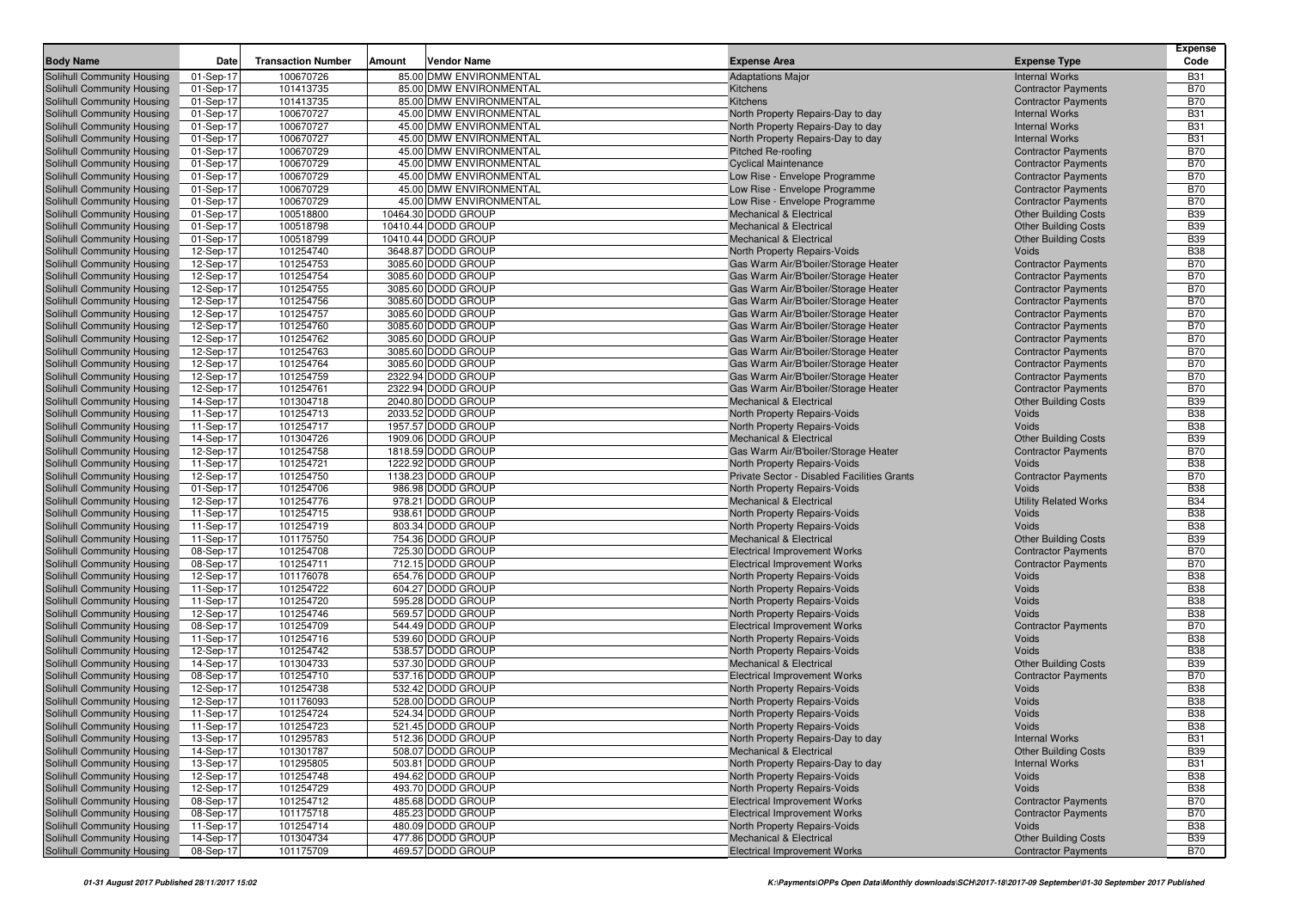|                                                          |                        |                           |        |                                                    |                                                                              |                                                          | <b>Expense</b>           |
|----------------------------------------------------------|------------------------|---------------------------|--------|----------------------------------------------------|------------------------------------------------------------------------------|----------------------------------------------------------|--------------------------|
| <b>Body Name</b>                                         | Date                   | <b>Transaction Number</b> | Amount | Vendor Name                                        | <b>Expense Area</b>                                                          | <b>Expense Type</b>                                      | Code                     |
| Solihull Community Housing                               | 01-Sep-17              | 100670726                 |        | 85.00 DMW ENVIRONMENTAL                            | <b>Adaptations Major</b>                                                     | <b>Internal Works</b>                                    | <b>B31</b>               |
| Solihull Community Housing                               | 01-Sep-17              | 101413735                 |        | 85.00 DMW ENVIRONMENTAL                            | Kitchens                                                                     | <b>Contractor Payments</b>                               | <b>B70</b>               |
| Solihull Community Housing                               | 01-Sep-17              | 101413735<br>100670727    |        | 85.00 DMW ENVIRONMENTAL                            | Kitchens                                                                     | <b>Contractor Payments</b>                               | <b>B70</b>               |
| Solihull Community Housing<br>Solihull Community Housing | 01-Sep-17<br>01-Sep-17 | 100670727                 |        | 45.00 DMW ENVIRONMENTAL<br>45.00 DMW ENVIRONMENTAL | North Property Repairs-Day to day<br>North Property Repairs-Day to day       | <b>Internal Works</b><br><b>Internal Works</b>           | <b>B31</b><br><b>B31</b> |
| Solihull Community Housing                               | 01-Sep-17              | 100670727                 |        | 45.00 DMW ENVIRONMENTAL                            | North Property Repairs-Day to day                                            | <b>Internal Works</b>                                    | <b>B31</b>               |
| Solihull Community Housing                               | 01-Sep-17              | 100670729                 |        | 45.00 DMW ENVIRONMENTAL                            | Pitched Re-roofing                                                           | <b>Contractor Payments</b>                               | <b>B70</b>               |
| Solihull Community Housing                               | 01-Sep-17              | 100670729                 |        | 45.00 DMW ENVIRONMENTAL                            | <b>Cyclical Maintenance</b>                                                  | <b>Contractor Payments</b>                               | <b>B70</b>               |
| Solihull Community Housing                               | 01-Sep-17              | 100670729                 |        | 45.00 DMW ENVIRONMENTAL                            | Low Rise - Envelope Programme                                                | <b>Contractor Payments</b>                               | <b>B70</b>               |
| Solihull Community Housing                               | 01-Sep-17              | 100670729                 |        | 45.00 DMW ENVIRONMENTAL                            | Low Rise - Envelope Programme                                                | <b>Contractor Payments</b>                               | <b>B70</b>               |
| Solihull Community Housing                               | 01-Sep-17              | 100670729                 |        | 45.00 DMW ENVIRONMENTAL                            | Low Rise - Envelope Programme                                                | <b>Contractor Payments</b>                               | <b>B70</b>               |
| Solihull Community Housing                               | 01-Sep-17              | 100518800                 |        | 10464.30 DODD GROUP                                | Mechanical & Electrical                                                      | <b>Other Building Costs</b>                              | <b>B39</b>               |
| Solihull Community Housing                               | 01-Sep-17              | 100518798                 |        | 10410.44 DODD GROUP                                | <b>Mechanical &amp; Electrical</b>                                           | <b>Other Building Costs</b>                              | <b>B39</b>               |
| Solihull Community Housing                               | 01-Sep-17              | 100518799                 |        | 10410.44 DODD GROUP                                | <b>Mechanical &amp; Electrical</b>                                           | <b>Other Building Costs</b>                              | <b>B39</b>               |
| Solihull Community Housing                               | 12-Sep-17              | 101254740                 |        | 3648.87 DODD GROUP                                 | North Property Repairs-Voids                                                 | Voids                                                    | <b>B38</b>               |
| Solihull Community Housing                               | 12-Sep-17              | 101254753                 |        | 3085.60 DODD GROUP                                 | Gas Warm Air/B'boiler/Storage Heater                                         | <b>Contractor Payments</b>                               | <b>B70</b>               |
| Solihull Community Housing                               | 12-Sep-17              | 101254754                 |        | 3085.60 DODD GROUP                                 | Gas Warm Air/B'boiler/Storage Heater                                         | <b>Contractor Payments</b>                               | <b>B70</b>               |
| Solihull Community Housing                               | 12-Sep-17              | 101254755                 |        | 3085.60 DODD GROUP                                 | Gas Warm Air/B'boiler/Storage Heater                                         | <b>Contractor Payments</b>                               | <b>B70</b>               |
| Solihull Community Housing                               | 12-Sep-17              | 101254756                 |        | 3085.60 DODD GROUP                                 | Gas Warm Air/B'boiler/Storage Heater                                         | <b>Contractor Payments</b>                               | <b>B70</b>               |
| Solihull Community Housing                               | 12-Sep-17              | 101254757                 |        | 3085.60 DODD GROUP                                 | Gas Warm Air/B'boiler/Storage Heater                                         | <b>Contractor Payments</b>                               | <b>B70</b>               |
| Solihull Community Housing<br>Solihull Community Housing | 12-Sep-17              | 101254760<br>101254762    |        | 3085.60 DODD GROUP<br>3085.60 DODD GROUP           | Gas Warm Air/B'boiler/Storage Heater                                         | <b>Contractor Payments</b>                               | <b>B70</b><br><b>B70</b> |
| Solihull Community Housing                               | 12-Sep-17<br>12-Sep-17 | 101254763                 |        | 3085.60 DODD GROUP                                 | Gas Warm Air/B'boiler/Storage Heater<br>Gas Warm Air/B'boiler/Storage Heater | <b>Contractor Payments</b><br><b>Contractor Payments</b> | <b>B70</b>               |
| Solihull Community Housing                               | 12-Sep-17              | 101254764                 |        | 3085.60 DODD GROUP                                 | Gas Warm Air/B'boiler/Storage Heater                                         | <b>Contractor Payments</b>                               | <b>B70</b>               |
| Solihull Community Housing                               | 12-Sep-17              | 101254759                 |        | 2322.94 DODD GROUP                                 | Gas Warm Air/B'boiler/Storage Heater                                         | <b>Contractor Payments</b>                               | <b>B70</b>               |
| Solihull Community Housing                               | 12-Sep-17              | 101254761                 |        | 2322.94 DODD GROUP                                 | Gas Warm Air/B'boiler/Storage Heater                                         | <b>Contractor Payments</b>                               | <b>B70</b>               |
| Solihull Community Housing                               | 14-Sep-17              | 101304718                 |        | 2040.80 DODD GROUP                                 | Mechanical & Electrical                                                      | <b>Other Building Costs</b>                              | <b>B39</b>               |
| Solihull Community Housing                               | 11-Sep-17              | 101254713                 |        | 2033.52 DODD GROUP                                 | North Property Repairs-Voids                                                 | Voids                                                    | <b>B38</b>               |
| Solihull Community Housing                               | 11-Sep-17              | 101254717                 |        | 1957.57 DODD GROUP                                 | North Property Repairs-Voids                                                 | Voids                                                    | <b>B38</b>               |
| Solihull Community Housing                               | 14-Sep-17              | 101304726                 |        | 1909.06 DODD GROUP                                 | <b>Mechanical &amp; Electrical</b>                                           | <b>Other Building Costs</b>                              | <b>B39</b>               |
| Solihull Community Housing                               | 12-Sep-17              | 101254758                 |        | 1818.59 DODD GROUP                                 | Gas Warm Air/B'boiler/Storage Heater                                         | <b>Contractor Payments</b>                               | <b>B70</b>               |
| Solihull Community Housing                               | 11-Sep-17              | 101254721                 |        | 1222.92 DODD GROUP                                 | North Property Repairs-Voids                                                 | Voids                                                    | <b>B38</b>               |
| Solihull Community Housing                               | 12-Sep-17              | 101254750                 |        | 1138.23 DODD GROUP                                 | Private Sector - Disabled Facilities Grants                                  | <b>Contractor Payments</b>                               | <b>B70</b>               |
| Solihull Community Housing                               | 01-Sep-17              | 101254706                 |        | 986.98 DODD GROUP                                  | North Property Repairs-Voids                                                 | Voids                                                    | <b>B38</b>               |
| Solihull Community Housing                               | 12-Sep-17              | 101254776                 |        | 978.21 DODD GROUP                                  | <b>Mechanical &amp; Electrical</b>                                           | <b>Utility Related Works</b>                             | <b>B34</b>               |
| Solihull Community Housing                               | 11-Sep-17<br>11-Sep-17 | 101254715<br>101254719    |        | 938.61 DODD GROUP<br>803.34 DODD GROUP             | North Property Repairs-Voids                                                 | Voids<br>Voids                                           | <b>B38</b><br><b>B38</b> |
| Solihull Community Housing<br>Solihull Community Housing | 11-Sep-17              | 101175750                 |        | 754.36 DODD GROUP                                  | North Property Repairs-Voids<br><b>Mechanical &amp; Electrical</b>           | <b>Other Building Costs</b>                              | <b>B39</b>               |
| Solihull Community Housing                               | 08-Sep-17              | 101254708                 |        | 725.30 DODD GROUP                                  | <b>Electrical Improvement Works</b>                                          | <b>Contractor Payments</b>                               | <b>B70</b>               |
| Solihull Community Housing                               | 08-Sep-17              | 101254711                 |        | 712.15 DODD GROUP                                  | <b>Electrical Improvement Works</b>                                          | <b>Contractor Payments</b>                               | <b>B70</b>               |
| Solihull Community Housing                               | 12-Sep-17              | 101176078                 |        | 654.76 DODD GROUP                                  | North Property Repairs-Voids                                                 | Voids                                                    | <b>B38</b>               |
| Solihull Community Housing                               | 11-Sep-17              | 101254722                 |        | 604.27 DODD GROUP                                  | North Property Repairs-Voids                                                 | Voids                                                    | <b>B38</b>               |
| Solihull Community Housing                               | 11-Sep-17              | 101254720                 |        | 595.28 DODD GROUP                                  | North Property Repairs-Voids                                                 | Voids                                                    | <b>B38</b>               |
| Solihull Community Housing                               | 12-Sep-17              | 101254746                 |        | 569.57 DODD GROUP                                  | North Property Repairs-Voids                                                 | Voids                                                    | <b>B38</b>               |
| Solihull Community Housing                               | 08-Sep-17              | 101254709                 |        | 544.49 DODD GROUP                                  | <b>Electrical Improvement Works</b>                                          | <b>Contractor Payments</b>                               | <b>B70</b>               |
| Solihull Community Housing                               | 11-Sep-17              | 101254716                 |        | 539.60 DODD GROUP                                  | North Property Repairs-Voids                                                 | Voids                                                    | <b>B38</b>               |
| Solihull Community Housing                               | 12-Sep-17              | 101254742                 |        | 538.57 DODD GROUP                                  | North Property Repairs-Voids                                                 | Voids                                                    | <b>B38</b>               |
| Solihull Community Housing                               | 14-Sep-17              | 101304733                 |        | 537.30 DODD GROUP                                  | Mechanical & Electrical                                                      | <b>Other Building Costs</b>                              | <b>B39</b>               |
| Solihull Community Housing                               | 08-Sep-17              | 101254710                 |        | 537.16 DODD GROUP                                  | <b>Electrical Improvement Works</b>                                          | <b>Contractor Payments</b>                               | <b>B70</b>               |
| Solihull Community Housing                               | 12-Sep-17              | 101254738<br>101176093    |        | 532.42 DODD GROUP<br>528.00 DODD GROUP             | North Property Repairs-Voids                                                 | Voids<br>Voids                                           | <b>B38</b><br><b>B38</b> |
| Solihull Community Housing<br>Solihull Community Housing | 12-Sep-17<br>11-Sep-17 | 101254724                 |        | 524.34 DODD GROUP                                  | North Property Repairs-Voids<br>North Property Repairs-Voids                 | Voids                                                    | <b>B38</b>               |
| Solihull Community Housing                               | 11-Sep-17              | 101254723                 |        | 521.45 DODD GROUP                                  | North Property Repairs-Voids                                                 | Voids                                                    | <b>B38</b>               |
| Solihull Community Housing                               | 13-Sep-17              | 101295783                 |        | 512.36 DODD GROUP                                  | North Property Repairs-Day to day                                            | <b>Internal Works</b>                                    | <b>B31</b>               |
| Solihull Community Housing                               | 14-Sep-17              | 101301787                 |        | 508.07 DODD GROUP                                  | <b>Mechanical &amp; Electrical</b>                                           | <b>Other Building Costs</b>                              | <b>B39</b>               |
| Solihull Community Housing                               | 13-Sep-17              | 101295805                 |        | 503.81 DODD GROUP                                  | North Property Repairs-Day to day                                            | <b>Internal Works</b>                                    | <b>B31</b>               |
| Solihull Community Housing                               | 12-Sep-17              | 101254748                 |        | 494.62 DODD GROUP                                  | North Property Repairs-Voids                                                 | Voids                                                    | <b>B38</b>               |
| Solihull Community Housing                               | 12-Sep-17              | 101254729                 |        | 493.70 DODD GROUP                                  | North Property Repairs-Voids                                                 | Voids                                                    | <b>B38</b>               |
| Solihull Community Housing                               | 08-Sep-17              | 101254712                 |        | 485.68 DODD GROUP                                  | <b>Electrical Improvement Works</b>                                          | <b>Contractor Payments</b>                               | <b>B70</b>               |
| Solihull Community Housing                               | 08-Sep-17              | 101175718                 |        | 485.23 DODD GROUP                                  | <b>Electrical Improvement Works</b>                                          | <b>Contractor Payments</b>                               | <b>B70</b>               |
| Solihull Community Housing                               | 11-Sep-17              | 101254714                 |        | 480.09 DODD GROUP                                  | North Property Repairs-Voids                                                 | Voids                                                    | <b>B38</b>               |
| Solihull Community Housing                               | 14-Sep-17              | 101304734                 |        | 477.86 DODD GROUP                                  | <b>Mechanical &amp; Electrical</b>                                           | <b>Other Building Costs</b>                              | <b>B39</b>               |
| Solihull Community Housing                               | 08-Sep-17              | 101175709                 |        | 469.57 DODD GROUP                                  | Electrical Improvement Works                                                 | <b>Contractor Payments</b>                               | <b>B70</b>               |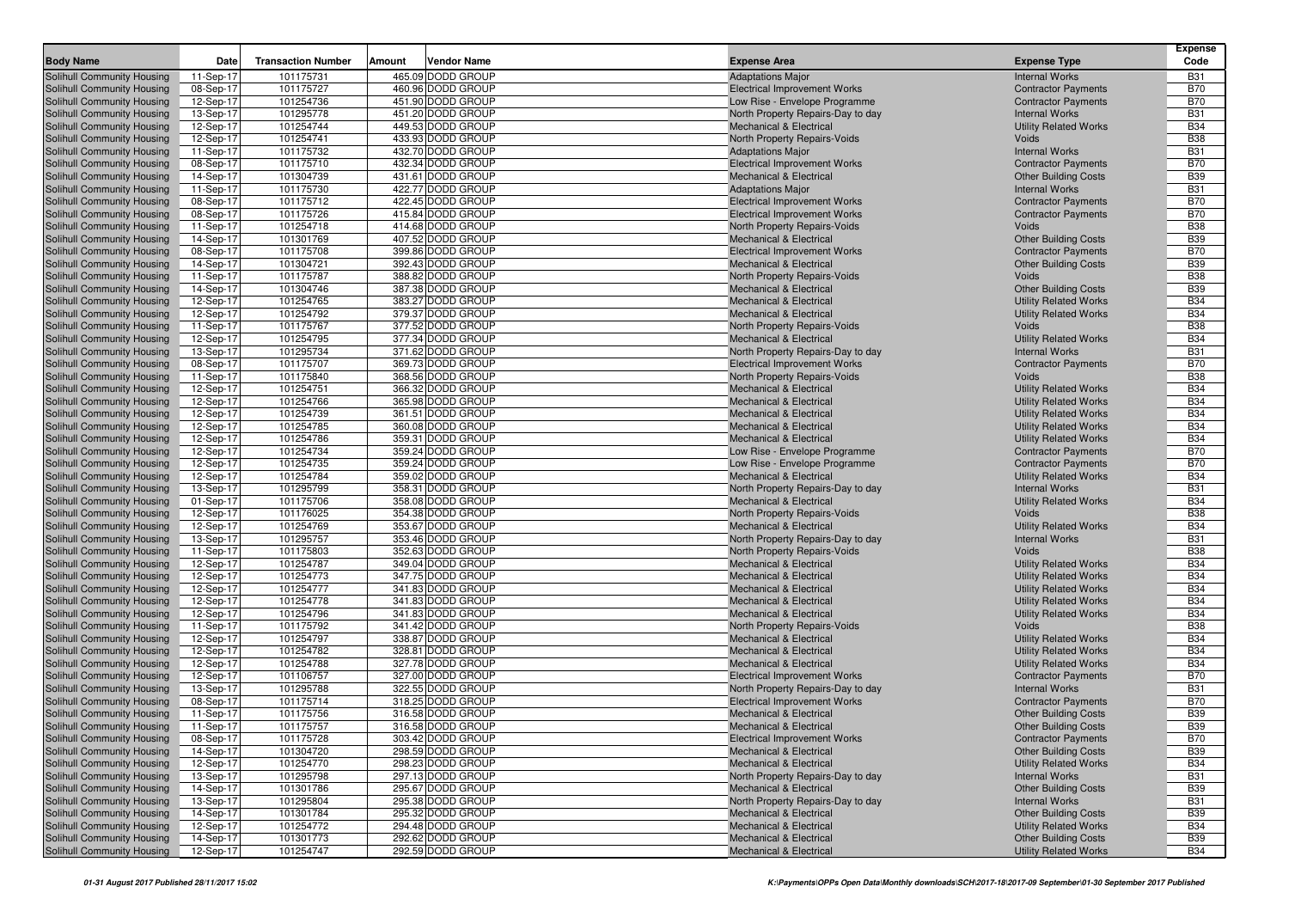|                                                          |                        |                           |        |                                        |                                                                           |                                                       | <b>Expense</b>           |
|----------------------------------------------------------|------------------------|---------------------------|--------|----------------------------------------|---------------------------------------------------------------------------|-------------------------------------------------------|--------------------------|
| <b>Body Name</b>                                         | Date                   | <b>Transaction Number</b> | Amount | <b>Vendor Name</b>                     | <b>Expense Area</b>                                                       | <b>Expense Type</b>                                   | Code                     |
| Solihull Community Housing                               | 11-Sep-17              | 101175731                 |        | 465.09 DODD GROUP                      | <b>Adaptations Major</b>                                                  | <b>Internal Works</b>                                 | <b>B31</b>               |
| Solihull Community Housing                               | 08-Sep-17              | 101175727                 |        | 460.96 DODD GROUP                      | <b>Electrical Improvement Works</b>                                       | <b>Contractor Payments</b>                            | <b>B70</b>               |
| Solihull Community Housing                               | 12-Sep-17              | 101254736                 |        | 451.90 DODD GROUP                      | Low Rise - Envelope Programme                                             | <b>Contractor Payments</b>                            | <b>B70</b>               |
| Solihull Community Housing                               | 13-Sep-17              | 101295778                 |        | 451.20 DODD GROUP                      | North Property Repairs-Day to day                                         | <b>Internal Works</b>                                 | <b>B31</b>               |
| Solihull Community Housing                               | 12-Sep-17              | 101254744                 |        | 449.53 DODD GROUP                      | <b>Mechanical &amp; Electrical</b>                                        | <b>Utility Related Works</b>                          | <b>B34</b>               |
| Solihull Community Housing<br>Solihull Community Housing | 12-Sep-17              | 101254741                 |        | 433.93 DODD GROUP                      | North Property Repairs-Voids                                              | Voids<br><b>Internal Works</b>                        | <b>B38</b>               |
|                                                          | 11-Sep-17              | 101175732<br>101175710    |        | 432.70 DODD GROUP<br>432.34 DODD GROUP | <b>Adaptations Major</b>                                                  | <b>Contractor Payments</b>                            | <b>B31</b><br><b>B70</b> |
| Solihull Community Housing<br>Solihull Community Housing | 08-Sep-17<br>14-Sep-17 | 101304739                 |        | 431.61 DODD GROUP                      | <b>Electrical Improvement Works</b><br><b>Mechanical &amp; Electrical</b> | <b>Other Building Costs</b>                           | <b>B39</b>               |
| Solihull Community Housing                               | 11-Sep-17              | 101175730                 |        | 422.77 DODD GROUP                      | <b>Adaptations Major</b>                                                  | <b>Internal Works</b>                                 | <b>B31</b>               |
| Solihull Community Housing                               | 08-Sep-17              | 101175712                 |        | 422.45 DODD GROUP                      | <b>Electrical Improvement Works</b>                                       | <b>Contractor Payments</b>                            | <b>B70</b>               |
| Solihull Community Housing                               | 08-Sep-17              | 101175726                 |        | 415.84 DODD GROUP                      | <b>Electrical Improvement Works</b>                                       | <b>Contractor Payments</b>                            | <b>B70</b>               |
| Solihull Community Housing                               | 11-Sep-17              | 101254718                 |        | 414.68 DODD GROUP                      | North Property Repairs-Voids                                              | Voids                                                 | <b>B38</b>               |
| Solihull Community Housing                               | 14-Sep-17              | 101301769                 |        | 407.52 DODD GROUP                      | <b>Mechanical &amp; Electrical</b>                                        | <b>Other Building Costs</b>                           | <b>B39</b>               |
| Solihull Community Housing                               | 08-Sep-17              | 101175708                 |        | 399.86 DODD GROUP                      | <b>Electrical Improvement Works</b>                                       | <b>Contractor Payments</b>                            | <b>B70</b>               |
| Solihull Community Housing                               | 14-Sep-17              | 101304721                 |        | 392.43 DODD GROUP                      | <b>Mechanical &amp; Electrical</b>                                        | <b>Other Building Costs</b>                           | <b>B39</b>               |
| Solihull Community Housing                               | 11-Sep-17              | 101175787                 |        | 388.82 DODD GROUP                      | North Property Repairs-Voids                                              | Voids                                                 | <b>B38</b>               |
| Solihull Community Housing                               | 14-Sep-17              | 101304746                 |        | 387.38 DODD GROUP                      | <b>Mechanical &amp; Electrical</b>                                        | <b>Other Building Costs</b>                           | <b>B39</b>               |
| Solihull Community Housing                               | 12-Sep-17              | 101254765                 |        | 383.27 DODD GROUP                      | <b>Mechanical &amp; Electrical</b>                                        | <b>Utility Related Works</b>                          | <b>B34</b>               |
| Solihull Community Housing                               | 12-Sep-17              | 101254792                 |        | 379.37 DODD GROUP                      | <b>Mechanical &amp; Electrical</b>                                        | <b>Utility Related Works</b>                          | <b>B34</b>               |
| Solihull Community Housing                               | 11-Sep-17              | 101175767                 |        | 377.52 DODD GROUP                      | North Property Repairs-Voids                                              | Voids                                                 | <b>B38</b>               |
| Solihull Community Housing                               | 12-Sep-17              | 101254795                 |        | 377.34 DODD GROUP                      | <b>Mechanical &amp; Electrical</b>                                        | <b>Utility Related Works</b>                          | <b>B34</b>               |
| Solihull Community Housing                               | 13-Sep-17              | 101295734                 |        | 371.62 DODD GROUP                      | North Property Repairs-Day to day                                         | <b>Internal Works</b>                                 | <b>B31</b>               |
| Solihull Community Housing                               | 08-Sep-17              | 101175707                 |        | 369.73 DODD GROUP                      | <b>Electrical Improvement Works</b>                                       | <b>Contractor Payments</b>                            | <b>B70</b>               |
| Solihull Community Housing                               | 11-Sep-17              | 101175840                 |        | 368.56 DODD GROUP                      | North Property Repairs-Voids                                              | Voids                                                 | <b>B38</b>               |
| Solihull Community Housing                               | 12-Sep-17              | 101254751                 |        | 366.32 DODD GROUP                      | <b>Mechanical &amp; Electrical</b>                                        | <b>Utility Related Works</b>                          | <b>B34</b>               |
| Solihull Community Housing                               | 12-Sep-17              | 101254766                 |        | 365.98 DODD GROUP                      | <b>Mechanical &amp; Electrical</b>                                        | <b>Utility Related Works</b>                          | <b>B34</b>               |
| Solihull Community Housing                               | 12-Sep-17              | 101254739                 |        | 361.51 DODD GROUP                      | <b>Mechanical &amp; Electrical</b>                                        | <b>Utility Related Works</b>                          | <b>B34</b>               |
| Solihull Community Housing                               | 12-Sep-17              | 101254785                 |        | 360.08 DODD GROUP                      | <b>Mechanical &amp; Electrical</b>                                        | <b>Utility Related Works</b>                          | <b>B34</b>               |
| Solihull Community Housing                               | 12-Sep-17              | 101254786                 |        | 359.31 DODD GROUP                      | <b>Mechanical &amp; Electrical</b>                                        | <b>Utility Related Works</b>                          | <b>B34</b>               |
| Solihull Community Housing                               | 12-Sep-17              | 101254734                 |        | 359.24 DODD GROUP                      | Low Rise - Envelope Programme                                             | <b>Contractor Payments</b>                            | <b>B70</b>               |
| Solihull Community Housing                               | 12-Sep-17              | 101254735                 |        | 359.24 DODD GROUP<br>359.02 DODD GROUP | Low Rise - Envelope Programme                                             | <b>Contractor Payments</b>                            | <b>B70</b><br><b>B34</b> |
| Solihull Community Housing                               | 12-Sep-17              | 101254784<br>101295799    |        | 358.31 DODD GROUP                      | <b>Mechanical &amp; Electrical</b>                                        | <b>Utility Related Works</b>                          | <b>B31</b>               |
| Solihull Community Housing<br>Solihull Community Housing | 13-Sep-17<br>01-Sep-17 | 101175706                 |        | 358.08 DODD GROUP                      | North Property Repairs-Day to day<br><b>Mechanical &amp; Electrical</b>   | <b>Internal Works</b><br><b>Utility Related Works</b> | <b>B34</b>               |
| Solihull Community Housing                               | 12-Sep-17              | 101176025                 |        | 354.38 DODD GROUP                      | North Property Repairs-Voids                                              | Voids                                                 | <b>B38</b>               |
| Solihull Community Housing                               | 12-Sep-17              | 101254769                 |        | 353.67 DODD GROUP                      | <b>Mechanical &amp; Electrical</b>                                        | <b>Utility Related Works</b>                          | <b>B34</b>               |
| Solihull Community Housing                               | 13-Sep-17              | 101295757                 |        | 353.46 DODD GROUP                      | North Property Repairs-Day to day                                         | <b>Internal Works</b>                                 | <b>B31</b>               |
| Solihull Community Housing                               | 11-Sep-17              | 101175803                 |        | 352.63 DODD GROUP                      | North Property Repairs-Voids                                              | Voids                                                 | <b>B38</b>               |
| Solihull Community Housing                               | 12-Sep-17              | 101254787                 |        | 349.04 DODD GROUP                      | <b>Mechanical &amp; Electrical</b>                                        | <b>Utility Related Works</b>                          | <b>B34</b>               |
| Solihull Community Housing                               | 12-Sep-17              | 101254773                 |        | 347.75 DODD GROUP                      | <b>Mechanical &amp; Electrical</b>                                        | <b>Utility Related Works</b>                          | <b>B34</b>               |
| Solihull Community Housing                               | 12-Sep-17              | 101254777                 |        | 341.83 DODD GROUP                      | <b>Mechanical &amp; Electrical</b>                                        | <b>Utility Related Works</b>                          | <b>B34</b>               |
| Solihull Community Housing                               | 12-Sep-17              | 101254778                 |        | 341.83 DODD GROUP                      | <b>Mechanical &amp; Electrical</b>                                        | <b>Utility Related Works</b>                          | <b>B34</b>               |
| Solihull Community Housing                               | 12-Sep-17              | 101254796                 |        | 341.83 DODD GROUP                      | <b>Mechanical &amp; Electrical</b>                                        | <b>Utility Related Works</b>                          | <b>B34</b>               |
| Solihull Community Housing                               | 11-Sep-17              | 101175792                 |        | 341.42 DODD GROUP                      | North Property Repairs-Voids                                              | Voids                                                 | <b>B38</b>               |
| Solihull Community Housing                               | 12-Sep-17              | 101254797                 |        | 338.87 DODD GROUP                      | <b>Mechanical &amp; Electrical</b>                                        | <b>Utility Related Works</b>                          | <b>B34</b>               |
| Solihull Community Housing                               | 12-Sep-17              | 101254782                 |        | 328.81 DODD GROUP                      | <b>Mechanical &amp; Electrical</b>                                        | <b>Utility Related Works</b>                          | <b>B34</b>               |
| Solihull Community Housing                               | 12-Sep-17              | 101254788                 |        | 327.78 DODD GROUP                      | <b>Mechanical &amp; Electrical</b>                                        | <b>Utility Related Works</b>                          | <b>B34</b>               |
| Solihull Community Housing                               | 12-Sep-17              | 101106757                 |        | 327.00 DODD GROUP                      | <b>Electrical Improvement Works</b>                                       | <b>Contractor Payments</b>                            | <b>B70</b>               |
| Solihull Community Housing                               | 13-Sep-17              | 101295788                 |        | 322.55 DODD GROUP                      | North Property Repairs-Day to day                                         | <b>Internal Works</b>                                 | <b>B31</b>               |
| Solihull Community Housing                               | 08-Sep-17              | 101175714                 |        | 318.25 DODD GROUP                      | <b>Electrical Improvement Works</b>                                       | <b>Contractor Payments</b>                            | <b>B70</b>               |
| Solihull Community Housing                               | 11-Sep-17              | 101175756                 |        | 316.58 DODD GROUP                      | <b>Mechanical &amp; Electrical</b>                                        | <b>Other Building Costs</b>                           | <b>B39</b>               |
| Solihull Community Housing                               | 11-Sep-17              | 101175757                 |        | 316.58 DODD GROUP                      | <b>Mechanical &amp; Electrical</b>                                        | <b>Other Building Costs</b>                           | <b>B39</b>               |
| Solihull Community Housing                               | 08-Sep-17              | 101175728                 |        | 303.42 DODD GROUP                      | <b>Electrical Improvement Works</b>                                       | <b>Contractor Payments</b>                            | <b>B70</b>               |
| Solihull Community Housing                               | 14-Sep-17              | 101304720                 |        | 298.59 DODD GROUP                      | <b>Mechanical &amp; Electrical</b>                                        | <b>Other Building Costs</b>                           | <b>B39</b>               |
| Solihull Community Housing                               | 12-Sep-17              | 101254770                 |        | 298.23 DODD GROUP                      | <b>Mechanical &amp; Electrical</b>                                        | <b>Utility Related Works</b>                          | <b>B34</b>               |
| Solihull Community Housing<br>Solihull Community Housing | 13-Sep-17              | 101295798                 |        | 297.13 DODD GROUP                      | North Property Repairs-Day to day                                         | <b>Internal Works</b>                                 | <b>B31</b>               |
| Solihull Community Housing                               | 14-Sep-17              | 101301786                 |        | 295.67 DODD GROUP                      | <b>Mechanical &amp; Electrical</b>                                        | <b>Other Building Costs</b>                           | <b>B39</b>               |
| Solihull Community Housing                               | 13-Sep-17<br>14-Sep-17 | 101295804<br>101301784    |        | 295.38 DODD GROUP<br>295.32 DODD GROUP | North Property Repairs-Day to day<br><b>Mechanical &amp; Electrical</b>   | <b>Internal Works</b><br><b>Other Building Costs</b>  | <b>B31</b><br><b>B39</b> |
| Solihull Community Housing                               | 12-Sep-17              | 101254772                 |        | 294.48 DODD GROUP                      | <b>Mechanical &amp; Electrical</b>                                        | <b>Utility Related Works</b>                          | <b>B34</b>               |
| Solihull Community Housing                               | 14-Sep-17              | 101301773                 |        | 292.62 DODD GROUP                      | <b>Mechanical &amp; Electrical</b>                                        | <b>Other Building Costs</b>                           | <b>B39</b>               |
| Solihull Community Housing                               | 12-Sep-17              | 101254747                 |        | 292.59 DODD GROUP                      | <b>Mechanical &amp; Electrical</b>                                        | <b>Utility Related Works</b>                          | <b>B34</b>               |
|                                                          |                        |                           |        |                                        |                                                                           |                                                       |                          |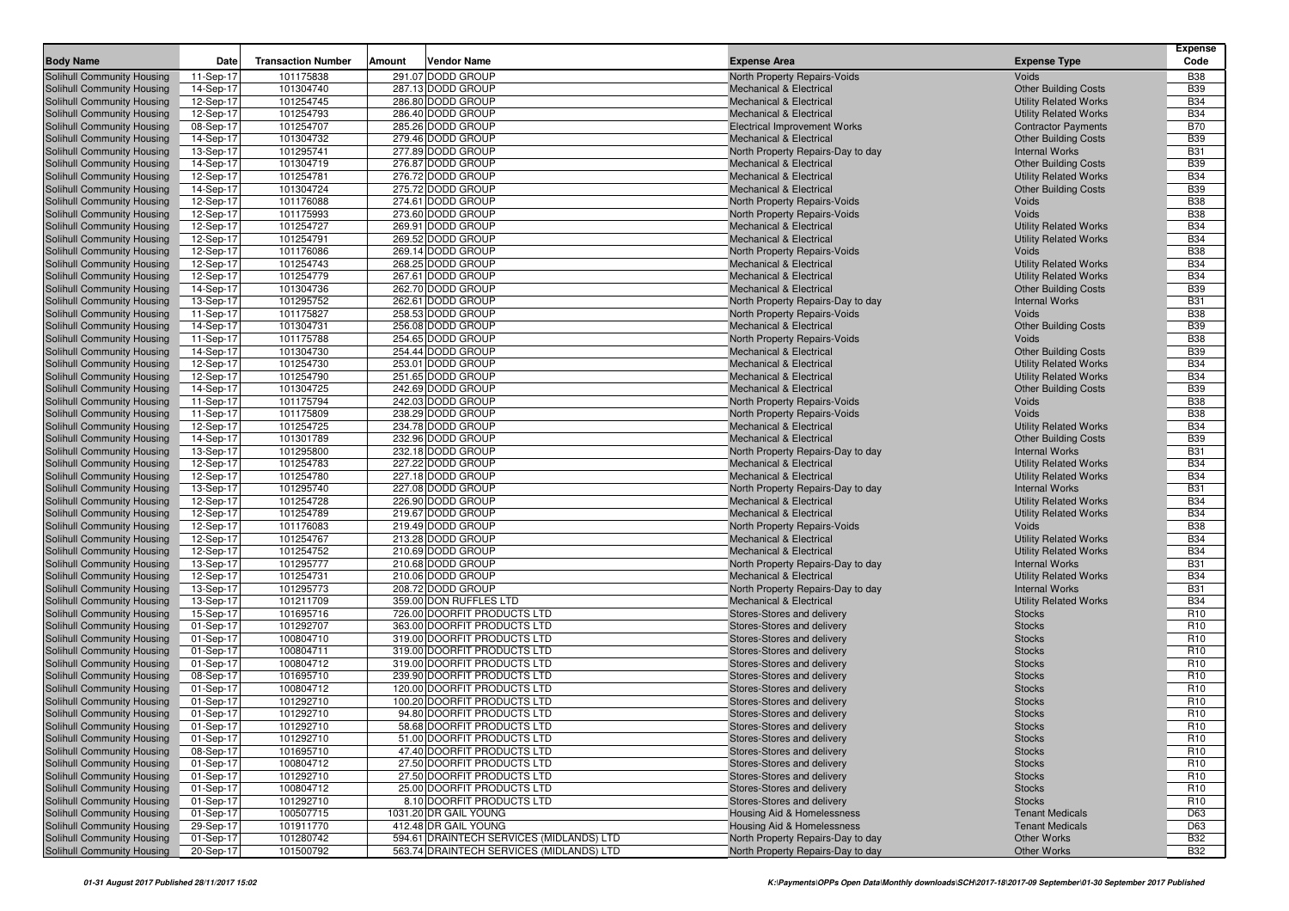| <b>Body Name</b>                                         | Date                   | <b>Transaction Number</b> | Vendor Name<br>Amount                    | <b>Expense Area</b>                                                 | <b>Expense Type</b>          | <b>Expense</b><br>Code   |
|----------------------------------------------------------|------------------------|---------------------------|------------------------------------------|---------------------------------------------------------------------|------------------------------|--------------------------|
| Solihull Community Housing                               | 11-Sep-17              | 101175838                 | 291.07 DODD GROUP                        | North Property Repairs-Voids                                        | Voids                        | <b>B38</b>               |
| Solihull Community Housing                               | 14-Sep-17              | 101304740                 | 287.13 DODD GROUP                        | <b>Mechanical &amp; Electrical</b>                                  | <b>Other Building Costs</b>  | <b>B39</b>               |
| Solihull Community Housing                               | 12-Sep-17              | 101254745                 | 286.80 DODD GROUP                        | <b>Mechanical &amp; Electrical</b>                                  | <b>Utility Related Works</b> | <b>B34</b>               |
| Solihull Community Housing                               | 12-Sep-17              | 101254793                 | 286.40 DODD GROUP                        | <b>Mechanical &amp; Electrical</b>                                  | <b>Utility Related Works</b> | <b>B34</b>               |
| Solihull Community Housing                               | 08-Sep-17              | 101254707                 | 285.26 DODD GROUP                        | <b>Electrical Improvement Works</b>                                 | <b>Contractor Payments</b>   | <b>B70</b>               |
| Solihull Community Housing                               | 14-Sep-17              | 101304732                 | 279.46 DODD GROUP                        | <b>Mechanical &amp; Electrical</b>                                  | <b>Other Building Costs</b>  | <b>B39</b>               |
| Solihull Community Housing                               | 13-Sep-17              | 101295741                 | 277.89 DODD GROUP                        | North Property Repairs-Day to day                                   | <b>Internal Works</b>        | <b>B31</b>               |
| Solihull Community Housing                               | 14-Sep-17              | 101304719                 | 276.87 DODD GROUP                        | <b>Mechanical &amp; Electrical</b>                                  | <b>Other Building Costs</b>  | <b>B39</b>               |
| Solihull Community Housing                               | 12-Sep-17              | 101254781                 | 276.72 DODD GROUP                        | <b>Mechanical &amp; Electrical</b>                                  | <b>Utility Related Works</b> | <b>B34</b>               |
| Solihull Community Housing                               | 14-Sep-17              | 101304724                 | 275.72 DODD GROUP                        | <b>Mechanical &amp; Electrical</b>                                  | <b>Other Building Costs</b>  | <b>B39</b>               |
| Solihull Community Housing                               | 12-Sep-17              | 101176088                 | 274.61 DODD GROUP                        | North Property Repairs-Voids                                        | Voids                        | <b>B38</b>               |
| Solihull Community Housing                               | 12-Sep-17              | 101175993                 | 273.60 DODD GROUP                        | North Property Repairs-Voids                                        | Voids                        | <b>B38</b>               |
| Solihull Community Housing                               | 12-Sep-17              | 101254727                 | 269.91 DODD GROUP                        | <b>Mechanical &amp; Electrical</b>                                  | <b>Utility Related Works</b> | <b>B34</b>               |
| Solihull Community Housing                               | 12-Sep-17              | 101254791                 | 269.52 DODD GROUP                        | <b>Mechanical &amp; Electrical</b>                                  | <b>Utility Related Works</b> | <b>B34</b>               |
| Solihull Community Housing                               | 12-Sep-17              | 101176086                 | 269.14 DODD GROUP                        | North Property Repairs-Voids                                        | Voids                        | <b>B38</b>               |
| Solihull Community Housing                               | 12-Sep-17              | 101254743                 | 268.25 DODD GROUP                        | <b>Mechanical &amp; Electrical</b>                                  | <b>Utility Related Works</b> | <b>B34</b>               |
| Solihull Community Housing                               | 12-Sep-17              | 101254779                 | 267.61 DODD GROUP                        | <b>Mechanical &amp; Electrical</b>                                  | <b>Utility Related Works</b> | <b>B34</b>               |
| Solihull Community Housing                               | 14-Sep-17              | 101304736                 | 262.70 DODD GROUP                        | <b>Mechanical &amp; Electrical</b>                                  | <b>Other Building Costs</b>  | <b>B39</b>               |
| Solihull Community Housing                               | 13-Sep-17              | 101295752                 | 262.61 DODD GROUP                        | North Property Repairs-Day to day                                   | <b>Internal Works</b>        | <b>B31</b>               |
| Solihull Community Housing                               | 11-Sep-17              | 101175827                 | 258.53 DODD GROUP                        | <b>North Property Repairs-Voids</b>                                 | Voids                        | <b>B38</b>               |
| Solihull Community Housing                               | 14-Sep-17              | 101304731                 | 256.08 DODD GROUP                        | <b>Mechanical &amp; Electrical</b>                                  | <b>Other Building Costs</b>  | <b>B39</b>               |
| Solihull Community Housing                               | 11-Sep-17              | 101175788                 | 254.65 DODD GROUP                        | <b>North Property Repairs-Voids</b>                                 | Voids                        | <b>B38</b>               |
| Solihull Community Housing                               | 14-Sep-17              | 101304730                 | 254.44 DODD GROUP                        | <b>Mechanical &amp; Electrical</b>                                  | <b>Other Building Costs</b>  | <b>B39</b>               |
| Solihull Community Housing                               | 12-Sep-17              | 101254730                 | 253.01 DODD GROUP                        | <b>Mechanical &amp; Electrical</b>                                  | <b>Utility Related Works</b> | <b>B34</b>               |
| Solihull Community Housing                               | 12-Sep-17              | 101254790                 | 251.65 DODD GROUP                        | <b>Mechanical &amp; Electrical</b>                                  | <b>Utility Related Works</b> | <b>B34</b>               |
| Solihull Community Housing                               | 14-Sep-17              | 101304725                 | 242.69 DODD GROUP                        | <b>Mechanical &amp; Electrical</b>                                  | <b>Other Building Costs</b>  | <b>B39</b><br><b>B38</b> |
| Solihull Community Housing<br>Solihull Community Housing | 11-Sep-17              | 101175794<br>101175809    | 242.03 DODD GROUP<br>238.29 DODD GROUP   | North Property Repairs-Voids<br><b>North Property Repairs-Voids</b> | Voids<br>Voids               | <b>B38</b>               |
| Solihull Community Housing                               | 11-Sep-17<br>12-Sep-17 | 101254725                 | 234.78 DODD GROUP                        | <b>Mechanical &amp; Electrical</b>                                  | <b>Utility Related Works</b> | <b>B34</b>               |
| Solihull Community Housing                               | 14-Sep-17              | 101301789                 | 232.96 DODD GROUP                        | <b>Mechanical &amp; Electrical</b>                                  | <b>Other Building Costs</b>  | <b>B39</b>               |
| Solihull Community Housing                               | 13-Sep-17              | 101295800                 | 232.18 DODD GROUP                        | North Property Repairs-Day to day                                   | <b>Internal Works</b>        | <b>B31</b>               |
| Solihull Community Housing                               | 12-Sep-17              | 101254783                 | 227.22 DODD GROUP                        | <b>Mechanical &amp; Electrical</b>                                  | <b>Utility Related Works</b> | <b>B34</b>               |
| Solihull Community Housing                               | 12-Sep-17              | 101254780                 | 227.18 DODD GROUP                        | <b>Mechanical &amp; Electrical</b>                                  | <b>Utility Related Works</b> | <b>B34</b>               |
| Solihull Community Housing                               | 13-Sep-17              | 101295740                 | 227.08 DODD GROUP                        | North Property Repairs-Day to day                                   | <b>Internal Works</b>        | <b>B31</b>               |
| Solihull Community Housing                               | 12-Sep-17              | 101254728                 | 226.90 DODD GROUP                        | Mechanical & Electrical                                             | <b>Utility Related Works</b> | <b>B34</b>               |
| Solihull Community Housing                               | 12-Sep-17              | 101254789                 | 219.67 DODD GROUP                        | <b>Mechanical &amp; Electrical</b>                                  | <b>Utility Related Works</b> | <b>B34</b>               |
| Solihull Community Housing                               | 12-Sep-17              | 101176083                 | 219.49 DODD GROUP                        | North Property Repairs-Voids                                        | Voids                        | <b>B38</b>               |
| Solihull Community Housing                               | 12-Sep-17              | 101254767                 | 213.28 DODD GROUP                        | <b>Mechanical &amp; Electrical</b>                                  | <b>Utility Related Works</b> | <b>B34</b>               |
| Solihull Community Housing                               | 12-Sep-17              | 101254752                 | 210.69 DODD GROUP                        | <b>Mechanical &amp; Electrical</b>                                  | <b>Utility Related Works</b> | <b>B34</b>               |
| Solihull Community Housing                               | 13-Sep-17              | 101295777                 | 210.68 DODD GROUP                        | North Property Repairs-Day to day                                   | <b>Internal Works</b>        | <b>B31</b>               |
| Solihull Community Housing                               | 12-Sep-17              | 101254731                 | 210.06 DODD GROUP                        | <b>Mechanical &amp; Electrical</b>                                  | <b>Utility Related Works</b> | <b>B34</b>               |
| Solihull Community Housing                               | 13-Sep-17              | 101295773                 | 208.72 DODD GROUP                        | North Property Repairs-Day to day                                   | <b>Internal Works</b>        | <b>B31</b>               |
| Solihull Community Housing                               | 13-Sep-17              | 101211709                 | 359.00 DON RUFFLES LTD                   | <b>Mechanical &amp; Electrical</b>                                  | <b>Utility Related Works</b> | <b>B34</b>               |
| Solihull Community Housing                               | 15-Sep-17              | 101695716                 | 726.00 DOORFIT PRODUCTS LTD              | Stores-Stores and delivery                                          | <b>Stocks</b>                | R <sub>10</sub>          |
| Solihull Community Housing                               | 01-Sep-17              | 101292707                 | 363.00 DOORFIT PRODUCTS LTD              | Stores-Stores and delivery                                          | <b>Stocks</b>                | R <sub>10</sub>          |
| Solihull Community Housing                               | 01-Sep-17              | 100804710                 | 319.00 DOORFIT PRODUCTS LTD              | Stores-Stores and delivery                                          | <b>Stocks</b>                | R <sub>10</sub>          |
| Solihull Community Housing                               | 01-Sep-17              | 100804711                 | 319.00 DOORFIT PRODUCTS LTD              | Stores-Stores and delivery                                          | <b>Stocks</b>                | <b>R10</b>               |
| Solihull Community Housing                               | 01-Sep-17              | 100804712                 | 319.00 DOORFIT PRODUCTS LTD              | Stores-Stores and delivery                                          | <b>Stocks</b>                | R <sub>10</sub>          |
| Solihull Community Housing                               | 08-Sep-17              | 101695710                 | 239.90 DOORFIT PRODUCTS LTD              | Stores-Stores and delivery                                          | <b>Stocks</b>                | R <sub>10</sub>          |
| Solihull Community Housing                               | 01-Sep-17              | 100804712                 | 120.00 DOORFIT PRODUCTS LTD              | Stores-Stores and delivery                                          | <b>Stocks</b>                | R <sub>10</sub>          |
| Solihull Community Housing                               | 01-Sep-17              | 101292710                 | 100.20 DOORFIT PRODUCTS LTD              | Stores-Stores and delivery                                          | <b>Stocks</b>                | R <sub>10</sub>          |
| Solihull Community Housing                               | 01-Sep-17              | 101292710                 | 94.80 DOORFIT PRODUCTS LTD               | Stores-Stores and delivery                                          | <b>Stocks</b>                | R <sub>10</sub>          |
| Solihull Community Housing                               | 01-Sep-17              | 101292710                 | 58.68 DOORFIT PRODUCTS LTD               | Stores-Stores and delivery                                          | <b>Stocks</b>                | R <sub>10</sub>          |
| Solihull Community Housing                               | 01-Sep-17              | 101292710                 | 51.00 DOORFIT PRODUCTS LTD               | Stores-Stores and delivery                                          | <b>Stocks</b>                | R <sub>10</sub>          |
| Solihull Community Housing                               | 08-Sep-17              | 101695710                 | 47.40 DOORFIT PRODUCTS LTD               | Stores-Stores and delivery                                          | <b>Stocks</b>                | R <sub>10</sub>          |
| Solihull Community Housing                               | 01-Sep-17              | 100804712                 | 27.50 DOORFIT PRODUCTS LTD               | Stores-Stores and delivery                                          | <b>Stocks</b>                | R <sub>10</sub>          |
| Solihull Community Housing                               | 01-Sep-17              | 101292710                 | 27.50 DOORFIT PRODUCTS LTD               | Stores-Stores and delivery                                          | <b>Stocks</b>                | R <sub>10</sub>          |
| Solihull Community Housing                               | 01-Sep-17              | 100804712                 | 25.00 DOORFIT PRODUCTS LTD               | Stores-Stores and delivery                                          | <b>Stocks</b>                | R <sub>10</sub>          |
| Solihull Community Housing                               | 01-Sep-17              | 101292710                 | 8.10 DOORFIT PRODUCTS LTD                | Stores-Stores and delivery                                          | <b>Stocks</b>                | R <sub>10</sub>          |
| Solihull Community Housing                               | 01-Sep-17              | 100507715                 | 1031.20 DR GAIL YOUNG                    | <b>Housing Aid &amp; Homelessness</b>                               | <b>Tenant Medicals</b>       | D63                      |
| Solihull Community Housing                               | 29-Sep-17              | 101911770                 | 412.48 DR GAIL YOUNG                     | <b>Housing Aid &amp; Homelessness</b>                               | <b>Tenant Medicals</b>       | D63                      |
| Solihull Community Housing                               | 01-Sep-17              | 101280742                 | 594.61 DRAINTECH SERVICES (MIDLANDS) LTD | North Property Repairs-Day to day                                   | Other Works                  | <b>B32</b>               |
| Solihull Community Housing                               | 20-Sep-17              | 101500792                 | 563.74 DRAINTECH SERVICES (MIDLANDS) LTD | North Property Repairs-Day to day                                   | Other Works                  | <b>B32</b>               |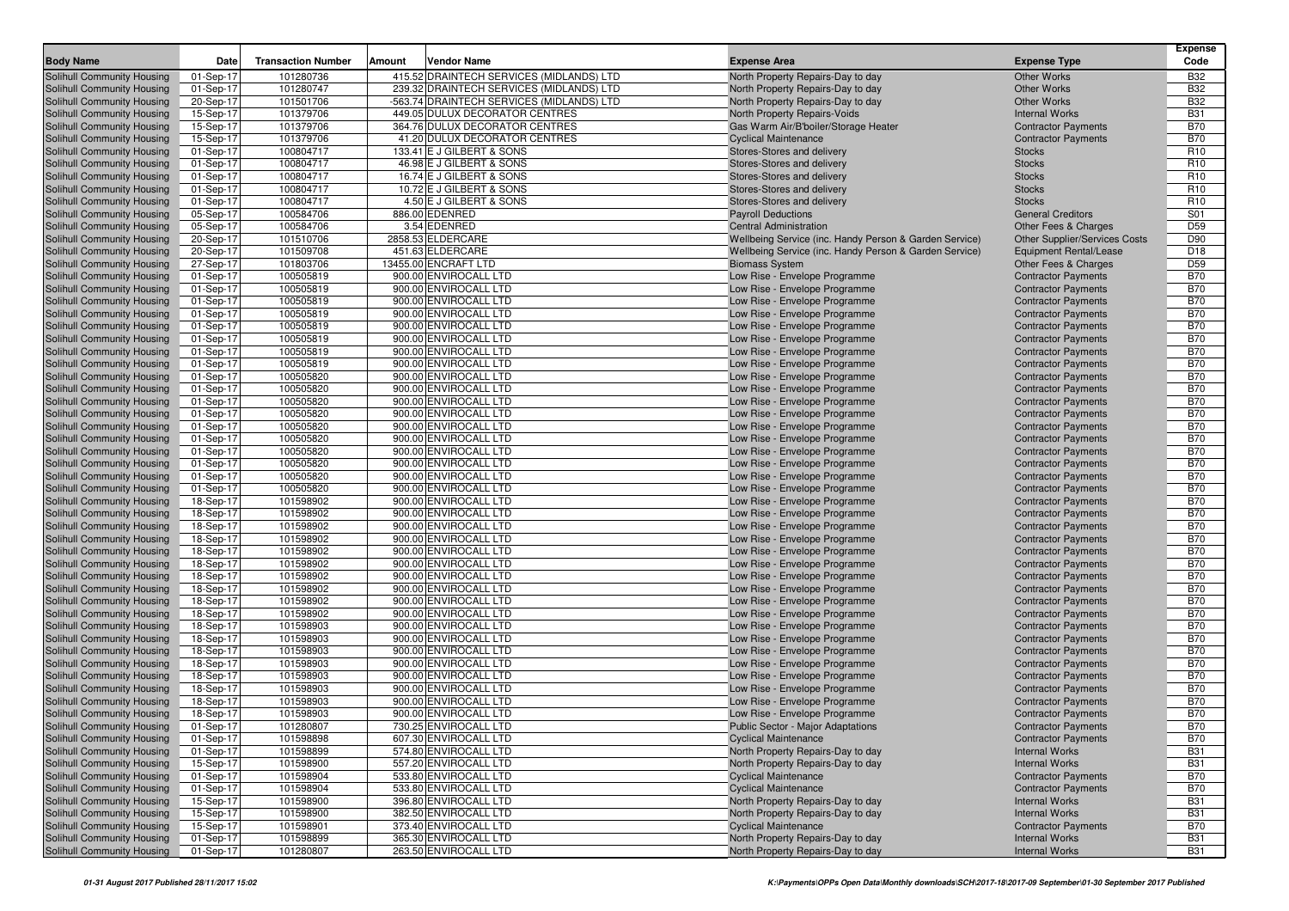| <b>Body Name</b>                                         | Date                   | <b>Transaction Number</b> | Amount<br>Vendor Name                          | <b>Expense Area</b>                                                    | <b>Expense Type</b>                                      | <b>Expense</b><br>Code   |
|----------------------------------------------------------|------------------------|---------------------------|------------------------------------------------|------------------------------------------------------------------------|----------------------------------------------------------|--------------------------|
|                                                          |                        | 101280736                 | 415.52 DRAINTECH SERVICES (MIDLANDS) LTD       |                                                                        |                                                          | <b>B32</b>               |
| Solihull Community Housing<br>Solihull Community Housing | 01-Sep-17<br>01-Sep-17 | 101280747                 | 239.32 DRAINTECH SERVICES (MIDLANDS) LTD       | North Property Repairs-Day to day<br>North Property Repairs-Day to day | <b>Other Works</b><br><b>Other Works</b>                 | <b>B32</b>               |
| Solihull Community Housing                               | 20-Sep-17              | 101501706                 | -563.74 DRAINTECH SERVICES (MIDLANDS) LTD      | North Property Repairs-Day to day                                      | <b>Other Works</b>                                       | <b>B32</b>               |
| Solihull Community Housing                               | 15-Sep-17              | 101379706                 | 449.05 DULUX DECORATOR CENTRES                 | North Property Repairs-Voids                                           | <b>Internal Works</b>                                    | <b>B31</b>               |
| Solihull Community Housing                               | 15-Sep-17              | 101379706                 | 364.76 DULUX DECORATOR CENTRES                 | Gas Warm Air/B'boiler/Storage Heater                                   | <b>Contractor Payments</b>                               | <b>B70</b>               |
| Solihull Community Housing                               | 15-Sep-17              | 101379706                 | 41.20 DULUX DECORATOR CENTRES                  | <b>Cyclical Maintenance</b>                                            | <b>Contractor Payments</b>                               | <b>B70</b>               |
| Solihull Community Housing                               | 01-Sep-17              | 100804717                 | 133.41 E J GILBERT & SONS                      | Stores-Stores and delivery                                             | <b>Stocks</b>                                            | R <sub>10</sub>          |
| Solihull Community Housing                               | 01-Sep-17              | 100804717                 | 46.98 E J GILBERT & SONS                       | Stores-Stores and delivery                                             | <b>Stocks</b>                                            | R <sub>10</sub>          |
| Solihull Community Housing                               | 01-Sep-17              | 100804717                 | 16.74 E J GILBERT & SONS                       | Stores-Stores and delivery                                             | <b>Stocks</b>                                            | R <sub>10</sub>          |
| Solihull Community Housing                               | 01-Sep-17              | 100804717                 | 10.72 E J GILBERT & SONS                       | Stores-Stores and delivery                                             | <b>Stocks</b>                                            | R <sub>10</sub>          |
| Solihull Community Housing                               | 01-Sep-17              | 100804717                 | 4.50 E J GILBERT & SONS                        | Stores-Stores and delivery                                             | <b>Stocks</b>                                            | R <sub>10</sub>          |
| Solihull Community Housing                               | 05-Sep-17              | 100584706                 | 886.00 EDENRED                                 | <b>Payroll Deductions</b>                                              | <b>General Creditors</b>                                 | S01                      |
| Solihull Community Housing                               | 05-Sep-17              | 100584706                 | 3.54 EDENRED                                   | <b>Central Administration</b>                                          | Other Fees & Charges                                     | D <sub>59</sub>          |
| Solihull Community Housing                               | 20-Sep-17              | 101510706                 | 2858.53 ELDERCARE                              | Wellbeing Service (inc. Handy Person & Garden Service)                 | <b>Other Supplier/Services Costs</b>                     | D90                      |
| Solihull Community Housing                               | 20-Sep-17              | 101509708                 | 451.63 ELDERCARE                               | Wellbeing Service (inc. Handy Person & Garden Service)                 | <b>Equipment Rental/Lease</b>                            | D <sub>18</sub>          |
| Solihull Community Housing                               | 27-Sep-17              | 101803706                 | 13455.00 ENCRAFT LTD                           | <b>Biomass System</b>                                                  | Other Fees & Charges                                     | D <sub>59</sub>          |
| Solihull Community Housing                               | 01-Sep-17              | 100505819                 | 900.00 ENVIROCALL LTD                          | Low Rise - Envelope Programme                                          | <b>Contractor Payments</b>                               | <b>B70</b>               |
| Solihull Community Housing                               | 01-Sep-17              | 100505819                 | 900.00 ENVIROCALL LTD                          | Low Rise - Envelope Programme                                          | <b>Contractor Payments</b>                               | <b>B70</b>               |
| Solihull Community Housing                               | 01-Sep-17              | 100505819                 | 900.00 ENVIROCALL LTD                          | Low Rise - Envelope Programme                                          | <b>Contractor Payments</b>                               | <b>B70</b>               |
| Solihull Community Housing                               | 01-Sep-17              | 100505819                 | 900.00 ENVIROCALL LTD                          | Low Rise - Envelope Programme                                          | <b>Contractor Payments</b>                               | <b>B70</b>               |
| Solihull Community Housing                               | 01-Sep-17              | 100505819                 | 900.00 ENVIROCALL LTD                          | Low Rise - Envelope Programme                                          | <b>Contractor Payments</b>                               | <b>B70</b>               |
| Solihull Community Housing                               | 01-Sep-17              | 100505819                 | 900.00 ENVIROCALL LTD                          | Low Rise - Envelope Programme                                          | <b>Contractor Payments</b>                               | <b>B70</b>               |
| Solihull Community Housing                               | 01-Sep-17              | 100505819                 | 900.00 ENVIROCALL LTD                          | Low Rise - Envelope Programme                                          | <b>Contractor Payments</b>                               | <b>B70</b>               |
| Solihull Community Housing                               | 01-Sep-17              | 100505819                 | 900.00 ENVIROCALL LTD                          | Low Rise - Envelope Programme                                          | <b>Contractor Payments</b>                               | <b>B70</b>               |
| Solihull Community Housing                               | 01-Sep-17              | 100505820                 | 900.00 ENVIROCALL LTD<br>900.00 ENVIROCALL LTD | Low Rise - Envelope Programme                                          | <b>Contractor Payments</b>                               | <b>B70</b>               |
| Solihull Community Housing<br>Solihull Community Housing | 01-Sep-17<br>01-Sep-17 | 100505820<br>100505820    | 900.00 ENVIROCALL LTD                          | Low Rise - Envelope Programme<br>Low Rise - Envelope Programme         | <b>Contractor Payments</b><br><b>Contractor Payments</b> | <b>B70</b><br><b>B70</b> |
| Solihull Community Housing                               | 01-Sep-17              | 100505820                 | 900.00 ENVIROCALL LTD                          | Low Rise - Envelope Programme                                          | <b>Contractor Payments</b>                               | <b>B70</b>               |
| Solihull Community Housing                               | 01-Sep-17              | 100505820                 | 900.00 ENVIROCALL LTD                          | Low Rise - Envelope Programme                                          | <b>Contractor Payments</b>                               | <b>B70</b>               |
| Solihull Community Housing                               | 01-Sep-17              | 100505820                 | 900.00 ENVIROCALL LTD                          | Low Rise - Envelope Programme                                          | <b>Contractor Payments</b>                               | <b>B70</b>               |
| Solihull Community Housing                               | 01-Sep-17              | 100505820                 | 900.00 ENVIROCALL LTD                          | Low Rise - Envelope Programme                                          | <b>Contractor Payments</b>                               | <b>B70</b>               |
| Solihull Community Housing                               | 01-Sep-17              | 100505820                 | 900.00 ENVIROCALL LTD                          | Low Rise - Envelope Programme                                          | <b>Contractor Payments</b>                               | <b>B70</b>               |
| Solihull Community Housing                               | 01-Sep-17              | 100505820                 | 900.00 ENVIROCALL LTD                          | Low Rise - Envelope Programme                                          | <b>Contractor Payments</b>                               | <b>B70</b>               |
| Solihull Community Housing                               | 01-Sep-17              | 100505820                 | 900.00 ENVIROCALL LTD                          | Low Rise - Envelope Programme                                          | <b>Contractor Payments</b>                               | <b>B70</b>               |
| Solihull Community Housing                               | 18-Sep-17              | 101598902                 | 900.00 ENVIROCALL LTD                          | Low Rise - Envelope Programme                                          | <b>Contractor Payments</b>                               | <b>B70</b>               |
| Solihull Community Housing                               | 18-Sep-17              | 101598902                 | 900.00 ENVIROCALL LTD                          | Low Rise - Envelope Programme                                          | <b>Contractor Payments</b>                               | <b>B70</b>               |
| Solihull Community Housing                               | 18-Sep-17              | 101598902                 | 900.00 ENVIROCALL LTD                          | Low Rise - Envelope Programme                                          | <b>Contractor Payments</b>                               | <b>B70</b>               |
| Solihull Community Housing                               | 18-Sep-17              | 101598902                 | 900.00 ENVIROCALL LTD                          | Low Rise - Envelope Programme                                          | <b>Contractor Payments</b>                               | <b>B70</b>               |
| Solihull Community Housing                               | 18-Sep-17              | 101598902                 | 900.00 ENVIROCALL LTD                          | Low Rise - Envelope Programme                                          | <b>Contractor Payments</b>                               | <b>B70</b>               |
| Solihull Community Housing                               | 18-Sep-17              | 101598902                 | 900.00 ENVIROCALL LTD                          | Low Rise - Envelope Programme                                          | <b>Contractor Payments</b>                               | <b>B70</b>               |
| Solihull Community Housing                               | 18-Sep-17              | 101598902                 | 900.00 ENVIROCALL LTD                          | Low Rise - Envelope Programme                                          | <b>Contractor Payments</b>                               | <b>B70</b>               |
| Solihull Community Housing                               | 18-Sep-17              | 101598902                 | 900.00 ENVIROCALL LTD                          | Low Rise - Envelope Programme                                          | <b>Contractor Payments</b>                               | <b>B70</b>               |
| Solihull Community Housing                               | 18-Sep-17              | 101598902                 | 900.00 ENVIROCALL LTD                          | Low Rise - Envelope Programme                                          | <b>Contractor Payments</b>                               | <b>B70</b>               |
| Solihull Community Housing                               | 18-Sep-17              | 101598902                 | 900.00 ENVIROCALL LTD                          | Low Rise - Envelope Programme                                          | <b>Contractor Payments</b>                               | <b>B70</b>               |
| Solihull Community Housing                               | 18-Sep-17              | 101598903                 | 900.00 ENVIROCALL LTD                          | Low Rise - Envelope Programme                                          | <b>Contractor Payments</b>                               | <b>B70</b>               |
| Solihull Community Housing                               | 18-Sep-17              | 101598903                 | 900.00 ENVIROCALL LTD                          | Low Rise - Envelope Programme                                          | <b>Contractor Payments</b>                               | <b>B70</b>               |
| Solihull Community Housing                               | 18-Sep-17<br>18-Sep-17 | 101598903<br>101598903    | 900.00 ENVIROCALL LTD                          | Low Rise - Envelope Programme                                          | <b>Contractor Payments</b>                               | <b>B70</b><br><b>B70</b> |
| Solihull Community Housing<br>Solihull Community Housing | 18-Sep-17              | 101598903                 | 900.00 ENVIROCALL LTD<br>900.00 ENVIROCALL LTD | Low Rise - Envelope Programme<br>Low Rise - Envelope Programme         | <b>Contractor Payments</b>                               | <b>B70</b>               |
| Solihull Community Housing                               | 18-Sep-17              | 101598903                 | 900.00 ENVIROCALL LTD                          | Low Rise - Envelope Programme                                          | <b>Contractor Payments</b><br><b>Contractor Payments</b> | <b>B70</b>               |
| Solihull Community Housing                               | 18-Sep-17              | 101598903                 | 900.00 ENVIROCALL LTD                          | Low Rise - Envelope Programme                                          | <b>Contractor Payments</b>                               | <b>B70</b>               |
| Solihull Community Housing                               | 18-Sep-17              | 101598903                 | 900.00 ENVIROCALL LTD                          | Low Rise - Envelope Programme                                          | <b>Contractor Payments</b>                               | <b>B70</b>               |
| <b>Solihull Community Housing</b>                        | 01-Sep-17              | 101280807                 | 730.25 ENVIROCALL LTD                          | Public Sector - Major Adaptations                                      | <b>Contractor Payments</b>                               | <b>B70</b>               |
| Solihull Community Housing                               | 01-Sep-17              | 101598898                 | 607.30 ENVIROCALL LTD                          | <b>Cyclical Maintenance</b>                                            | <b>Contractor Payments</b>                               | <b>B70</b>               |
| Solihull Community Housing                               | 01-Sep-17              | 101598899                 | 574.80 ENVIROCALL LTD                          | North Property Repairs-Day to day                                      | <b>Internal Works</b>                                    | <b>B31</b>               |
| Solihull Community Housing                               | 15-Sep-17              | 101598900                 | 557.20 ENVIROCALL LTD                          | North Property Repairs-Day to day                                      | <b>Internal Works</b>                                    | <b>B31</b>               |
| Solihull Community Housing                               | 01-Sep-17              | 101598904                 | 533.80 ENVIROCALL LTD                          | <b>Cyclical Maintenance</b>                                            | <b>Contractor Payments</b>                               | <b>B70</b>               |
| Solihull Community Housing                               | 01-Sep-17              | 101598904                 | 533.80 ENVIROCALL LTD                          | <b>Cyclical Maintenance</b>                                            | <b>Contractor Payments</b>                               | <b>B70</b>               |
| Solihull Community Housing                               | 15-Sep-17              | 101598900                 | 396.80 ENVIROCALL LTD                          | North Property Repairs-Day to day                                      | <b>Internal Works</b>                                    | <b>B31</b>               |
| Solihull Community Housing                               | 15-Sep-17              | 101598900                 | 382.50 ENVIROCALL LTD                          | North Property Repairs-Day to day                                      | <b>Internal Works</b>                                    | <b>B31</b>               |
| Solihull Community Housing                               | 15-Sep-17              | 101598901                 | 373.40 ENVIROCALL LTD                          | <b>Cyclical Maintenance</b>                                            | <b>Contractor Payments</b>                               | <b>B70</b>               |
| Solihull Community Housing                               | 01-Sep-17              | 101598899                 | 365.30 ENVIROCALL LTD                          | North Property Repairs-Day to day                                      | <b>Internal Works</b>                                    | <b>B31</b>               |
| Solihull Community Housing                               | 01-Sep-17              | 101280807                 | 263.50 ENVIROCALL LTD                          | North Property Repairs-Day to day                                      | <b>Internal Works</b>                                    | <b>B31</b>               |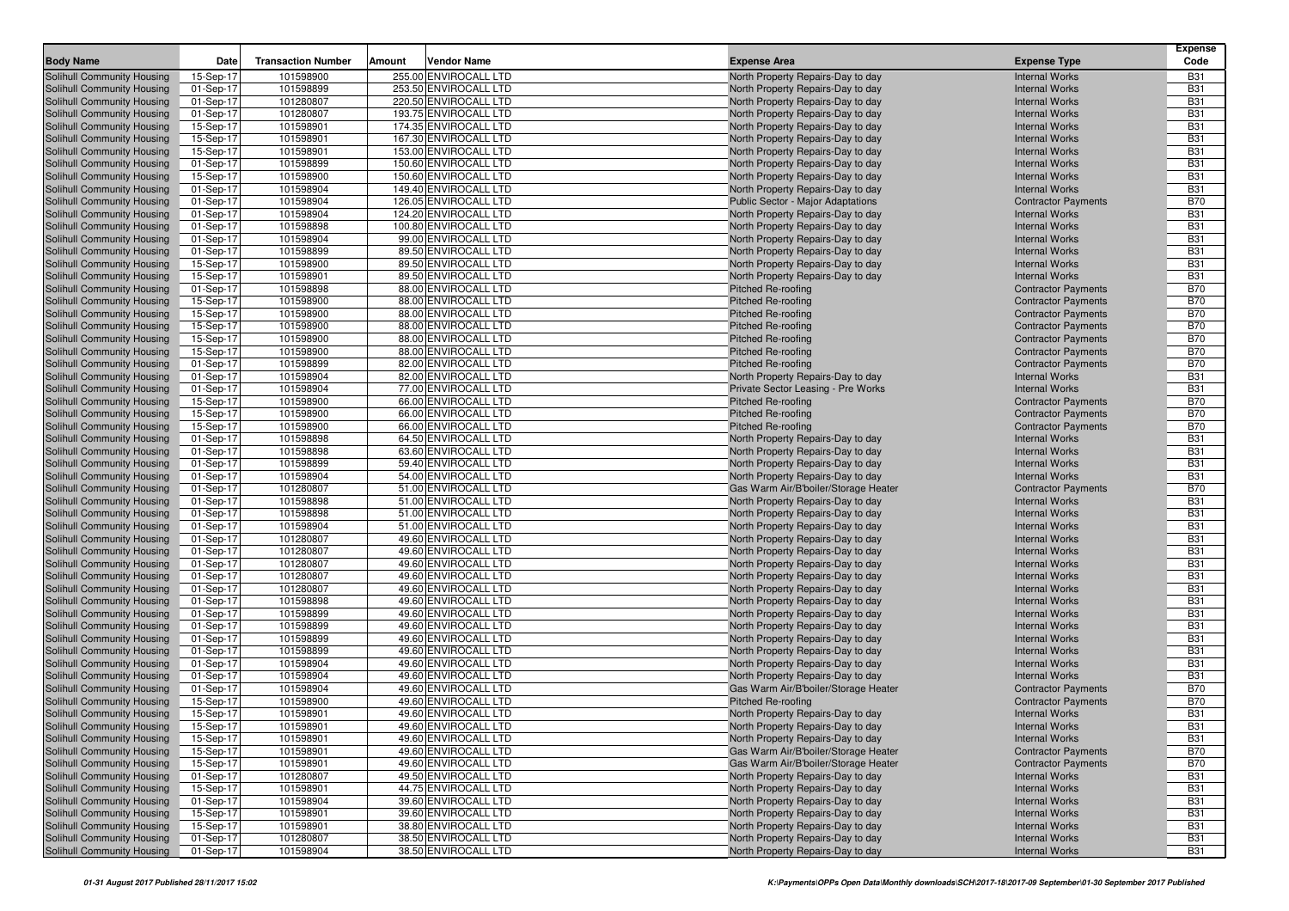|                                                          |                        |                           |                                                |                                                                        |                                                          | Expense                  |
|----------------------------------------------------------|------------------------|---------------------------|------------------------------------------------|------------------------------------------------------------------------|----------------------------------------------------------|--------------------------|
| <b>Body Name</b>                                         | Date                   | <b>Transaction Number</b> | Amount<br>Vendor Name                          | <b>Expense Area</b>                                                    | <b>Expense Type</b>                                      | Code                     |
| Solihull Community Housing                               | 15-Sep-17              | 101598900                 | 255.00 ENVIROCALL LTD                          | North Property Repairs-Day to day                                      | <b>Internal Works</b>                                    | <b>B31</b>               |
| Solihull Community Housing                               | 01-Sep-17              | 101598899                 | 253.50 ENVIROCALL LTD                          | North Property Repairs-Day to day                                      | <b>Internal Works</b>                                    | <b>B31</b>               |
| Solihull Community Housing                               | 01-Sep-17              | 101280807                 | 220.50 ENVIROCALL LTD                          | North Property Repairs-Day to day                                      | <b>Internal Works</b>                                    | <b>B31</b>               |
| Solihull Community Housing                               | 01-Sep-17              | 101280807                 | 193.75 ENVIROCALL LTD                          | North Property Repairs-Day to day                                      | <b>Internal Works</b>                                    | <b>B31</b>               |
| Solihull Community Housing                               | 15-Sep-17              | 101598901                 | 174.35 ENVIROCALL LTD                          | North Property Repairs-Day to day                                      | <b>Internal Works</b>                                    | <b>B31</b>               |
| Solihull Community Housing<br>Solihull Community Housing | 15-Sep-17              | 101598901<br>101598901    | 167.30 ENVIROCALL LTD<br>153.00 ENVIROCALL LTD | North Property Repairs-Day to day                                      | <b>Internal Works</b><br><b>Internal Works</b>           | <b>B31</b><br><b>B31</b> |
| Solihull Community Housing                               | 15-Sep-17<br>01-Sep-17 | 101598899                 | 150.60 ENVIROCALL LTD                          | North Property Repairs-Day to day<br>North Property Repairs-Day to day | <b>Internal Works</b>                                    | <b>B31</b>               |
| Solihull Community Housing                               | 15-Sep-17              | 101598900                 | 150.60 ENVIROCALL LTD                          | North Property Repairs-Day to day                                      | <b>Internal Works</b>                                    | <b>B31</b>               |
| Solihull Community Housing                               | 01-Sep-17              | 101598904                 | 149.40 ENVIROCALL LTD                          | North Property Repairs-Day to day                                      | <b>Internal Works</b>                                    | <b>B31</b>               |
| Solihull Community Housing                               | 01-Sep-17              | 101598904                 | 126.05 ENVIROCALL LTD                          | Public Sector - Major Adaptations                                      | <b>Contractor Payments</b>                               | <b>B70</b>               |
| Solihull Community Housing                               | 01-Sep-17              | 101598904                 | 124.20 ENVIROCALL LTD                          | North Property Repairs-Day to day                                      | <b>Internal Works</b>                                    | <b>B31</b>               |
| Solihull Community Housing                               | 01-Sep-17              | 101598898                 | 100.80 ENVIROCALL LTD                          | North Property Repairs-Day to day                                      | <b>Internal Works</b>                                    | <b>B31</b>               |
| Solihull Community Housing                               | 01-Sep-17              | 101598904                 | 99.00 ENVIROCALL LTD                           | North Property Repairs-Day to day                                      | <b>Internal Works</b>                                    | <b>B31</b>               |
| Solihull Community Housing                               | 01-Sep-17              | 101598899                 | 89.50 ENVIROCALL LTD                           | North Property Repairs-Day to day                                      | <b>Internal Works</b>                                    | <b>B31</b>               |
| Solihull Community Housing                               | 15-Sep-17              | 101598900                 | 89.50 ENVIROCALL LTD                           | North Property Repairs-Day to day                                      | <b>Internal Works</b>                                    | <b>B31</b>               |
| Solihull Community Housing                               | 15-Sep-17              | 101598901                 | 89.50 ENVIROCALL LTD                           | North Property Repairs-Day to day                                      | <b>Internal Works</b>                                    | <b>B31</b>               |
| Solihull Community Housing                               | 01-Sep-17              | 101598898                 | 88.00 ENVIROCALL LTD                           | <b>Pitched Re-roofing</b>                                              | <b>Contractor Payments</b>                               | <b>B70</b>               |
| Solihull Community Housing                               | 15-Sep-17              | 101598900                 | 88.00 ENVIROCALL LTD                           | Pitched Re-roofing                                                     | <b>Contractor Payments</b>                               | <b>B70</b>               |
| Solihull Community Housing                               | 15-Sep-17              | 101598900                 | 88.00 ENVIROCALL LTD                           | Pitched Re-roofing                                                     | <b>Contractor Payments</b>                               | <b>B70</b>               |
| Solihull Community Housing                               | 15-Sep-17              | 101598900                 | 88.00 ENVIROCALL LTD                           | Pitched Re-roofing                                                     | <b>Contractor Payments</b>                               | <b>B70</b>               |
| Solihull Community Housing                               | 15-Sep-17              | 101598900                 | 88.00 ENVIROCALL LTD                           | Pitched Re-roofing                                                     | <b>Contractor Payments</b>                               | <b>B70</b>               |
| Solihull Community Housing                               | 15-Sep-17              | 101598900                 | 88.00 ENVIROCALL LTD                           | Pitched Re-roofing                                                     | <b>Contractor Payments</b>                               | <b>B70</b>               |
| Solihull Community Housing                               | 01-Sep-17              | 101598899                 | 82.00 ENVIROCALL LTD                           | Pitched Re-roofing                                                     | <b>Contractor Payments</b>                               | <b>B70</b>               |
| Solihull Community Housing                               | 01-Sep-17              | 101598904                 | 82.00 ENVIROCALL LTD                           | North Property Repairs-Day to day                                      | <b>Internal Works</b>                                    | <b>B31</b>               |
| Solihull Community Housing                               | 01-Sep-17              | 101598904                 | 77.00 ENVIROCALL LTD                           | Private Sector Leasing - Pre Works                                     | <b>Internal Works</b>                                    | <b>B31</b>               |
| Solihull Community Housing                               | 15-Sep-17              | 101598900                 | 66.00 ENVIROCALL LTD                           | Pitched Re-roofing<br><b>Pitched Re-roofing</b>                        | <b>Contractor Payments</b>                               | <b>B70</b><br><b>B70</b> |
| Solihull Community Housing<br>Solihull Community Housing | 15-Sep-17<br>15-Sep-17 | 101598900<br>101598900    | 66.00 ENVIROCALL LTD<br>66.00 ENVIROCALL LTD   | <b>Pitched Re-roofing</b>                                              | <b>Contractor Payments</b><br><b>Contractor Payments</b> | <b>B70</b>               |
| Solihull Community Housing                               | 01-Sep-17              | 101598898                 | 64.50 ENVIROCALL LTD                           | North Property Repairs-Day to day                                      | <b>Internal Works</b>                                    | <b>B31</b>               |
| Solihull Community Housing                               | 01-Sep-17              | 101598898                 | 63.60 ENVIROCALL LTD                           | North Property Repairs-Day to day                                      | <b>Internal Works</b>                                    | <b>B31</b>               |
| Solihull Community Housing                               | 01-Sep-17              | 101598899                 | 59.40 ENVIROCALL LTD                           | North Property Repairs-Day to day                                      | <b>Internal Works</b>                                    | <b>B31</b>               |
| Solihull Community Housing                               | 01-Sep-17              | 101598904                 | 54.00 ENVIROCALL LTD                           | North Property Repairs-Day to day                                      | <b>Internal Works</b>                                    | <b>B31</b>               |
| Solihull Community Housing                               | 01-Sep-17              | 101280807                 | 51.00 ENVIROCALL LTD                           | Gas Warm Air/B'boiler/Storage Heater                                   | <b>Contractor Payments</b>                               | <b>B70</b>               |
| Solihull Community Housing                               | 01-Sep-17              | 101598898                 | 51.00 ENVIROCALL LTD                           | North Property Repairs-Day to day                                      | <b>Internal Works</b>                                    | <b>B31</b>               |
| Solihull Community Housing                               | 01-Sep-17              | 101598898                 | 51.00 ENVIROCALL LTD                           | North Property Repairs-Day to day                                      | <b>Internal Works</b>                                    | <b>B31</b>               |
| Solihull Community Housing                               | 01-Sep-17              | 101598904                 | 51.00 ENVIROCALL LTD                           | North Property Repairs-Day to day                                      | <b>Internal Works</b>                                    | <b>B31</b>               |
| Solihull Community Housing                               | 01-Sep-17              | 101280807                 | 49.60 ENVIROCALL LTD                           | North Property Repairs-Day to day                                      | <b>Internal Works</b>                                    | <b>B31</b>               |
| Solihull Community Housing                               | 01-Sep-17              | 101280807                 | 49.60 ENVIROCALL LTD                           | North Property Repairs-Day to day                                      | <b>Internal Works</b>                                    | <b>B31</b>               |
| Solihull Community Housing                               | 01-Sep-17              | 101280807                 | 49.60 ENVIROCALL LTD                           | North Property Repairs-Day to day                                      | <b>Internal Works</b>                                    | <b>B31</b>               |
| Solihull Community Housing                               | 01-Sep-17              | 101280807                 | 49.60 ENVIROCALL LTD                           | North Property Repairs-Day to day                                      | <b>Internal Works</b>                                    | <b>B31</b>               |
| Solihull Community Housing                               | 01-Sep-17              | 101280807                 | 49.60 ENVIROCALL LTD                           | North Property Repairs-Day to day                                      | <b>Internal Works</b>                                    | <b>B31</b>               |
| Solihull Community Housing                               | 01-Sep-17              | 101598898                 | 49.60 ENVIROCALL LTD                           | North Property Repairs-Day to day                                      | <b>Internal Works</b>                                    | <b>B31</b>               |
| Solihull Community Housing                               | 01-Sep-17              | 101598899                 | 49.60 ENVIROCALL LTD                           | North Property Repairs-Day to day                                      | <b>Internal Works</b>                                    | <b>B31</b>               |
| Solihull Community Housing                               | 01-Sep-17              | 101598899<br>101598899    | 49.60 ENVIROCALL LTD<br>49.60 ENVIROCALL LTD   | North Property Repairs-Day to day                                      | <b>Internal Works</b><br><b>Internal Works</b>           | <b>B31</b><br><b>B31</b> |
| Solihull Community Housing<br>Solihull Community Housing | 01-Sep-17<br>01-Sep-17 | 101598899                 | 49.60 ENVIROCALL LTD                           | North Property Repairs-Day to day<br>North Property Repairs-Day to day | <b>Internal Works</b>                                    | <b>B31</b>               |
| Solihull Community Housing                               | 01-Sep-17              | 101598904                 | 49.60 ENVIROCALL LTD                           | North Property Repairs-Day to day                                      | <b>Internal Works</b>                                    | <b>B31</b>               |
| Solihull Community Housing                               | 01-Sep-17              | 101598904                 | 49.60 ENVIROCALL LTD                           | North Property Repairs-Day to day                                      | <b>Internal Works</b>                                    | <b>B31</b>               |
| Solihull Community Housing                               | 01-Sep-17              | 101598904                 | 49.60 ENVIROCALL LTD                           | Gas Warm Air/B'boiler/Storage Heater                                   | <b>Contractor Payments</b>                               | <b>B70</b>               |
| Solihull Community Housing                               | 15-Sep-17              | 101598900                 | 49.60 ENVIROCALL LTD                           | <b>Pitched Re-roofing</b>                                              | <b>Contractor Payments</b>                               | <b>B70</b>               |
| <b>Solihull Community Housing</b>                        | 15-Sep-17              | 101598901                 | 49.60 ENVIROCALL LTD                           | North Property Repairs-Day to day                                      | <b>Internal Works</b>                                    | <b>B31</b>               |
| Solihull Community Housing                               | 15-Sep-17              | 101598901                 | 49.60 ENVIROCALL LTD                           | North Property Repairs-Day to day                                      | <b>Internal Works</b>                                    | <b>B31</b>               |
| Solihull Community Housing                               | 15-Sep-17              | 101598901                 | 49.60 ENVIROCALL LTD                           | North Property Repairs-Day to day                                      | <b>Internal Works</b>                                    | <b>B31</b>               |
| Solihull Community Housing                               | 15-Sep-17              | 101598901                 | 49.60 ENVIROCALL LTD                           | Gas Warm Air/B'boiler/Storage Heater                                   | <b>Contractor Payments</b>                               | <b>B70</b>               |
| Solihull Community Housing                               | 15-Sep-17              | 101598901                 | 49.60 ENVIROCALL LTD                           | Gas Warm Air/B'boiler/Storage Heater                                   | <b>Contractor Payments</b>                               | <b>B70</b>               |
| Solihull Community Housing                               | 01-Sep-17              | 101280807                 | 49.50 ENVIROCALL LTD                           | North Property Repairs-Day to day                                      | <b>Internal Works</b>                                    | <b>B31</b>               |
| Solihull Community Housing                               | 15-Sep-17              | 101598901                 | 44.75 ENVIROCALL LTD                           | North Property Repairs-Day to day                                      | <b>Internal Works</b>                                    | <b>B31</b>               |
| Solihull Community Housing                               | 01-Sep-17              | 101598904                 | 39.60 ENVIROCALL LTD                           | North Property Repairs-Day to day                                      | <b>Internal Works</b>                                    | <b>B31</b>               |
| Solihull Community Housing                               | 15-Sep-17              | 101598901                 | 39.60 ENVIROCALL LTD                           | North Property Repairs-Day to day                                      | <b>Internal Works</b>                                    | <b>B31</b>               |
| Solihull Community Housing                               | 15-Sep-17              | 101598901                 | 38.80 ENVIROCALL LTD                           | North Property Repairs-Day to day                                      | <b>Internal Works</b>                                    | <b>B31</b>               |
| Solihull Community Housing                               | 01-Sep-17              | 101280807                 | 38.50 ENVIROCALL LTD                           | North Property Repairs-Day to day                                      | <b>Internal Works</b>                                    | <b>B31</b>               |
| Solihull Community Housing                               | 01-Sep-17              | 101598904                 | 38.50 ENVIROCALL LTD                           | North Property Repairs-Day to day                                      | <b>Internal Works</b>                                    | <b>B31</b>               |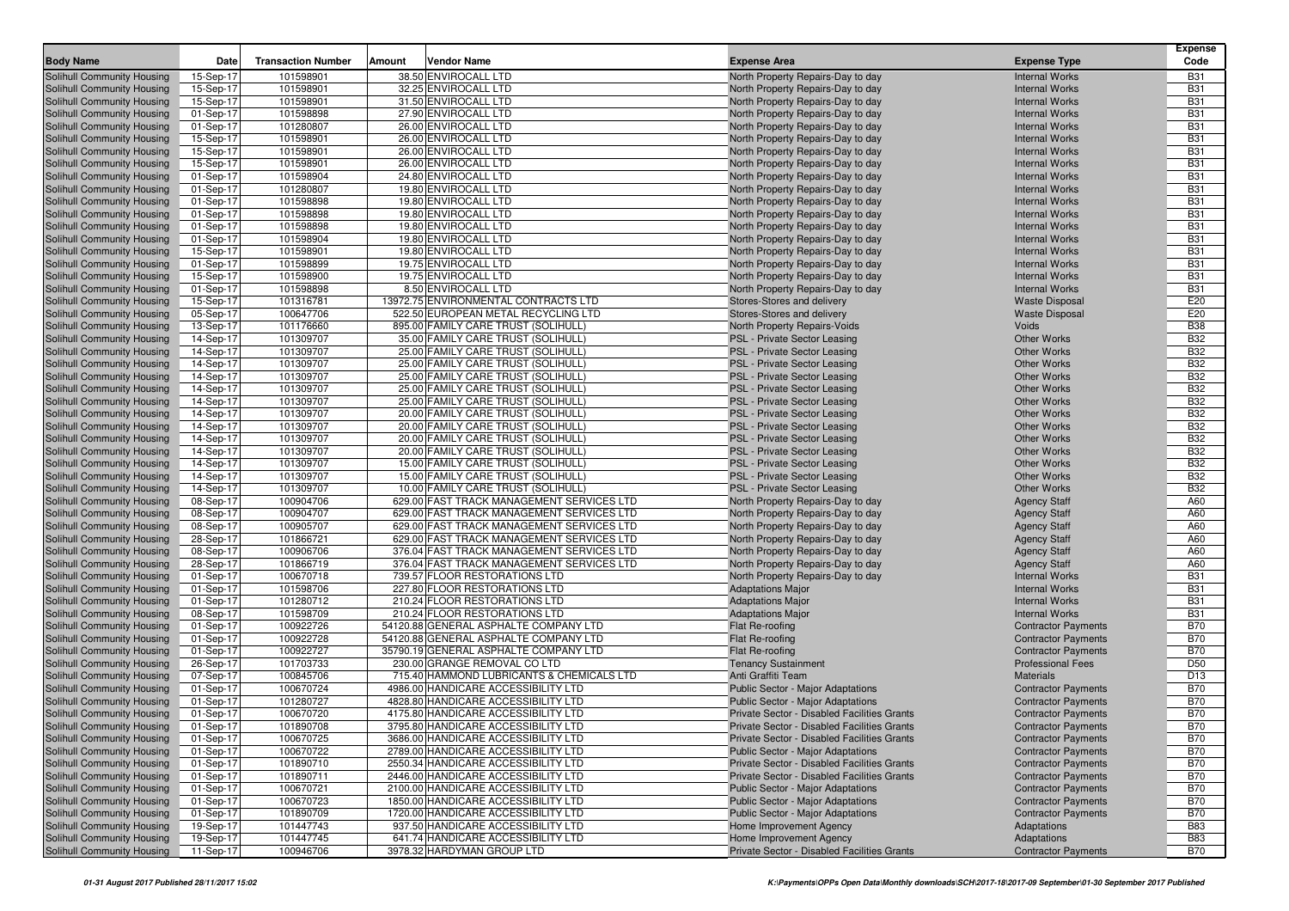|                                                          |                        |                           |               |                                                                           |                                                                        |                                                | <b>Expense</b>           |
|----------------------------------------------------------|------------------------|---------------------------|---------------|---------------------------------------------------------------------------|------------------------------------------------------------------------|------------------------------------------------|--------------------------|
| <b>Body Name</b>                                         | Date                   | <b>Transaction Number</b> | <b>Amount</b> | <b>Vendor Name</b>                                                        | <b>Expense Area</b>                                                    | <b>Expense Type</b>                            | Code                     |
| Solihull Community Housing                               | 15-Sep-17              | 101598901                 |               | 38.50 ENVIROCALL LTD                                                      | North Property Repairs-Day to day                                      | <b>Internal Works</b>                          | <b>B31</b>               |
| Solihull Community Housing                               | 15-Sep-17              | 101598901                 |               | 32.25 ENVIROCALL LTD                                                      | North Property Repairs-Day to day                                      | <b>Internal Works</b>                          | <b>B31</b>               |
| Solihull Community Housing                               | 15-Sep-17              | 101598901                 |               | 31.50 ENVIROCALL LTD<br>27.90 ENVIROCALL LTD                              | North Property Repairs-Day to day                                      | <b>Internal Works</b>                          | <b>B31</b>               |
| Solihull Community Housing                               | 01-Sep-17<br>01-Sep-17 | 101598898<br>101280807    |               | 26.00 ENVIROCALL LTD                                                      | North Property Repairs-Day to day                                      | <b>Internal Works</b><br><b>Internal Works</b> | <b>B31</b><br><b>B31</b> |
| Solihull Community Housing<br>Solihull Community Housing | 15-Sep-17              | 101598901                 |               | 26.00 ENVIROCALL LTD                                                      | North Property Repairs-Day to day<br>North Property Repairs-Day to day | <b>Internal Works</b>                          | <b>B31</b>               |
| Solihull Community Housing                               | 15-Sep-17              | 101598901                 |               | 26.00 ENVIROCALL LTD                                                      | North Property Repairs-Day to day                                      | <b>Internal Works</b>                          | <b>B31</b>               |
| Solihull Community Housing                               | 15-Sep-17              | 101598901                 |               | 26.00 ENVIROCALL LTD                                                      | North Property Repairs-Day to day                                      | <b>Internal Works</b>                          | <b>B31</b>               |
| Solihull Community Housing                               | 01-Sep-17              | 101598904                 |               | 24.80 ENVIROCALL LTD                                                      | North Property Repairs-Day to day                                      | <b>Internal Works</b>                          | <b>B31</b>               |
| Solihull Community Housing                               | 01-Sep-17              | 101280807                 |               | 19.80 ENVIROCALL LTD                                                      | North Property Repairs-Day to day                                      | <b>Internal Works</b>                          | <b>B31</b>               |
| Solihull Community Housing                               | 01-Sep-17              | 101598898                 |               | 19.80 ENVIROCALL LTD                                                      | North Property Repairs-Day to day                                      | <b>Internal Works</b>                          | <b>B31</b>               |
| Solihull Community Housing                               | 01-Sep-17              | 101598898                 |               | 19.80 ENVIROCALL LTD                                                      | North Property Repairs-Day to day                                      | <b>Internal Works</b>                          | <b>B31</b>               |
| Solihull Community Housing                               | 01-Sep-17              | 101598898                 |               | 19.80 ENVIROCALL LTD                                                      | North Property Repairs-Day to day                                      | <b>Internal Works</b>                          | <b>B31</b>               |
| Solihull Community Housing                               | 01-Sep-17              | 101598904                 |               | 19.80 ENVIROCALL LTD                                                      | North Property Repairs-Day to day                                      | <b>Internal Works</b>                          | <b>B31</b>               |
| Solihull Community Housing                               | 15-Sep-17              | 101598901                 |               | 19.80 ENVIROCALL LTD                                                      | North Property Repairs-Day to day                                      | <b>Internal Works</b>                          | <b>B31</b>               |
| Solihull Community Housing                               | 01-Sep-17              | 101598899                 |               | 19.75 ENVIROCALL LTD                                                      | North Property Repairs-Day to day                                      | <b>Internal Works</b>                          | <b>B31</b>               |
| Solihull Community Housing                               | 15-Sep-17              | 101598900                 |               | 19.75 ENVIROCALL LTD                                                      | North Property Repairs-Day to day                                      | <b>Internal Works</b>                          | <b>B31</b>               |
| Solihull Community Housing                               | 01-Sep-17              | 101598898                 |               | 8.50 ENVIROCALL LTD                                                       | North Property Repairs-Day to day                                      | <b>Internal Works</b>                          | <b>B31</b>               |
| Solihull Community Housing                               | 15-Sep-17              | 101316781                 |               | 13972.75 ENVIRONMENTAL CONTRACTS LTD                                      | Stores-Stores and delivery                                             | <b>Waste Disposal</b>                          | E20                      |
| Solihull Community Housing                               | 05-Sep-17              | 100647706                 |               | 522.50 EUROPEAN METAL RECYCLING LTD                                       | Stores-Stores and delivery                                             | <b>Waste Disposal</b>                          | E20                      |
| Solihull Community Housing                               | 13-Sep-17              | 101176660                 |               | 895.00 FAMILY CARE TRUST (SOLIHULL)                                       | North Property Repairs-Voids                                           | Voids                                          | <b>B38</b>               |
| Solihull Community Housing                               | 14-Sep-17              | 101309707                 |               | 35.00 FAMILY CARE TRUST (SOLIHULL)                                        | PSL - Private Sector Leasing                                           | <b>Other Works</b>                             | <b>B32</b>               |
| Solihull Community Housing                               | 14-Sep-17              | 101309707                 |               | 25.00 FAMILY CARE TRUST (SOLIHULL)                                        | PSL - Private Sector Leasing                                           | <b>Other Works</b>                             | <b>B32</b><br><b>B32</b> |
| Solihull Community Housing                               | 14-Sep-17              | 101309707<br>101309707    |               | 25.00 FAMILY CARE TRUST (SOLIHULL)<br>25.00 FAMILY CARE TRUST (SOLIHULL)  | PSL - Private Sector Leasing<br>PSL - Private Sector Leasing           | <b>Other Works</b><br><b>Other Works</b>       | <b>B32</b>               |
| Solihull Community Housing<br>Solihull Community Housing | 14-Sep-17<br>14-Sep-17 | 101309707                 |               | 25.00 FAMILY CARE TRUST (SOLIHULL)                                        | PSL - Private Sector Leasing                                           | <b>Other Works</b>                             | <b>B32</b>               |
| Solihull Community Housing                               | 14-Sep-17              | 101309707                 |               | 25.00 FAMILY CARE TRUST (SOLIHULL)                                        | PSL - Private Sector Leasing                                           | <b>Other Works</b>                             | <b>B32</b>               |
| Solihull Community Housing                               | 14-Sep-17              | 101309707                 |               | 20.00 FAMILY CARE TRUST (SOLIHULL)                                        | <b>PSL - Private Sector Leasing</b>                                    | <b>Other Works</b>                             | <b>B32</b>               |
| Solihull Community Housing                               | 14-Sep-17              | 101309707                 |               | 20.00 FAMILY CARE TRUST (SOLIHULL)                                        | PSL - Private Sector Leasing                                           | <b>Other Works</b>                             | <b>B32</b>               |
| Solihull Community Housing                               | 14-Sep-17              | 101309707                 |               | 20.00 FAMILY CARE TRUST (SOLIHULL)                                        | PSL - Private Sector Leasing                                           | <b>Other Works</b>                             | <b>B32</b>               |
| Solihull Community Housing                               | 14-Sep-17              | 101309707                 |               | 20.00 FAMILY CARE TRUST (SOLIHULL)                                        | PSL - Private Sector Leasing                                           | <b>Other Works</b>                             | <b>B32</b>               |
| Solihull Community Housing                               | 14-Sep-17              | 101309707                 |               | 15.00 FAMILY CARE TRUST (SOLIHULL)                                        | PSL - Private Sector Leasing                                           | <b>Other Works</b>                             | <b>B32</b>               |
| Solihull Community Housing                               | 14-Sep-17              | 101309707                 |               | 15.00 FAMILY CARE TRUST (SOLIHULL)                                        | PSL - Private Sector Leasing                                           | <b>Other Works</b>                             | <b>B32</b>               |
| Solihull Community Housing                               | 14-Sep-17              | 101309707                 |               | 10.00 FAMILY CARE TRUST (SOLIHULL)                                        | PSL - Private Sector Leasing                                           | Other Works                                    | <b>B32</b>               |
| Solihull Community Housing                               | 08-Sep-17              | 100904706                 |               | 629.00 FAST TRACK MANAGEMENT SERVICES LTD                                 | North Property Repairs-Day to day                                      | <b>Agency Staff</b>                            | A60                      |
| Solihull Community Housing                               | 08-Sep-17              | 100904707                 |               | 629.00 FAST TRACK MANAGEMENT SERVICES LTD                                 | North Property Repairs-Day to day                                      | <b>Agency Staff</b>                            | A60                      |
| Solihull Community Housing                               | 08-Sep-17              | 100905707                 |               | 629.00 FAST TRACK MANAGEMENT SERVICES LTD                                 | North Property Repairs-Day to day                                      | <b>Agency Staff</b>                            | A60                      |
| Solihull Community Housing                               | 28-Sep-17              | 101866721                 |               | 629.00 FAST TRACK MANAGEMENT SERVICES LTD                                 | North Property Repairs-Day to day                                      | <b>Agency Staff</b>                            | A60                      |
| Solihull Community Housing                               | 08-Sep-17              | 100906706                 |               | 376.04 FAST TRACK MANAGEMENT SERVICES LTD                                 | North Property Repairs-Day to day                                      | <b>Agency Staff</b>                            | A60                      |
| Solihull Community Housing                               | 28-Sep-17              | 101866719                 |               | 376.04 FAST TRACK MANAGEMENT SERVICES LTD                                 | North Property Repairs-Day to day                                      | <b>Agency Staff</b>                            | A60                      |
| Solihull Community Housing<br>Solihull Community Housing | 01-Sep-17<br>01-Sep-17 | 100670718<br>101598706    |               | 739.57 FLOOR RESTORATIONS LTD<br>227.80 FLOOR RESTORATIONS LTD            | North Property Repairs-Day to day<br><b>Adaptations Major</b>          | <b>Internal Works</b><br><b>Internal Works</b> | <b>B31</b><br><b>B31</b> |
| Solihull Community Housing                               | 01-Sep-17              | 101280712                 |               | 210.24 FLOOR RESTORATIONS LTD                                             | <b>Adaptations Major</b>                                               | <b>Internal Works</b>                          | <b>B31</b>               |
| Solihull Community Housing                               | 08-Sep-17              | 101598709                 |               | 210.24 FLOOR RESTORATIONS LTD                                             | <b>Adaptations Major</b>                                               | <b>Internal Works</b>                          | <b>B31</b>               |
| Solihull Community Housing                               | 01-Sep-17              | 100922726                 |               | 54120.88 GENERAL ASPHALTE COMPANY LTD                                     | Flat Re-roofing                                                        | <b>Contractor Payments</b>                     | <b>B70</b>               |
| Solihull Community Housing                               | 01-Sep-17              | 100922728                 |               | 54120.88 GENERAL ASPHALTE COMPANY LTD                                     | Flat Re-roofing                                                        | <b>Contractor Payments</b>                     | <b>B70</b>               |
| Solihull Community Housing                               | 01-Sep-17              | 100922727                 |               | 35790.19 GENERAL ASPHALTE COMPANY LTD                                     | Flat Re-roofing                                                        | <b>Contractor Payments</b>                     | <b>B70</b>               |
| Solihull Community Housing                               | 26-Sep-17              | 101703733                 |               | 230.00 GRANGE REMOVAL CO LTD                                              | <b>Tenancy Sustainment</b>                                             | <b>Professional Fees</b>                       | D <sub>50</sub>          |
| Solihull Community Housing                               | 07-Sep-17              | 100845706                 |               | 715.40 HAMMOND LUBRICANTS & CHEMICALS LTD                                 | Anti Graffiti Team                                                     | <b>Materials</b>                               | D <sub>13</sub>          |
| Solihull Community Housing                               | 01-Sep-17              | 100670724                 |               | 4986.00 HANDICARE ACCESSIBILITY LTD                                       | Public Sector - Major Adaptations                                      | <b>Contractor Payments</b>                     | <b>B70</b>               |
| Solihull Community Housing                               | 01-Sep-17              | 101280727                 |               | 4828.80 HANDICARE ACCESSIBILITY LTD                                       | Public Sector - Major Adaptations                                      | <b>Contractor Payments</b>                     | <b>B70</b>               |
| Solihull Community Housing                               | 01-Sep-17              | 100670720                 |               | 4175.80 HANDICARE ACCESSIBILITY LTD                                       | Private Sector - Disabled Facilities Grants                            | <b>Contractor Payments</b>                     | <b>B70</b>               |
| Solihull Community Housing                               | 01-Sep-17              | 101890708                 |               | 3795.80 HANDICARE ACCESSIBILITY LTD                                       | Private Sector - Disabled Facilities Grants                            | <b>Contractor Payments</b>                     | <b>B70</b>               |
| Solihull Community Housing                               | 01-Sep-17              | 100670725                 |               | 3686.00 HANDICARE ACCESSIBILITY LTD                                       | Private Sector - Disabled Facilities Grants                            | <b>Contractor Payments</b>                     | <b>B70</b>               |
| Solihull Community Housing                               | 01-Sep-17              | 100670722                 |               | 2789.00 HANDICARE ACCESSIBILITY LTD                                       | Public Sector - Major Adaptations                                      | <b>Contractor Payments</b>                     | <b>B70</b>               |
| Solihull Community Housing                               | 01-Sep-17              | 101890710                 |               | 2550.34 HANDICARE ACCESSIBILITY LTD                                       | Private Sector - Disabled Facilities Grants                            | <b>Contractor Payments</b>                     | <b>B70</b>               |
| Solihull Community Housing                               | 01-Sep-17              | 101890711                 |               | 2446.00 HANDICARE ACCESSIBILITY LTD                                       | Private Sector - Disabled Facilities Grants                            | <b>Contractor Payments</b>                     | <b>B70</b>               |
| Solihull Community Housing                               | 01-Sep-17              | 100670721                 |               | 2100.00 HANDICARE ACCESSIBILITY LTD                                       | Public Sector - Major Adaptations                                      | <b>Contractor Payments</b>                     | <b>B70</b>               |
| Solihull Community Housing                               | 01-Sep-17              | 100670723                 |               | 1850.00 HANDICARE ACCESSIBILITY LTD                                       | Public Sector - Major Adaptations                                      | <b>Contractor Payments</b>                     | <b>B70</b>               |
| Solihull Community Housing<br>Solihull Community Housing | 01-Sep-17<br>19-Sep-17 | 101890709<br>101447743    |               | 1720.00 HANDICARE ACCESSIBILITY LTD<br>937.50 HANDICARE ACCESSIBILITY LTD | <b>Public Sector - Major Adaptations</b><br>Home Improvement Agency    | <b>Contractor Payments</b><br>Adaptations      | <b>B70</b><br><b>B83</b> |
| Solihull Community Housing                               | 19-Sep-17              | 101447745                 |               | 641.74 HANDICARE ACCESSIBILITY LTD                                        | Home Improvement Agency                                                | Adaptations                                    | <b>B83</b>               |
| Solihull Community Housing                               | 11-Sep-17              | 100946706                 |               | 3978.32 HARDYMAN GROUP LTD                                                | Private Sector - Disabled Facilities Grants                            | <b>Contractor Payments</b>                     | <b>B70</b>               |
|                                                          |                        |                           |               |                                                                           |                                                                        |                                                |                          |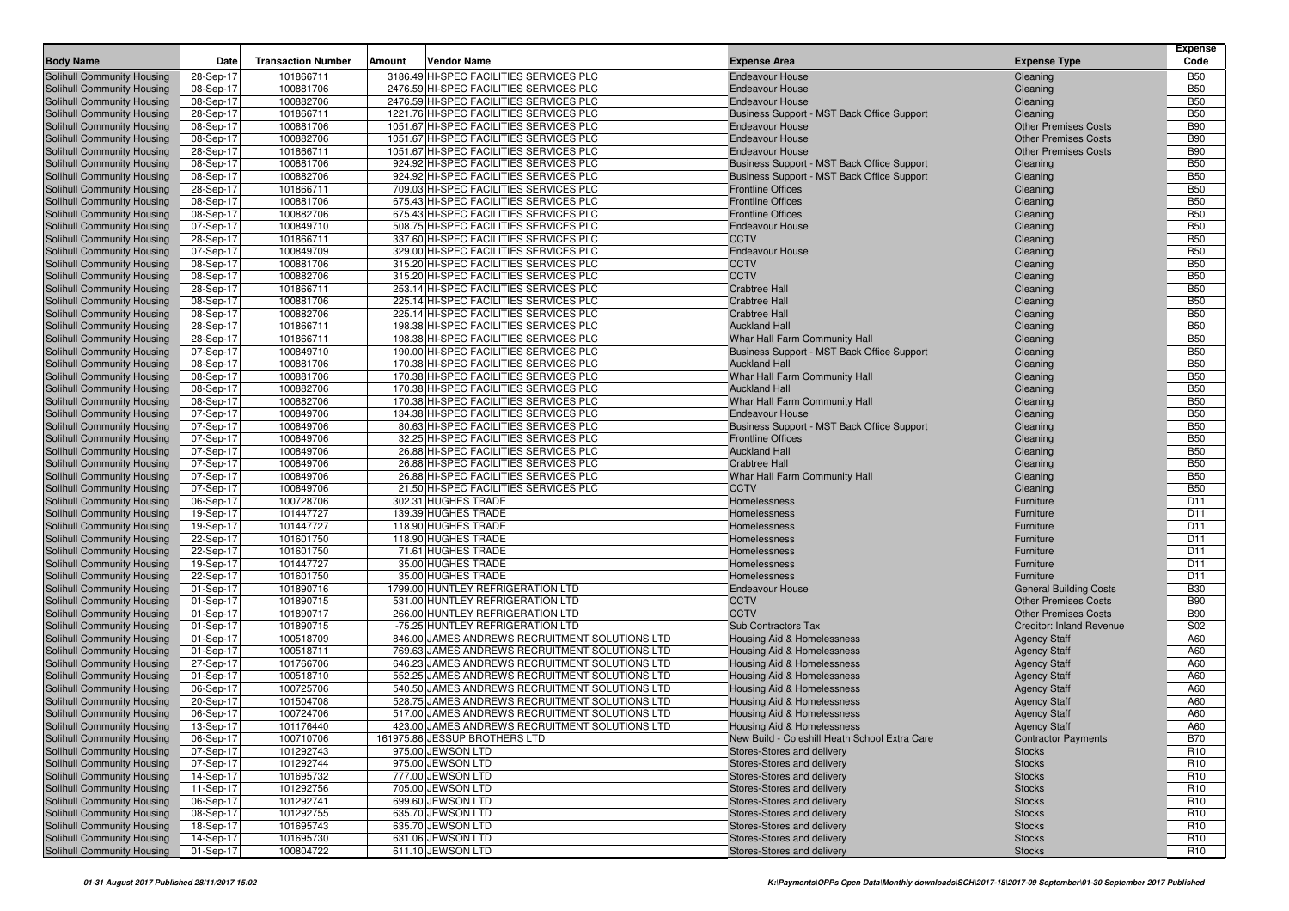|                                                          |                        |                           |                                                                                  |                                                          |                                 | <b>Expense</b>                     |
|----------------------------------------------------------|------------------------|---------------------------|----------------------------------------------------------------------------------|----------------------------------------------------------|---------------------------------|------------------------------------|
| <b>Body Name</b>                                         | Date                   | <b>Transaction Number</b> | Vendor Name<br>Amount                                                            | <b>Expense Area</b>                                      | <b>Expense Type</b>             | Code                               |
| Solihull Community Housing                               | 28-Sep-17              | 101866711                 | 3186.49 HI-SPEC FACILITIES SERVICES PLC                                          | <b>Endeavour House</b>                                   | Cleaning                        | <b>B50</b>                         |
| Solihull Community Housing                               | 08-Sep-17              | 100881706                 | 2476.59 HI-SPEC FACILITIES SERVICES PLC                                          | <b>Endeavour House</b>                                   | Cleaning                        | <b>B50</b>                         |
| Solihull Community Housing                               | 08-Sep-17              | 100882706                 | 2476.59 HI-SPEC FACILITIES SERVICES PLC                                          | <b>Endeavour House</b>                                   | Cleaning                        | <b>B50</b>                         |
| Solihull Community Housing                               | 28-Sep-17              | 101866711                 | 1221.76 HI-SPEC FACILITIES SERVICES PLC                                          | Business Support - MST Back Office Support               | Cleaning                        | <b>B50</b>                         |
| Solihull Community Housing                               | 08-Sep-17              | 100881706                 | 1051.67 HI-SPEC FACILITIES SERVICES PLC                                          | <b>Endeavour House</b>                                   | <b>Other Premises Costs</b>     | <b>B90</b>                         |
| Solihull Community Housing                               | 08-Sep-17              | 100882706                 | 1051.67 HI-SPEC FACILITIES SERVICES PLC                                          | <b>Endeavour House</b>                                   | <b>Other Premises Costs</b>     | <b>B90</b>                         |
| Solihull Community Housing                               | 28-Sep-17              | 101866711                 | 1051.67 HI-SPEC FACILITIES SERVICES PLC                                          | <b>Endeavour House</b>                                   | <b>Other Premises Costs</b>     | <b>B90</b>                         |
| Solihull Community Housing                               | 08-Sep-17              | 100881706                 | 924.92 HI-SPEC FACILITIES SERVICES PLC                                           | Business Support - MST Back Office Support               | Cleaning                        | <b>B50</b>                         |
| Solihull Community Housing                               | 08-Sep-17              | 100882706                 | 924.92 HI-SPEC FACILITIES SERVICES PLC                                           | Business Support - MST Back Office Support               | Cleaning                        | <b>B50</b>                         |
| Solihull Community Housing                               | 28-Sep-17              | 101866711                 | 709.03 HI-SPEC FACILITIES SERVICES PLC<br>675.43 HI-SPEC FACILITIES SERVICES PLC | <b>Frontline Offices</b><br><b>Frontline Offices</b>     | Cleaning                        | <b>B50</b>                         |
| Solihull Community Housing                               | 08-Sep-17              | 100881706                 | 675.43 HI-SPEC FACILITIES SERVICES PLC                                           |                                                          | Cleaning                        | <b>B50</b><br><b>B50</b>           |
| Solihull Community Housing                               | 08-Sep-17              | 100882706                 | 508.75 HI-SPEC FACILITIES SERVICES PLC                                           | <b>Frontline Offices</b>                                 | Cleaning                        | <b>B50</b>                         |
| Solihull Community Housing<br>Solihull Community Housing | 07-Sep-17<br>28-Sep-17 | 100849710<br>101866711    | 337.60 HI-SPEC FACILITIES SERVICES PLC                                           | <b>Endeavour House</b><br><b>CCTV</b>                    | Cleaning<br>Cleaning            | <b>B50</b>                         |
| Solihull Community Housing                               | 07-Sep-17              | 100849709                 | 329.00 HI-SPEC FACILITIES SERVICES PLC                                           | <b>Endeavour House</b>                                   | Cleaning                        | <b>B50</b>                         |
| Solihull Community Housing                               | 08-Sep-17              | 100881706                 | 315.20 HI-SPEC FACILITIES SERVICES PLC                                           | <b>CCTV</b>                                              | Cleaning                        | <b>B50</b>                         |
| Solihull Community Housing                               | 08-Sep-17              | 100882706                 | 315.20 HI-SPEC FACILITIES SERVICES PLC                                           | <b>CCTV</b>                                              | Cleaning                        | <b>B50</b>                         |
| Solihull Community Housing                               | 28-Sep-17              | 101866711                 | 253.14 HI-SPEC FACILITIES SERVICES PLC                                           | <b>Crabtree Hall</b>                                     | Cleaning                        | <b>B50</b>                         |
| Solihull Community Housing                               | 08-Sep-17              | 100881706                 | 225.14 HI-SPEC FACILITIES SERVICES PLC                                           | <b>Crabtree Hall</b>                                     | Cleaning                        | <b>B50</b>                         |
| Solihull Community Housing                               | 08-Sep-17              | 100882706                 | 225.14 HI-SPEC FACILITIES SERVICES PLC                                           | <b>Crabtree Hall</b>                                     | Cleaning                        | <b>B50</b>                         |
| Solihull Community Housing                               | 28-Sep-17              | 101866711                 | 198.38 HI-SPEC FACILITIES SERVICES PLC                                           | <b>Auckland Hall</b>                                     | Cleaning                        | <b>B50</b>                         |
| Solihull Community Housing                               | 28-Sep-17              | 101866711                 | 198.38 HI-SPEC FACILITIES SERVICES PLC                                           | Whar Hall Farm Community Hall                            | Cleaning                        | <b>B50</b>                         |
| Solihull Community Housing                               | 07-Sep-17              | 100849710                 | 190.00 HI-SPEC FACILITIES SERVICES PLC                                           | Business Support - MST Back Office Support               | Cleaning                        | <b>B50</b>                         |
| Solihull Community Housing                               | 08-Sep-17              | 100881706                 | 170.38 HI-SPEC FACILITIES SERVICES PLC                                           | <b>Auckland Hall</b>                                     | Cleaning                        | <b>B50</b>                         |
| Solihull Community Housing                               | 08-Sep-17              | 100881706                 | 170.38 HI-SPEC FACILITIES SERVICES PLC                                           | Whar Hall Farm Community Hall                            | Cleaning                        | <b>B50</b>                         |
| Solihull Community Housing                               | 08-Sep-17              | 100882706                 | 170.38 HI-SPEC FACILITIES SERVICES PLC                                           | <b>Auckland Hall</b>                                     | Cleaning                        | <b>B50</b>                         |
| Solihull Community Housing                               | 08-Sep-17              | 100882706                 | 170.38 HI-SPEC FACILITIES SERVICES PLC                                           | Whar Hall Farm Community Hall                            | Cleaning                        | <b>B50</b>                         |
| Solihull Community Housing                               | 07-Sep-17              | 100849706                 | 134.38 HI-SPEC FACILITIES SERVICES PLC                                           | <b>Endeavour House</b>                                   | Cleaning                        | <b>B50</b>                         |
| Solihull Community Housing                               | 07-Sep-17              | 100849706                 | 80.63 HI-SPEC FACILITIES SERVICES PLC                                            | Business Support - MST Back Office Support               | Cleaning                        | <b>B50</b>                         |
| Solihull Community Housing                               | 07-Sep-17              | 100849706                 | 32.25 HI-SPEC FACILITIES SERVICES PLC                                            | <b>Frontline Offices</b>                                 | Cleaning                        | <b>B50</b>                         |
| Solihull Community Housing                               | 07-Sep-17              | 100849706                 | 26.88 HI-SPEC FACILITIES SERVICES PLC                                            | <b>Auckland Hall</b>                                     | Cleaning                        | <b>B50</b>                         |
| Solihull Community Housing                               | 07-Sep-17              | 100849706                 | 26.88 HI-SPEC FACILITIES SERVICES PLC                                            | <b>Crabtree Hall</b>                                     | Cleaning                        | <b>B50</b>                         |
| Solihull Community Housing                               | 07-Sep-17              | 100849706                 | 26.88 HI-SPEC FACILITIES SERVICES PLC                                            | Whar Hall Farm Community Hall                            | Cleaning                        | <b>B50</b>                         |
| Solihull Community Housing                               | 07-Sep-17              | 100849706                 | 21.50 HI-SPEC FACILITIES SERVICES PLC                                            | <b>CCTV</b>                                              | Cleaning                        | <b>B50</b>                         |
| Solihull Community Housing                               | 06-Sep-17              | 100728706                 | 302.31 HUGHES TRADE                                                              | Homelessness                                             | Furniture                       | D11                                |
| Solihull Community Housing                               | 19-Sep-17              | 101447727                 | 139.39 HUGHES TRADE                                                              | Homelessness                                             | Furniture                       | D11                                |
| Solihull Community Housing                               | 19-Sep-17              | 101447727                 | 118.90 HUGHES TRADE                                                              | Homelessness                                             | Furniture                       | D11                                |
| Solihull Community Housing                               | 22-Sep-17              | 101601750                 | 118.90 HUGHES TRADE                                                              | Homelessness                                             | Furniture                       | D11                                |
| Solihull Community Housing                               | 22-Sep-17              | 101601750                 | 71.61 HUGHES TRADE                                                               | Homelessness                                             | Furniture                       | D11                                |
| Solihull Community Housing                               | 19-Sep-17              | 101447727                 | 35.00 HUGHES TRADE                                                               | Homelessness                                             | Furniture                       | D <sub>11</sub>                    |
| Solihull Community Housing                               | 22-Sep-17              | 101601750                 | 35.00 HUGHES TRADE                                                               | Homelessness                                             | Furniture                       | D <sub>11</sub>                    |
| Solihull Community Housing                               | 01-Sep-17              | 101890716                 | 1799.00 HUNTLEY REFRIGERATION LTD                                                | <b>Endeavour House</b>                                   | <b>General Building Costs</b>   | <b>B30</b>                         |
| Solihull Community Housing                               | 01-Sep-17              | 101890715                 | 531.00 HUNTLEY REFRIGERATION LTD                                                 | <b>CCTV</b>                                              | <b>Other Premises Costs</b>     | <b>B90</b>                         |
| Solihull Community Housing                               | 01-Sep-17              | 101890717                 | 266.00 HUNTLEY REFRIGERATION LTD                                                 | <b>CCTV</b>                                              | <b>Other Premises Costs</b>     | <b>B90</b>                         |
| Solihull Community Housing                               | 01-Sep-17              | 101890715                 | -75.25 HUNTLEY REFRIGERATION LTD                                                 | Sub Contractors Tax                                      | <b>Creditor: Inland Revenue</b> | S02                                |
| Solihull Community Housing                               | 01-Sep-17              | 100518709                 | 846.00 JAMES ANDREWS RECRUITMENT SOLUTIONS LTD                                   | Housing Aid & Homelessness                               | <b>Agency Staff</b>             | A60                                |
| Solihull Community Housing                               | 01-Sep-17              | 100518711                 | 769.63 JAMES ANDREWS RECRUITMENT SOLUTIONS LTD                                   | Housing Aid & Homelessness                               | <b>Agency Staff</b>             | A60                                |
| Solihull Community Housing                               | 27-Sep-17              | 101766706                 | 646.23 JAMES ANDREWS RECRUITMENT SOLUTIONS LTD                                   | Housing Aid & Homelessness                               | <b>Agency Staff</b>             | A60                                |
| Solihull Community Housing                               | 01-Sep-17              | 100518710                 | 552.25 JAMES ANDREWS RECRUITMENT SOLUTIONS LTD                                   | Housing Aid & Homelessness                               | <b>Agency Staff</b>             | A60                                |
| Solihull Community Housing                               | 06-Sep-17              | 100725706                 | 540.50 JAMES ANDREWS RECRUITMENT SOLUTIONS LTD                                   | Housing Aid & Homelessness                               | <b>Agency Staff</b>             | A60                                |
| Solihull Community Housing                               | 20-Sep-17              | 101504708                 | 528.75 JAMES ANDREWS RECRUITMENT SOLUTIONS LTD                                   | Housing Aid & Homelessness                               | <b>Agency Staff</b>             | A60                                |
| Solihull Community Housing                               | 06-Sep-17              | 100724706                 | 517.00 JAMES ANDREWS RECRUITMENT SOLUTIONS LTD                                   | Housing Aid & Homelessness                               | <b>Agency Staff</b>             | A60                                |
| Solihull Community Housing                               | 13-Sep-17              | 101176440                 | 423.00 JAMES ANDREWS RECRUITMENT SOLUTIONS LTD                                   | Housing Aid & Homelessness                               | <b>Agency Staff</b>             | A60                                |
| Solihull Community Housing                               | 06-Sep-17              | 100710706                 | 161975.86 JESSUP BROTHERS LTD                                                    | New Build - Coleshill Heath School Extra Care            | <b>Contractor Payments</b>      | <b>B70</b>                         |
| Solihull Community Housing                               | 07-Sep-17              | 101292743                 | 975.00 JEWSON LTD                                                                | Stores-Stores and delivery                               | <b>Stocks</b>                   | R <sub>10</sub>                    |
| Solihull Community Housing                               | 07-Sep-17              | 101292744                 | 975.00 JEWSON LTD                                                                | Stores-Stores and delivery                               | <b>Stocks</b>                   | R <sub>10</sub>                    |
| Solihull Community Housing                               | 14-Sep-17              | 101695732                 | 777.00 JEWSON LTD                                                                | Stores-Stores and delivery                               | <b>Stocks</b>                   | R <sub>10</sub>                    |
| Solihull Community Housing                               | 11-Sep-17              | 101292756                 | 705.00 JEWSON LTD                                                                | Stores-Stores and delivery                               | <b>Stocks</b>                   | R <sub>10</sub>                    |
| Solihull Community Housing                               | 06-Sep-17              | 101292741                 | 699.60 JEWSON LTD                                                                | Stores-Stores and delivery                               | <b>Stocks</b>                   | R <sub>10</sub>                    |
| Solihull Community Housing<br>Solihull Community Housing | 08-Sep-17              | 101292755                 | 635.70 JEWSON LTD<br>635.70 JEWSON LTD                                           | Stores-Stores and delivery<br>Stores-Stores and delivery | <b>Stocks</b><br><b>Stocks</b>  | R <sub>10</sub><br>R <sub>10</sub> |
| Solihull Community Housing                               | 18-Sep-17<br>14-Sep-17 | 101695743<br>101695730    | 631.06 JEWSON LTD                                                                | Stores-Stores and delivery                               | <b>Stocks</b>                   | R <sub>10</sub>                    |
| Solihull Community Housing                               | 01-Sep-17              | 100804722                 | 611.10 JEWSON LTD                                                                | Stores-Stores and delivery                               | <b>Stocks</b>                   | R <sub>10</sub>                    |
|                                                          |                        |                           |                                                                                  |                                                          |                                 |                                    |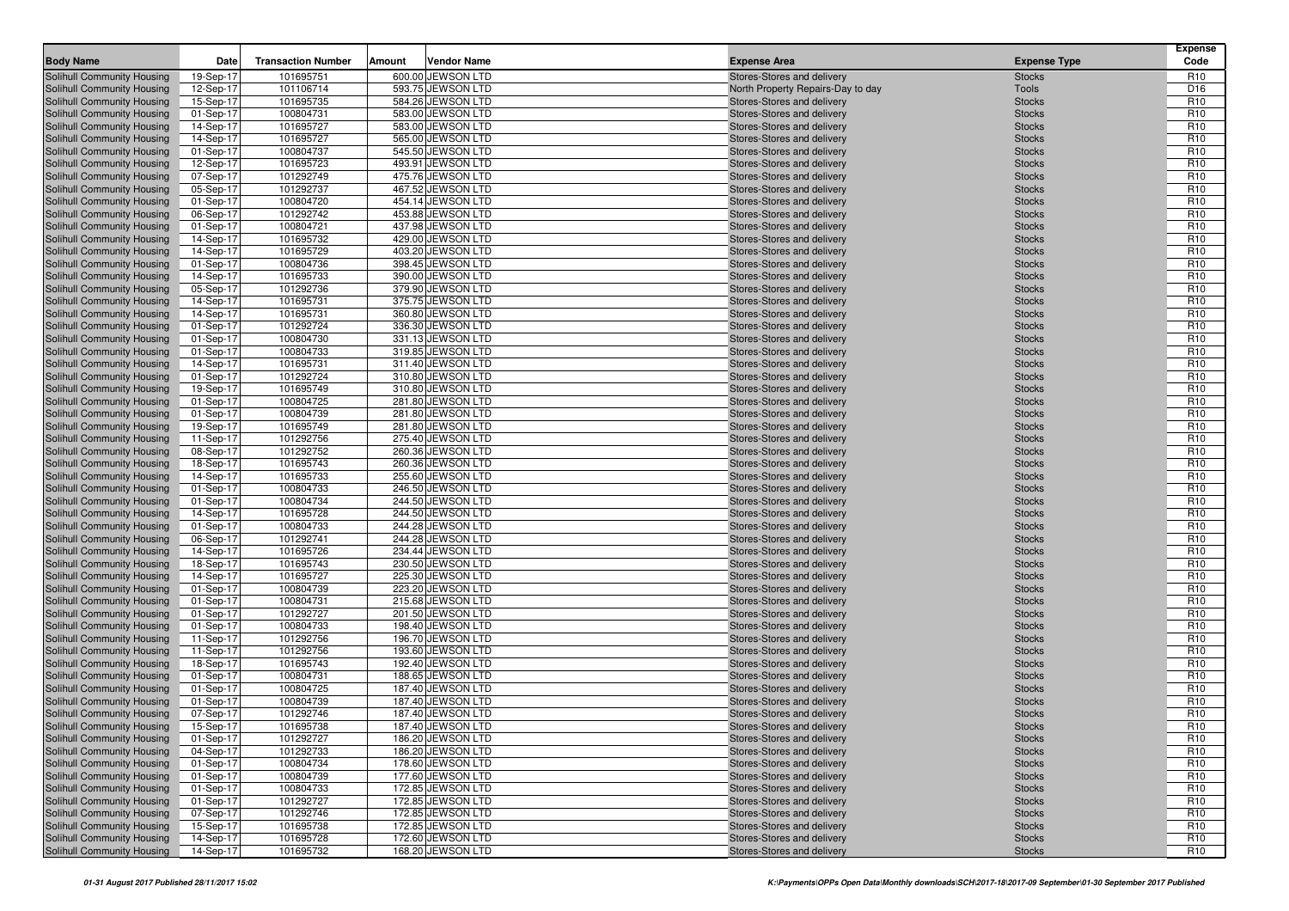| <b>Body Name</b>                                         | Date                   | <b>Transaction Number</b> | <b>Vendor Name</b><br>Amount           | <b>Expense Area</b>                                      | <b>Expense Type</b>            | <b>Expense</b><br>Code             |
|----------------------------------------------------------|------------------------|---------------------------|----------------------------------------|----------------------------------------------------------|--------------------------------|------------------------------------|
| Solihull Community Housing                               | 19-Sep-17              | 101695751                 | 600.00 JEWSON LTD                      | Stores-Stores and delivery                               | <b>Stocks</b>                  | R <sub>10</sub>                    |
| Solihull Community Housing                               | 12-Sep-17              | 101106714                 | 593.75 JEWSON LTD                      | North Property Repairs-Day to day                        | Tools                          | D <sub>16</sub>                    |
| Solihull Community Housing                               | 15-Sep-17              | 101695735                 | 584.26 JEWSON LTD                      | Stores-Stores and delivery                               | <b>Stocks</b>                  | R <sub>10</sub>                    |
| Solihull Community Housing                               | 01-Sep-17              | 100804731                 | 583.00 JEWSON LTD                      | Stores-Stores and delivery                               | <b>Stocks</b>                  | R <sub>10</sub>                    |
| Solihull Community Housing                               | 14-Sep-17              | 101695727                 | 583.00 JEWSON LTD                      | Stores-Stores and delivery                               | <b>Stocks</b>                  | R <sub>10</sub>                    |
| Solihull Community Housing                               | 14-Sep-17              | 101695727                 | 565.00 JEWSON LTD                      | Stores-Stores and delivery                               | <b>Stocks</b>                  | R <sub>10</sub>                    |
| Solihull Community Housing                               | 01-Sep-17              | 100804737                 | 545.50 JEWSON LTD                      | Stores-Stores and delivery                               | <b>Stocks</b>                  | R <sub>10</sub>                    |
| Solihull Community Housing                               | 12-Sep-17              | 101695723                 | 493.91 JEWSON LTD                      | Stores-Stores and delivery                               | <b>Stocks</b>                  | R <sub>10</sub>                    |
| Solihull Community Housing                               | 07-Sep-17              | 101292749                 | 475.76 JEWSON LTD                      | Stores-Stores and delivery                               | <b>Stocks</b>                  | R <sub>10</sub>                    |
| Solihull Community Housing                               | 05-Sep-17              | 101292737                 | 467.52 JEWSON LTD                      | Stores-Stores and delivery                               | <b>Stocks</b>                  | R <sub>10</sub>                    |
| Solihull Community Housing                               | 01-Sep-17              | 100804720                 | 454.14 JEWSON LTD                      | Stores-Stores and delivery                               | <b>Stocks</b>                  | R <sub>10</sub>                    |
| Solihull Community Housing                               | 06-Sep-17              | 101292742                 | 453.88 JEWSON LTD                      | Stores-Stores and delivery                               | <b>Stocks</b>                  | R <sub>10</sub>                    |
| Solihull Community Housing                               | 01-Sep-17              | 100804721                 | 437.98 JEWSON LTD                      | Stores-Stores and delivery                               | <b>Stocks</b>                  | R <sub>10</sub>                    |
| Solihull Community Housing                               | 14-Sep-17              | 101695732                 | 429.00 JEWSON LTD                      | Stores-Stores and delivery                               | <b>Stocks</b>                  | R <sub>10</sub>                    |
| Solihull Community Housing                               | 14-Sep-17              | 101695729                 | 403.20 JEWSON LTD                      | Stores-Stores and delivery                               | <b>Stocks</b>                  | R <sub>10</sub>                    |
| Solihull Community Housing                               | 01-Sep-17              | 100804736                 | 398.45 JEWSON LTD                      | Stores-Stores and delivery                               | <b>Stocks</b>                  | R <sub>10</sub>                    |
| Solihull Community Housing                               | 14-Sep-17              | 101695733                 | 390.00 JEWSON LTD                      | Stores-Stores and delivery                               | <b>Stocks</b>                  | R <sub>10</sub>                    |
| Solihull Community Housing                               | 05-Sep-17              | 101292736                 | 379.90 JEWSON LTD                      | Stores-Stores and delivery                               | <b>Stocks</b>                  | R <sub>10</sub>                    |
| Solihull Community Housing                               | 14-Sep-17              | 101695731                 | 375.75 JEWSON LTD                      | Stores-Stores and delivery                               | <b>Stocks</b>                  | R <sub>10</sub>                    |
| Solihull Community Housing                               | 14-Sep-17              | 101695731                 | 360.80 JEWSON LTD                      | Stores-Stores and delivery                               | <b>Stocks</b>                  | R <sub>10</sub>                    |
| Solihull Community Housing                               | 01-Sep-17              | 101292724                 | 336.30 JEWSON LTD                      | Stores-Stores and delivery                               | <b>Stocks</b>                  | R <sub>10</sub>                    |
| Solihull Community Housing                               | 01-Sep-17              | 100804730                 | 331.13 JEWSON LTD                      | Stores-Stores and delivery                               | <b>Stocks</b>                  | R <sub>10</sub>                    |
| Solihull Community Housing                               | 01-Sep-17              | 100804733                 | 319.85 JEWSON LTD                      | Stores-Stores and delivery                               | <b>Stocks</b>                  | R <sub>10</sub>                    |
| Solihull Community Housing                               | 14-Sep-17              | 101695731                 | 311.40 JEWSON LTD                      | Stores-Stores and delivery                               | <b>Stocks</b>                  | R <sub>10</sub>                    |
| Solihull Community Housing                               | 01-Sep-17              | 101292724                 | 310.80 JEWSON LTD                      | Stores-Stores and delivery                               | <b>Stocks</b>                  | R <sub>10</sub>                    |
| Solihull Community Housing                               | 19-Sep-17              | 101695749                 | 310.80 JEWSON LTD                      | Stores-Stores and delivery                               | <b>Stocks</b>                  | R <sub>10</sub>                    |
| Solihull Community Housing                               | 01-Sep-17              | 100804725                 | 281.80 JEWSON LTD                      | Stores-Stores and delivery                               | <b>Stocks</b>                  | R <sub>10</sub>                    |
| Solihull Community Housing                               | 01-Sep-17              | 100804739                 | 281.80 JEWSON LTD                      | Stores-Stores and delivery                               | <b>Stocks</b>                  | R <sub>10</sub>                    |
| Solihull Community Housing                               | 19-Sep-17              | 101695749                 | 281.80 JEWSON LTD                      | Stores-Stores and delivery                               | <b>Stocks</b>                  | R <sub>10</sub>                    |
| Solihull Community Housing                               | 11-Sep-17              | 101292756                 | 275.40 JEWSON LTD                      | Stores-Stores and delivery                               | <b>Stocks</b>                  | R <sub>10</sub>                    |
| Solihull Community Housing                               | 08-Sep-17              | 101292752                 | 260.36 JEWSON LTD                      | Stores-Stores and delivery                               | <b>Stocks</b>                  | R <sub>10</sub>                    |
| Solihull Community Housing                               | 18-Sep-17              | 101695743                 | 260.36 JEWSON LTD                      | Stores-Stores and delivery                               | <b>Stocks</b>                  | R <sub>10</sub>                    |
| Solihull Community Housing                               | 14-Sep-17              | 101695733                 | 255.60 JEWSON LTD                      | Stores-Stores and delivery                               | <b>Stocks</b>                  | R <sub>10</sub>                    |
| Solihull Community Housing                               | 01-Sep-17              | 100804733                 | 246.50 JEWSON LTD                      | Stores-Stores and delivery                               | <b>Stocks</b>                  | R <sub>10</sub>                    |
| Solihull Community Housing                               | 01-Sep-17              | 100804734                 | 244.50 JEWSON LTD                      | Stores-Stores and delivery                               | <b>Stocks</b>                  | R <sub>10</sub>                    |
| Solihull Community Housing                               | 14-Sep-17              | 101695728                 | 244.50 JEWSON LTD                      | Stores-Stores and delivery                               | <b>Stocks</b>                  | R <sub>10</sub>                    |
| Solihull Community Housing                               | 01-Sep-17              | 100804733                 | 244.28 JEWSON LTD                      | Stores-Stores and delivery                               | <b>Stocks</b>                  | R <sub>10</sub>                    |
| Solihull Community Housing                               | 06-Sep-17              | 101292741                 | 244.28 JEWSON LTD                      | Stores-Stores and delivery                               | <b>Stocks</b>                  | R <sub>10</sub>                    |
| Solihull Community Housing                               | 14-Sep-17              | 101695726                 | 234.44 JEWSON LTD                      | Stores-Stores and delivery                               | <b>Stocks</b>                  | R <sub>10</sub>                    |
| Solihull Community Housing                               | 18-Sep-17              | 101695743                 | 230.50 JEWSON LTD                      | Stores-Stores and delivery                               | <b>Stocks</b>                  | R <sub>10</sub>                    |
| Solihull Community Housing                               | 14-Sep-17              | 101695727                 | 225.30 JEWSON LTD                      | Stores-Stores and delivery                               | <b>Stocks</b>                  | R <sub>10</sub>                    |
| Solihull Community Housing                               | 01-Sep-17              | 100804739                 | 223.20 JEWSON LTD                      | Stores-Stores and delivery                               | <b>Stocks</b>                  | R <sub>10</sub>                    |
| Solihull Community Housing                               | 01-Sep-17              | 100804731<br>101292727    | 215.68 JEWSON LTD<br>201.50 JEWSON LTD | Stores-Stores and delivery                               | <b>Stocks</b>                  | R <sub>10</sub><br>R <sub>10</sub> |
| Solihull Community Housing<br>Solihull Community Housing | 01-Sep-17<br>01-Sep-17 | 100804733                 | 198.40 JEWSON LTD                      | Stores-Stores and delivery<br>Stores-Stores and delivery | <b>Stocks</b><br><b>Stocks</b> | R <sub>10</sub>                    |
| Solihull Community Housing                               | 11-Sep-17              | 101292756                 | 196.70 JEWSON LTD                      | Stores-Stores and delivery                               | <b>Stocks</b>                  | R <sub>10</sub>                    |
| Solihull Community Housing                               | 11-Sep-17              | 101292756                 | 193.60 JEWSON LTD                      | Stores-Stores and delivery                               | <b>Stocks</b>                  | R <sub>10</sub>                    |
| Solihull Community Housing                               | 18-Sep-17              | 101695743                 | 192.40 JEWSON LTD                      | Stores-Stores and delivery                               | <b>Stocks</b>                  | R <sub>10</sub>                    |
| Solihull Community Housing                               | 01-Sep-17              | 100804731                 | 188.65 JEWSON LTD                      | Stores-Stores and delivery                               | <b>Stocks</b>                  | R <sub>10</sub>                    |
| Solihull Community Housing                               | 01-Sep-17              | 100804725                 | 187.40 JEWSON LTD                      | Stores-Stores and delivery                               | <b>Stocks</b>                  | R <sub>10</sub>                    |
| Solihull Community Housing                               | 01-Sep-17              | 100804739                 | 187.40 JEWSON LTD                      | Stores-Stores and delivery                               | <b>Stocks</b>                  | R <sub>10</sub>                    |
| Solihull Community Housing                               | 07-Sep-17              | 101292746                 | 187.40 JEWSON LTD                      | Stores-Stores and delivery                               | <b>Stocks</b>                  | R <sub>10</sub>                    |
| Solihull Community Housing                               | 15-Sep-17              | 101695738                 | 187.40 JEWSON LTD                      | Stores-Stores and delivery                               | <b>Stocks</b>                  | R <sub>10</sub>                    |
| Solihull Community Housing                               | 01-Sep-17              | 101292727                 | 186.20 JEWSON LTD                      | Stores-Stores and delivery                               | <b>Stocks</b>                  | R <sub>10</sub>                    |
| <b>Solihull Community Housing</b>                        | 04-Sep-17              | 101292733                 | 186.20 JEWSON LTD                      | Stores-Stores and delivery                               | <b>Stocks</b>                  | R <sub>10</sub>                    |
| Solihull Community Housing                               | 01-Sep-17              | 100804734                 | 178.60 JEWSON LTD                      | Stores-Stores and delivery                               | <b>Stocks</b>                  | R <sub>10</sub>                    |
| Solihull Community Housing                               | 01-Sep-17              | 100804739                 | 177.60 JEWSON LTD                      | Stores-Stores and delivery                               | <b>Stocks</b>                  | R <sub>10</sub>                    |
| Solihull Community Housing                               | 01-Sep-17              | 100804733                 | 172.85 JEWSON LTD                      | Stores-Stores and delivery                               | <b>Stocks</b>                  | R <sub>10</sub>                    |
| Solihull Community Housing                               | 01-Sep-17              | 101292727                 | 172.85 JEWSON LTD                      | Stores-Stores and delivery                               | <b>Stocks</b>                  | R <sub>10</sub>                    |
| Solihull Community Housing                               | 07-Sep-17              | 101292746                 | 172.85 JEWSON LTD                      | Stores-Stores and delivery                               | <b>Stocks</b>                  | R <sub>10</sub>                    |
| Solihull Community Housing                               | 15-Sep-17              | 101695738                 | 172.85 JEWSON LTD                      | Stores-Stores and delivery                               | <b>Stocks</b>                  | R <sub>10</sub>                    |
| Solihull Community Housing                               | 14-Sep-17              | 101695728                 | 172.60 JEWSON LTD                      | Stores-Stores and delivery                               | Stocks                         | R <sub>10</sub>                    |
| Solihull Community Housing                               | 14-Sep-17              | 101695732                 | 168.20 JEWSON LTD                      | Stores-Stores and delivery                               | Stocks                         | R <sub>10</sub>                    |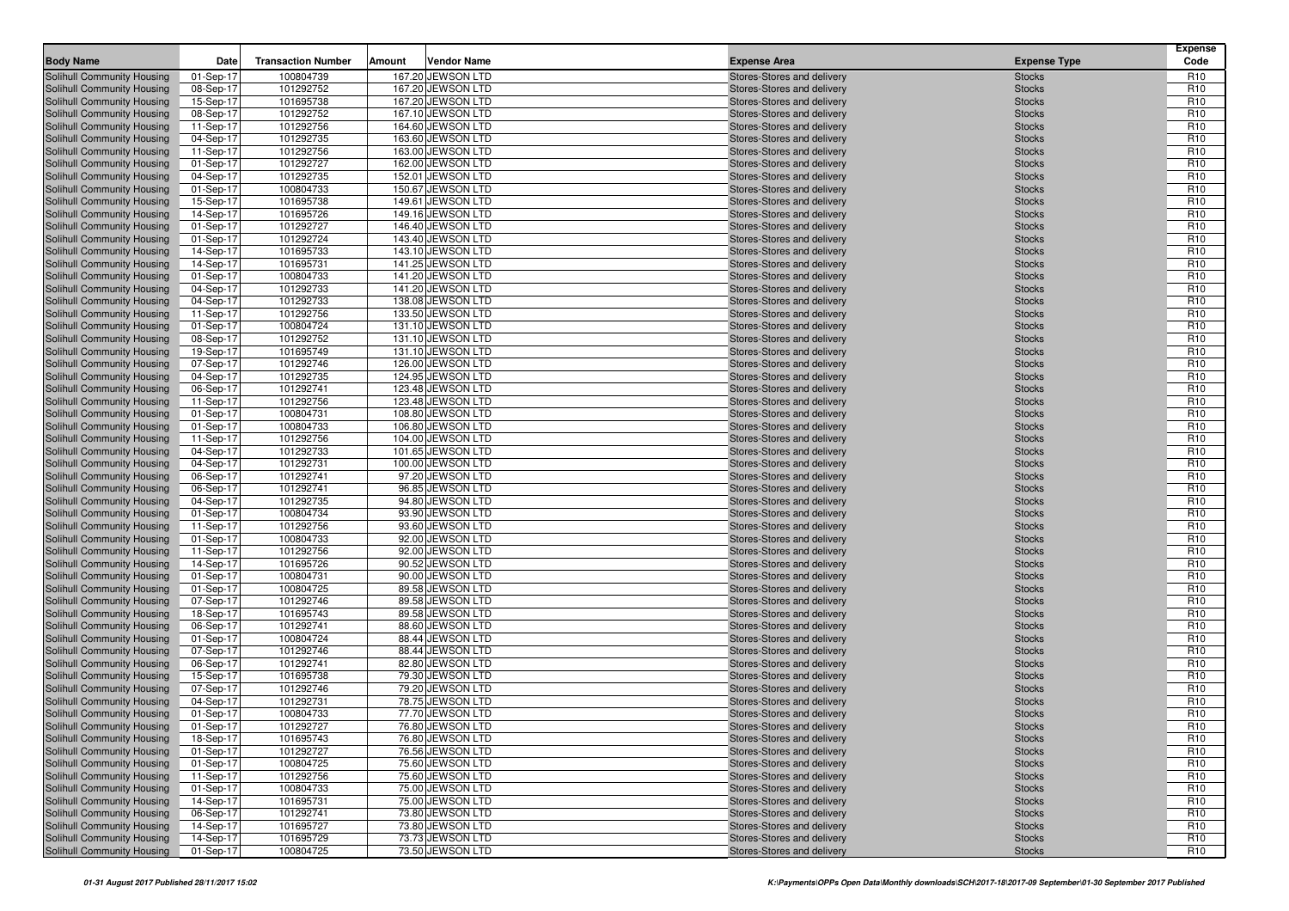| Solihull Community Housing<br>100804739<br>167.20 JEWSON LTD<br>Stores-Stores and delivery<br>R <sub>10</sub><br>01-Sep-17<br><b>Stocks</b><br>101292752<br>167.20 JEWSON LTD<br>R <sub>10</sub><br>Solihull Community Housing<br>08-Sep-17<br>Stores-Stores and delivery<br><b>Stocks</b><br>101695738<br>R <sub>10</sub><br>Solihull Community Housing<br>15-Sep-17<br>167.20 JEWSON LTD<br>Stores-Stores and delivery<br><b>Stocks</b><br>101292752<br>167.10 JEWSON LTD<br>R <sub>10</sub><br>Solihull Community Housing<br>08-Sep-17<br>Stores-Stores and delivery<br><b>Stocks</b><br>164.60 JEWSON LTD<br>R <sub>10</sub><br>Solihull Community Housing<br>11-Sep-17<br>101292756<br>Stores-Stores and delivery<br><b>Stocks</b><br>101292735<br>163.60 JEWSON LTD<br>R <sub>10</sub><br>Solihull Community Housing<br>04-Sep-17<br>Stores-Stores and delivery<br><b>Stocks</b><br>101292756<br>163.00 JEWSON LTD<br>R <sub>10</sub><br>Solihull Community Housing<br>11-Sep-17<br>Stores-Stores and delivery<br><b>Stocks</b><br>101292727<br>162.00 JEWSON LTD<br>R <sub>10</sub><br>Solihull Community Housing<br>01-Sep-17<br>Stores-Stores and delivery<br><b>Stocks</b><br>101292735<br>152.01 JEWSON LTD<br>R <sub>10</sub><br>Solihull Community Housing<br>04-Sep-17<br>Stores-Stores and delivery<br><b>Stocks</b><br>100804733<br>R <sub>10</sub><br>Solihull Community Housing<br>01-Sep-17<br>150.67 JEWSON LTD<br>Stores-Stores and delivery<br><b>Stocks</b><br>101695738<br>149.61 JEWSON LTD<br>R <sub>10</sub><br>Solihull Community Housing<br>Stores-Stores and delivery<br><b>Stocks</b><br>15-Sep-17<br>101695726<br>149.16 JEWSON LTD<br>R <sub>10</sub><br>Solihull Community Housing<br>14-Sep-17<br>Stores-Stores and delivery<br><b>Stocks</b><br>101292727<br>146.40 JEWSON LTD<br>R <sub>10</sub><br>Solihull Community Housing<br>01-Sep-17<br>Stores-Stores and delivery<br><b>Stocks</b><br>R <sub>10</sub><br>Solihull Community Housing<br>101292724<br>143.40 JEWSON LTD<br><b>Stocks</b><br>01-Sep-17<br>Stores-Stores and delivery<br>101695733<br>143.10 JEWSON LTD<br>R <sub>10</sub><br>Solihull Community Housing<br>14-Sep-17<br>Stores-Stores and delivery<br><b>Stocks</b><br>101695731<br>141.25 JEWSON LTD<br>R <sub>10</sub><br>Solihull Community Housing<br>14-Sep-17<br>Stores-Stores and delivery<br><b>Stocks</b><br>100804733<br>141.20 JEWSON LTD<br>R <sub>10</sub><br>Solihull Community Housing<br>01-Sep-17<br>Stores-Stores and delivery<br><b>Stocks</b><br>101292733<br>141.20 JEWSON LTD<br>R <sub>10</sub><br>Solihull Community Housing<br>04-Sep-17<br>Stores-Stores and delivery<br><b>Stocks</b><br>R <sub>10</sub><br>Solihull Community Housing<br>04-Sep-17<br>101292733<br>138.08 JEWSON LTD<br>Stores-Stores and delivery<br><b>Stocks</b><br>101292756<br>133.50 JEWSON LTD<br>R <sub>10</sub><br>Solihull Community Housing<br>11-Sep-17<br>Stores-Stores and delivery<br><b>Stocks</b><br>R <sub>10</sub><br>100804724<br>131.10 JEWSON LTD<br>Solihull Community Housing<br>01-Sep-17<br>Stores-Stores and delivery<br><b>Stocks</b><br>101292752<br>131.10 JEWSON LTD<br>R <sub>10</sub><br>Solihull Community Housing<br>08-Sep-17<br>Stores-Stores and delivery<br><b>Stocks</b><br>101695749<br>R <sub>10</sub><br>131.10 JEWSON LTD<br>Solihull Community Housing<br>19-Sep-17<br>Stores-Stores and delivery<br><b>Stocks</b><br>101292746<br>126.00 JEWSON LTD<br>R <sub>10</sub><br>Solihull Community Housing<br>07-Sep-17<br>Stores-Stores and delivery<br><b>Stocks</b><br>101292735<br>R <sub>10</sub><br>Solihull Community Housing<br>04-Sep-17<br>124.95 JEWSON LTD<br>Stores-Stores and delivery<br><b>Stocks</b><br>101292741<br>123.48 JEWSON LTD<br>R <sub>10</sub><br>Solihull Community Housing<br>06-Sep-17<br>Stores-Stores and delivery<br><b>Stocks</b><br>101292756<br>123.48 JEWSON LTD<br>R <sub>10</sub><br>Solihull Community Housing<br>11-Sep-17<br><b>Stocks</b><br>Stores-Stores and delivery<br>R <sub>10</sub><br>Solihull Community Housing<br>01-Sep-17<br>100804731<br>108.80 JEWSON LTD<br>Stores-Stores and delivery<br><b>Stocks</b><br>100804733<br>106.80 JEWSON LTD<br>R <sub>10</sub><br>Solihull Community Housing<br>01-Sep-17<br>Stores-Stores and delivery<br><b>Stocks</b><br>104.00 JEWSON LTD<br>R <sub>10</sub><br>Solihull Community Housing<br>11-Sep-17<br>101292756<br>Stores-Stores and delivery<br><b>Stocks</b><br>101292733<br>R <sub>10</sub><br>Solihull Community Housing<br>04-Sep-17<br>101.65 JEWSON LTD<br>Stores-Stores and delivery<br><b>Stocks</b><br>101292731<br>R <sub>10</sub><br>Solihull Community Housing<br>04-Sep-17<br>100.00 JEWSON LTD<br>Stores-Stores and delivery<br><b>Stocks</b><br>101292741<br>97.20 JEWSON LTD<br>R <sub>10</sub><br>Solihull Community Housing<br>06-Sep-17<br>Stores-Stores and delivery<br><b>Stocks</b><br>101292741<br>96.85 JEWSON LTD<br>R <sub>10</sub><br>Solihull Community Housing<br>06-Sep-17<br>Stores-Stores and delivery<br><b>Stocks</b><br>Solihull Community Housing<br>101292735<br>94.80 JEWSON LTD<br>R <sub>10</sub><br>04-Sep-17<br>Stores-Stores and delivery<br><b>Stocks</b><br>R <sub>10</sub><br>Solihull Community Housing<br>100804734<br>93.90 JEWSON LTD<br><b>Stocks</b><br>01-Sep-17<br>Stores-Stores and delivery<br>101292756<br>R <sub>10</sub><br>Solihull Community Housing<br>11-Sep-17<br>93.60 JEWSON LTD<br>Stores-Stores and delivery<br><b>Stocks</b><br>100804733<br>92.00 JEWSON LTD<br>R <sub>10</sub><br>Solihull Community Housing<br>01-Sep-17<br>Stores-Stores and delivery<br><b>Stocks</b><br>R <sub>10</sub><br>Solihull Community Housing<br>11-Sep-17<br>101292756<br>92.00 JEWSON LTD<br>Stores-Stores and delivery<br><b>Stocks</b><br>90.52 JEWSON LTD<br>R <sub>10</sub><br>Solihull Community Housing<br>14-Sep-17<br>101695726<br>Stores-Stores and delivery<br><b>Stocks</b><br>100804731<br>90.00 JEWSON LTD<br>R <sub>10</sub><br>Solihull Community Housing<br>01-Sep-17<br>Stores-Stores and delivery<br><b>Stocks</b><br>100804725<br>89.58 JEWSON LTD<br>R <sub>10</sub><br>Solihull Community Housing<br>01-Sep-17<br>Stores-Stores and delivery<br><b>Stocks</b><br>101292746<br>R <sub>10</sub><br>Solihull Community Housing<br>07-Sep-17<br>89.58 JEWSON LTD<br>Stores-Stores and delivery<br><b>Stocks</b><br>R <sub>10</sub><br>Solihull Community Housing<br>18-Sep-17<br>101695743<br>89.58 JEWSON LTD<br>Stores-Stores and delivery<br><b>Stocks</b><br>101292741<br>88.60 JEWSON LTD<br>R <sub>10</sub><br>Solihull Community Housing<br>06-Sep-17<br>Stores-Stores and delivery<br><b>Stocks</b><br>100804724<br>R <sub>10</sub><br>Solihull Community Housing<br>01-Sep-17<br>88.44 JEWSON LTD<br>Stores-Stores and delivery<br><b>Stocks</b><br>101292746<br>88.44 JEWSON LTD<br>R <sub>10</sub><br>Solihull Community Housing<br>07-Sep-17<br>Stores-Stores and delivery<br><b>Stocks</b><br>101292741<br>R <sub>10</sub><br>82.80 JEWSON LTD<br><b>Stocks</b><br>Solihull Community Housing<br>06-Sep-17<br>Stores-Stores and delivery<br>101695738<br>79.30 JEWSON LTD<br>R <sub>10</sub><br>Solihull Community Housing<br>15-Sep-17<br>Stores-Stores and delivery<br><b>Stocks</b><br>101292746<br>79.20 JEWSON LTD<br>R <sub>10</sub><br>Solihull Community Housing<br>Stores-Stores and delivery<br><b>Stocks</b><br>07-Sep-17<br>101292731<br>78.75 JEWSON LTD<br>R <sub>10</sub><br>Solihull Community Housing<br>04-Sep-17<br>Stores-Stores and delivery<br><b>Stocks</b><br>Solihull Community Housing<br>100804733<br>77.70 JEWSON LTD<br>R <sub>10</sub><br>01-Sep-17<br>Stores-Stores and delivery<br><b>Stocks</b><br>R <sub>10</sub><br><b>Solihull Community Housing</b><br>101292727<br>76.80 JEWSON LTD<br>Stores-Stores and delivery<br>01-Sep-17<br><b>Stocks</b><br>Solihull Community Housing<br>101695743<br>R <sub>10</sub><br>18-Sep-17<br>76.80 JEWSON LTD<br>Stores-Stores and delivery<br><b>Stocks</b><br>Solihull Community Housing<br>76.56 JEWSON LTD<br>R <sub>10</sub><br>01-Sep-17<br>101292727<br>Stores-Stores and delivery<br><b>Stocks</b><br>Solihull Community Housing<br>100804725<br>75.60 JEWSON LTD<br>Stores-Stores and delivery<br>R <sub>10</sub><br>01-Sep-17<br><b>Stocks</b><br>Solihull Community Housing<br>101292756<br>75.60 JEWSON LTD<br>Stores-Stores and delivery<br>R <sub>10</sub><br>11-Sep-17<br><b>Stocks</b><br>Solihull Community Housing<br>100804733<br>75.00 JEWSON LTD<br>R <sub>10</sub><br>01-Sep-17<br>Stores-Stores and delivery<br><b>Stocks</b><br>Solihull Community Housing<br>101695731<br>75.00 JEWSON LTD<br>Stores-Stores and delivery<br>R <sub>10</sub><br>14-Sep-17<br><b>Stocks</b><br>Solihull Community Housing<br>06-Sep-17<br>101292741<br>73.80 JEWSON LTD<br>Stores-Stores and delivery<br>R <sub>10</sub><br><b>Stocks</b><br>Solihull Community Housing<br>73.80 JEWSON LTD<br>14-Sep-17<br>101695727<br>Stores-Stores and delivery<br><b>Stocks</b><br>R <sub>10</sub><br>Solihull Community Housing<br>101695729<br>73.73 JEWSON LTD<br>Stores-Stores and delivery<br>R <sub>10</sub><br>14-Sep-17<br><b>Stocks</b><br>73.50 JEWSON LTD | <b>Body Name</b>           | Date      | <b>Transaction Number</b> | Amount | <b>Vendor Name</b> | <b>Expense Area</b>        | <b>Expense Type</b> | <b>Expense</b><br>Code |
|-----------------------------------------------------------------------------------------------------------------------------------------------------------------------------------------------------------------------------------------------------------------------------------------------------------------------------------------------------------------------------------------------------------------------------------------------------------------------------------------------------------------------------------------------------------------------------------------------------------------------------------------------------------------------------------------------------------------------------------------------------------------------------------------------------------------------------------------------------------------------------------------------------------------------------------------------------------------------------------------------------------------------------------------------------------------------------------------------------------------------------------------------------------------------------------------------------------------------------------------------------------------------------------------------------------------------------------------------------------------------------------------------------------------------------------------------------------------------------------------------------------------------------------------------------------------------------------------------------------------------------------------------------------------------------------------------------------------------------------------------------------------------------------------------------------------------------------------------------------------------------------------------------------------------------------------------------------------------------------------------------------------------------------------------------------------------------------------------------------------------------------------------------------------------------------------------------------------------------------------------------------------------------------------------------------------------------------------------------------------------------------------------------------------------------------------------------------------------------------------------------------------------------------------------------------------------------------------------------------------------------------------------------------------------------------------------------------------------------------------------------------------------------------------------------------------------------------------------------------------------------------------------------------------------------------------------------------------------------------------------------------------------------------------------------------------------------------------------------------------------------------------------------------------------------------------------------------------------------------------------------------------------------------------------------------------------------------------------------------------------------------------------------------------------------------------------------------------------------------------------------------------------------------------------------------------------------------------------------------------------------------------------------------------------------------------------------------------------------------------------------------------------------------------------------------------------------------------------------------------------------------------------------------------------------------------------------------------------------------------------------------------------------------------------------------------------------------------------------------------------------------------------------------------------------------------------------------------------------------------------------------------------------------------------------------------------------------------------------------------------------------------------------------------------------------------------------------------------------------------------------------------------------------------------------------------------------------------------------------------------------------------------------------------------------------------------------------------------------------------------------------------------------------------------------------------------------------------------------------------------------------------------------------------------------------------------------------------------------------------------------------------------------------------------------------------------------------------------------------------------------------------------------------------------------------------------------------------------------------------------------------------------------------------------------------------------------------------------------------------------------------------------------------------------------------------------------------------------------------------------------------------------------------------------------------------------------------------------------------------------------------------------------------------------------------------------------------------------------------------------------------------------------------------------------------------------------------------------------------------------------------------------------------------------------------------------------------------------------------------------------------------------------------------------------------------------------------------------------------------------------------------------------------------------------------------------------------------------------------------------------------------------------------------------------------------------------------------------------------------------------------------------------------------------------------------------------------------------------------------------------------------------------------------------------------------------------------------------------------------------------------------------------------------------------------------------------------------------------------------------------------------------------------------------------------------------------------------------------------------------------------------------------------------------------------------------------------------------------------------------------------------------------------------------------------------------------------------------------------------------------------------------------------------------------------------------------------------------------------------------------------------------------------------------------------------------------------------------------------------------------------------------------------------------------------------------------------------------------------------------------------------------------------------------------------------------------------------------------------------------------------------------------------------------------------------------------------------------------------------------------------------------------------------------------------------------------------------------------------------------------------------------------------------------------------------------------------------------------------------------------------------------------------------------------------------------------------------------------------------------------------------------------------------------------------------------------------------------------------------------------------------------------------------------------------------------------------------------------------------------------------------------------------------------------------------------------------------------------------------------------------------------------------------------------------------------------------------------------------------------------------------------------------------------------------------------------------------------------------------------------------------------------------------------------------------------------------------------------------------------------------------------------------------------------------------------------------------------------------------------------------------------------------------------------------------------------------------------------------------------------------------------------------------------------------------------------------------------------|----------------------------|-----------|---------------------------|--------|--------------------|----------------------------|---------------------|------------------------|
|                                                                                                                                                                                                                                                                                                                                                                                                                                                                                                                                                                                                                                                                                                                                                                                                                                                                                                                                                                                                                                                                                                                                                                                                                                                                                                                                                                                                                                                                                                                                                                                                                                                                                                                                                                                                                                                                                                                                                                                                                                                                                                                                                                                                                                                                                                                                                                                                                                                                                                                                                                                                                                                                                                                                                                                                                                                                                                                                                                                                                                                                                                                                                                                                                                                                                                                                                                                                                                                                                                                                                                                                                                                                                                                                                                                                                                                                                                                                                                                                                                                                                                                                                                                                                                                                                                                                                                                                                                                                                                                                                                                                                                                                                                                                                                                                                                                                                                                                                                                                                                                                                                                                                                                                                                                                                                                                                                                                                                                                                                                                                                                                                                                                                                                                                                                                                                                                                                                                                                                                                                                                                                                                                                                                                                                                                                                                                                                                                                                                                                                                                                                                                                                                                                                                                                                                                                                                                                                                                                                                                                                                                                                                                                                                                                                                                                                                                                                                                                                                                                                                                                                                                                                                                                                                                                                                                                                                                                                                                                                                                                                                                                                                                                                                                                                                                                                                                                                                                                                                                                                                                                                                                                                                                                                                                                                                                                                                                                                                                                                                                                                                                                                                                                                                                             |                            |           |                           |        |                    |                            |                     |                        |
|                                                                                                                                                                                                                                                                                                                                                                                                                                                                                                                                                                                                                                                                                                                                                                                                                                                                                                                                                                                                                                                                                                                                                                                                                                                                                                                                                                                                                                                                                                                                                                                                                                                                                                                                                                                                                                                                                                                                                                                                                                                                                                                                                                                                                                                                                                                                                                                                                                                                                                                                                                                                                                                                                                                                                                                                                                                                                                                                                                                                                                                                                                                                                                                                                                                                                                                                                                                                                                                                                                                                                                                                                                                                                                                                                                                                                                                                                                                                                                                                                                                                                                                                                                                                                                                                                                                                                                                                                                                                                                                                                                                                                                                                                                                                                                                                                                                                                                                                                                                                                                                                                                                                                                                                                                                                                                                                                                                                                                                                                                                                                                                                                                                                                                                                                                                                                                                                                                                                                                                                                                                                                                                                                                                                                                                                                                                                                                                                                                                                                                                                                                                                                                                                                                                                                                                                                                                                                                                                                                                                                                                                                                                                                                                                                                                                                                                                                                                                                                                                                                                                                                                                                                                                                                                                                                                                                                                                                                                                                                                                                                                                                                                                                                                                                                                                                                                                                                                                                                                                                                                                                                                                                                                                                                                                                                                                                                                                                                                                                                                                                                                                                                                                                                                                                             |                            |           |                           |        |                    |                            |                     |                        |
|                                                                                                                                                                                                                                                                                                                                                                                                                                                                                                                                                                                                                                                                                                                                                                                                                                                                                                                                                                                                                                                                                                                                                                                                                                                                                                                                                                                                                                                                                                                                                                                                                                                                                                                                                                                                                                                                                                                                                                                                                                                                                                                                                                                                                                                                                                                                                                                                                                                                                                                                                                                                                                                                                                                                                                                                                                                                                                                                                                                                                                                                                                                                                                                                                                                                                                                                                                                                                                                                                                                                                                                                                                                                                                                                                                                                                                                                                                                                                                                                                                                                                                                                                                                                                                                                                                                                                                                                                                                                                                                                                                                                                                                                                                                                                                                                                                                                                                                                                                                                                                                                                                                                                                                                                                                                                                                                                                                                                                                                                                                                                                                                                                                                                                                                                                                                                                                                                                                                                                                                                                                                                                                                                                                                                                                                                                                                                                                                                                                                                                                                                                                                                                                                                                                                                                                                                                                                                                                                                                                                                                                                                                                                                                                                                                                                                                                                                                                                                                                                                                                                                                                                                                                                                                                                                                                                                                                                                                                                                                                                                                                                                                                                                                                                                                                                                                                                                                                                                                                                                                                                                                                                                                                                                                                                                                                                                                                                                                                                                                                                                                                                                                                                                                                                                             |                            |           |                           |        |                    |                            |                     |                        |
|                                                                                                                                                                                                                                                                                                                                                                                                                                                                                                                                                                                                                                                                                                                                                                                                                                                                                                                                                                                                                                                                                                                                                                                                                                                                                                                                                                                                                                                                                                                                                                                                                                                                                                                                                                                                                                                                                                                                                                                                                                                                                                                                                                                                                                                                                                                                                                                                                                                                                                                                                                                                                                                                                                                                                                                                                                                                                                                                                                                                                                                                                                                                                                                                                                                                                                                                                                                                                                                                                                                                                                                                                                                                                                                                                                                                                                                                                                                                                                                                                                                                                                                                                                                                                                                                                                                                                                                                                                                                                                                                                                                                                                                                                                                                                                                                                                                                                                                                                                                                                                                                                                                                                                                                                                                                                                                                                                                                                                                                                                                                                                                                                                                                                                                                                                                                                                                                                                                                                                                                                                                                                                                                                                                                                                                                                                                                                                                                                                                                                                                                                                                                                                                                                                                                                                                                                                                                                                                                                                                                                                                                                                                                                                                                                                                                                                                                                                                                                                                                                                                                                                                                                                                                                                                                                                                                                                                                                                                                                                                                                                                                                                                                                                                                                                                                                                                                                                                                                                                                                                                                                                                                                                                                                                                                                                                                                                                                                                                                                                                                                                                                                                                                                                                                                             |                            |           |                           |        |                    |                            |                     |                        |
|                                                                                                                                                                                                                                                                                                                                                                                                                                                                                                                                                                                                                                                                                                                                                                                                                                                                                                                                                                                                                                                                                                                                                                                                                                                                                                                                                                                                                                                                                                                                                                                                                                                                                                                                                                                                                                                                                                                                                                                                                                                                                                                                                                                                                                                                                                                                                                                                                                                                                                                                                                                                                                                                                                                                                                                                                                                                                                                                                                                                                                                                                                                                                                                                                                                                                                                                                                                                                                                                                                                                                                                                                                                                                                                                                                                                                                                                                                                                                                                                                                                                                                                                                                                                                                                                                                                                                                                                                                                                                                                                                                                                                                                                                                                                                                                                                                                                                                                                                                                                                                                                                                                                                                                                                                                                                                                                                                                                                                                                                                                                                                                                                                                                                                                                                                                                                                                                                                                                                                                                                                                                                                                                                                                                                                                                                                                                                                                                                                                                                                                                                                                                                                                                                                                                                                                                                                                                                                                                                                                                                                                                                                                                                                                                                                                                                                                                                                                                                                                                                                                                                                                                                                                                                                                                                                                                                                                                                                                                                                                                                                                                                                                                                                                                                                                                                                                                                                                                                                                                                                                                                                                                                                                                                                                                                                                                                                                                                                                                                                                                                                                                                                                                                                                                                             |                            |           |                           |        |                    |                            |                     |                        |
|                                                                                                                                                                                                                                                                                                                                                                                                                                                                                                                                                                                                                                                                                                                                                                                                                                                                                                                                                                                                                                                                                                                                                                                                                                                                                                                                                                                                                                                                                                                                                                                                                                                                                                                                                                                                                                                                                                                                                                                                                                                                                                                                                                                                                                                                                                                                                                                                                                                                                                                                                                                                                                                                                                                                                                                                                                                                                                                                                                                                                                                                                                                                                                                                                                                                                                                                                                                                                                                                                                                                                                                                                                                                                                                                                                                                                                                                                                                                                                                                                                                                                                                                                                                                                                                                                                                                                                                                                                                                                                                                                                                                                                                                                                                                                                                                                                                                                                                                                                                                                                                                                                                                                                                                                                                                                                                                                                                                                                                                                                                                                                                                                                                                                                                                                                                                                                                                                                                                                                                                                                                                                                                                                                                                                                                                                                                                                                                                                                                                                                                                                                                                                                                                                                                                                                                                                                                                                                                                                                                                                                                                                                                                                                                                                                                                                                                                                                                                                                                                                                                                                                                                                                                                                                                                                                                                                                                                                                                                                                                                                                                                                                                                                                                                                                                                                                                                                                                                                                                                                                                                                                                                                                                                                                                                                                                                                                                                                                                                                                                                                                                                                                                                                                                                                             |                            |           |                           |        |                    |                            |                     |                        |
|                                                                                                                                                                                                                                                                                                                                                                                                                                                                                                                                                                                                                                                                                                                                                                                                                                                                                                                                                                                                                                                                                                                                                                                                                                                                                                                                                                                                                                                                                                                                                                                                                                                                                                                                                                                                                                                                                                                                                                                                                                                                                                                                                                                                                                                                                                                                                                                                                                                                                                                                                                                                                                                                                                                                                                                                                                                                                                                                                                                                                                                                                                                                                                                                                                                                                                                                                                                                                                                                                                                                                                                                                                                                                                                                                                                                                                                                                                                                                                                                                                                                                                                                                                                                                                                                                                                                                                                                                                                                                                                                                                                                                                                                                                                                                                                                                                                                                                                                                                                                                                                                                                                                                                                                                                                                                                                                                                                                                                                                                                                                                                                                                                                                                                                                                                                                                                                                                                                                                                                                                                                                                                                                                                                                                                                                                                                                                                                                                                                                                                                                                                                                                                                                                                                                                                                                                                                                                                                                                                                                                                                                                                                                                                                                                                                                                                                                                                                                                                                                                                                                                                                                                                                                                                                                                                                                                                                                                                                                                                                                                                                                                                                                                                                                                                                                                                                                                                                                                                                                                                                                                                                                                                                                                                                                                                                                                                                                                                                                                                                                                                                                                                                                                                                                                             |                            |           |                           |        |                    |                            |                     |                        |
|                                                                                                                                                                                                                                                                                                                                                                                                                                                                                                                                                                                                                                                                                                                                                                                                                                                                                                                                                                                                                                                                                                                                                                                                                                                                                                                                                                                                                                                                                                                                                                                                                                                                                                                                                                                                                                                                                                                                                                                                                                                                                                                                                                                                                                                                                                                                                                                                                                                                                                                                                                                                                                                                                                                                                                                                                                                                                                                                                                                                                                                                                                                                                                                                                                                                                                                                                                                                                                                                                                                                                                                                                                                                                                                                                                                                                                                                                                                                                                                                                                                                                                                                                                                                                                                                                                                                                                                                                                                                                                                                                                                                                                                                                                                                                                                                                                                                                                                                                                                                                                                                                                                                                                                                                                                                                                                                                                                                                                                                                                                                                                                                                                                                                                                                                                                                                                                                                                                                                                                                                                                                                                                                                                                                                                                                                                                                                                                                                                                                                                                                                                                                                                                                                                                                                                                                                                                                                                                                                                                                                                                                                                                                                                                                                                                                                                                                                                                                                                                                                                                                                                                                                                                                                                                                                                                                                                                                                                                                                                                                                                                                                                                                                                                                                                                                                                                                                                                                                                                                                                                                                                                                                                                                                                                                                                                                                                                                                                                                                                                                                                                                                                                                                                                                                             |                            |           |                           |        |                    |                            |                     |                        |
|                                                                                                                                                                                                                                                                                                                                                                                                                                                                                                                                                                                                                                                                                                                                                                                                                                                                                                                                                                                                                                                                                                                                                                                                                                                                                                                                                                                                                                                                                                                                                                                                                                                                                                                                                                                                                                                                                                                                                                                                                                                                                                                                                                                                                                                                                                                                                                                                                                                                                                                                                                                                                                                                                                                                                                                                                                                                                                                                                                                                                                                                                                                                                                                                                                                                                                                                                                                                                                                                                                                                                                                                                                                                                                                                                                                                                                                                                                                                                                                                                                                                                                                                                                                                                                                                                                                                                                                                                                                                                                                                                                                                                                                                                                                                                                                                                                                                                                                                                                                                                                                                                                                                                                                                                                                                                                                                                                                                                                                                                                                                                                                                                                                                                                                                                                                                                                                                                                                                                                                                                                                                                                                                                                                                                                                                                                                                                                                                                                                                                                                                                                                                                                                                                                                                                                                                                                                                                                                                                                                                                                                                                                                                                                                                                                                                                                                                                                                                                                                                                                                                                                                                                                                                                                                                                                                                                                                                                                                                                                                                                                                                                                                                                                                                                                                                                                                                                                                                                                                                                                                                                                                                                                                                                                                                                                                                                                                                                                                                                                                                                                                                                                                                                                                                                             |                            |           |                           |        |                    |                            |                     |                        |
|                                                                                                                                                                                                                                                                                                                                                                                                                                                                                                                                                                                                                                                                                                                                                                                                                                                                                                                                                                                                                                                                                                                                                                                                                                                                                                                                                                                                                                                                                                                                                                                                                                                                                                                                                                                                                                                                                                                                                                                                                                                                                                                                                                                                                                                                                                                                                                                                                                                                                                                                                                                                                                                                                                                                                                                                                                                                                                                                                                                                                                                                                                                                                                                                                                                                                                                                                                                                                                                                                                                                                                                                                                                                                                                                                                                                                                                                                                                                                                                                                                                                                                                                                                                                                                                                                                                                                                                                                                                                                                                                                                                                                                                                                                                                                                                                                                                                                                                                                                                                                                                                                                                                                                                                                                                                                                                                                                                                                                                                                                                                                                                                                                                                                                                                                                                                                                                                                                                                                                                                                                                                                                                                                                                                                                                                                                                                                                                                                                                                                                                                                                                                                                                                                                                                                                                                                                                                                                                                                                                                                                                                                                                                                                                                                                                                                                                                                                                                                                                                                                                                                                                                                                                                                                                                                                                                                                                                                                                                                                                                                                                                                                                                                                                                                                                                                                                                                                                                                                                                                                                                                                                                                                                                                                                                                                                                                                                                                                                                                                                                                                                                                                                                                                                                                             |                            |           |                           |        |                    |                            |                     |                        |
|                                                                                                                                                                                                                                                                                                                                                                                                                                                                                                                                                                                                                                                                                                                                                                                                                                                                                                                                                                                                                                                                                                                                                                                                                                                                                                                                                                                                                                                                                                                                                                                                                                                                                                                                                                                                                                                                                                                                                                                                                                                                                                                                                                                                                                                                                                                                                                                                                                                                                                                                                                                                                                                                                                                                                                                                                                                                                                                                                                                                                                                                                                                                                                                                                                                                                                                                                                                                                                                                                                                                                                                                                                                                                                                                                                                                                                                                                                                                                                                                                                                                                                                                                                                                                                                                                                                                                                                                                                                                                                                                                                                                                                                                                                                                                                                                                                                                                                                                                                                                                                                                                                                                                                                                                                                                                                                                                                                                                                                                                                                                                                                                                                                                                                                                                                                                                                                                                                                                                                                                                                                                                                                                                                                                                                                                                                                                                                                                                                                                                                                                                                                                                                                                                                                                                                                                                                                                                                                                                                                                                                                                                                                                                                                                                                                                                                                                                                                                                                                                                                                                                                                                                                                                                                                                                                                                                                                                                                                                                                                                                                                                                                                                                                                                                                                                                                                                                                                                                                                                                                                                                                                                                                                                                                                                                                                                                                                                                                                                                                                                                                                                                                                                                                                                                             |                            |           |                           |        |                    |                            |                     |                        |
|                                                                                                                                                                                                                                                                                                                                                                                                                                                                                                                                                                                                                                                                                                                                                                                                                                                                                                                                                                                                                                                                                                                                                                                                                                                                                                                                                                                                                                                                                                                                                                                                                                                                                                                                                                                                                                                                                                                                                                                                                                                                                                                                                                                                                                                                                                                                                                                                                                                                                                                                                                                                                                                                                                                                                                                                                                                                                                                                                                                                                                                                                                                                                                                                                                                                                                                                                                                                                                                                                                                                                                                                                                                                                                                                                                                                                                                                                                                                                                                                                                                                                                                                                                                                                                                                                                                                                                                                                                                                                                                                                                                                                                                                                                                                                                                                                                                                                                                                                                                                                                                                                                                                                                                                                                                                                                                                                                                                                                                                                                                                                                                                                                                                                                                                                                                                                                                                                                                                                                                                                                                                                                                                                                                                                                                                                                                                                                                                                                                                                                                                                                                                                                                                                                                                                                                                                                                                                                                                                                                                                                                                                                                                                                                                                                                                                                                                                                                                                                                                                                                                                                                                                                                                                                                                                                                                                                                                                                                                                                                                                                                                                                                                                                                                                                                                                                                                                                                                                                                                                                                                                                                                                                                                                                                                                                                                                                                                                                                                                                                                                                                                                                                                                                                                                             |                            |           |                           |        |                    |                            |                     |                        |
|                                                                                                                                                                                                                                                                                                                                                                                                                                                                                                                                                                                                                                                                                                                                                                                                                                                                                                                                                                                                                                                                                                                                                                                                                                                                                                                                                                                                                                                                                                                                                                                                                                                                                                                                                                                                                                                                                                                                                                                                                                                                                                                                                                                                                                                                                                                                                                                                                                                                                                                                                                                                                                                                                                                                                                                                                                                                                                                                                                                                                                                                                                                                                                                                                                                                                                                                                                                                                                                                                                                                                                                                                                                                                                                                                                                                                                                                                                                                                                                                                                                                                                                                                                                                                                                                                                                                                                                                                                                                                                                                                                                                                                                                                                                                                                                                                                                                                                                                                                                                                                                                                                                                                                                                                                                                                                                                                                                                                                                                                                                                                                                                                                                                                                                                                                                                                                                                                                                                                                                                                                                                                                                                                                                                                                                                                                                                                                                                                                                                                                                                                                                                                                                                                                                                                                                                                                                                                                                                                                                                                                                                                                                                                                                                                                                                                                                                                                                                                                                                                                                                                                                                                                                                                                                                                                                                                                                                                                                                                                                                                                                                                                                                                                                                                                                                                                                                                                                                                                                                                                                                                                                                                                                                                                                                                                                                                                                                                                                                                                                                                                                                                                                                                                                                                             |                            |           |                           |        |                    |                            |                     |                        |
|                                                                                                                                                                                                                                                                                                                                                                                                                                                                                                                                                                                                                                                                                                                                                                                                                                                                                                                                                                                                                                                                                                                                                                                                                                                                                                                                                                                                                                                                                                                                                                                                                                                                                                                                                                                                                                                                                                                                                                                                                                                                                                                                                                                                                                                                                                                                                                                                                                                                                                                                                                                                                                                                                                                                                                                                                                                                                                                                                                                                                                                                                                                                                                                                                                                                                                                                                                                                                                                                                                                                                                                                                                                                                                                                                                                                                                                                                                                                                                                                                                                                                                                                                                                                                                                                                                                                                                                                                                                                                                                                                                                                                                                                                                                                                                                                                                                                                                                                                                                                                                                                                                                                                                                                                                                                                                                                                                                                                                                                                                                                                                                                                                                                                                                                                                                                                                                                                                                                                                                                                                                                                                                                                                                                                                                                                                                                                                                                                                                                                                                                                                                                                                                                                                                                                                                                                                                                                                                                                                                                                                                                                                                                                                                                                                                                                                                                                                                                                                                                                                                                                                                                                                                                                                                                                                                                                                                                                                                                                                                                                                                                                                                                                                                                                                                                                                                                                                                                                                                                                                                                                                                                                                                                                                                                                                                                                                                                                                                                                                                                                                                                                                                                                                                                                             |                            |           |                           |        |                    |                            |                     |                        |
|                                                                                                                                                                                                                                                                                                                                                                                                                                                                                                                                                                                                                                                                                                                                                                                                                                                                                                                                                                                                                                                                                                                                                                                                                                                                                                                                                                                                                                                                                                                                                                                                                                                                                                                                                                                                                                                                                                                                                                                                                                                                                                                                                                                                                                                                                                                                                                                                                                                                                                                                                                                                                                                                                                                                                                                                                                                                                                                                                                                                                                                                                                                                                                                                                                                                                                                                                                                                                                                                                                                                                                                                                                                                                                                                                                                                                                                                                                                                                                                                                                                                                                                                                                                                                                                                                                                                                                                                                                                                                                                                                                                                                                                                                                                                                                                                                                                                                                                                                                                                                                                                                                                                                                                                                                                                                                                                                                                                                                                                                                                                                                                                                                                                                                                                                                                                                                                                                                                                                                                                                                                                                                                                                                                                                                                                                                                                                                                                                                                                                                                                                                                                                                                                                                                                                                                                                                                                                                                                                                                                                                                                                                                                                                                                                                                                                                                                                                                                                                                                                                                                                                                                                                                                                                                                                                                                                                                                                                                                                                                                                                                                                                                                                                                                                                                                                                                                                                                                                                                                                                                                                                                                                                                                                                                                                                                                                                                                                                                                                                                                                                                                                                                                                                                                                             |                            |           |                           |        |                    |                            |                     |                        |
|                                                                                                                                                                                                                                                                                                                                                                                                                                                                                                                                                                                                                                                                                                                                                                                                                                                                                                                                                                                                                                                                                                                                                                                                                                                                                                                                                                                                                                                                                                                                                                                                                                                                                                                                                                                                                                                                                                                                                                                                                                                                                                                                                                                                                                                                                                                                                                                                                                                                                                                                                                                                                                                                                                                                                                                                                                                                                                                                                                                                                                                                                                                                                                                                                                                                                                                                                                                                                                                                                                                                                                                                                                                                                                                                                                                                                                                                                                                                                                                                                                                                                                                                                                                                                                                                                                                                                                                                                                                                                                                                                                                                                                                                                                                                                                                                                                                                                                                                                                                                                                                                                                                                                                                                                                                                                                                                                                                                                                                                                                                                                                                                                                                                                                                                                                                                                                                                                                                                                                                                                                                                                                                                                                                                                                                                                                                                                                                                                                                                                                                                                                                                                                                                                                                                                                                                                                                                                                                                                                                                                                                                                                                                                                                                                                                                                                                                                                                                                                                                                                                                                                                                                                                                                                                                                                                                                                                                                                                                                                                                                                                                                                                                                                                                                                                                                                                                                                                                                                                                                                                                                                                                                                                                                                                                                                                                                                                                                                                                                                                                                                                                                                                                                                                                                             |                            |           |                           |        |                    |                            |                     |                        |
|                                                                                                                                                                                                                                                                                                                                                                                                                                                                                                                                                                                                                                                                                                                                                                                                                                                                                                                                                                                                                                                                                                                                                                                                                                                                                                                                                                                                                                                                                                                                                                                                                                                                                                                                                                                                                                                                                                                                                                                                                                                                                                                                                                                                                                                                                                                                                                                                                                                                                                                                                                                                                                                                                                                                                                                                                                                                                                                                                                                                                                                                                                                                                                                                                                                                                                                                                                                                                                                                                                                                                                                                                                                                                                                                                                                                                                                                                                                                                                                                                                                                                                                                                                                                                                                                                                                                                                                                                                                                                                                                                                                                                                                                                                                                                                                                                                                                                                                                                                                                                                                                                                                                                                                                                                                                                                                                                                                                                                                                                                                                                                                                                                                                                                                                                                                                                                                                                                                                                                                                                                                                                                                                                                                                                                                                                                                                                                                                                                                                                                                                                                                                                                                                                                                                                                                                                                                                                                                                                                                                                                                                                                                                                                                                                                                                                                                                                                                                                                                                                                                                                                                                                                                                                                                                                                                                                                                                                                                                                                                                                                                                                                                                                                                                                                                                                                                                                                                                                                                                                                                                                                                                                                                                                                                                                                                                                                                                                                                                                                                                                                                                                                                                                                                                                             |                            |           |                           |        |                    |                            |                     |                        |
|                                                                                                                                                                                                                                                                                                                                                                                                                                                                                                                                                                                                                                                                                                                                                                                                                                                                                                                                                                                                                                                                                                                                                                                                                                                                                                                                                                                                                                                                                                                                                                                                                                                                                                                                                                                                                                                                                                                                                                                                                                                                                                                                                                                                                                                                                                                                                                                                                                                                                                                                                                                                                                                                                                                                                                                                                                                                                                                                                                                                                                                                                                                                                                                                                                                                                                                                                                                                                                                                                                                                                                                                                                                                                                                                                                                                                                                                                                                                                                                                                                                                                                                                                                                                                                                                                                                                                                                                                                                                                                                                                                                                                                                                                                                                                                                                                                                                                                                                                                                                                                                                                                                                                                                                                                                                                                                                                                                                                                                                                                                                                                                                                                                                                                                                                                                                                                                                                                                                                                                                                                                                                                                                                                                                                                                                                                                                                                                                                                                                                                                                                                                                                                                                                                                                                                                                                                                                                                                                                                                                                                                                                                                                                                                                                                                                                                                                                                                                                                                                                                                                                                                                                                                                                                                                                                                                                                                                                                                                                                                                                                                                                                                                                                                                                                                                                                                                                                                                                                                                                                                                                                                                                                                                                                                                                                                                                                                                                                                                                                                                                                                                                                                                                                                                                             |                            |           |                           |        |                    |                            |                     |                        |
|                                                                                                                                                                                                                                                                                                                                                                                                                                                                                                                                                                                                                                                                                                                                                                                                                                                                                                                                                                                                                                                                                                                                                                                                                                                                                                                                                                                                                                                                                                                                                                                                                                                                                                                                                                                                                                                                                                                                                                                                                                                                                                                                                                                                                                                                                                                                                                                                                                                                                                                                                                                                                                                                                                                                                                                                                                                                                                                                                                                                                                                                                                                                                                                                                                                                                                                                                                                                                                                                                                                                                                                                                                                                                                                                                                                                                                                                                                                                                                                                                                                                                                                                                                                                                                                                                                                                                                                                                                                                                                                                                                                                                                                                                                                                                                                                                                                                                                                                                                                                                                                                                                                                                                                                                                                                                                                                                                                                                                                                                                                                                                                                                                                                                                                                                                                                                                                                                                                                                                                                                                                                                                                                                                                                                                                                                                                                                                                                                                                                                                                                                                                                                                                                                                                                                                                                                                                                                                                                                                                                                                                                                                                                                                                                                                                                                                                                                                                                                                                                                                                                                                                                                                                                                                                                                                                                                                                                                                                                                                                                                                                                                                                                                                                                                                                                                                                                                                                                                                                                                                                                                                                                                                                                                                                                                                                                                                                                                                                                                                                                                                                                                                                                                                                                                             |                            |           |                           |        |                    |                            |                     |                        |
|                                                                                                                                                                                                                                                                                                                                                                                                                                                                                                                                                                                                                                                                                                                                                                                                                                                                                                                                                                                                                                                                                                                                                                                                                                                                                                                                                                                                                                                                                                                                                                                                                                                                                                                                                                                                                                                                                                                                                                                                                                                                                                                                                                                                                                                                                                                                                                                                                                                                                                                                                                                                                                                                                                                                                                                                                                                                                                                                                                                                                                                                                                                                                                                                                                                                                                                                                                                                                                                                                                                                                                                                                                                                                                                                                                                                                                                                                                                                                                                                                                                                                                                                                                                                                                                                                                                                                                                                                                                                                                                                                                                                                                                                                                                                                                                                                                                                                                                                                                                                                                                                                                                                                                                                                                                                                                                                                                                                                                                                                                                                                                                                                                                                                                                                                                                                                                                                                                                                                                                                                                                                                                                                                                                                                                                                                                                                                                                                                                                                                                                                                                                                                                                                                                                                                                                                                                                                                                                                                                                                                                                                                                                                                                                                                                                                                                                                                                                                                                                                                                                                                                                                                                                                                                                                                                                                                                                                                                                                                                                                                                                                                                                                                                                                                                                                                                                                                                                                                                                                                                                                                                                                                                                                                                                                                                                                                                                                                                                                                                                                                                                                                                                                                                                                                             |                            |           |                           |        |                    |                            |                     |                        |
|                                                                                                                                                                                                                                                                                                                                                                                                                                                                                                                                                                                                                                                                                                                                                                                                                                                                                                                                                                                                                                                                                                                                                                                                                                                                                                                                                                                                                                                                                                                                                                                                                                                                                                                                                                                                                                                                                                                                                                                                                                                                                                                                                                                                                                                                                                                                                                                                                                                                                                                                                                                                                                                                                                                                                                                                                                                                                                                                                                                                                                                                                                                                                                                                                                                                                                                                                                                                                                                                                                                                                                                                                                                                                                                                                                                                                                                                                                                                                                                                                                                                                                                                                                                                                                                                                                                                                                                                                                                                                                                                                                                                                                                                                                                                                                                                                                                                                                                                                                                                                                                                                                                                                                                                                                                                                                                                                                                                                                                                                                                                                                                                                                                                                                                                                                                                                                                                                                                                                                                                                                                                                                                                                                                                                                                                                                                                                                                                                                                                                                                                                                                                                                                                                                                                                                                                                                                                                                                                                                                                                                                                                                                                                                                                                                                                                                                                                                                                                                                                                                                                                                                                                                                                                                                                                                                                                                                                                                                                                                                                                                                                                                                                                                                                                                                                                                                                                                                                                                                                                                                                                                                                                                                                                                                                                                                                                                                                                                                                                                                                                                                                                                                                                                                                                             |                            |           |                           |        |                    |                            |                     |                        |
|                                                                                                                                                                                                                                                                                                                                                                                                                                                                                                                                                                                                                                                                                                                                                                                                                                                                                                                                                                                                                                                                                                                                                                                                                                                                                                                                                                                                                                                                                                                                                                                                                                                                                                                                                                                                                                                                                                                                                                                                                                                                                                                                                                                                                                                                                                                                                                                                                                                                                                                                                                                                                                                                                                                                                                                                                                                                                                                                                                                                                                                                                                                                                                                                                                                                                                                                                                                                                                                                                                                                                                                                                                                                                                                                                                                                                                                                                                                                                                                                                                                                                                                                                                                                                                                                                                                                                                                                                                                                                                                                                                                                                                                                                                                                                                                                                                                                                                                                                                                                                                                                                                                                                                                                                                                                                                                                                                                                                                                                                                                                                                                                                                                                                                                                                                                                                                                                                                                                                                                                                                                                                                                                                                                                                                                                                                                                                                                                                                                                                                                                                                                                                                                                                                                                                                                                                                                                                                                                                                                                                                                                                                                                                                                                                                                                                                                                                                                                                                                                                                                                                                                                                                                                                                                                                                                                                                                                                                                                                                                                                                                                                                                                                                                                                                                                                                                                                                                                                                                                                                                                                                                                                                                                                                                                                                                                                                                                                                                                                                                                                                                                                                                                                                                                                             |                            |           |                           |        |                    |                            |                     |                        |
|                                                                                                                                                                                                                                                                                                                                                                                                                                                                                                                                                                                                                                                                                                                                                                                                                                                                                                                                                                                                                                                                                                                                                                                                                                                                                                                                                                                                                                                                                                                                                                                                                                                                                                                                                                                                                                                                                                                                                                                                                                                                                                                                                                                                                                                                                                                                                                                                                                                                                                                                                                                                                                                                                                                                                                                                                                                                                                                                                                                                                                                                                                                                                                                                                                                                                                                                                                                                                                                                                                                                                                                                                                                                                                                                                                                                                                                                                                                                                                                                                                                                                                                                                                                                                                                                                                                                                                                                                                                                                                                                                                                                                                                                                                                                                                                                                                                                                                                                                                                                                                                                                                                                                                                                                                                                                                                                                                                                                                                                                                                                                                                                                                                                                                                                                                                                                                                                                                                                                                                                                                                                                                                                                                                                                                                                                                                                                                                                                                                                                                                                                                                                                                                                                                                                                                                                                                                                                                                                                                                                                                                                                                                                                                                                                                                                                                                                                                                                                                                                                                                                                                                                                                                                                                                                                                                                                                                                                                                                                                                                                                                                                                                                                                                                                                                                                                                                                                                                                                                                                                                                                                                                                                                                                                                                                                                                                                                                                                                                                                                                                                                                                                                                                                                                                             |                            |           |                           |        |                    |                            |                     |                        |
|                                                                                                                                                                                                                                                                                                                                                                                                                                                                                                                                                                                                                                                                                                                                                                                                                                                                                                                                                                                                                                                                                                                                                                                                                                                                                                                                                                                                                                                                                                                                                                                                                                                                                                                                                                                                                                                                                                                                                                                                                                                                                                                                                                                                                                                                                                                                                                                                                                                                                                                                                                                                                                                                                                                                                                                                                                                                                                                                                                                                                                                                                                                                                                                                                                                                                                                                                                                                                                                                                                                                                                                                                                                                                                                                                                                                                                                                                                                                                                                                                                                                                                                                                                                                                                                                                                                                                                                                                                                                                                                                                                                                                                                                                                                                                                                                                                                                                                                                                                                                                                                                                                                                                                                                                                                                                                                                                                                                                                                                                                                                                                                                                                                                                                                                                                                                                                                                                                                                                                                                                                                                                                                                                                                                                                                                                                                                                                                                                                                                                                                                                                                                                                                                                                                                                                                                                                                                                                                                                                                                                                                                                                                                                                                                                                                                                                                                                                                                                                                                                                                                                                                                                                                                                                                                                                                                                                                                                                                                                                                                                                                                                                                                                                                                                                                                                                                                                                                                                                                                                                                                                                                                                                                                                                                                                                                                                                                                                                                                                                                                                                                                                                                                                                                                                             |                            |           |                           |        |                    |                            |                     |                        |
|                                                                                                                                                                                                                                                                                                                                                                                                                                                                                                                                                                                                                                                                                                                                                                                                                                                                                                                                                                                                                                                                                                                                                                                                                                                                                                                                                                                                                                                                                                                                                                                                                                                                                                                                                                                                                                                                                                                                                                                                                                                                                                                                                                                                                                                                                                                                                                                                                                                                                                                                                                                                                                                                                                                                                                                                                                                                                                                                                                                                                                                                                                                                                                                                                                                                                                                                                                                                                                                                                                                                                                                                                                                                                                                                                                                                                                                                                                                                                                                                                                                                                                                                                                                                                                                                                                                                                                                                                                                                                                                                                                                                                                                                                                                                                                                                                                                                                                                                                                                                                                                                                                                                                                                                                                                                                                                                                                                                                                                                                                                                                                                                                                                                                                                                                                                                                                                                                                                                                                                                                                                                                                                                                                                                                                                                                                                                                                                                                                                                                                                                                                                                                                                                                                                                                                                                                                                                                                                                                                                                                                                                                                                                                                                                                                                                                                                                                                                                                                                                                                                                                                                                                                                                                                                                                                                                                                                                                                                                                                                                                                                                                                                                                                                                                                                                                                                                                                                                                                                                                                                                                                                                                                                                                                                                                                                                                                                                                                                                                                                                                                                                                                                                                                                                                             |                            |           |                           |        |                    |                            |                     |                        |
|                                                                                                                                                                                                                                                                                                                                                                                                                                                                                                                                                                                                                                                                                                                                                                                                                                                                                                                                                                                                                                                                                                                                                                                                                                                                                                                                                                                                                                                                                                                                                                                                                                                                                                                                                                                                                                                                                                                                                                                                                                                                                                                                                                                                                                                                                                                                                                                                                                                                                                                                                                                                                                                                                                                                                                                                                                                                                                                                                                                                                                                                                                                                                                                                                                                                                                                                                                                                                                                                                                                                                                                                                                                                                                                                                                                                                                                                                                                                                                                                                                                                                                                                                                                                                                                                                                                                                                                                                                                                                                                                                                                                                                                                                                                                                                                                                                                                                                                                                                                                                                                                                                                                                                                                                                                                                                                                                                                                                                                                                                                                                                                                                                                                                                                                                                                                                                                                                                                                                                                                                                                                                                                                                                                                                                                                                                                                                                                                                                                                                                                                                                                                                                                                                                                                                                                                                                                                                                                                                                                                                                                                                                                                                                                                                                                                                                                                                                                                                                                                                                                                                                                                                                                                                                                                                                                                                                                                                                                                                                                                                                                                                                                                                                                                                                                                                                                                                                                                                                                                                                                                                                                                                                                                                                                                                                                                                                                                                                                                                                                                                                                                                                                                                                                                                             |                            |           |                           |        |                    |                            |                     |                        |
|                                                                                                                                                                                                                                                                                                                                                                                                                                                                                                                                                                                                                                                                                                                                                                                                                                                                                                                                                                                                                                                                                                                                                                                                                                                                                                                                                                                                                                                                                                                                                                                                                                                                                                                                                                                                                                                                                                                                                                                                                                                                                                                                                                                                                                                                                                                                                                                                                                                                                                                                                                                                                                                                                                                                                                                                                                                                                                                                                                                                                                                                                                                                                                                                                                                                                                                                                                                                                                                                                                                                                                                                                                                                                                                                                                                                                                                                                                                                                                                                                                                                                                                                                                                                                                                                                                                                                                                                                                                                                                                                                                                                                                                                                                                                                                                                                                                                                                                                                                                                                                                                                                                                                                                                                                                                                                                                                                                                                                                                                                                                                                                                                                                                                                                                                                                                                                                                                                                                                                                                                                                                                                                                                                                                                                                                                                                                                                                                                                                                                                                                                                                                                                                                                                                                                                                                                                                                                                                                                                                                                                                                                                                                                                                                                                                                                                                                                                                                                                                                                                                                                                                                                                                                                                                                                                                                                                                                                                                                                                                                                                                                                                                                                                                                                                                                                                                                                                                                                                                                                                                                                                                                                                                                                                                                                                                                                                                                                                                                                                                                                                                                                                                                                                                                                             |                            |           |                           |        |                    |                            |                     |                        |
|                                                                                                                                                                                                                                                                                                                                                                                                                                                                                                                                                                                                                                                                                                                                                                                                                                                                                                                                                                                                                                                                                                                                                                                                                                                                                                                                                                                                                                                                                                                                                                                                                                                                                                                                                                                                                                                                                                                                                                                                                                                                                                                                                                                                                                                                                                                                                                                                                                                                                                                                                                                                                                                                                                                                                                                                                                                                                                                                                                                                                                                                                                                                                                                                                                                                                                                                                                                                                                                                                                                                                                                                                                                                                                                                                                                                                                                                                                                                                                                                                                                                                                                                                                                                                                                                                                                                                                                                                                                                                                                                                                                                                                                                                                                                                                                                                                                                                                                                                                                                                                                                                                                                                                                                                                                                                                                                                                                                                                                                                                                                                                                                                                                                                                                                                                                                                                                                                                                                                                                                                                                                                                                                                                                                                                                                                                                                                                                                                                                                                                                                                                                                                                                                                                                                                                                                                                                                                                                                                                                                                                                                                                                                                                                                                                                                                                                                                                                                                                                                                                                                                                                                                                                                                                                                                                                                                                                                                                                                                                                                                                                                                                                                                                                                                                                                                                                                                                                                                                                                                                                                                                                                                                                                                                                                                                                                                                                                                                                                                                                                                                                                                                                                                                                                                             |                            |           |                           |        |                    |                            |                     |                        |
|                                                                                                                                                                                                                                                                                                                                                                                                                                                                                                                                                                                                                                                                                                                                                                                                                                                                                                                                                                                                                                                                                                                                                                                                                                                                                                                                                                                                                                                                                                                                                                                                                                                                                                                                                                                                                                                                                                                                                                                                                                                                                                                                                                                                                                                                                                                                                                                                                                                                                                                                                                                                                                                                                                                                                                                                                                                                                                                                                                                                                                                                                                                                                                                                                                                                                                                                                                                                                                                                                                                                                                                                                                                                                                                                                                                                                                                                                                                                                                                                                                                                                                                                                                                                                                                                                                                                                                                                                                                                                                                                                                                                                                                                                                                                                                                                                                                                                                                                                                                                                                                                                                                                                                                                                                                                                                                                                                                                                                                                                                                                                                                                                                                                                                                                                                                                                                                                                                                                                                                                                                                                                                                                                                                                                                                                                                                                                                                                                                                                                                                                                                                                                                                                                                                                                                                                                                                                                                                                                                                                                                                                                                                                                                                                                                                                                                                                                                                                                                                                                                                                                                                                                                                                                                                                                                                                                                                                                                                                                                                                                                                                                                                                                                                                                                                                                                                                                                                                                                                                                                                                                                                                                                                                                                                                                                                                                                                                                                                                                                                                                                                                                                                                                                                                                             |                            |           |                           |        |                    |                            |                     |                        |
|                                                                                                                                                                                                                                                                                                                                                                                                                                                                                                                                                                                                                                                                                                                                                                                                                                                                                                                                                                                                                                                                                                                                                                                                                                                                                                                                                                                                                                                                                                                                                                                                                                                                                                                                                                                                                                                                                                                                                                                                                                                                                                                                                                                                                                                                                                                                                                                                                                                                                                                                                                                                                                                                                                                                                                                                                                                                                                                                                                                                                                                                                                                                                                                                                                                                                                                                                                                                                                                                                                                                                                                                                                                                                                                                                                                                                                                                                                                                                                                                                                                                                                                                                                                                                                                                                                                                                                                                                                                                                                                                                                                                                                                                                                                                                                                                                                                                                                                                                                                                                                                                                                                                                                                                                                                                                                                                                                                                                                                                                                                                                                                                                                                                                                                                                                                                                                                                                                                                                                                                                                                                                                                                                                                                                                                                                                                                                                                                                                                                                                                                                                                                                                                                                                                                                                                                                                                                                                                                                                                                                                                                                                                                                                                                                                                                                                                                                                                                                                                                                                                                                                                                                                                                                                                                                                                                                                                                                                                                                                                                                                                                                                                                                                                                                                                                                                                                                                                                                                                                                                                                                                                                                                                                                                                                                                                                                                                                                                                                                                                                                                                                                                                                                                                                                             |                            |           |                           |        |                    |                            |                     |                        |
|                                                                                                                                                                                                                                                                                                                                                                                                                                                                                                                                                                                                                                                                                                                                                                                                                                                                                                                                                                                                                                                                                                                                                                                                                                                                                                                                                                                                                                                                                                                                                                                                                                                                                                                                                                                                                                                                                                                                                                                                                                                                                                                                                                                                                                                                                                                                                                                                                                                                                                                                                                                                                                                                                                                                                                                                                                                                                                                                                                                                                                                                                                                                                                                                                                                                                                                                                                                                                                                                                                                                                                                                                                                                                                                                                                                                                                                                                                                                                                                                                                                                                                                                                                                                                                                                                                                                                                                                                                                                                                                                                                                                                                                                                                                                                                                                                                                                                                                                                                                                                                                                                                                                                                                                                                                                                                                                                                                                                                                                                                                                                                                                                                                                                                                                                                                                                                                                                                                                                                                                                                                                                                                                                                                                                                                                                                                                                                                                                                                                                                                                                                                                                                                                                                                                                                                                                                                                                                                                                                                                                                                                                                                                                                                                                                                                                                                                                                                                                                                                                                                                                                                                                                                                                                                                                                                                                                                                                                                                                                                                                                                                                                                                                                                                                                                                                                                                                                                                                                                                                                                                                                                                                                                                                                                                                                                                                                                                                                                                                                                                                                                                                                                                                                                                                             |                            |           |                           |        |                    |                            |                     |                        |
|                                                                                                                                                                                                                                                                                                                                                                                                                                                                                                                                                                                                                                                                                                                                                                                                                                                                                                                                                                                                                                                                                                                                                                                                                                                                                                                                                                                                                                                                                                                                                                                                                                                                                                                                                                                                                                                                                                                                                                                                                                                                                                                                                                                                                                                                                                                                                                                                                                                                                                                                                                                                                                                                                                                                                                                                                                                                                                                                                                                                                                                                                                                                                                                                                                                                                                                                                                                                                                                                                                                                                                                                                                                                                                                                                                                                                                                                                                                                                                                                                                                                                                                                                                                                                                                                                                                                                                                                                                                                                                                                                                                                                                                                                                                                                                                                                                                                                                                                                                                                                                                                                                                                                                                                                                                                                                                                                                                                                                                                                                                                                                                                                                                                                                                                                                                                                                                                                                                                                                                                                                                                                                                                                                                                                                                                                                                                                                                                                                                                                                                                                                                                                                                                                                                                                                                                                                                                                                                                                                                                                                                                                                                                                                                                                                                                                                                                                                                                                                                                                                                                                                                                                                                                                                                                                                                                                                                                                                                                                                                                                                                                                                                                                                                                                                                                                                                                                                                                                                                                                                                                                                                                                                                                                                                                                                                                                                                                                                                                                                                                                                                                                                                                                                                                                             |                            |           |                           |        |                    |                            |                     |                        |
|                                                                                                                                                                                                                                                                                                                                                                                                                                                                                                                                                                                                                                                                                                                                                                                                                                                                                                                                                                                                                                                                                                                                                                                                                                                                                                                                                                                                                                                                                                                                                                                                                                                                                                                                                                                                                                                                                                                                                                                                                                                                                                                                                                                                                                                                                                                                                                                                                                                                                                                                                                                                                                                                                                                                                                                                                                                                                                                                                                                                                                                                                                                                                                                                                                                                                                                                                                                                                                                                                                                                                                                                                                                                                                                                                                                                                                                                                                                                                                                                                                                                                                                                                                                                                                                                                                                                                                                                                                                                                                                                                                                                                                                                                                                                                                                                                                                                                                                                                                                                                                                                                                                                                                                                                                                                                                                                                                                                                                                                                                                                                                                                                                                                                                                                                                                                                                                                                                                                                                                                                                                                                                                                                                                                                                                                                                                                                                                                                                                                                                                                                                                                                                                                                                                                                                                                                                                                                                                                                                                                                                                                                                                                                                                                                                                                                                                                                                                                                                                                                                                                                                                                                                                                                                                                                                                                                                                                                                                                                                                                                                                                                                                                                                                                                                                                                                                                                                                                                                                                                                                                                                                                                                                                                                                                                                                                                                                                                                                                                                                                                                                                                                                                                                                                                             |                            |           |                           |        |                    |                            |                     |                        |
|                                                                                                                                                                                                                                                                                                                                                                                                                                                                                                                                                                                                                                                                                                                                                                                                                                                                                                                                                                                                                                                                                                                                                                                                                                                                                                                                                                                                                                                                                                                                                                                                                                                                                                                                                                                                                                                                                                                                                                                                                                                                                                                                                                                                                                                                                                                                                                                                                                                                                                                                                                                                                                                                                                                                                                                                                                                                                                                                                                                                                                                                                                                                                                                                                                                                                                                                                                                                                                                                                                                                                                                                                                                                                                                                                                                                                                                                                                                                                                                                                                                                                                                                                                                                                                                                                                                                                                                                                                                                                                                                                                                                                                                                                                                                                                                                                                                                                                                                                                                                                                                                                                                                                                                                                                                                                                                                                                                                                                                                                                                                                                                                                                                                                                                                                                                                                                                                                                                                                                                                                                                                                                                                                                                                                                                                                                                                                                                                                                                                                                                                                                                                                                                                                                                                                                                                                                                                                                                                                                                                                                                                                                                                                                                                                                                                                                                                                                                                                                                                                                                                                                                                                                                                                                                                                                                                                                                                                                                                                                                                                                                                                                                                                                                                                                                                                                                                                                                                                                                                                                                                                                                                                                                                                                                                                                                                                                                                                                                                                                                                                                                                                                                                                                                                                             |                            |           |                           |        |                    |                            |                     |                        |
|                                                                                                                                                                                                                                                                                                                                                                                                                                                                                                                                                                                                                                                                                                                                                                                                                                                                                                                                                                                                                                                                                                                                                                                                                                                                                                                                                                                                                                                                                                                                                                                                                                                                                                                                                                                                                                                                                                                                                                                                                                                                                                                                                                                                                                                                                                                                                                                                                                                                                                                                                                                                                                                                                                                                                                                                                                                                                                                                                                                                                                                                                                                                                                                                                                                                                                                                                                                                                                                                                                                                                                                                                                                                                                                                                                                                                                                                                                                                                                                                                                                                                                                                                                                                                                                                                                                                                                                                                                                                                                                                                                                                                                                                                                                                                                                                                                                                                                                                                                                                                                                                                                                                                                                                                                                                                                                                                                                                                                                                                                                                                                                                                                                                                                                                                                                                                                                                                                                                                                                                                                                                                                                                                                                                                                                                                                                                                                                                                                                                                                                                                                                                                                                                                                                                                                                                                                                                                                                                                                                                                                                                                                                                                                                                                                                                                                                                                                                                                                                                                                                                                                                                                                                                                                                                                                                                                                                                                                                                                                                                                                                                                                                                                                                                                                                                                                                                                                                                                                                                                                                                                                                                                                                                                                                                                                                                                                                                                                                                                                                                                                                                                                                                                                                                                             |                            |           |                           |        |                    |                            |                     |                        |
|                                                                                                                                                                                                                                                                                                                                                                                                                                                                                                                                                                                                                                                                                                                                                                                                                                                                                                                                                                                                                                                                                                                                                                                                                                                                                                                                                                                                                                                                                                                                                                                                                                                                                                                                                                                                                                                                                                                                                                                                                                                                                                                                                                                                                                                                                                                                                                                                                                                                                                                                                                                                                                                                                                                                                                                                                                                                                                                                                                                                                                                                                                                                                                                                                                                                                                                                                                                                                                                                                                                                                                                                                                                                                                                                                                                                                                                                                                                                                                                                                                                                                                                                                                                                                                                                                                                                                                                                                                                                                                                                                                                                                                                                                                                                                                                                                                                                                                                                                                                                                                                                                                                                                                                                                                                                                                                                                                                                                                                                                                                                                                                                                                                                                                                                                                                                                                                                                                                                                                                                                                                                                                                                                                                                                                                                                                                                                                                                                                                                                                                                                                                                                                                                                                                                                                                                                                                                                                                                                                                                                                                                                                                                                                                                                                                                                                                                                                                                                                                                                                                                                                                                                                                                                                                                                                                                                                                                                                                                                                                                                                                                                                                                                                                                                                                                                                                                                                                                                                                                                                                                                                                                                                                                                                                                                                                                                                                                                                                                                                                                                                                                                                                                                                                                                             |                            |           |                           |        |                    |                            |                     |                        |
|                                                                                                                                                                                                                                                                                                                                                                                                                                                                                                                                                                                                                                                                                                                                                                                                                                                                                                                                                                                                                                                                                                                                                                                                                                                                                                                                                                                                                                                                                                                                                                                                                                                                                                                                                                                                                                                                                                                                                                                                                                                                                                                                                                                                                                                                                                                                                                                                                                                                                                                                                                                                                                                                                                                                                                                                                                                                                                                                                                                                                                                                                                                                                                                                                                                                                                                                                                                                                                                                                                                                                                                                                                                                                                                                                                                                                                                                                                                                                                                                                                                                                                                                                                                                                                                                                                                                                                                                                                                                                                                                                                                                                                                                                                                                                                                                                                                                                                                                                                                                                                                                                                                                                                                                                                                                                                                                                                                                                                                                                                                                                                                                                                                                                                                                                                                                                                                                                                                                                                                                                                                                                                                                                                                                                                                                                                                                                                                                                                                                                                                                                                                                                                                                                                                                                                                                                                                                                                                                                                                                                                                                                                                                                                                                                                                                                                                                                                                                                                                                                                                                                                                                                                                                                                                                                                                                                                                                                                                                                                                                                                                                                                                                                                                                                                                                                                                                                                                                                                                                                                                                                                                                                                                                                                                                                                                                                                                                                                                                                                                                                                                                                                                                                                                                                             |                            |           |                           |        |                    |                            |                     |                        |
|                                                                                                                                                                                                                                                                                                                                                                                                                                                                                                                                                                                                                                                                                                                                                                                                                                                                                                                                                                                                                                                                                                                                                                                                                                                                                                                                                                                                                                                                                                                                                                                                                                                                                                                                                                                                                                                                                                                                                                                                                                                                                                                                                                                                                                                                                                                                                                                                                                                                                                                                                                                                                                                                                                                                                                                                                                                                                                                                                                                                                                                                                                                                                                                                                                                                                                                                                                                                                                                                                                                                                                                                                                                                                                                                                                                                                                                                                                                                                                                                                                                                                                                                                                                                                                                                                                                                                                                                                                                                                                                                                                                                                                                                                                                                                                                                                                                                                                                                                                                                                                                                                                                                                                                                                                                                                                                                                                                                                                                                                                                                                                                                                                                                                                                                                                                                                                                                                                                                                                                                                                                                                                                                                                                                                                                                                                                                                                                                                                                                                                                                                                                                                                                                                                                                                                                                                                                                                                                                                                                                                                                                                                                                                                                                                                                                                                                                                                                                                                                                                                                                                                                                                                                                                                                                                                                                                                                                                                                                                                                                                                                                                                                                                                                                                                                                                                                                                                                                                                                                                                                                                                                                                                                                                                                                                                                                                                                                                                                                                                                                                                                                                                                                                                                                                             |                            |           |                           |        |                    |                            |                     |                        |
|                                                                                                                                                                                                                                                                                                                                                                                                                                                                                                                                                                                                                                                                                                                                                                                                                                                                                                                                                                                                                                                                                                                                                                                                                                                                                                                                                                                                                                                                                                                                                                                                                                                                                                                                                                                                                                                                                                                                                                                                                                                                                                                                                                                                                                                                                                                                                                                                                                                                                                                                                                                                                                                                                                                                                                                                                                                                                                                                                                                                                                                                                                                                                                                                                                                                                                                                                                                                                                                                                                                                                                                                                                                                                                                                                                                                                                                                                                                                                                                                                                                                                                                                                                                                                                                                                                                                                                                                                                                                                                                                                                                                                                                                                                                                                                                                                                                                                                                                                                                                                                                                                                                                                                                                                                                                                                                                                                                                                                                                                                                                                                                                                                                                                                                                                                                                                                                                                                                                                                                                                                                                                                                                                                                                                                                                                                                                                                                                                                                                                                                                                                                                                                                                                                                                                                                                                                                                                                                                                                                                                                                                                                                                                                                                                                                                                                                                                                                                                                                                                                                                                                                                                                                                                                                                                                                                                                                                                                                                                                                                                                                                                                                                                                                                                                                                                                                                                                                                                                                                                                                                                                                                                                                                                                                                                                                                                                                                                                                                                                                                                                                                                                                                                                                                                             |                            |           |                           |        |                    |                            |                     |                        |
|                                                                                                                                                                                                                                                                                                                                                                                                                                                                                                                                                                                                                                                                                                                                                                                                                                                                                                                                                                                                                                                                                                                                                                                                                                                                                                                                                                                                                                                                                                                                                                                                                                                                                                                                                                                                                                                                                                                                                                                                                                                                                                                                                                                                                                                                                                                                                                                                                                                                                                                                                                                                                                                                                                                                                                                                                                                                                                                                                                                                                                                                                                                                                                                                                                                                                                                                                                                                                                                                                                                                                                                                                                                                                                                                                                                                                                                                                                                                                                                                                                                                                                                                                                                                                                                                                                                                                                                                                                                                                                                                                                                                                                                                                                                                                                                                                                                                                                                                                                                                                                                                                                                                                                                                                                                                                                                                                                                                                                                                                                                                                                                                                                                                                                                                                                                                                                                                                                                                                                                                                                                                                                                                                                                                                                                                                                                                                                                                                                                                                                                                                                                                                                                                                                                                                                                                                                                                                                                                                                                                                                                                                                                                                                                                                                                                                                                                                                                                                                                                                                                                                                                                                                                                                                                                                                                                                                                                                                                                                                                                                                                                                                                                                                                                                                                                                                                                                                                                                                                                                                                                                                                                                                                                                                                                                                                                                                                                                                                                                                                                                                                                                                                                                                                                                             |                            |           |                           |        |                    |                            |                     |                        |
|                                                                                                                                                                                                                                                                                                                                                                                                                                                                                                                                                                                                                                                                                                                                                                                                                                                                                                                                                                                                                                                                                                                                                                                                                                                                                                                                                                                                                                                                                                                                                                                                                                                                                                                                                                                                                                                                                                                                                                                                                                                                                                                                                                                                                                                                                                                                                                                                                                                                                                                                                                                                                                                                                                                                                                                                                                                                                                                                                                                                                                                                                                                                                                                                                                                                                                                                                                                                                                                                                                                                                                                                                                                                                                                                                                                                                                                                                                                                                                                                                                                                                                                                                                                                                                                                                                                                                                                                                                                                                                                                                                                                                                                                                                                                                                                                                                                                                                                                                                                                                                                                                                                                                                                                                                                                                                                                                                                                                                                                                                                                                                                                                                                                                                                                                                                                                                                                                                                                                                                                                                                                                                                                                                                                                                                                                                                                                                                                                                                                                                                                                                                                                                                                                                                                                                                                                                                                                                                                                                                                                                                                                                                                                                                                                                                                                                                                                                                                                                                                                                                                                                                                                                                                                                                                                                                                                                                                                                                                                                                                                                                                                                                                                                                                                                                                                                                                                                                                                                                                                                                                                                                                                                                                                                                                                                                                                                                                                                                                                                                                                                                                                                                                                                                                                             |                            |           |                           |        |                    |                            |                     |                        |
|                                                                                                                                                                                                                                                                                                                                                                                                                                                                                                                                                                                                                                                                                                                                                                                                                                                                                                                                                                                                                                                                                                                                                                                                                                                                                                                                                                                                                                                                                                                                                                                                                                                                                                                                                                                                                                                                                                                                                                                                                                                                                                                                                                                                                                                                                                                                                                                                                                                                                                                                                                                                                                                                                                                                                                                                                                                                                                                                                                                                                                                                                                                                                                                                                                                                                                                                                                                                                                                                                                                                                                                                                                                                                                                                                                                                                                                                                                                                                                                                                                                                                                                                                                                                                                                                                                                                                                                                                                                                                                                                                                                                                                                                                                                                                                                                                                                                                                                                                                                                                                                                                                                                                                                                                                                                                                                                                                                                                                                                                                                                                                                                                                                                                                                                                                                                                                                                                                                                                                                                                                                                                                                                                                                                                                                                                                                                                                                                                                                                                                                                                                                                                                                                                                                                                                                                                                                                                                                                                                                                                                                                                                                                                                                                                                                                                                                                                                                                                                                                                                                                                                                                                                                                                                                                                                                                                                                                                                                                                                                                                                                                                                                                                                                                                                                                                                                                                                                                                                                                                                                                                                                                                                                                                                                                                                                                                                                                                                                                                                                                                                                                                                                                                                                                                             |                            |           |                           |        |                    |                            |                     |                        |
|                                                                                                                                                                                                                                                                                                                                                                                                                                                                                                                                                                                                                                                                                                                                                                                                                                                                                                                                                                                                                                                                                                                                                                                                                                                                                                                                                                                                                                                                                                                                                                                                                                                                                                                                                                                                                                                                                                                                                                                                                                                                                                                                                                                                                                                                                                                                                                                                                                                                                                                                                                                                                                                                                                                                                                                                                                                                                                                                                                                                                                                                                                                                                                                                                                                                                                                                                                                                                                                                                                                                                                                                                                                                                                                                                                                                                                                                                                                                                                                                                                                                                                                                                                                                                                                                                                                                                                                                                                                                                                                                                                                                                                                                                                                                                                                                                                                                                                                                                                                                                                                                                                                                                                                                                                                                                                                                                                                                                                                                                                                                                                                                                                                                                                                                                                                                                                                                                                                                                                                                                                                                                                                                                                                                                                                                                                                                                                                                                                                                                                                                                                                                                                                                                                                                                                                                                                                                                                                                                                                                                                                                                                                                                                                                                                                                                                                                                                                                                                                                                                                                                                                                                                                                                                                                                                                                                                                                                                                                                                                                                                                                                                                                                                                                                                                                                                                                                                                                                                                                                                                                                                                                                                                                                                                                                                                                                                                                                                                                                                                                                                                                                                                                                                                                                             |                            |           |                           |        |                    |                            |                     |                        |
|                                                                                                                                                                                                                                                                                                                                                                                                                                                                                                                                                                                                                                                                                                                                                                                                                                                                                                                                                                                                                                                                                                                                                                                                                                                                                                                                                                                                                                                                                                                                                                                                                                                                                                                                                                                                                                                                                                                                                                                                                                                                                                                                                                                                                                                                                                                                                                                                                                                                                                                                                                                                                                                                                                                                                                                                                                                                                                                                                                                                                                                                                                                                                                                                                                                                                                                                                                                                                                                                                                                                                                                                                                                                                                                                                                                                                                                                                                                                                                                                                                                                                                                                                                                                                                                                                                                                                                                                                                                                                                                                                                                                                                                                                                                                                                                                                                                                                                                                                                                                                                                                                                                                                                                                                                                                                                                                                                                                                                                                                                                                                                                                                                                                                                                                                                                                                                                                                                                                                                                                                                                                                                                                                                                                                                                                                                                                                                                                                                                                                                                                                                                                                                                                                                                                                                                                                                                                                                                                                                                                                                                                                                                                                                                                                                                                                                                                                                                                                                                                                                                                                                                                                                                                                                                                                                                                                                                                                                                                                                                                                                                                                                                                                                                                                                                                                                                                                                                                                                                                                                                                                                                                                                                                                                                                                                                                                                                                                                                                                                                                                                                                                                                                                                                                                             |                            |           |                           |        |                    |                            |                     |                        |
|                                                                                                                                                                                                                                                                                                                                                                                                                                                                                                                                                                                                                                                                                                                                                                                                                                                                                                                                                                                                                                                                                                                                                                                                                                                                                                                                                                                                                                                                                                                                                                                                                                                                                                                                                                                                                                                                                                                                                                                                                                                                                                                                                                                                                                                                                                                                                                                                                                                                                                                                                                                                                                                                                                                                                                                                                                                                                                                                                                                                                                                                                                                                                                                                                                                                                                                                                                                                                                                                                                                                                                                                                                                                                                                                                                                                                                                                                                                                                                                                                                                                                                                                                                                                                                                                                                                                                                                                                                                                                                                                                                                                                                                                                                                                                                                                                                                                                                                                                                                                                                                                                                                                                                                                                                                                                                                                                                                                                                                                                                                                                                                                                                                                                                                                                                                                                                                                                                                                                                                                                                                                                                                                                                                                                                                                                                                                                                                                                                                                                                                                                                                                                                                                                                                                                                                                                                                                                                                                                                                                                                                                                                                                                                                                                                                                                                                                                                                                                                                                                                                                                                                                                                                                                                                                                                                                                                                                                                                                                                                                                                                                                                                                                                                                                                                                                                                                                                                                                                                                                                                                                                                                                                                                                                                                                                                                                                                                                                                                                                                                                                                                                                                                                                                                                             |                            |           |                           |        |                    |                            |                     |                        |
|                                                                                                                                                                                                                                                                                                                                                                                                                                                                                                                                                                                                                                                                                                                                                                                                                                                                                                                                                                                                                                                                                                                                                                                                                                                                                                                                                                                                                                                                                                                                                                                                                                                                                                                                                                                                                                                                                                                                                                                                                                                                                                                                                                                                                                                                                                                                                                                                                                                                                                                                                                                                                                                                                                                                                                                                                                                                                                                                                                                                                                                                                                                                                                                                                                                                                                                                                                                                                                                                                                                                                                                                                                                                                                                                                                                                                                                                                                                                                                                                                                                                                                                                                                                                                                                                                                                                                                                                                                                                                                                                                                                                                                                                                                                                                                                                                                                                                                                                                                                                                                                                                                                                                                                                                                                                                                                                                                                                                                                                                                                                                                                                                                                                                                                                                                                                                                                                                                                                                                                                                                                                                                                                                                                                                                                                                                                                                                                                                                                                                                                                                                                                                                                                                                                                                                                                                                                                                                                                                                                                                                                                                                                                                                                                                                                                                                                                                                                                                                                                                                                                                                                                                                                                                                                                                                                                                                                                                                                                                                                                                                                                                                                                                                                                                                                                                                                                                                                                                                                                                                                                                                                                                                                                                                                                                                                                                                                                                                                                                                                                                                                                                                                                                                                                                             |                            |           |                           |        |                    |                            |                     |                        |
|                                                                                                                                                                                                                                                                                                                                                                                                                                                                                                                                                                                                                                                                                                                                                                                                                                                                                                                                                                                                                                                                                                                                                                                                                                                                                                                                                                                                                                                                                                                                                                                                                                                                                                                                                                                                                                                                                                                                                                                                                                                                                                                                                                                                                                                                                                                                                                                                                                                                                                                                                                                                                                                                                                                                                                                                                                                                                                                                                                                                                                                                                                                                                                                                                                                                                                                                                                                                                                                                                                                                                                                                                                                                                                                                                                                                                                                                                                                                                                                                                                                                                                                                                                                                                                                                                                                                                                                                                                                                                                                                                                                                                                                                                                                                                                                                                                                                                                                                                                                                                                                                                                                                                                                                                                                                                                                                                                                                                                                                                                                                                                                                                                                                                                                                                                                                                                                                                                                                                                                                                                                                                                                                                                                                                                                                                                                                                                                                                                                                                                                                                                                                                                                                                                                                                                                                                                                                                                                                                                                                                                                                                                                                                                                                                                                                                                                                                                                                                                                                                                                                                                                                                                                                                                                                                                                                                                                                                                                                                                                                                                                                                                                                                                                                                                                                                                                                                                                                                                                                                                                                                                                                                                                                                                                                                                                                                                                                                                                                                                                                                                                                                                                                                                                                                             |                            |           |                           |        |                    |                            |                     |                        |
|                                                                                                                                                                                                                                                                                                                                                                                                                                                                                                                                                                                                                                                                                                                                                                                                                                                                                                                                                                                                                                                                                                                                                                                                                                                                                                                                                                                                                                                                                                                                                                                                                                                                                                                                                                                                                                                                                                                                                                                                                                                                                                                                                                                                                                                                                                                                                                                                                                                                                                                                                                                                                                                                                                                                                                                                                                                                                                                                                                                                                                                                                                                                                                                                                                                                                                                                                                                                                                                                                                                                                                                                                                                                                                                                                                                                                                                                                                                                                                                                                                                                                                                                                                                                                                                                                                                                                                                                                                                                                                                                                                                                                                                                                                                                                                                                                                                                                                                                                                                                                                                                                                                                                                                                                                                                                                                                                                                                                                                                                                                                                                                                                                                                                                                                                                                                                                                                                                                                                                                                                                                                                                                                                                                                                                                                                                                                                                                                                                                                                                                                                                                                                                                                                                                                                                                                                                                                                                                                                                                                                                                                                                                                                                                                                                                                                                                                                                                                                                                                                                                                                                                                                                                                                                                                                                                                                                                                                                                                                                                                                                                                                                                                                                                                                                                                                                                                                                                                                                                                                                                                                                                                                                                                                                                                                                                                                                                                                                                                                                                                                                                                                                                                                                                                                             |                            |           |                           |        |                    |                            |                     |                        |
|                                                                                                                                                                                                                                                                                                                                                                                                                                                                                                                                                                                                                                                                                                                                                                                                                                                                                                                                                                                                                                                                                                                                                                                                                                                                                                                                                                                                                                                                                                                                                                                                                                                                                                                                                                                                                                                                                                                                                                                                                                                                                                                                                                                                                                                                                                                                                                                                                                                                                                                                                                                                                                                                                                                                                                                                                                                                                                                                                                                                                                                                                                                                                                                                                                                                                                                                                                                                                                                                                                                                                                                                                                                                                                                                                                                                                                                                                                                                                                                                                                                                                                                                                                                                                                                                                                                                                                                                                                                                                                                                                                                                                                                                                                                                                                                                                                                                                                                                                                                                                                                                                                                                                                                                                                                                                                                                                                                                                                                                                                                                                                                                                                                                                                                                                                                                                                                                                                                                                                                                                                                                                                                                                                                                                                                                                                                                                                                                                                                                                                                                                                                                                                                                                                                                                                                                                                                                                                                                                                                                                                                                                                                                                                                                                                                                                                                                                                                                                                                                                                                                                                                                                                                                                                                                                                                                                                                                                                                                                                                                                                                                                                                                                                                                                                                                                                                                                                                                                                                                                                                                                                                                                                                                                                                                                                                                                                                                                                                                                                                                                                                                                                                                                                                                                             |                            |           |                           |        |                    |                            |                     |                        |
|                                                                                                                                                                                                                                                                                                                                                                                                                                                                                                                                                                                                                                                                                                                                                                                                                                                                                                                                                                                                                                                                                                                                                                                                                                                                                                                                                                                                                                                                                                                                                                                                                                                                                                                                                                                                                                                                                                                                                                                                                                                                                                                                                                                                                                                                                                                                                                                                                                                                                                                                                                                                                                                                                                                                                                                                                                                                                                                                                                                                                                                                                                                                                                                                                                                                                                                                                                                                                                                                                                                                                                                                                                                                                                                                                                                                                                                                                                                                                                                                                                                                                                                                                                                                                                                                                                                                                                                                                                                                                                                                                                                                                                                                                                                                                                                                                                                                                                                                                                                                                                                                                                                                                                                                                                                                                                                                                                                                                                                                                                                                                                                                                                                                                                                                                                                                                                                                                                                                                                                                                                                                                                                                                                                                                                                                                                                                                                                                                                                                                                                                                                                                                                                                                                                                                                                                                                                                                                                                                                                                                                                                                                                                                                                                                                                                                                                                                                                                                                                                                                                                                                                                                                                                                                                                                                                                                                                                                                                                                                                                                                                                                                                                                                                                                                                                                                                                                                                                                                                                                                                                                                                                                                                                                                                                                                                                                                                                                                                                                                                                                                                                                                                                                                                                                             |                            |           |                           |        |                    |                            |                     |                        |
|                                                                                                                                                                                                                                                                                                                                                                                                                                                                                                                                                                                                                                                                                                                                                                                                                                                                                                                                                                                                                                                                                                                                                                                                                                                                                                                                                                                                                                                                                                                                                                                                                                                                                                                                                                                                                                                                                                                                                                                                                                                                                                                                                                                                                                                                                                                                                                                                                                                                                                                                                                                                                                                                                                                                                                                                                                                                                                                                                                                                                                                                                                                                                                                                                                                                                                                                                                                                                                                                                                                                                                                                                                                                                                                                                                                                                                                                                                                                                                                                                                                                                                                                                                                                                                                                                                                                                                                                                                                                                                                                                                                                                                                                                                                                                                                                                                                                                                                                                                                                                                                                                                                                                                                                                                                                                                                                                                                                                                                                                                                                                                                                                                                                                                                                                                                                                                                                                                                                                                                                                                                                                                                                                                                                                                                                                                                                                                                                                                                                                                                                                                                                                                                                                                                                                                                                                                                                                                                                                                                                                                                                                                                                                                                                                                                                                                                                                                                                                                                                                                                                                                                                                                                                                                                                                                                                                                                                                                                                                                                                                                                                                                                                                                                                                                                                                                                                                                                                                                                                                                                                                                                                                                                                                                                                                                                                                                                                                                                                                                                                                                                                                                                                                                                                                             |                            |           |                           |        |                    |                            |                     |                        |
|                                                                                                                                                                                                                                                                                                                                                                                                                                                                                                                                                                                                                                                                                                                                                                                                                                                                                                                                                                                                                                                                                                                                                                                                                                                                                                                                                                                                                                                                                                                                                                                                                                                                                                                                                                                                                                                                                                                                                                                                                                                                                                                                                                                                                                                                                                                                                                                                                                                                                                                                                                                                                                                                                                                                                                                                                                                                                                                                                                                                                                                                                                                                                                                                                                                                                                                                                                                                                                                                                                                                                                                                                                                                                                                                                                                                                                                                                                                                                                                                                                                                                                                                                                                                                                                                                                                                                                                                                                                                                                                                                                                                                                                                                                                                                                                                                                                                                                                                                                                                                                                                                                                                                                                                                                                                                                                                                                                                                                                                                                                                                                                                                                                                                                                                                                                                                                                                                                                                                                                                                                                                                                                                                                                                                                                                                                                                                                                                                                                                                                                                                                                                                                                                                                                                                                                                                                                                                                                                                                                                                                                                                                                                                                                                                                                                                                                                                                                                                                                                                                                                                                                                                                                                                                                                                                                                                                                                                                                                                                                                                                                                                                                                                                                                                                                                                                                                                                                                                                                                                                                                                                                                                                                                                                                                                                                                                                                                                                                                                                                                                                                                                                                                                                                                                             |                            |           |                           |        |                    |                            |                     |                        |
|                                                                                                                                                                                                                                                                                                                                                                                                                                                                                                                                                                                                                                                                                                                                                                                                                                                                                                                                                                                                                                                                                                                                                                                                                                                                                                                                                                                                                                                                                                                                                                                                                                                                                                                                                                                                                                                                                                                                                                                                                                                                                                                                                                                                                                                                                                                                                                                                                                                                                                                                                                                                                                                                                                                                                                                                                                                                                                                                                                                                                                                                                                                                                                                                                                                                                                                                                                                                                                                                                                                                                                                                                                                                                                                                                                                                                                                                                                                                                                                                                                                                                                                                                                                                                                                                                                                                                                                                                                                                                                                                                                                                                                                                                                                                                                                                                                                                                                                                                                                                                                                                                                                                                                                                                                                                                                                                                                                                                                                                                                                                                                                                                                                                                                                                                                                                                                                                                                                                                                                                                                                                                                                                                                                                                                                                                                                                                                                                                                                                                                                                                                                                                                                                                                                                                                                                                                                                                                                                                                                                                                                                                                                                                                                                                                                                                                                                                                                                                                                                                                                                                                                                                                                                                                                                                                                                                                                                                                                                                                                                                                                                                                                                                                                                                                                                                                                                                                                                                                                                                                                                                                                                                                                                                                                                                                                                                                                                                                                                                                                                                                                                                                                                                                                                                             |                            |           |                           |        |                    |                            |                     |                        |
|                                                                                                                                                                                                                                                                                                                                                                                                                                                                                                                                                                                                                                                                                                                                                                                                                                                                                                                                                                                                                                                                                                                                                                                                                                                                                                                                                                                                                                                                                                                                                                                                                                                                                                                                                                                                                                                                                                                                                                                                                                                                                                                                                                                                                                                                                                                                                                                                                                                                                                                                                                                                                                                                                                                                                                                                                                                                                                                                                                                                                                                                                                                                                                                                                                                                                                                                                                                                                                                                                                                                                                                                                                                                                                                                                                                                                                                                                                                                                                                                                                                                                                                                                                                                                                                                                                                                                                                                                                                                                                                                                                                                                                                                                                                                                                                                                                                                                                                                                                                                                                                                                                                                                                                                                                                                                                                                                                                                                                                                                                                                                                                                                                                                                                                                                                                                                                                                                                                                                                                                                                                                                                                                                                                                                                                                                                                                                                                                                                                                                                                                                                                                                                                                                                                                                                                                                                                                                                                                                                                                                                                                                                                                                                                                                                                                                                                                                                                                                                                                                                                                                                                                                                                                                                                                                                                                                                                                                                                                                                                                                                                                                                                                                                                                                                                                                                                                                                                                                                                                                                                                                                                                                                                                                                                                                                                                                                                                                                                                                                                                                                                                                                                                                                                                                             |                            |           |                           |        |                    |                            |                     |                        |
|                                                                                                                                                                                                                                                                                                                                                                                                                                                                                                                                                                                                                                                                                                                                                                                                                                                                                                                                                                                                                                                                                                                                                                                                                                                                                                                                                                                                                                                                                                                                                                                                                                                                                                                                                                                                                                                                                                                                                                                                                                                                                                                                                                                                                                                                                                                                                                                                                                                                                                                                                                                                                                                                                                                                                                                                                                                                                                                                                                                                                                                                                                                                                                                                                                                                                                                                                                                                                                                                                                                                                                                                                                                                                                                                                                                                                                                                                                                                                                                                                                                                                                                                                                                                                                                                                                                                                                                                                                                                                                                                                                                                                                                                                                                                                                                                                                                                                                                                                                                                                                                                                                                                                                                                                                                                                                                                                                                                                                                                                                                                                                                                                                                                                                                                                                                                                                                                                                                                                                                                                                                                                                                                                                                                                                                                                                                                                                                                                                                                                                                                                                                                                                                                                                                                                                                                                                                                                                                                                                                                                                                                                                                                                                                                                                                                                                                                                                                                                                                                                                                                                                                                                                                                                                                                                                                                                                                                                                                                                                                                                                                                                                                                                                                                                                                                                                                                                                                                                                                                                                                                                                                                                                                                                                                                                                                                                                                                                                                                                                                                                                                                                                                                                                                                                             |                            |           |                           |        |                    |                            |                     |                        |
|                                                                                                                                                                                                                                                                                                                                                                                                                                                                                                                                                                                                                                                                                                                                                                                                                                                                                                                                                                                                                                                                                                                                                                                                                                                                                                                                                                                                                                                                                                                                                                                                                                                                                                                                                                                                                                                                                                                                                                                                                                                                                                                                                                                                                                                                                                                                                                                                                                                                                                                                                                                                                                                                                                                                                                                                                                                                                                                                                                                                                                                                                                                                                                                                                                                                                                                                                                                                                                                                                                                                                                                                                                                                                                                                                                                                                                                                                                                                                                                                                                                                                                                                                                                                                                                                                                                                                                                                                                                                                                                                                                                                                                                                                                                                                                                                                                                                                                                                                                                                                                                                                                                                                                                                                                                                                                                                                                                                                                                                                                                                                                                                                                                                                                                                                                                                                                                                                                                                                                                                                                                                                                                                                                                                                                                                                                                                                                                                                                                                                                                                                                                                                                                                                                                                                                                                                                                                                                                                                                                                                                                                                                                                                                                                                                                                                                                                                                                                                                                                                                                                                                                                                                                                                                                                                                                                                                                                                                                                                                                                                                                                                                                                                                                                                                                                                                                                                                                                                                                                                                                                                                                                                                                                                                                                                                                                                                                                                                                                                                                                                                                                                                                                                                                                                             |                            |           |                           |        |                    |                            |                     |                        |
|                                                                                                                                                                                                                                                                                                                                                                                                                                                                                                                                                                                                                                                                                                                                                                                                                                                                                                                                                                                                                                                                                                                                                                                                                                                                                                                                                                                                                                                                                                                                                                                                                                                                                                                                                                                                                                                                                                                                                                                                                                                                                                                                                                                                                                                                                                                                                                                                                                                                                                                                                                                                                                                                                                                                                                                                                                                                                                                                                                                                                                                                                                                                                                                                                                                                                                                                                                                                                                                                                                                                                                                                                                                                                                                                                                                                                                                                                                                                                                                                                                                                                                                                                                                                                                                                                                                                                                                                                                                                                                                                                                                                                                                                                                                                                                                                                                                                                                                                                                                                                                                                                                                                                                                                                                                                                                                                                                                                                                                                                                                                                                                                                                                                                                                                                                                                                                                                                                                                                                                                                                                                                                                                                                                                                                                                                                                                                                                                                                                                                                                                                                                                                                                                                                                                                                                                                                                                                                                                                                                                                                                                                                                                                                                                                                                                                                                                                                                                                                                                                                                                                                                                                                                                                                                                                                                                                                                                                                                                                                                                                                                                                                                                                                                                                                                                                                                                                                                                                                                                                                                                                                                                                                                                                                                                                                                                                                                                                                                                                                                                                                                                                                                                                                                                                             |                            |           |                           |        |                    |                            |                     |                        |
|                                                                                                                                                                                                                                                                                                                                                                                                                                                                                                                                                                                                                                                                                                                                                                                                                                                                                                                                                                                                                                                                                                                                                                                                                                                                                                                                                                                                                                                                                                                                                                                                                                                                                                                                                                                                                                                                                                                                                                                                                                                                                                                                                                                                                                                                                                                                                                                                                                                                                                                                                                                                                                                                                                                                                                                                                                                                                                                                                                                                                                                                                                                                                                                                                                                                                                                                                                                                                                                                                                                                                                                                                                                                                                                                                                                                                                                                                                                                                                                                                                                                                                                                                                                                                                                                                                                                                                                                                                                                                                                                                                                                                                                                                                                                                                                                                                                                                                                                                                                                                                                                                                                                                                                                                                                                                                                                                                                                                                                                                                                                                                                                                                                                                                                                                                                                                                                                                                                                                                                                                                                                                                                                                                                                                                                                                                                                                                                                                                                                                                                                                                                                                                                                                                                                                                                                                                                                                                                                                                                                                                                                                                                                                                                                                                                                                                                                                                                                                                                                                                                                                                                                                                                                                                                                                                                                                                                                                                                                                                                                                                                                                                                                                                                                                                                                                                                                                                                                                                                                                                                                                                                                                                                                                                                                                                                                                                                                                                                                                                                                                                                                                                                                                                                                                             |                            |           |                           |        |                    |                            |                     |                        |
|                                                                                                                                                                                                                                                                                                                                                                                                                                                                                                                                                                                                                                                                                                                                                                                                                                                                                                                                                                                                                                                                                                                                                                                                                                                                                                                                                                                                                                                                                                                                                                                                                                                                                                                                                                                                                                                                                                                                                                                                                                                                                                                                                                                                                                                                                                                                                                                                                                                                                                                                                                                                                                                                                                                                                                                                                                                                                                                                                                                                                                                                                                                                                                                                                                                                                                                                                                                                                                                                                                                                                                                                                                                                                                                                                                                                                                                                                                                                                                                                                                                                                                                                                                                                                                                                                                                                                                                                                                                                                                                                                                                                                                                                                                                                                                                                                                                                                                                                                                                                                                                                                                                                                                                                                                                                                                                                                                                                                                                                                                                                                                                                                                                                                                                                                                                                                                                                                                                                                                                                                                                                                                                                                                                                                                                                                                                                                                                                                                                                                                                                                                                                                                                                                                                                                                                                                                                                                                                                                                                                                                                                                                                                                                                                                                                                                                                                                                                                                                                                                                                                                                                                                                                                                                                                                                                                                                                                                                                                                                                                                                                                                                                                                                                                                                                                                                                                                                                                                                                                                                                                                                                                                                                                                                                                                                                                                                                                                                                                                                                                                                                                                                                                                                                                                             |                            |           |                           |        |                    |                            |                     |                        |
|                                                                                                                                                                                                                                                                                                                                                                                                                                                                                                                                                                                                                                                                                                                                                                                                                                                                                                                                                                                                                                                                                                                                                                                                                                                                                                                                                                                                                                                                                                                                                                                                                                                                                                                                                                                                                                                                                                                                                                                                                                                                                                                                                                                                                                                                                                                                                                                                                                                                                                                                                                                                                                                                                                                                                                                                                                                                                                                                                                                                                                                                                                                                                                                                                                                                                                                                                                                                                                                                                                                                                                                                                                                                                                                                                                                                                                                                                                                                                                                                                                                                                                                                                                                                                                                                                                                                                                                                                                                                                                                                                                                                                                                                                                                                                                                                                                                                                                                                                                                                                                                                                                                                                                                                                                                                                                                                                                                                                                                                                                                                                                                                                                                                                                                                                                                                                                                                                                                                                                                                                                                                                                                                                                                                                                                                                                                                                                                                                                                                                                                                                                                                                                                                                                                                                                                                                                                                                                                                                                                                                                                                                                                                                                                                                                                                                                                                                                                                                                                                                                                                                                                                                                                                                                                                                                                                                                                                                                                                                                                                                                                                                                                                                                                                                                                                                                                                                                                                                                                                                                                                                                                                                                                                                                                                                                                                                                                                                                                                                                                                                                                                                                                                                                                                                             | Solihull Community Housing | 01-Sep-17 | 100804725                 |        |                    | Stores-Stores and delivery | <b>Stocks</b>       | R <sub>10</sub>        |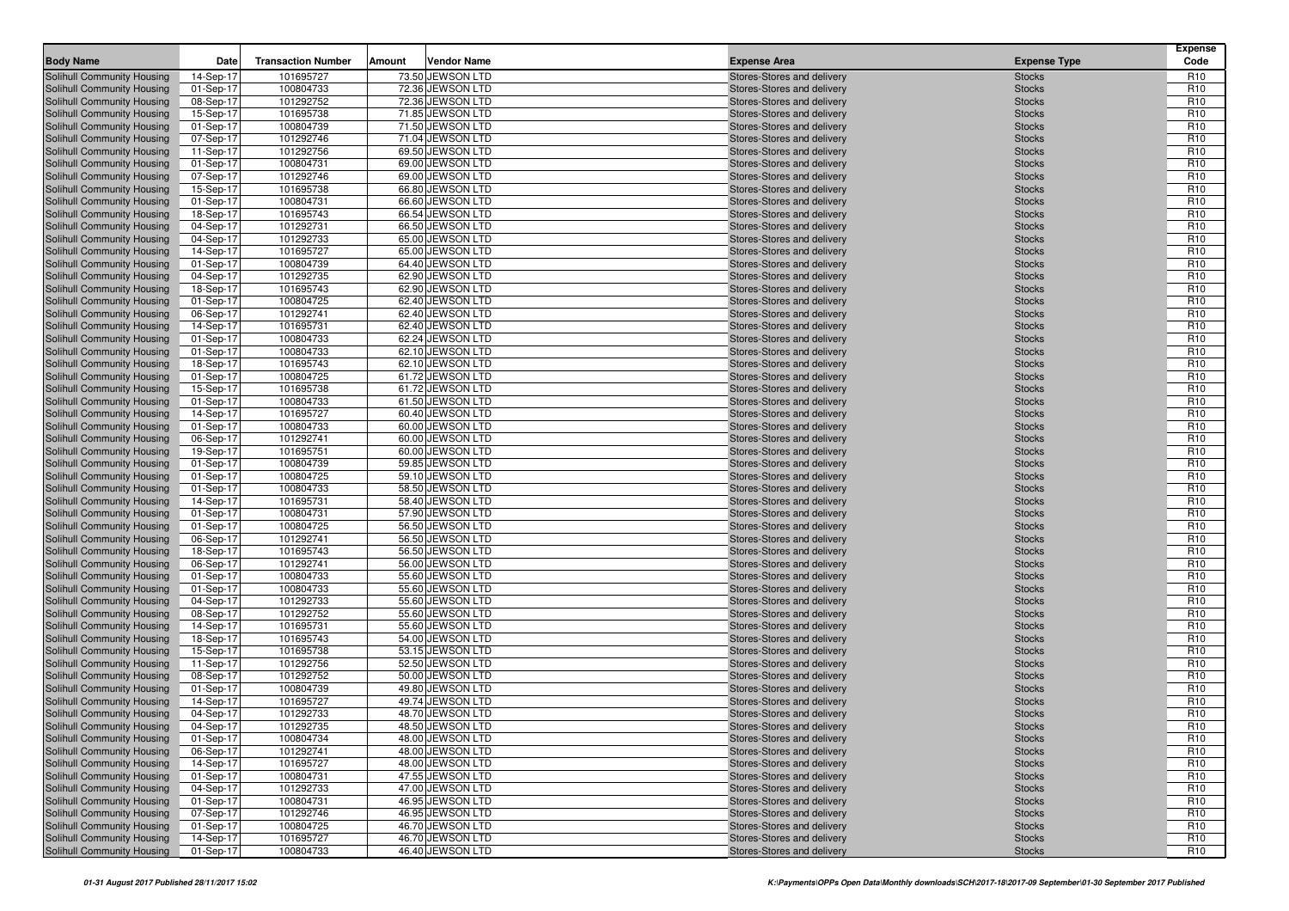|                                                                 |                        |                           |        |                                      |                                                          |                                | <b>Expense</b>                     |
|-----------------------------------------------------------------|------------------------|---------------------------|--------|--------------------------------------|----------------------------------------------------------|--------------------------------|------------------------------------|
| <b>Body Name</b>                                                | Date                   | <b>Transaction Number</b> | Amount | <b>Vendor Name</b>                   | <b>Expense Area</b>                                      | <b>Expense Type</b>            | Code                               |
| Solihull Community Housing                                      | 14-Sep-17              | 101695727                 |        | 73.50 JEWSON LTD                     | Stores-Stores and delivery                               | <b>Stocks</b>                  | R <sub>10</sub>                    |
| Solihull Community Housing                                      | 01-Sep-17              | 100804733                 |        | 72.36 JEWSON LTD<br>72.36 JEWSON LTD | Stores-Stores and delivery                               | <b>Stocks</b>                  | R <sub>10</sub><br>R <sub>10</sub> |
| Solihull Community Housing<br>Solihull Community Housing        | 08-Sep-17<br>15-Sep-17 | 101292752<br>101695738    |        | 71.85 JEWSON LTD                     | Stores-Stores and delivery<br>Stores-Stores and delivery | <b>Stocks</b><br><b>Stocks</b> | R <sub>10</sub>                    |
| Solihull Community Housing                                      | 01-Sep-17              | 100804739                 |        | 71.50 JEWSON LTD                     | Stores-Stores and delivery                               | <b>Stocks</b>                  | R <sub>10</sub>                    |
| Solihull Community Housing                                      | 07-Sep-17              | 101292746                 |        | 71.04 JEWSON LTD                     | Stores-Stores and delivery                               | <b>Stocks</b>                  | R <sub>10</sub>                    |
| Solihull Community Housing                                      | 11-Sep-17              | 101292756                 |        | 69.50 JEWSON LTD                     | Stores-Stores and delivery                               | <b>Stocks</b>                  | R <sub>10</sub>                    |
| Solihull Community Housing                                      | 01-Sep-17              | 100804731                 |        | 69.00 JEWSON LTD                     | Stores-Stores and delivery                               | <b>Stocks</b>                  | R <sub>10</sub>                    |
| Solihull Community Housing                                      | 07-Sep-17              | 101292746                 |        | 69.00 JEWSON LTD                     | Stores-Stores and delivery                               | <b>Stocks</b>                  | R <sub>10</sub>                    |
| Solihull Community Housing                                      | 15-Sep-17              | 101695738                 |        | 66.80 JEWSON LTD                     | Stores-Stores and delivery                               | <b>Stocks</b>                  | R <sub>10</sub>                    |
| Solihull Community Housing                                      | 01-Sep-17              | 100804731                 |        | 66.60 JEWSON LTD                     | Stores-Stores and delivery                               | <b>Stocks</b>                  | R <sub>10</sub>                    |
| Solihull Community Housing                                      | 18-Sep-17              | 101695743                 |        | 66.54 JEWSON LTD                     | Stores-Stores and delivery                               | <b>Stocks</b>                  | R <sub>10</sub>                    |
| Solihull Community Housing                                      | 04-Sep-17              | 101292731                 |        | 66.50 JEWSON LTD                     | Stores-Stores and delivery                               | <b>Stocks</b>                  | R <sub>10</sub>                    |
| Solihull Community Housing                                      | 04-Sep-17              | 101292733                 |        | 65.00 JEWSON LTD                     | Stores-Stores and delivery                               | <b>Stocks</b>                  | R <sub>10</sub>                    |
| Solihull Community Housing                                      | 14-Sep-17              | 101695727                 |        | 65.00 JEWSON LTD                     | Stores-Stores and delivery                               | <b>Stocks</b>                  | R <sub>10</sub>                    |
| Solihull Community Housing                                      | 01-Sep-17              | 100804739                 |        | 64.40 JEWSON LTD                     | Stores-Stores and delivery                               | <b>Stocks</b>                  | R <sub>10</sub>                    |
| Solihull Community Housing                                      | 04-Sep-17              | 101292735                 |        | 62.90 JEWSON LTD                     | Stores-Stores and delivery                               | <b>Stocks</b>                  | R <sub>10</sub>                    |
| Solihull Community Housing                                      | 18-Sep-17              | 101695743                 |        | 62.90 JEWSON LTD                     | Stores-Stores and delivery                               | <b>Stocks</b>                  | R <sub>10</sub>                    |
| Solihull Community Housing                                      | 01-Sep-17              | 100804725                 |        | 62.40 JEWSON LTD                     | Stores-Stores and delivery                               | <b>Stocks</b>                  | R <sub>10</sub>                    |
| Solihull Community Housing                                      | 06-Sep-17              | 101292741<br>101695731    |        | 62.40 JEWSON LTD                     | Stores-Stores and delivery                               | <b>Stocks</b>                  | R <sub>10</sub><br>R <sub>10</sub> |
| Solihull Community Housing<br>Solihull Community Housing        | 14-Sep-17<br>01-Sep-17 | 100804733                 |        | 62.40 JEWSON LTD<br>62.24 JEWSON LTD | Stores-Stores and delivery<br>Stores-Stores and delivery | <b>Stocks</b><br><b>Stocks</b> | R <sub>10</sub>                    |
| Solihull Community Housing                                      | 01-Sep-17              | 100804733                 |        | 62.10 JEWSON LTD                     | Stores-Stores and delivery                               | <b>Stocks</b>                  | R <sub>10</sub>                    |
| Solihull Community Housing                                      | 18-Sep-17              | 101695743                 |        | 62.10 JEWSON LTD                     | Stores-Stores and delivery                               | <b>Stocks</b>                  | R <sub>10</sub>                    |
| Solihull Community Housing                                      | 01-Sep-17              | 100804725                 |        | 61.72 JEWSON LTD                     | Stores-Stores and delivery                               | <b>Stocks</b>                  | R <sub>10</sub>                    |
| Solihull Community Housing                                      | 15-Sep-17              | 101695738                 |        | 61.72 JEWSON LTD                     | Stores-Stores and delivery                               | <b>Stocks</b>                  | R <sub>10</sub>                    |
| Solihull Community Housing                                      | 01-Sep-17              | 100804733                 |        | 61.50 JEWSON LTD                     | Stores-Stores and delivery                               | <b>Stocks</b>                  | R <sub>10</sub>                    |
| Solihull Community Housing                                      | 14-Sep-17              | 101695727                 |        | 60.40 JEWSON LTD                     | Stores-Stores and delivery                               | <b>Stocks</b>                  | R <sub>10</sub>                    |
| Solihull Community Housing                                      | 01-Sep-17              | 100804733                 |        | 60.00 JEWSON LTD                     | Stores-Stores and delivery                               | <b>Stocks</b>                  | R <sub>10</sub>                    |
| Solihull Community Housing                                      | 06-Sep-17              | 101292741                 |        | 60.00 JEWSON LTD                     | Stores-Stores and delivery                               | <b>Stocks</b>                  | R <sub>10</sub>                    |
| Solihull Community Housing                                      | 19-Sep-17              | 101695751                 |        | 60.00 JEWSON LTD                     | Stores-Stores and delivery                               | <b>Stocks</b>                  | R <sub>10</sub>                    |
| Solihull Community Housing                                      | 01-Sep-17              | 100804739                 |        | 59.85 JEWSON LTD                     | Stores-Stores and delivery                               | <b>Stocks</b>                  | R <sub>10</sub>                    |
| Solihull Community Housing                                      | 01-Sep-17              | 100804725                 |        | 59.10 JEWSON LTD                     | Stores-Stores and delivery                               | <b>Stocks</b>                  | R <sub>10</sub>                    |
| Solihull Community Housing                                      | 01-Sep-17              | 100804733                 |        | 58.50 JEWSON LTD                     | Stores-Stores and delivery                               | <b>Stocks</b>                  | R <sub>10</sub>                    |
| Solihull Community Housing                                      | 14-Sep-17              | 101695731                 |        | 58.40 JEWSON LTD                     | Stores-Stores and delivery                               | <b>Stocks</b>                  | R <sub>10</sub>                    |
| Solihull Community Housing<br>Solihull Community Housing        | 01-Sep-17<br>01-Sep-17 | 100804731<br>100804725    |        | 57.90 JEWSON LTD<br>56.50 JEWSON LTD | Stores-Stores and delivery<br>Stores-Stores and delivery | <b>Stocks</b><br><b>Stocks</b> | R <sub>10</sub><br>R <sub>10</sub> |
| Solihull Community Housing                                      | 06-Sep-17              | 101292741                 |        | 56.50 JEWSON LTD                     | Stores-Stores and delivery                               | <b>Stocks</b>                  | R <sub>10</sub>                    |
| Solihull Community Housing                                      | 18-Sep-17              | 101695743                 |        | 56.50 JEWSON LTD                     | Stores-Stores and delivery                               | <b>Stocks</b>                  | R <sub>10</sub>                    |
| Solihull Community Housing                                      | 06-Sep-17              | 101292741                 |        | 56.00 JEWSON LTD                     | Stores-Stores and delivery                               | <b>Stocks</b>                  | R <sub>10</sub>                    |
| Solihull Community Housing                                      | 01-Sep-17              | 100804733                 |        | 55.60 JEWSON LTD                     | Stores-Stores and delivery                               | <b>Stocks</b>                  | R <sub>10</sub>                    |
| Solihull Community Housing                                      | 01-Sep-17              | 100804733                 |        | 55.60 JEWSON LTD                     | Stores-Stores and delivery                               | <b>Stocks</b>                  | R <sub>10</sub>                    |
| Solihull Community Housing                                      | 04-Sep-17              | 101292733                 |        | 55.60 JEWSON LTD                     | Stores-Stores and delivery                               | <b>Stocks</b>                  | R <sub>10</sub>                    |
| Solihull Community Housing                                      | 08-Sep-17              | 101292752                 |        | 55.60 JEWSON LTD                     | Stores-Stores and delivery                               | <b>Stocks</b>                  | R <sub>10</sub>                    |
| Solihull Community Housing                                      | 14-Sep-17              | 101695731                 |        | 55.60 JEWSON LTD                     | Stores-Stores and delivery                               | <b>Stocks</b>                  | R <sub>10</sub>                    |
| Solihull Community Housing                                      | 18-Sep-17              | 101695743                 |        | 54.00 JEWSON LTD                     | Stores-Stores and delivery                               | <b>Stocks</b>                  | R <sub>10</sub>                    |
| Solihull Community Housing                                      | 15-Sep-17              | 101695738                 |        | 53.15 JEWSON LTD                     | Stores-Stores and delivery                               | <b>Stocks</b>                  | R <sub>10</sub>                    |
| Solihull Community Housing                                      | 11-Sep-17              | 101292756                 |        | 52.50 JEWSON LTD                     | Stores-Stores and delivery                               | <b>Stocks</b>                  | R <sub>10</sub>                    |
| Solihull Community Housing                                      | 08-Sep-17              | 101292752                 |        | 50.00 JEWSON LTD                     | Stores-Stores and delivery                               | <b>Stocks</b>                  | R <sub>10</sub>                    |
| Solihull Community Housing                                      | 01-Sep-17              | 100804739                 |        | 49.80 JEWSON LTD                     | Stores-Stores and delivery                               | <b>Stocks</b>                  | R <sub>10</sub>                    |
| Solihull Community Housing                                      | 14-Sep-17              | 101695727                 |        | 49.74 JEWSON LTD                     | Stores-Stores and delivery<br>Stores-Stores and delivery | <b>Stocks</b>                  | R <sub>10</sub>                    |
| <b>Solihull Community Housing</b><br>Solihull Community Housing | 04-Sep-17<br>04-Sep-17 | 101292733<br>101292735    |        | 48.70 JEWSON LTD<br>48.50 JEWSON LTD | Stores-Stores and delivery                               | <b>Stocks</b><br><b>Stocks</b> | R <sub>10</sub><br>R <sub>10</sub> |
| <b>Solihull Community Housing</b>                               | 01-Sep-17              | 100804734                 |        | 48.00 JEWSON LTD                     | Stores-Stores and delivery                               | <b>Stocks</b>                  | R <sub>10</sub>                    |
| Solihull Community Housing                                      | 06-Sep-17              | 101292741                 |        | 48.00 JEWSON LTD                     | Stores-Stores and delivery                               | <b>Stocks</b>                  | R <sub>10</sub>                    |
| Solihull Community Housing                                      | 14-Sep-17              | 101695727                 |        | 48.00 JEWSON LTD                     | Stores-Stores and delivery                               | <b>Stocks</b>                  | R <sub>10</sub>                    |
| Solihull Community Housing                                      | 01-Sep-17              | 100804731                 |        | 47.55 JEWSON LTD                     | Stores-Stores and delivery                               | <b>Stocks</b>                  | R <sub>10</sub>                    |
| Solihull Community Housing                                      | 04-Sep-17              | 101292733                 |        | 47.00 JEWSON LTD                     | Stores-Stores and delivery                               | <b>Stocks</b>                  | R <sub>10</sub>                    |
| Solihull Community Housing                                      | 01-Sep-17              | 100804731                 |        | 46.95 JEWSON LTD                     | Stores-Stores and delivery                               | <b>Stocks</b>                  | R <sub>10</sub>                    |
| Solihull Community Housing                                      | 07-Sep-17              | 101292746                 |        | 46.95 JEWSON LTD                     | Stores-Stores and delivery                               | <b>Stocks</b>                  | R <sub>10</sub>                    |
| Solihull Community Housing                                      | 01-Sep-17              | 100804725                 |        | 46.70 JEWSON LTD                     | Stores-Stores and delivery                               | <b>Stocks</b>                  | R <sub>10</sub>                    |
| Solihull Community Housing                                      | 14-Sep-17              | 101695727                 |        | 46.70 JEWSON LTD                     | Stores-Stores and delivery                               | <b>Stocks</b>                  | R <sub>10</sub>                    |
| Solihull Community Housing                                      | 01-Sep-17              | 100804733                 |        | 46.40 JEWSON LTD                     | Stores-Stores and delivery                               | <b>Stocks</b>                  | R <sub>10</sub>                    |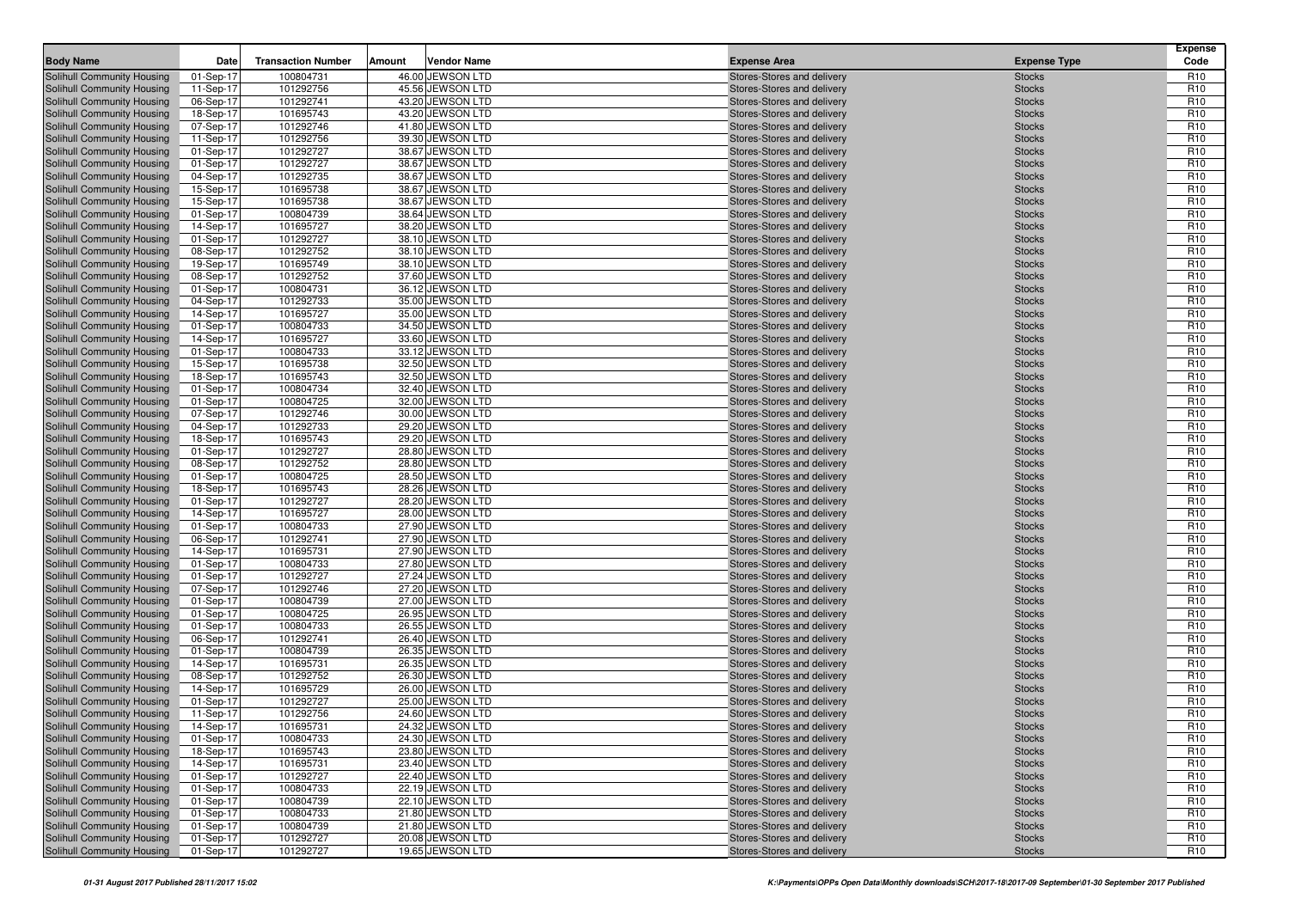| <b>Body Name</b>                                         | Date                   | <b>Transaction Number</b> | Amount | <b>Vendor Name</b>                   | <b>Expense Area</b>                                      | <b>Expense Type</b>            | <b>Expense</b><br>Code             |
|----------------------------------------------------------|------------------------|---------------------------|--------|--------------------------------------|----------------------------------------------------------|--------------------------------|------------------------------------|
| Solihull Community Housing                               | 01-Sep-17              | 100804731                 |        | 46.00 JEWSON LTD                     | Stores-Stores and delivery                               | <b>Stocks</b>                  | R <sub>10</sub>                    |
| Solihull Community Housing                               | 11-Sep-17              | 101292756                 |        | 45.56 JEWSON LTD                     | Stores-Stores and delivery                               | <b>Stocks</b>                  | R <sub>10</sub>                    |
| Solihull Community Housing                               | 06-Sep-17              | 101292741                 |        | 43.20 JEWSON LTD                     | Stores-Stores and delivery                               | <b>Stocks</b>                  | R <sub>10</sub>                    |
| Solihull Community Housing                               | 18-Sep-17              | 101695743                 |        | 43.20 JEWSON LTD                     | Stores-Stores and delivery                               | <b>Stocks</b>                  | R <sub>10</sub>                    |
| Solihull Community Housing                               | 07-Sep-17              | 101292746                 |        | 41.80 JEWSON LTD                     | Stores-Stores and delivery                               | <b>Stocks</b>                  | R <sub>10</sub>                    |
| Solihull Community Housing                               | 11-Sep-17              | 101292756                 |        | 39.30 JEWSON LTD                     | Stores-Stores and delivery                               | <b>Stocks</b>                  | R <sub>10</sub>                    |
| Solihull Community Housing                               | 01-Sep-17              | 101292727                 |        | 38.67 JEWSON LTD                     | Stores-Stores and delivery                               | <b>Stocks</b>                  | R <sub>10</sub>                    |
| Solihull Community Housing                               | 01-Sep-17              | 101292727                 |        | 38.67 JEWSON LTD                     | Stores-Stores and delivery                               | <b>Stocks</b>                  | R <sub>10</sub>                    |
| Solihull Community Housing                               | 04-Sep-17              | 101292735                 |        | 38.67 JEWSON LTD                     | Stores-Stores and delivery                               | <b>Stocks</b>                  | R <sub>10</sub>                    |
| Solihull Community Housing                               | 15-Sep-17              | 101695738                 |        | 38.67 JEWSON LTD                     | Stores-Stores and delivery                               | <b>Stocks</b>                  | R <sub>10</sub>                    |
| Solihull Community Housing                               | 15-Sep-17              | 101695738                 |        | 38.67 JEWSON LTD                     | Stores-Stores and delivery                               | <b>Stocks</b>                  | R <sub>10</sub>                    |
| Solihull Community Housing                               | 01-Sep-17              | 100804739                 |        | 38.64 JEWSON LTD                     | Stores-Stores and delivery                               | <b>Stocks</b>                  | R <sub>10</sub>                    |
| Solihull Community Housing                               | 14-Sep-17              | 101695727                 |        | 38.20 JEWSON LTD                     | Stores-Stores and delivery                               | <b>Stocks</b>                  | R <sub>10</sub>                    |
| <b>Solihull Community Housing</b>                        | 01-Sep-17              | 101292727                 |        | 38.10 JEWSON LTD                     | Stores-Stores and delivery                               | <b>Stocks</b>                  | R <sub>10</sub>                    |
| Solihull Community Housing                               | 08-Sep-17              | 101292752                 |        | 38.10 JEWSON LTD                     | Stores-Stores and delivery                               | <b>Stocks</b>                  | R <sub>10</sub>                    |
| Solihull Community Housing                               | 19-Sep-17              | 101695749                 |        | 38.10 JEWSON LTD                     | Stores-Stores and delivery                               | <b>Stocks</b>                  | R <sub>10</sub>                    |
| Solihull Community Housing                               | 08-Sep-17              | 101292752                 |        | 37.60 JEWSON LTD                     | Stores-Stores and delivery                               | <b>Stocks</b>                  | R <sub>10</sub>                    |
| Solihull Community Housing                               | 01-Sep-17              | 100804731                 |        | 36.12 JEWSON LTD                     | Stores-Stores and delivery                               | <b>Stocks</b>                  | R <sub>10</sub>                    |
| Solihull Community Housing                               | 04-Sep-17              | 101292733                 |        | 35.00 JEWSON LTD                     | Stores-Stores and delivery                               | <b>Stocks</b>                  | R <sub>10</sub>                    |
| Solihull Community Housing                               | 14-Sep-17              | 101695727                 |        | 35.00 JEWSON LTD                     | Stores-Stores and delivery                               | <b>Stocks</b>                  | R <sub>10</sub>                    |
| Solihull Community Housing                               | 01-Sep-17              | 100804733                 |        | 34.50 JEWSON LTD                     | Stores-Stores and delivery                               | <b>Stocks</b>                  | R <sub>10</sub>                    |
| Solihull Community Housing                               | 14-Sep-17              | 101695727                 |        | 33.60 JEWSON LTD                     | Stores-Stores and delivery                               | <b>Stocks</b>                  | R <sub>10</sub>                    |
| <b>Solihull Community Housing</b>                        | 01-Sep-17              | 100804733                 |        | 33.12 JEWSON LTD                     | Stores-Stores and delivery                               | <b>Stocks</b>                  | R <sub>10</sub>                    |
| Solihull Community Housing                               | 15-Sep-17              | 101695738                 |        | 32.50 JEWSON LTD                     | Stores-Stores and delivery                               | <b>Stocks</b>                  | R <sub>10</sub>                    |
| Solihull Community Housing                               | 18-Sep-17              | 101695743                 |        | 32.50 JEWSON LTD                     | Stores-Stores and delivery                               | <b>Stocks</b>                  | R <sub>10</sub>                    |
| Solihull Community Housing                               | 01-Sep-17              | 100804734                 |        | 32.40 JEWSON LTD                     | Stores-Stores and delivery                               | <b>Stocks</b>                  | R <sub>10</sub>                    |
| Solihull Community Housing                               | 01-Sep-17              | 100804725                 |        | 32.00 JEWSON LTD                     | Stores-Stores and delivery                               | <b>Stocks</b>                  | R <sub>10</sub>                    |
| Solihull Community Housing                               | 07-Sep-17              | 101292746                 |        | 30.00 JEWSON LTD                     | Stores-Stores and delivery                               | <b>Stocks</b>                  | R <sub>10</sub>                    |
| Solihull Community Housing                               | 04-Sep-17              | 101292733                 |        | 29.20 JEWSON LTD                     | Stores-Stores and delivery                               | <b>Stocks</b>                  | R <sub>10</sub>                    |
| Solihull Community Housing                               | 18-Sep-17              | 101695743                 |        | 29.20 JEWSON LTD                     | Stores-Stores and delivery                               | <b>Stocks</b>                  | R <sub>10</sub>                    |
| Solihull Community Housing                               | 01-Sep-17              | 101292727                 |        | 28.80 JEWSON LTD                     | Stores-Stores and delivery                               | <b>Stocks</b>                  | R <sub>10</sub>                    |
| Solihull Community Housing                               | 08-Sep-17              | 101292752                 |        | 28.80 JEWSON LTD                     | Stores-Stores and delivery                               | <b>Stocks</b>                  | R <sub>10</sub>                    |
| Solihull Community Housing                               | 01-Sep-17              | 100804725                 |        | 28.50 JEWSON LTD                     | Stores-Stores and delivery                               | <b>Stocks</b>                  | R <sub>10</sub>                    |
| Solihull Community Housing                               | 18-Sep-17              | 101695743                 |        | 28.26 JEWSON LTD                     | Stores-Stores and delivery                               | <b>Stocks</b>                  | R <sub>10</sub>                    |
| Solihull Community Housing<br>Solihull Community Housing | 01-Sep-17<br>14-Sep-17 | 101292727<br>101695727    |        | 28.20 JEWSON LTD<br>28.00 JEWSON LTD | Stores-Stores and delivery                               | <b>Stocks</b><br><b>Stocks</b> | R <sub>10</sub><br>R <sub>10</sub> |
| Solihull Community Housing                               | 01-Sep-17              | 100804733                 |        | 27.90 JEWSON LTD                     | Stores-Stores and delivery<br>Stores-Stores and delivery | <b>Stocks</b>                  | R <sub>10</sub>                    |
| Solihull Community Housing                               | 06-Sep-17              | 101292741                 |        | 27.90 JEWSON LTD                     | Stores-Stores and delivery                               | <b>Stocks</b>                  | R <sub>10</sub>                    |
| Solihull Community Housing                               | 14-Sep-17              | 101695731                 |        | 27.90 JEWSON LTD                     | Stores-Stores and delivery                               | <b>Stocks</b>                  | R <sub>10</sub>                    |
| Solihull Community Housing                               | 01-Sep-17              | 100804733                 |        | 27.80 JEWSON LTD                     | Stores-Stores and delivery                               | <b>Stocks</b>                  | R <sub>10</sub>                    |
| Solihull Community Housing                               | 01-Sep-17              | 101292727                 |        | 27.24 JEWSON LTD                     | Stores-Stores and delivery                               | <b>Stocks</b>                  | R <sub>10</sub>                    |
| Solihull Community Housing                               | 07-Sep-17              | 101292746                 |        | 27.20 JEWSON LTD                     | Stores-Stores and delivery                               | <b>Stocks</b>                  | R <sub>10</sub>                    |
| Solihull Community Housing                               | 01-Sep-17              | 100804739                 |        | 27.00 JEWSON LTD                     | Stores-Stores and delivery                               | <b>Stocks</b>                  | R <sub>10</sub>                    |
| Solihull Community Housing                               | 01-Sep-17              | 100804725                 |        | 26.95 JEWSON LTD                     | Stores-Stores and delivery                               | <b>Stocks</b>                  | R <sub>10</sub>                    |
| Solihull Community Housing                               | 01-Sep-17              | 100804733                 |        | 26.55 JEWSON LTD                     | Stores-Stores and delivery                               | <b>Stocks</b>                  | R <sub>10</sub>                    |
| Solihull Community Housing                               | 06-Sep-17              | 101292741                 |        | 26.40 JEWSON LTD                     | Stores-Stores and delivery                               | <b>Stocks</b>                  | R <sub>10</sub>                    |
| Solihull Community Housing                               | 01-Sep-17              | 100804739                 |        | 26.35 JEWSON LTD                     | Stores-Stores and delivery                               | <b>Stocks</b>                  | R <sub>10</sub>                    |
| <b>Solihull Community Housing</b>                        | 14-Sep-17              | 101695731                 |        | 26.35 JEWSON LTD                     | Stores-Stores and delivery                               | <b>Stocks</b>                  | R <sub>10</sub>                    |
| Solihull Community Housing                               | 08-Sep-17              | 101292752                 |        | 26.30 JEWSON LTD                     | Stores-Stores and delivery                               | <b>Stocks</b>                  | R <sub>10</sub>                    |
| Solihull Community Housing                               | 14-Sep-17              | 101695729                 |        | 26.00 JEWSON LTD                     | Stores-Stores and delivery                               | <b>Stocks</b>                  | R <sub>10</sub>                    |
| Solihull Community Housing                               | 01-Sep-17              | 101292727                 |        | 25.00 JEWSON LTD                     | Stores-Stores and delivery                               | <b>Stocks</b>                  | R <sub>10</sub>                    |
| Solihull Community Housing                               | 11-Sep-17              | 101292756                 |        | 24.60 JEWSON LTD                     | Stores-Stores and delivery                               | <b>Stocks</b>                  | R <sub>10</sub>                    |
| Solihull Community Housing                               | 14-Sep-17              | 101695731                 |        | 24.32 JEWSON LTD                     | Stores-Stores and delivery                               | <b>Stocks</b>                  | R <sub>10</sub>                    |
| Solihull Community Housing                               | 01-Sep-17              | 100804733                 |        | 24.30 JEWSON LTD                     | Stores-Stores and delivery                               | <b>Stocks</b>                  | R <sub>10</sub>                    |
| Solihull Community Housing                               | 18-Sep-17              | 101695743                 |        | 23.80 JEWSON LTD                     | Stores-Stores and delivery                               | <b>Stocks</b>                  | R <sub>10</sub>                    |
| Solihull Community Housing                               | 14-Sep-17              | 101695731                 |        | 23.40 JEWSON LTD                     | Stores-Stores and delivery                               | <b>Stocks</b>                  | R <sub>10</sub>                    |
| Solihull Community Housing                               | 01-Sep-17              | 101292727                 |        | 22.40 JEWSON LTD                     | Stores-Stores and delivery                               | <b>Stocks</b>                  | R <sub>10</sub>                    |
| Solihull Community Housing                               | 01-Sep-17              | 100804733                 |        | 22.19 JEWSON LTD                     | Stores-Stores and delivery                               | <b>Stocks</b>                  | R <sub>10</sub>                    |
| Solihull Community Housing                               | 01-Sep-17              | 100804739                 |        | 22.10 JEWSON LTD                     | Stores-Stores and delivery                               | <b>Stocks</b>                  | R <sub>10</sub>                    |
| Solihull Community Housing                               | 01-Sep-17              | 100804733                 |        | 21.80 JEWSON LTD                     | Stores-Stores and delivery                               | <b>Stocks</b>                  | R <sub>10</sub>                    |
| Solihull Community Housing                               | 01-Sep-17              | 100804739                 |        | 21.80 JEWSON LTD                     | Stores-Stores and delivery                               | <b>Stocks</b>                  | R <sub>10</sub>                    |
| Solihull Community Housing                               | 01-Sep-17              | 101292727                 |        | 20.08 JEWSON LTD                     | Stores-Stores and delivery                               | <b>Stocks</b>                  | R <sub>10</sub>                    |
| Solihull Community Housing                               | 01-Sep-17              | 101292727                 |        | 19.65 JEWSON LTD                     | Stores-Stores and delivery                               | <b>Stocks</b>                  | R <sub>10</sub>                    |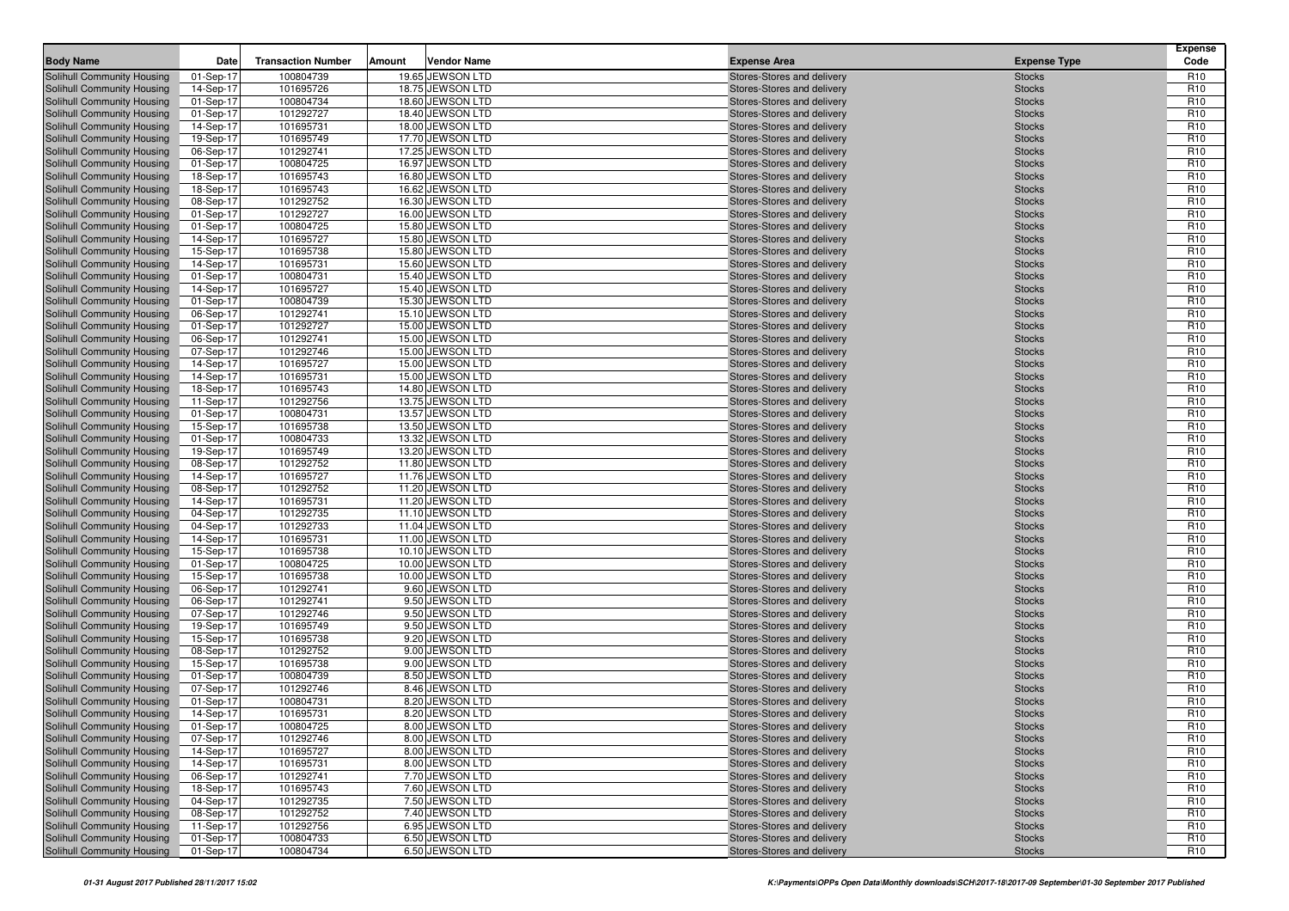| <b>Body Name</b>                  | Date      | <b>Transaction Number</b> | Amount | <b>Vendor Name</b> | <b>Expense Area</b>        | <b>Expense Type</b> | <b>Expense</b><br>Code |
|-----------------------------------|-----------|---------------------------|--------|--------------------|----------------------------|---------------------|------------------------|
| Solihull Community Housing        | 01-Sep-17 | 100804739                 |        | 19.65 JEWSON LTD   | Stores-Stores and delivery | <b>Stocks</b>       | R <sub>10</sub>        |
| Solihull Community Housing        | 14-Sep-17 | 101695726                 |        | 18.75 JEWSON LTD   | Stores-Stores and delivery | <b>Stocks</b>       | R <sub>10</sub>        |
| Solihull Community Housing        | 01-Sep-17 | 100804734                 |        | 18.60 JEWSON LTD   | Stores-Stores and delivery | <b>Stocks</b>       | R <sub>10</sub>        |
| Solihull Community Housing        | 01-Sep-17 | 101292727                 |        | 18.40 JEWSON LTD   | Stores-Stores and delivery | <b>Stocks</b>       | R <sub>10</sub>        |
| Solihull Community Housing        | 14-Sep-17 | 101695731                 |        | 18.00 JEWSON LTD   | Stores-Stores and delivery | <b>Stocks</b>       | R <sub>10</sub>        |
| Solihull Community Housing        | 19-Sep-17 | 101695749                 |        | 17.70 JEWSON LTD   | Stores-Stores and delivery | <b>Stocks</b>       | R <sub>10</sub>        |
| Solihull Community Housing        | 06-Sep-17 | 101292741                 |        | 17.25 JEWSON LTD   | Stores-Stores and delivery | <b>Stocks</b>       | R <sub>10</sub>        |
| Solihull Community Housing        | 01-Sep-17 | 100804725                 |        | 16.97 JEWSON LTD   | Stores-Stores and delivery | <b>Stocks</b>       | R <sub>10</sub>        |
| Solihull Community Housing        | 18-Sep-17 | 101695743                 |        | 16.80 JEWSON LTD   | Stores-Stores and delivery | <b>Stocks</b>       | R <sub>10</sub>        |
| Solihull Community Housing        | 18-Sep-17 | 101695743                 |        | 16.62 JEWSON LTD   | Stores-Stores and delivery | <b>Stocks</b>       | R <sub>10</sub>        |
| Solihull Community Housing        | 08-Sep-17 | 101292752                 |        | 16.30 JEWSON LTD   | Stores-Stores and delivery | <b>Stocks</b>       | R <sub>10</sub>        |
| Solihull Community Housing        | 01-Sep-17 | 101292727                 |        | 16.00 JEWSON LTD   | Stores-Stores and delivery | <b>Stocks</b>       | R <sub>10</sub>        |
| Solihull Community Housing        | 01-Sep-17 | 100804725                 |        | 15.80 JEWSON LTD   | Stores-Stores and delivery | <b>Stocks</b>       | R <sub>10</sub>        |
| <b>Solihull Community Housing</b> | 14-Sep-17 | 101695727                 |        | 15.80 JEWSON LTD   | Stores-Stores and delivery | <b>Stocks</b>       | R <sub>10</sub>        |
| Solihull Community Housing        | 15-Sep-17 | 101695738                 |        | 15.80 JEWSON LTD   | Stores-Stores and delivery | <b>Stocks</b>       | R <sub>10</sub>        |
| Solihull Community Housing        | 14-Sep-17 | 101695731                 |        | 15.60 JEWSON LTD   | Stores-Stores and delivery | <b>Stocks</b>       | R <sub>10</sub>        |
| Solihull Community Housing        | 01-Sep-17 | 100804731                 |        | 15.40 JEWSON LTD   | Stores-Stores and delivery | <b>Stocks</b>       | R <sub>10</sub>        |
| Solihull Community Housing        | 14-Sep-17 | 101695727                 |        | 15.40 JEWSON LTD   | Stores-Stores and delivery | <b>Stocks</b>       | R <sub>10</sub>        |
| Solihull Community Housing        | 01-Sep-17 | 100804739                 |        | 15.30 JEWSON LTD   | Stores-Stores and delivery | <b>Stocks</b>       | R <sub>10</sub>        |
| Solihull Community Housing        | 06-Sep-17 | 101292741                 |        | 15.10 JEWSON LTD   | Stores-Stores and delivery | <b>Stocks</b>       | R <sub>10</sub>        |
| Solihull Community Housing        | 01-Sep-17 | 101292727                 |        | 15.00 JEWSON LTD   | Stores-Stores and delivery | <b>Stocks</b>       | R <sub>10</sub>        |
| Solihull Community Housing        | 06-Sep-17 | 101292741                 |        | 15.00 JEWSON LTD   | Stores-Stores and delivery | <b>Stocks</b>       | R <sub>10</sub>        |
| Solihull Community Housing        | 07-Sep-17 | 101292746                 |        | 15.00 JEWSON LTD   | Stores-Stores and delivery | <b>Stocks</b>       | R <sub>10</sub>        |
| Solihull Community Housing        | 14-Sep-17 | 101695727                 |        | 15.00 JEWSON LTD   | Stores-Stores and delivery | <b>Stocks</b>       | R <sub>10</sub>        |
| Solihull Community Housing        | 14-Sep-17 | 101695731                 |        | 15.00 JEWSON LTD   | Stores-Stores and delivery | <b>Stocks</b>       | R <sub>10</sub>        |
| Solihull Community Housing        | 18-Sep-17 | 101695743                 |        | 14.80 JEWSON LTD   | Stores-Stores and delivery | <b>Stocks</b>       | R <sub>10</sub>        |
| Solihull Community Housing        | 11-Sep-17 | 101292756                 |        | 13.75 JEWSON LTD   | Stores-Stores and delivery | <b>Stocks</b>       | R <sub>10</sub>        |
| Solihull Community Housing        | 01-Sep-17 | 100804731                 |        | 13.57 JEWSON LTD   | Stores-Stores and delivery | <b>Stocks</b>       | R <sub>10</sub>        |
| Solihull Community Housing        | 15-Sep-17 | 101695738                 |        | 13.50 JEWSON LTD   | Stores-Stores and delivery | <b>Stocks</b>       | R <sub>10</sub>        |
| Solihull Community Housing        | 01-Sep-17 | 100804733                 |        | 13.32 JEWSON LTD   | Stores-Stores and delivery | <b>Stocks</b>       | R <sub>10</sub>        |
| Solihull Community Housing        | 19-Sep-17 | 101695749                 |        | 13.20 JEWSON LTD   | Stores-Stores and delivery | <b>Stocks</b>       | R <sub>10</sub>        |
| Solihull Community Housing        | 08-Sep-17 | 101292752                 |        | 11.80 JEWSON LTD   | Stores-Stores and delivery | <b>Stocks</b>       | R <sub>10</sub>        |
| Solihull Community Housing        | 14-Sep-17 | 101695727                 |        | 11.76 JEWSON LTD   | Stores-Stores and delivery | <b>Stocks</b>       | R <sub>10</sub>        |
| Solihull Community Housing        | 08-Sep-17 | 101292752                 |        | 11.20 JEWSON LTD   | Stores-Stores and delivery | <b>Stocks</b>       | R <sub>10</sub>        |
| Solihull Community Housing        | 14-Sep-17 | 101695731                 |        | 11.20 JEWSON LTD   | Stores-Stores and delivery | <b>Stocks</b>       | R <sub>10</sub>        |
| Solihull Community Housing        | 04-Sep-17 | 101292735                 |        | 11.10 JEWSON LTD   | Stores-Stores and delivery | <b>Stocks</b>       | R <sub>10</sub>        |
| Solihull Community Housing        | 04-Sep-17 | 101292733                 |        | 11.04 JEWSON LTD   | Stores-Stores and delivery | <b>Stocks</b>       | R <sub>10</sub>        |
| Solihull Community Housing        | 14-Sep-17 | 101695731                 |        | 11.00 JEWSON LTD   | Stores-Stores and delivery | <b>Stocks</b>       | R <sub>10</sub>        |
| Solihull Community Housing        | 15-Sep-17 | 101695738                 |        | 10.10 JEWSON LTD   | Stores-Stores and delivery | <b>Stocks</b>       | R <sub>10</sub>        |
| Solihull Community Housing        | 01-Sep-17 | 100804725                 |        | 10.00 JEWSON LTD   | Stores-Stores and delivery | <b>Stocks</b>       | R <sub>10</sub>        |
| Solihull Community Housing        | 15-Sep-17 | 101695738                 |        | 10.00 JEWSON LTD   | Stores-Stores and delivery | <b>Stocks</b>       | R <sub>10</sub>        |
| Solihull Community Housing        | 06-Sep-17 | 101292741                 |        | 9.60 JEWSON LTD    | Stores-Stores and delivery | <b>Stocks</b>       | R <sub>10</sub>        |
| Solihull Community Housing        | 06-Sep-17 | 101292741                 |        | 9.50 JEWSON LTD    | Stores-Stores and delivery | <b>Stocks</b>       | R <sub>10</sub>        |
| Solihull Community Housing        | 07-Sep-17 | 101292746                 |        | 9.50 JEWSON LTD    | Stores-Stores and delivery | <b>Stocks</b>       | R <sub>10</sub>        |
| Solihull Community Housing        | 19-Sep-17 | 101695749                 |        | 9.50 JEWSON LTD    | Stores-Stores and delivery | <b>Stocks</b>       | R <sub>10</sub>        |
| Solihull Community Housing        | 15-Sep-17 | 101695738                 |        | 9.20 JEWSON LTD    | Stores-Stores and delivery | <b>Stocks</b>       | R <sub>10</sub>        |
| Solihull Community Housing        | 08-Sep-17 | 101292752                 |        | 9.00 JEWSON LTD    | Stores-Stores and delivery | <b>Stocks</b>       | R <sub>10</sub>        |
| <b>Solihull Community Housing</b> | 15-Sep-17 | 101695738                 |        | 9.00 JEWSON LTD    | Stores-Stores and delivery | <b>Stocks</b>       | R <sub>10</sub>        |
| Solihull Community Housing        | 01-Sep-17 | 100804739                 |        | 8.50 JEWSON LTD    | Stores-Stores and delivery | <b>Stocks</b>       | R <sub>10</sub>        |
| Solihull Community Housing        | 07-Sep-17 | 101292746                 |        | 8.46 JEWSON LTD    | Stores-Stores and delivery | <b>Stocks</b>       | R <sub>10</sub>        |
| Solihull Community Housing        | 01-Sep-17 | 100804731                 |        | 8.20 JEWSON LTD    | Stores-Stores and delivery | <b>Stocks</b>       | R <sub>10</sub>        |
| Solihull Community Housing        | 14-Sep-17 | 101695731                 |        | 8.20 JEWSON LTD    | Stores-Stores and delivery | <b>Stocks</b>       | R <sub>10</sub>        |
| Solihull Community Housing        | 01-Sep-17 | 100804725                 |        | 8.00 JEWSON LTD    | Stores-Stores and delivery | <b>Stocks</b>       | R <sub>10</sub>        |
| Solihull Community Housing        | 07-Sep-17 | 101292746                 |        | 8.00 JEWSON LTD    | Stores-Stores and delivery | <b>Stocks</b>       | R <sub>10</sub>        |
| Solihull Community Housing        | 14-Sep-17 | 101695727                 |        | 8.00 JEWSON LTD    | Stores-Stores and delivery | <b>Stocks</b>       | R <sub>10</sub>        |
| Solihull Community Housing        | 14-Sep-17 | 101695731                 |        | 8.00 JEWSON LTD    | Stores-Stores and delivery | <b>Stocks</b>       | R <sub>10</sub>        |
| Solihull Community Housing        | 06-Sep-17 | 101292741                 |        | 7.70 JEWSON LTD    | Stores-Stores and delivery | <b>Stocks</b>       | R <sub>10</sub>        |
| Solihull Community Housing        | 18-Sep-17 | 101695743                 |        | 7.60 JEWSON LTD    | Stores-Stores and delivery | <b>Stocks</b>       | R <sub>10</sub>        |
| Solihull Community Housing        | 04-Sep-17 | 101292735                 |        | 7.50 JEWSON LTD    | Stores-Stores and delivery | <b>Stocks</b>       | R <sub>10</sub>        |
| Solihull Community Housing        | 08-Sep-17 | 101292752                 |        | 7.40 JEWSON LTD    | Stores-Stores and delivery | <b>Stocks</b>       | R <sub>10</sub>        |
| Solihull Community Housing        | 11-Sep-17 | 101292756                 |        | 6.95 JEWSON LTD    | Stores-Stores and delivery | <b>Stocks</b>       | R <sub>10</sub>        |
| Solihull Community Housing        | 01-Sep-17 | 100804733                 |        | 6.50 JEWSON LTD    | Stores-Stores and delivery | <b>Stocks</b>       | R <sub>10</sub>        |
| Solihull Community Housing        | 01-Sep-17 | 100804734                 |        | 6.50 JEWSON LTD    | Stores-Stores and delivery | <b>Stocks</b>       | R <sub>10</sub>        |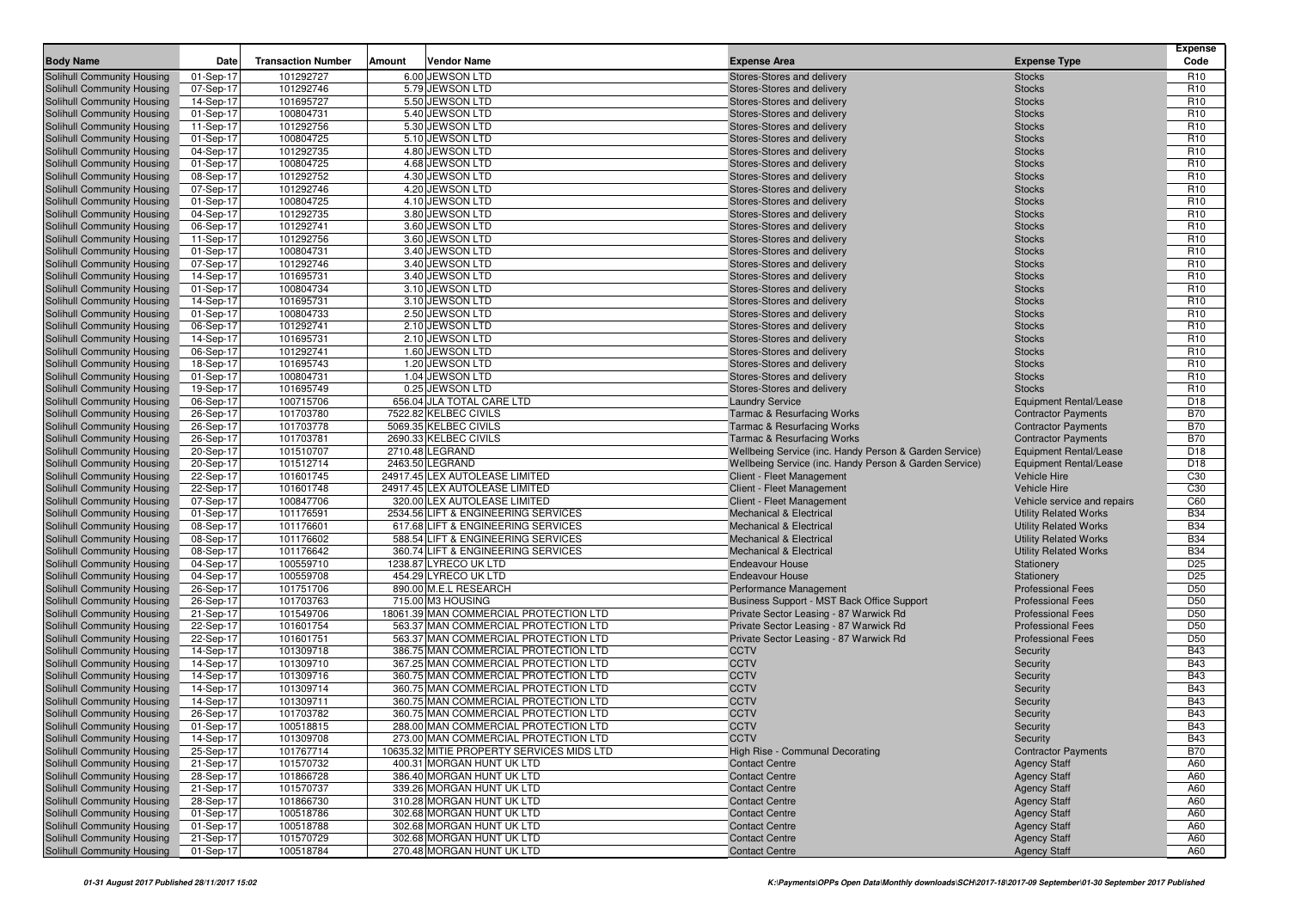|                                                          |                        |                           |        |                                                        |                                                              |                                            | <b>Expense</b>                     |
|----------------------------------------------------------|------------------------|---------------------------|--------|--------------------------------------------------------|--------------------------------------------------------------|--------------------------------------------|------------------------------------|
| <b>Body Name</b>                                         | Date                   | <b>Transaction Number</b> | Amount | <b>Vendor Name</b>                                     | <b>Expense Area</b>                                          | <b>Expense Type</b>                        | Code                               |
| Solihull Community Housing                               | 01-Sep-17              | 101292727                 |        | 6.00 JEWSON LTD                                        | Stores-Stores and delivery                                   | <b>Stocks</b>                              | R <sub>10</sub>                    |
| Solihull Community Housing                               | 07-Sep-17              | 101292746<br>101695727    |        | 5.79 JEWSON LTD<br>5.50 JEWSON LTD                     | Stores-Stores and delivery                                   | <b>Stocks</b>                              | R <sub>10</sub><br>R <sub>10</sub> |
| Solihull Community Housing<br>Solihull Community Housing | 14-Sep-17<br>01-Sep-17 | 100804731                 |        | 5.40 JEWSON LTD                                        | Stores-Stores and delivery<br>Stores-Stores and delivery     | <b>Stocks</b><br><b>Stocks</b>             | R <sub>10</sub>                    |
| Solihull Community Housing                               | 11-Sep-17              | 101292756                 |        | 5.30 JEWSON LTD                                        | Stores-Stores and delivery                                   | <b>Stocks</b>                              | R <sub>10</sub>                    |
| Solihull Community Housing                               | 01-Sep-17              | 100804725                 |        | 5.10 JEWSON LTD                                        | Stores-Stores and delivery                                   | <b>Stocks</b>                              | R <sub>10</sub>                    |
| Solihull Community Housing                               | 04-Sep-17              | 101292735                 |        | 4.80 JEWSON LTD                                        | Stores-Stores and delivery                                   | <b>Stocks</b>                              | R <sub>10</sub>                    |
| Solihull Community Housing                               | 01-Sep-17              | 100804725                 |        | 4.68 JEWSON LTD                                        | Stores-Stores and delivery                                   | <b>Stocks</b>                              | R <sub>10</sub>                    |
| Solihull Community Housing                               | 08-Sep-17              | 101292752                 |        | 4.30 JEWSON LTD                                        | Stores-Stores and delivery                                   | <b>Stocks</b>                              | R <sub>10</sub>                    |
| Solihull Community Housing                               | 07-Sep-17              | 101292746                 |        | 4.20 JEWSON LTD                                        | Stores-Stores and delivery                                   | <b>Stocks</b>                              | R <sub>10</sub>                    |
| Solihull Community Housing                               | 01-Sep-17              | 100804725                 |        | 4.10 JEWSON LTD                                        | Stores-Stores and delivery                                   | <b>Stocks</b>                              | R <sub>10</sub>                    |
| Solihull Community Housing                               | 04-Sep-17              | 101292735                 |        | 3.80 JEWSON LTD                                        | Stores-Stores and delivery                                   | <b>Stocks</b>                              | R <sub>10</sub>                    |
| Solihull Community Housing                               | 06-Sep-17              | 101292741                 |        | 3.60 JEWSON LTD                                        | Stores-Stores and delivery                                   | <b>Stocks</b>                              | R <sub>10</sub>                    |
| Solihull Community Housing                               | 11-Sep-17              | 101292756                 |        | 3.60 JEWSON LTD                                        | Stores-Stores and delivery                                   | <b>Stocks</b>                              | R <sub>10</sub>                    |
| Solihull Community Housing                               | 01-Sep-17              | 100804731                 |        | 3.40 JEWSON LTD                                        | Stores-Stores and delivery                                   | <b>Stocks</b>                              | R <sub>10</sub>                    |
| Solihull Community Housing                               | 07-Sep-17              | 101292746                 |        | 3.40 JEWSON LTD                                        | Stores-Stores and delivery                                   | <b>Stocks</b>                              | R <sub>10</sub>                    |
| Solihull Community Housing                               | 14-Sep-17              | 101695731                 |        | 3.40 JEWSON LTD                                        | Stores-Stores and delivery                                   | <b>Stocks</b>                              | R <sub>10</sub>                    |
| Solihull Community Housing                               | 01-Sep-17              | 100804734                 |        | 3.10 JEWSON LTD                                        | Stores-Stores and delivery                                   | <b>Stocks</b>                              | R <sub>10</sub>                    |
| Solihull Community Housing                               | 14-Sep-17              | 101695731                 |        | 3.10 JEWSON LTD                                        | Stores-Stores and delivery                                   | <b>Stocks</b>                              | R <sub>10</sub>                    |
| Solihull Community Housing                               | 01-Sep-17              | 100804733                 |        | 2.50 JEWSON LTD                                        | Stores-Stores and delivery                                   | <b>Stocks</b>                              | R <sub>10</sub>                    |
| Solihull Community Housing                               | 06-Sep-17              | 101292741                 |        | 2.10 JEWSON LTD                                        | Stores-Stores and delivery                                   | <b>Stocks</b>                              | R <sub>10</sub>                    |
| Solihull Community Housing                               | 14-Sep-17              | 101695731<br>101292741    |        | 2.10 JEWSON LTD<br>1.60 JEWSON LTD                     | Stores-Stores and delivery                                   | <b>Stocks</b>                              | R <sub>10</sub><br>R <sub>10</sub> |
| Solihull Community Housing<br>Solihull Community Housing | 06-Sep-17<br>18-Sep-17 | 101695743                 |        | 1.20 JEWSON LTD                                        | Stores-Stores and delivery<br>Stores-Stores and delivery     | <b>Stocks</b><br><b>Stocks</b>             | R <sub>10</sub>                    |
| Solihull Community Housing                               | 01-Sep-17              | 100804731                 |        | 1.04 JEWSON LTD                                        | Stores-Stores and delivery                                   | <b>Stocks</b>                              | R <sub>10</sub>                    |
| Solihull Community Housing                               | 19-Sep-17              | 101695749                 |        | 0.25 JEWSON LTD                                        | Stores-Stores and delivery                                   | <b>Stocks</b>                              | R <sub>10</sub>                    |
| Solihull Community Housing                               | 06-Sep-17              | 100715706                 |        | 656.04 JLA TOTAL CARE LTD                              | <b>Laundry Service</b>                                       | <b>Equipment Rental/Lease</b>              | D <sub>18</sub>                    |
| Solihull Community Housing                               | 26-Sep-17              | 101703780                 |        | 7522.82 KELBEC CIVILS                                  | <b>Tarmac &amp; Resurfacing Works</b>                        | <b>Contractor Payments</b>                 | <b>B70</b>                         |
| Solihull Community Housing                               | 26-Sep-17              | 101703778                 |        | 5069.35 KELBEC CIVILS                                  | <b>Tarmac &amp; Resurfacing Works</b>                        | <b>Contractor Payments</b>                 | <b>B70</b>                         |
| Solihull Community Housing                               | 26-Sep-17              | 101703781                 |        | 2690.33 KELBEC CIVILS                                  | <b>Tarmac &amp; Resurfacing Works</b>                        | <b>Contractor Payments</b>                 | <b>B70</b>                         |
| Solihull Community Housing                               | 20-Sep-17              | 101510707                 |        | 2710.48 LEGRAND                                        | Wellbeing Service (inc. Handy Person & Garden Service)       | <b>Equipment Rental/Lease</b>              | D <sub>18</sub>                    |
| Solihull Community Housing                               | 20-Sep-17              | 101512714                 |        | 2463.50 LEGRAND                                        | Wellbeing Service (inc. Handy Person & Garden Service)       | <b>Equipment Rental/Lease</b>              | D <sub>18</sub>                    |
| Solihull Community Housing                               | 22-Sep-17              | 101601745                 |        | 24917.45 LEX AUTOLEASE LIMITED                         | Client - Fleet Management                                    | Vehicle Hire                               | C <sub>30</sub>                    |
| Solihull Community Housing                               | 22-Sep-17              | 101601748                 |        | 24917.45 LEX AUTOLEASE LIMITED                         | Client - Fleet Management                                    | <b>Vehicle Hire</b>                        | C <sub>30</sub>                    |
| Solihull Community Housing                               | 07-Sep-17              | 100847706                 |        | 320.00 LEX AUTOLEASE LIMITED                           | Client - Fleet Management                                    | Vehicle service and repairs                | C60                                |
| Solihull Community Housing                               | 01-Sep-17              | 101176591                 |        | 2534.56 LIFT & ENGINEERING SERVICES                    | <b>Mechanical &amp; Electrical</b>                           | <b>Utility Related Works</b>               | <b>B34</b>                         |
| Solihull Community Housing                               | 08-Sep-17              | 101176601                 |        | 617.68 LIFT & ENGINEERING SERVICES                     | <b>Mechanical &amp; Electrical</b>                           | <b>Utility Related Works</b>               | <b>B34</b>                         |
| Solihull Community Housing                               | 08-Sep-17              | 101176602                 |        | 588.54 LIFT & ENGINEERING SERVICES                     | <b>Mechanical &amp; Electrical</b>                           | <b>Utility Related Works</b>               | <b>B34</b>                         |
| Solihull Community Housing                               | 08-Sep-17              | 101176642<br>100559710    |        | 360.74 LIFT & ENGINEERING SERVICES                     | <b>Mechanical &amp; Electrical</b><br><b>Endeavour House</b> | <b>Utility Related Works</b>               | <b>B34</b><br>D <sub>25</sub>      |
| Solihull Community Housing<br>Solihull Community Housing | 04-Sep-17<br>04-Sep-17 | 100559708                 |        | 1238.87 LYRECO UK LTD<br>454.29 LYRECO UK LTD          | <b>Endeavour House</b>                                       | Stationery<br>Stationery                   | D <sub>25</sub>                    |
| Solihull Community Housing                               | 26-Sep-17              | 101751706                 |        | 890.00 M.E.L RESEARCH                                  | Performance Management                                       | <b>Professional Fees</b>                   | D <sub>50</sub>                    |
| Solihull Community Housing                               | 26-Sep-17              | 101703763                 |        | 715.00 M3 HOUSING                                      | Business Support - MST Back Office Support                   | <b>Professional Fees</b>                   | D <sub>50</sub>                    |
| Solihull Community Housing                               | 21-Sep-17              | 101549706                 |        | 18061.39 MAN COMMERCIAL PROTECTION LTD                 | Private Sector Leasing - 87 Warwick Rd                       | <b>Professional Fees</b>                   | D <sub>50</sub>                    |
| Solihull Community Housing                               | 22-Sep-17              | 101601754                 |        | 563.37 MAN COMMERCIAL PROTECTION LTD                   | Private Sector Leasing - 87 Warwick Rd                       | <b>Professional Fees</b>                   | D <sub>50</sub>                    |
| Solihull Community Housing                               | 22-Sep-17              | 101601751                 |        | 563.37 MAN COMMERCIAL PROTECTION LTD                   | Private Sector Leasing - 87 Warwick Rd                       | <b>Professional Fees</b>                   | D <sub>50</sub>                    |
| Solihull Community Housing                               | 14-Sep-17              | 101309718                 |        | 386.75 MAN COMMERCIAL PROTECTION LTD                   | <b>CCTV</b>                                                  | Security                                   | <b>B43</b>                         |
| Solihull Community Housing                               | 14-Sep-17              | 101309710                 |        | 367.25 MAN COMMERCIAL PROTECTION LTD                   | <b>CCTV</b>                                                  | Security                                   | <b>B43</b>                         |
| Solihull Community Housing                               | 14-Sep-17              | 101309716                 |        | 360.75 MAN COMMERCIAL PROTECTION LTD                   | <b>CCTV</b>                                                  | Security                                   | <b>B43</b>                         |
| Solihull Community Housing                               | 14-Sep-17              | 101309714                 |        | 360.75 MAN COMMERCIAL PROTECTION LTD                   | <b>CCTV</b>                                                  | Security                                   | <b>B43</b>                         |
| Solihull Community Housing                               | 14-Sep-17              | 101309711                 |        | 360.75 MAN COMMERCIAL PROTECTION LTD                   | <b>CCTV</b>                                                  | Security                                   | <b>B43</b>                         |
| <b>Solihull Community Housing</b>                        | 26-Sep-17              | 101703782                 |        | 360.75 MAN COMMERCIAL PROTECTION LTD                   | <b>CCTV</b>                                                  | Security                                   | <b>B43</b>                         |
| Solihull Community Housing                               | 01-Sep-17              | 100518815                 |        | 288.00 MAN COMMERCIAL PROTECTION LTD                   | <b>CCTV</b>                                                  | Security                                   | <b>B43</b>                         |
| Solihull Community Housing                               | 14-Sep-17              | 101309708                 |        | 273.00 MAN COMMERCIAL PROTECTION LTD                   | <b>CCTV</b>                                                  | Security                                   | <b>B43</b>                         |
| Solihull Community Housing                               | 25-Sep-17              | 101767714                 |        | 10635.32 MITIE PROPERTY SERVICES MIDS LTD              | High Rise - Communal Decorating                              | <b>Contractor Payments</b>                 | <b>B70</b>                         |
| Solihull Community Housing                               | 21-Sep-17              | 101570732                 |        | 400.31 MORGAN HUNT UK LTD                              | <b>Contact Centre</b>                                        | <b>Agency Staff</b>                        | A60                                |
| Solihull Community Housing                               | 28-Sep-17              | 101866728                 |        | 386.40 MORGAN HUNT UK LTD                              | <b>Contact Centre</b>                                        | <b>Agency Staff</b>                        | A60                                |
| Solihull Community Housing                               | 21-Sep-17              | 101570737                 |        | 339.26 MORGAN HUNT UK LTD                              | <b>Contact Centre</b>                                        | <b>Agency Staff</b>                        | A60                                |
| Solihull Community Housing                               | 28-Sep-17              | 101866730                 |        | 310.28 MORGAN HUNT UK LTD                              | <b>Contact Centre</b>                                        | <b>Agency Staff</b>                        | A60                                |
| Solihull Community Housing<br>Solihull Community Housing | 01-Sep-17<br>01-Sep-17 | 100518786<br>100518788    |        | 302.68 MORGAN HUNT UK LTD<br>302.68 MORGAN HUNT UK LTD | <b>Contact Centre</b><br><b>Contact Centre</b>               | <b>Agency Staff</b><br><b>Agency Staff</b> | A60<br>A60                         |
| Solihull Community Housing                               | 21-Sep-17              | 101570729                 |        | 302.68 MORGAN HUNT UK LTD                              | <b>Contact Centre</b>                                        | <b>Agency Staff</b>                        | A60                                |
| Solihull Community Housing                               | 01-Sep-17              | 100518784                 |        | 270.48 MORGAN HUNT UK LTD                              | <b>Contact Centre</b>                                        | <b>Agency Staff</b>                        | A60                                |
|                                                          |                        |                           |        |                                                        |                                                              |                                            |                                    |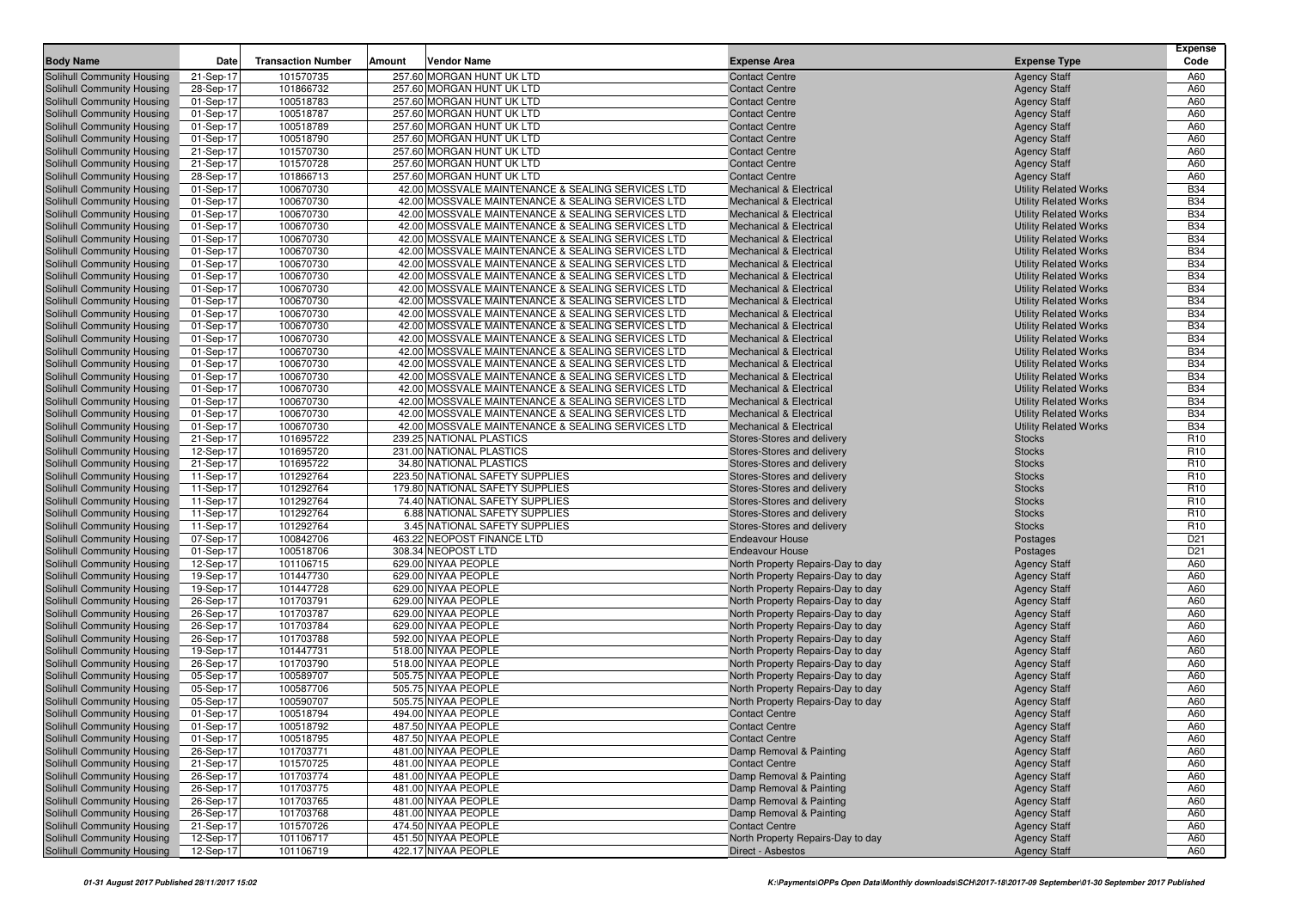| <b>Body Name</b>                                         | Date                   | <b>Transaction Number</b> | Amount | <b>Vendor Name</b>                                                                                     | <b>Expense Area</b>                                                      | <b>Expense Type</b>                                          | Expense<br>Code          |
|----------------------------------------------------------|------------------------|---------------------------|--------|--------------------------------------------------------------------------------------------------------|--------------------------------------------------------------------------|--------------------------------------------------------------|--------------------------|
| <b>Solihull Community Housing</b>                        | 21-Sep-17              | 101570735                 |        | 257.60 MORGAN HUNT UK LTD                                                                              | <b>Contact Centre</b>                                                    | <b>Agency Staff</b>                                          | A60                      |
| Solihull Community Housing                               | 28-Sep-17              | 101866732                 |        | 257.60 MORGAN HUNT UK LTD                                                                              | <b>Contact Centre</b>                                                    | <b>Agency Staff</b>                                          | A60                      |
| Solihull Community Housing                               | 01-Sep-17              | 100518783                 |        | 257.60 MORGAN HUNT UK LTD                                                                              | <b>Contact Centre</b>                                                    | <b>Agency Staff</b>                                          | A60                      |
| Solihull Community Housing                               | 01-Sep-17              | 100518787                 |        | 257.60 MORGAN HUNT UK LTD                                                                              | <b>Contact Centre</b>                                                    | <b>Agency Staff</b>                                          | A60                      |
| Solihull Community Housing                               | 01-Sep-17              | 100518789                 |        | 257.60 MORGAN HUNT UK LTD                                                                              | <b>Contact Centre</b>                                                    | <b>Agency Staff</b>                                          | A60                      |
| Solihull Community Housing                               | 01-Sep-17              | 100518790                 |        | 257.60 MORGAN HUNT UK LTD                                                                              | <b>Contact Centre</b>                                                    | <b>Agency Staff</b>                                          | A60                      |
| Solihull Community Housing                               | 21-Sep-17              | 101570730                 |        | 257.60 MORGAN HUNT UK LTD                                                                              | <b>Contact Centre</b>                                                    | <b>Agency Staff</b>                                          | A60                      |
| Solihull Community Housing                               | 21-Sep-17              | 101570728                 |        | 257.60 MORGAN HUNT UK LTD                                                                              | <b>Contact Centre</b>                                                    | <b>Agency Staff</b>                                          | A60                      |
| Solihull Community Housing                               | 28-Sep-17              | 101866713                 |        | 257.60 MORGAN HUNT UK LTD                                                                              | <b>Contact Centre</b>                                                    | <b>Agency Staff</b>                                          | A60                      |
| Solihull Community Housing                               | 01-Sep-17              | 100670730                 |        | 42.00 MOSSVALE MAINTENANCE & SEALING SERVICES LTD                                                      | <b>Mechanical &amp; Electrical</b>                                       | <b>Utility Related Works</b>                                 | <b>B34</b>               |
| Solihull Community Housing                               | 01-Sep-17              | 100670730                 |        | 42.00 MOSSVALE MAINTENANCE & SEALING SERVICES LTD                                                      | <b>Mechanical &amp; Electrical</b>                                       | <b>Utility Related Works</b>                                 | <b>B34</b>               |
| Solihull Community Housing                               | 01-Sep-17              | 100670730                 |        | 42.00 MOSSVALE MAINTENANCE & SEALING SERVICES LTD                                                      | <b>Mechanical &amp; Electrical</b>                                       | <b>Utility Related Works</b>                                 | <b>B34</b>               |
| Solihull Community Housing                               | 01-Sep-17              | 100670730                 |        | 42.00 MOSSVALE MAINTENANCE & SEALING SERVICES LTD                                                      | <b>Mechanical &amp; Electrical</b>                                       | <b>Utility Related Works</b>                                 | <b>B34</b>               |
| Solihull Community Housing                               | 01-Sep-17              | 100670730                 |        | 42.00 MOSSVALE MAINTENANCE & SEALING SERVICES LTD                                                      | <b>Mechanical &amp; Electrical</b>                                       | <b>Utility Related Works</b>                                 | <b>B34</b>               |
| Solihull Community Housing                               | 01-Sep-17              | 100670730                 |        | 42.00 MOSSVALE MAINTENANCE & SEALING SERVICES LTD                                                      | <b>Mechanical &amp; Electrical</b>                                       | <b>Utility Related Works</b>                                 | <b>B34</b>               |
| Solihull Community Housing                               | 01-Sep-17              | 100670730                 |        | 42.00 MOSSVALE MAINTENANCE & SEALING SERVICES LTD                                                      | <b>Mechanical &amp; Electrical</b>                                       | <b>Utility Related Works</b>                                 | <b>B34</b>               |
| Solihull Community Housing                               | 01-Sep-17              | 100670730                 |        | 42.00 MOSSVALE MAINTENANCE & SEALING SERVICES LTD                                                      | <b>Mechanical &amp; Electrical</b>                                       | <b>Utility Related Works</b>                                 | <b>B34</b>               |
| Solihull Community Housing                               | 01-Sep-17              | 100670730                 |        | 42.00 MOSSVALE MAINTENANCE & SEALING SERVICES LTD                                                      | <b>Mechanical &amp; Electrical</b>                                       | <b>Utility Related Works</b>                                 | <b>B34</b>               |
| Solihull Community Housing                               | 01-Sep-17              | 100670730                 |        | 42.00 MOSSVALE MAINTENANCE & SEALING SERVICES LTD                                                      | <b>Mechanical &amp; Electrical</b>                                       | <b>Utility Related Works</b>                                 | <b>B34</b>               |
| Solihull Community Housing                               | 01-Sep-17              | 100670730                 |        | 42.00 MOSSVALE MAINTENANCE & SEALING SERVICES LTD                                                      | <b>Mechanical &amp; Electrical</b>                                       | <b>Utility Related Works</b>                                 | <b>B34</b>               |
| Solihull Community Housing                               | 01-Sep-17              | 100670730                 |        | 42.00 MOSSVALE MAINTENANCE & SEALING SERVICES LTD                                                      | <b>Mechanical &amp; Electrical</b>                                       | <b>Utility Related Works</b>                                 | <b>B34</b>               |
| Solihull Community Housing                               | 01-Sep-17              | 100670730<br>100670730    |        | 42.00 MOSSVALE MAINTENANCE & SEALING SERVICES LTD<br>42.00 MOSSVALE MAINTENANCE & SEALING SERVICES LTD | <b>Mechanical &amp; Electrical</b><br><b>Mechanical &amp; Electrical</b> | <b>Utility Related Works</b>                                 | <b>B34</b><br><b>B34</b> |
| Solihull Community Housing<br>Solihull Community Housing | 01-Sep-17<br>01-Sep-17 | 100670730                 |        | 42.00 MOSSVALE MAINTENANCE & SEALING SERVICES LTD                                                      | <b>Mechanical &amp; Electrical</b>                                       | <b>Utility Related Works</b><br><b>Utility Related Works</b> | <b>B34</b>               |
| Solihull Community Housing                               | 01-Sep-17              | 100670730                 |        | 42.00 MOSSVALE MAINTENANCE & SEALING SERVICES LTD                                                      | <b>Mechanical &amp; Electrical</b>                                       | <b>Utility Related Works</b>                                 | <b>B34</b>               |
| Solihull Community Housing                               | 01-Sep-17              | 100670730                 |        | 42.00 MOSSVALE MAINTENANCE & SEALING SERVICES LTD                                                      | <b>Mechanical &amp; Electrical</b>                                       | <b>Utility Related Works</b>                                 | <b>B34</b>               |
| Solihull Community Housing                               | 01-Sep-17              | 100670730                 |        | 42.00 MOSSVALE MAINTENANCE & SEALING SERVICES LTD                                                      | <b>Mechanical &amp; Electrical</b>                                       | <b>Utility Related Works</b>                                 | <b>B34</b>               |
| Solihull Community Housing                               | 01-Sep-17              | 100670730                 |        | 42.00 MOSSVALE MAINTENANCE & SEALING SERVICES LTD                                                      | <b>Mechanical &amp; Electrical</b>                                       | <b>Utility Related Works</b>                                 | <b>B34</b>               |
| Solihull Community Housing                               | 01-Sep-17              | 100670730                 |        | 42.00 MOSSVALE MAINTENANCE & SEALING SERVICES LTD                                                      | <b>Mechanical &amp; Electrical</b>                                       | <b>Utility Related Works</b>                                 | <b>B34</b>               |
| Solihull Community Housing                               | 21-Sep-17              | 101695722                 |        | 239.25 NATIONAL PLASTICS                                                                               | Stores-Stores and delivery                                               | <b>Stocks</b>                                                | R <sub>10</sub>          |
| Solihull Community Housing                               | 12-Sep-17              | 101695720                 |        | 231.00 NATIONAL PLASTICS                                                                               | Stores-Stores and delivery                                               | <b>Stocks</b>                                                | R <sub>10</sub>          |
| Solihull Community Housing                               | 21-Sep-17              | 101695722                 |        | 34.80 NATIONAL PLASTICS                                                                                | Stores-Stores and delivery                                               | <b>Stocks</b>                                                | R <sub>10</sub>          |
| Solihull Community Housing                               | 11-Sep-17              | 101292764                 |        | 223.50 NATIONAL SAFETY SUPPLIES                                                                        | Stores-Stores and delivery                                               | <b>Stocks</b>                                                | R <sub>10</sub>          |
| Solihull Community Housing                               | 11-Sep-17              | 101292764                 |        | 179.80 NATIONAL SAFETY SUPPLIES                                                                        | Stores-Stores and delivery                                               | <b>Stocks</b>                                                | R <sub>10</sub>          |
| Solihull Community Housing                               | 11-Sep-17              | 101292764                 |        | 74.40 NATIONAL SAFETY SUPPLIES                                                                         | Stores-Stores and delivery                                               | <b>Stocks</b>                                                | R <sub>10</sub>          |
| Solihull Community Housing                               | 11-Sep-17              | 101292764                 |        | 6.88 NATIONAL SAFETY SUPPLIES                                                                          | Stores-Stores and delivery                                               | <b>Stocks</b>                                                | R <sub>10</sub>          |
| Solihull Community Housing                               | 11-Sep-17              | 101292764                 |        | 3.45 NATIONAL SAFETY SUPPLIES                                                                          | Stores-Stores and delivery                                               | <b>Stocks</b>                                                | R <sub>10</sub>          |
| Solihull Community Housing                               | 07-Sep-17              | 100842706                 |        | 463.22 NEOPOST FINANCE LTD                                                                             | <b>Endeavour House</b>                                                   | Postages                                                     | D <sub>21</sub>          |
| Solihull Community Housing                               | 01-Sep-17              | 100518706                 |        | 308.34 NEOPOST LTD                                                                                     | Endeavour House                                                          | Postages                                                     | D <sub>21</sub>          |
| Solihull Community Housing                               | 12-Sep-17              | 101106715                 |        | 629.00 NIYAA PEOPLE                                                                                    | North Property Repairs-Day to day                                        | <b>Agency Staff</b>                                          | A60                      |
| Solihull Community Housing                               | 19-Sep-17              | 101447730                 |        | 629.00 NIYAA PEOPLE                                                                                    | North Property Repairs-Day to day                                        | <b>Agency Staff</b>                                          | A60                      |
| Solihull Community Housing                               | 19-Sep-17              | 101447728                 |        | 629.00 NIYAA PEOPLE                                                                                    | North Property Repairs-Day to day                                        | <b>Agency Staff</b>                                          | A60                      |
| Solihull Community Housing                               | 26-Sep-17              | 101703791                 |        | 629.00 NIYAA PEOPLE                                                                                    | North Property Repairs-Day to day                                        | <b>Agency Staff</b>                                          | A60                      |
| Solihull Community Housing                               | 26-Sep-17              | 101703787<br>101703784    |        | 629.00 NIYAA PEOPLE<br>629.00 NIYAA PEOPLE                                                             | North Property Repairs-Day to day                                        | <b>Agency Staff</b><br><b>Agency Staff</b>                   | A60<br>A60               |
| Solihull Community Housing<br>Solihull Community Housing | 26-Sep-17<br>26-Sep-17 | 101703788                 |        | 592.00 NIYAA PEOPLE                                                                                    | North Property Repairs-Day to day<br>North Property Repairs-Day to day   |                                                              | A60                      |
| Solihull Community Housing                               | 19-Sep-17              | 101447731                 |        | 518.00 NIYAA PEOPLE                                                                                    | North Property Repairs-Day to day                                        | <b>Agency Staff</b><br><b>Agency Staff</b>                   | A60                      |
| Solihull Community Housing                               | 26-Sep-17              | 101703790                 |        | 518.00 NIYAA PEOPLE                                                                                    | North Property Repairs-Day to day                                        | <b>Agency Staff</b>                                          | A60                      |
| Solihull Community Housing                               | 05-Sep-17              | 100589707                 |        | 505.75 NIYAA PEOPLE                                                                                    | North Property Repairs-Day to day                                        | <b>Agency Staff</b>                                          | A60                      |
| Solihull Community Housing                               | 05-Sep-17              | 100587706                 |        | 505.75 NIYAA PEOPLE                                                                                    | North Property Repairs-Day to day                                        | <b>Agency Staff</b>                                          | A60                      |
| Solihull Community Housing                               | 05-Sep-17              | 100590707                 |        | 505.75 NIYAA PEOPLE                                                                                    | North Property Repairs-Day to day                                        | <b>Agency Staff</b>                                          | A60                      |
| Solihull Community Housing                               | 01-Sep-17              | 100518794                 |        | 494.00 NIYAA PEOPLE                                                                                    | <b>Contact Centre</b>                                                    | <b>Agency Staff</b>                                          | A60                      |
| Solihull Community Housing                               | 01-Sep-17              | 100518792                 |        | 487.50 NIYAA PEOPLE                                                                                    | <b>Contact Centre</b>                                                    | <b>Agency Staff</b>                                          | A60                      |
| Solihull Community Housing                               | 01-Sep-17              | 100518795                 |        | 487.50 NIYAA PEOPLE                                                                                    | <b>Contact Centre</b>                                                    | <b>Agency Staff</b>                                          | A60                      |
| Solihull Community Housing                               | 26-Sep-17              | 101703771                 |        | 481.00 NIYAA PEOPLE                                                                                    | Damp Removal & Painting                                                  | <b>Agency Staff</b>                                          | A60                      |
| Solihull Community Housing                               | 21-Sep-17              | 101570725                 |        | 481.00 NIYAA PEOPLE                                                                                    | <b>Contact Centre</b>                                                    | <b>Agency Staff</b>                                          | A60                      |
| Solihull Community Housing                               | 26-Sep-17              | 101703774                 |        | 481.00 NIYAA PEOPLE                                                                                    | Damp Removal & Painting                                                  | <b>Agency Staff</b>                                          | A60                      |
| Solihull Community Housing                               | 26-Sep-17              | 101703775                 |        | 481.00 NIYAA PEOPLE                                                                                    | Damp Removal & Painting                                                  | <b>Agency Staff</b>                                          | A60                      |
| <b>Solihull Community Housing</b>                        | 26-Sep-17              | 101703765                 |        | 481.00 NIYAA PEOPLE                                                                                    | Damp Removal & Painting                                                  | <b>Agency Staff</b>                                          | A60                      |
| Solihull Community Housing                               | 26-Sep-17              | 101703768                 |        | 481.00 NIYAA PEOPLE                                                                                    | Damp Removal & Painting                                                  | <b>Agency Staff</b>                                          | A60                      |
| <b>Solihull Community Housing</b>                        | 21-Sep-17              | 101570726                 |        | 474.50 NIYAA PEOPLE                                                                                    | <b>Contact Centre</b>                                                    | <b>Agency Staff</b>                                          | A60                      |
| Solihull Community Housing                               | 12-Sep-17              | 101106717                 |        | 451.50 NIYAA PEOPLE                                                                                    | North Property Repairs-Day to day                                        | <b>Agency Staff</b>                                          | A60                      |
| Solihull Community Housing                               | 12-Sep-17              | 101106719                 |        | 422.17 NIYAA PEOPLE                                                                                    | Direct - Asbestos                                                        | <b>Agency Staff</b>                                          | A60                      |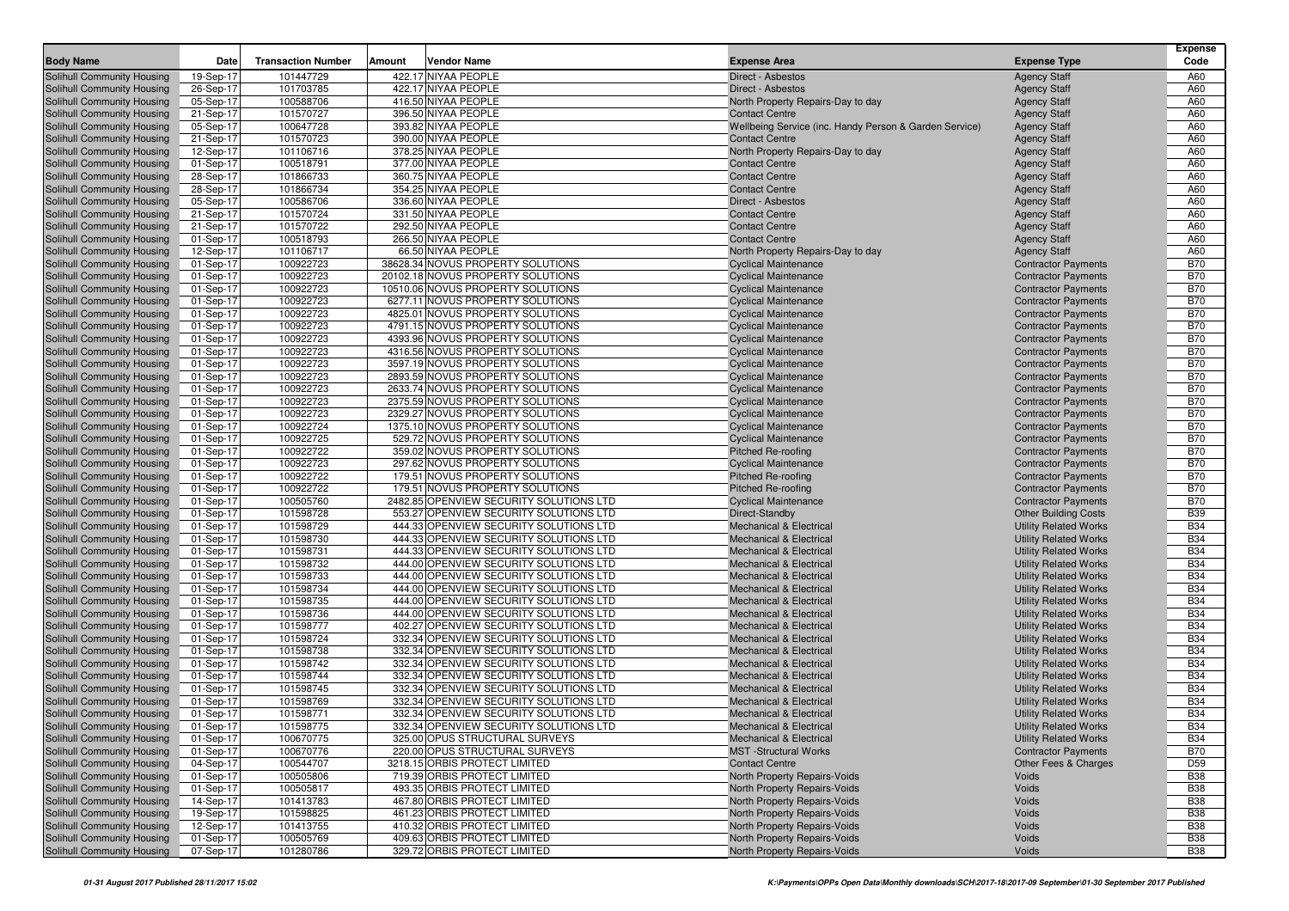| <b>Body Name</b>                                         | Date                   | <b>Transaction Number</b> | Amount | <b>Vendor Name</b>                                                               | <b>Expense Area</b>                                                      | <b>Expense Type</b>                                          | <b>Expense</b><br>Code   |
|----------------------------------------------------------|------------------------|---------------------------|--------|----------------------------------------------------------------------------------|--------------------------------------------------------------------------|--------------------------------------------------------------|--------------------------|
|                                                          |                        | 101447729                 |        | 422.17 NIYAA PEOPLE                                                              |                                                                          |                                                              |                          |
| Solihull Community Housing<br>Solihull Community Housing | 19-Sep-17<br>26-Sep-17 | 101703785                 |        | 422.17 NIYAA PEOPLE                                                              | Direct - Asbestos<br>Direct - Asbestos                                   | <b>Agency Staff</b><br><b>Agency Staff</b>                   | A60<br>A60               |
| Solihull Community Housing                               | 05-Sep-17              | 100588706                 |        | 416.50 NIYAA PEOPLE                                                              | North Property Repairs-Day to day                                        | <b>Agency Staff</b>                                          | A60                      |
| Solihull Community Housing                               | 21-Sep-17              | 101570727                 |        | 396.50 NIYAA PEOPLE                                                              | <b>Contact Centre</b>                                                    | <b>Agency Staff</b>                                          | A60                      |
| Solihull Community Housing                               | 05-Sep-17              | 100647728                 |        | 393.82 NIYAA PEOPLE                                                              | Wellbeing Service (inc. Handy Person & Garden Service)                   | <b>Agency Staff</b>                                          | A60                      |
| Solihull Community Housing                               | 21-Sep-17              | 101570723                 |        | 390.00 NIYAA PEOPLE                                                              | <b>Contact Centre</b>                                                    | <b>Agency Staff</b>                                          | A60                      |
| Solihull Community Housing                               | 12-Sep-17              | 101106716                 |        | 378.25 NIYAA PEOPLE                                                              | North Property Repairs-Day to day                                        | <b>Agency Staff</b>                                          | A60                      |
| Solihull Community Housing                               | 01-Sep-17              | 100518791                 |        | 377.00 NIYAA PEOPLE                                                              | <b>Contact Centre</b>                                                    | <b>Agency Staff</b>                                          | A60                      |
| Solihull Community Housing                               | 28-Sep-17              | 101866733                 |        | 360.75 NIYAA PEOPLE                                                              | <b>Contact Centre</b>                                                    | <b>Agency Staff</b>                                          | A60                      |
| Solihull Community Housing                               | 28-Sep-17              | 101866734                 |        | 354.25 NIYAA PEOPLE                                                              | <b>Contact Centre</b>                                                    | <b>Agency Staff</b>                                          | A60                      |
| Solihull Community Housing                               | 05-Sep-17              | 100586706                 |        | 336.60 NIYAA PEOPLE                                                              | Direct - Asbestos                                                        | <b>Agency Staff</b>                                          | A60                      |
| Solihull Community Housing                               | 21-Sep-17              | 101570724                 |        | 331.50 NIYAA PEOPLE                                                              | <b>Contact Centre</b>                                                    | <b>Agency Staff</b>                                          | A60                      |
| Solihull Community Housing                               | 21-Sep-17              | 101570722                 |        | 292.50 NIYAA PEOPLE                                                              | <b>Contact Centre</b>                                                    | <b>Agency Staff</b>                                          | A60                      |
| Solihull Community Housing                               | 01-Sep-17              | 100518793                 |        | 266.50 NIYAA PEOPLE                                                              | <b>Contact Centre</b>                                                    | <b>Agency Staff</b>                                          | A60                      |
| Solihull Community Housing                               | 12-Sep-17              | 101106717                 |        | 66.50 NIYAA PEOPLE                                                               | North Property Repairs-Day to day                                        | <b>Agency Staff</b>                                          | A60                      |
| Solihull Community Housing                               | 01-Sep-17              | 100922723                 |        | 38628.34 NOVUS PROPERTY SOLUTIONS                                                | <b>Cyclical Maintenance</b>                                              | <b>Contractor Payments</b>                                   | <b>B70</b>               |
| Solihull Community Housing                               | 01-Sep-17              | 100922723                 |        | 20102.18 NOVUS PROPERTY SOLUTIONS                                                | <b>Cyclical Maintenance</b>                                              | <b>Contractor Payments</b>                                   | <b>B70</b>               |
| Solihull Community Housing                               | 01-Sep-17              | 100922723                 |        | 10510.06 NOVUS PROPERTY SOLUTIONS                                                | <b>Cyclical Maintenance</b>                                              | <b>Contractor Payments</b>                                   | <b>B70</b>               |
| Solihull Community Housing                               | 01-Sep-17              | 100922723                 |        | 6277.11 NOVUS PROPERTY SOLUTIONS                                                 | <b>Cyclical Maintenance</b>                                              | <b>Contractor Payments</b>                                   | <b>B70</b>               |
| Solihull Community Housing                               | 01-Sep-17              | 100922723                 |        | 4825.01 NOVUS PROPERTY SOLUTIONS                                                 | <b>Cyclical Maintenance</b>                                              | <b>Contractor Payments</b>                                   | <b>B70</b><br><b>B70</b> |
| Solihull Community Housing<br>Solihull Community Housing | 01-Sep-17<br>01-Sep-17 | 100922723<br>100922723    |        | 4791.15 NOVUS PROPERTY SOLUTIONS<br>4393.96 NOVUS PROPERTY SOLUTIONS             | <b>Cyclical Maintenance</b><br><b>Cyclical Maintenance</b>               | <b>Contractor Payments</b><br><b>Contractor Payments</b>     | <b>B70</b>               |
| Solihull Community Housing                               | 01-Sep-17              | 100922723                 |        | 4316.56 NOVUS PROPERTY SOLUTIONS                                                 | <b>Cyclical Maintenance</b>                                              | <b>Contractor Payments</b>                                   | <b>B70</b>               |
| Solihull Community Housing                               | 01-Sep-17              | 100922723                 |        | 3597.19 NOVUS PROPERTY SOLUTIONS                                                 | <b>Cyclical Maintenance</b>                                              | <b>Contractor Payments</b>                                   | <b>B70</b>               |
| Solihull Community Housing                               | 01-Sep-17              | 100922723                 |        | 2893.59 NOVUS PROPERTY SOLUTIONS                                                 | <b>Cyclical Maintenance</b>                                              | <b>Contractor Payments</b>                                   | <b>B70</b>               |
| Solihull Community Housing                               | 01-Sep-17              | 100922723                 |        | 2633.74 NOVUS PROPERTY SOLUTIONS                                                 | <b>Cyclical Maintenance</b>                                              | <b>Contractor Payments</b>                                   | <b>B70</b>               |
| Solihull Community Housing                               | 01-Sep-17              | 100922723                 |        | 2375.59 NOVUS PROPERTY SOLUTIONS                                                 | <b>Cyclical Maintenance</b>                                              | <b>Contractor Payments</b>                                   | <b>B70</b>               |
| Solihull Community Housing                               | 01-Sep-17              | 100922723                 |        | 2329.27 NOVUS PROPERTY SOLUTIONS                                                 | <b>Cyclical Maintenance</b>                                              | <b>Contractor Payments</b>                                   | <b>B70</b>               |
| Solihull Community Housing                               | 01-Sep-17              | 100922724                 |        | 1375.10 NOVUS PROPERTY SOLUTIONS                                                 | <b>Cyclical Maintenance</b>                                              | <b>Contractor Payments</b>                                   | <b>B70</b>               |
| Solihull Community Housing                               | 01-Sep-17              | 100922725                 |        | 529.72 NOVUS PROPERTY SOLUTIONS                                                  | <b>Cyclical Maintenance</b>                                              | <b>Contractor Payments</b>                                   | <b>B70</b>               |
| Solihull Community Housing                               | 01-Sep-17              | 100922722                 |        | 359.02 NOVUS PROPERTY SOLUTIONS                                                  | <b>Pitched Re-roofing</b>                                                | <b>Contractor Payments</b>                                   | <b>B70</b>               |
| Solihull Community Housing                               | 01-Sep-17              | 100922723                 |        | 297.62 NOVUS PROPERTY SOLUTIONS                                                  | <b>Cyclical Maintenance</b>                                              | <b>Contractor Payments</b>                                   | <b>B70</b>               |
| Solihull Community Housing                               | 01-Sep-17              | 100922722                 |        | 179.51 NOVUS PROPERTY SOLUTIONS                                                  | <b>Pitched Re-roofing</b>                                                | <b>Contractor Payments</b>                                   | <b>B70</b>               |
| Solihull Community Housing                               | 01-Sep-17              | 100922722                 |        | 179.51 NOVUS PROPERTY SOLUTIONS                                                  | <b>Pitched Re-roofing</b>                                                | <b>Contractor Payments</b>                                   | <b>B70</b>               |
| Solihull Community Housing                               | 01-Sep-17              | 100505760                 |        | 2482.85 OPENVIEW SECURITY SOLUTIONS LTD                                          | <b>Cyclical Maintenance</b>                                              | <b>Contractor Payments</b>                                   | <b>B70</b>               |
| Solihull Community Housing                               | 01-Sep-17              | 101598728                 |        | 553.27 OPENVIEW SECURITY SOLUTIONS LTD                                           | Direct-Standby                                                           | <b>Other Building Costs</b>                                  | <b>B39</b>               |
| Solihull Community Housing                               | 01-Sep-17              | 101598729                 |        | 444.33 OPENVIEW SECURITY SOLUTIONS LTD                                           | <b>Mechanical &amp; Electrical</b>                                       | <b>Utility Related Works</b>                                 | <b>B34</b>               |
| Solihull Community Housing                               | 01-Sep-17              | 101598730                 |        | 444.33 OPENVIEW SECURITY SOLUTIONS LTD                                           | <b>Mechanical &amp; Electrical</b>                                       | <b>Utility Related Works</b>                                 | <b>B34</b>               |
| Solihull Community Housing<br>Solihull Community Housing | 01-Sep-17<br>01-Sep-17 | 101598731<br>101598732    |        | 444.33 OPENVIEW SECURITY SOLUTIONS LTD<br>444.00 OPENVIEW SECURITY SOLUTIONS LTD | <b>Mechanical &amp; Electrical</b><br><b>Mechanical &amp; Electrical</b> | <b>Utility Related Works</b><br><b>Utility Related Works</b> | <b>B34</b><br><b>B34</b> |
| Solihull Community Housing                               | 01-Sep-17              | 101598733                 |        | 444.00 OPENVIEW SECURITY SOLUTIONS LTD                                           | <b>Mechanical &amp; Electrical</b>                                       | <b>Utility Related Works</b>                                 | <b>B34</b>               |
| Solihull Community Housing                               | 01-Sep-17              | 101598734                 |        | 444.00 OPENVIEW SECURITY SOLUTIONS LTD                                           | <b>Mechanical &amp; Electrical</b>                                       | <b>Utility Related Works</b>                                 | <b>B34</b>               |
| Solihull Community Housing                               | 01-Sep-17              | 101598735                 |        | 444.00 OPENVIEW SECURITY SOLUTIONS LTD                                           | <b>Mechanical &amp; Electrical</b>                                       | <b>Utility Related Works</b>                                 | <b>B34</b>               |
| Solihull Community Housing                               | 01-Sep-17              | 101598736                 |        | 444.00 OPENVIEW SECURITY SOLUTIONS LTD                                           | <b>Mechanical &amp; Electrical</b>                                       | <b>Utility Related Works</b>                                 | <b>B34</b>               |
| Solihull Community Housing                               | 01-Sep-17              | 101598777                 |        | 402.27 OPENVIEW SECURITY SOLUTIONS LTD                                           | <b>Mechanical &amp; Electrical</b>                                       | <b>Utility Related Works</b>                                 | <b>B34</b>               |
| Solihull Community Housing                               | 01-Sep-17              | 101598724                 |        | 332.34 OPENVIEW SECURITY SOLUTIONS LTD                                           | <b>Mechanical &amp; Electrical</b>                                       | <b>Utility Related Works</b>                                 | <b>B34</b>               |
| Solihull Community Housing                               | 01-Sep-17              | 101598738                 |        | 332.34 OPENVIEW SECURITY SOLUTIONS LTD                                           | <b>Mechanical &amp; Electrical</b>                                       | <b>Utility Related Works</b>                                 | <b>B34</b>               |
| Solihull Community Housing                               | 01-Sep-17              | 101598742                 |        | 332.34 OPENVIEW SECURITY SOLUTIONS LTD                                           | <b>Mechanical &amp; Electrical</b>                                       | <b>Utility Related Works</b>                                 | <b>B34</b>               |
| Solihull Community Housing                               | 01-Sep-17              | 101598744                 |        | 332.34 OPENVIEW SECURITY SOLUTIONS LTD                                           | <b>Mechanical &amp; Electrical</b>                                       | <b>Utility Related Works</b>                                 | <b>B34</b>               |
| Solihull Community Housing                               | 01-Sep-17              | 101598745                 |        | 332.34 OPENVIEW SECURITY SOLUTIONS LTD                                           | <b>Mechanical &amp; Electrical</b>                                       | <b>Utility Related Works</b>                                 | <b>B34</b>               |
| Solihull Community Housing                               | 01-Sep-17              | 101598769                 |        | 332.34 OPENVIEW SECURITY SOLUTIONS LTD                                           | <b>Mechanical &amp; Electrical</b>                                       | <b>Utility Related Works</b>                                 | <b>B34</b>               |
| Solihull Community Housing                               | 01-Sep-17              | 101598771                 |        | 332.34 OPENVIEW SECURITY SOLUTIONS LTD                                           | <b>Mechanical &amp; Electrical</b>                                       | <b>Utility Related Works</b>                                 | <b>B34</b>               |
| Solihull Community Housing                               | 01-Sep-17              | 101598775                 |        | 332.34 OPENVIEW SECURITY SOLUTIONS LTD                                           | <b>Mechanical &amp; Electrical</b>                                       | <b>Utility Related Works</b>                                 | <b>B34</b>               |
| Solihull Community Housing                               | 01-Sep-17              | 100670775                 |        | 325.00 OPUS STRUCTURAL SURVEYS                                                   | <b>Mechanical &amp; Electrical</b>                                       | <b>Utility Related Works</b>                                 | <b>B34</b>               |
| Solihull Community Housing                               | 01-Sep-17              | 100670776                 |        | 220.00 OPUS STRUCTURAL SURVEYS                                                   | <b>MST</b> -Structural Works                                             | <b>Contractor Payments</b>                                   | <b>B70</b>               |
| Solihull Community Housing                               | 04-Sep-17              | 100544707                 |        | 3218.15 ORBIS PROTECT LIMITED                                                    | <b>Contact Centre</b>                                                    | Other Fees & Charges                                         | D <sub>59</sub>          |
| Solihull Community Housing                               | 01-Sep-17              | 100505806                 |        | 719.39 ORBIS PROTECT LIMITED                                                     | North Property Repairs-Voids                                             | Voids                                                        | <b>B38</b>               |
| Solihull Community Housing                               | 01-Sep-17              | 100505817                 |        | 493.35 ORBIS PROTECT LIMITED                                                     | North Property Repairs-Voids                                             | Voids                                                        | <b>B38</b>               |
| Solihull Community Housing                               | 14-Sep-17              | 101413783                 |        | 467.80 ORBIS PROTECT LIMITED                                                     | North Property Repairs-Voids                                             | Voids                                                        | <b>B38</b>               |
| Solihull Community Housing<br>Solihull Community Housing | 19-Sep-17              | 101598825<br>101413755    |        | 461.23 ORBIS PROTECT LIMITED<br>410.32 ORBIS PROTECT LIMITED                     | North Property Repairs-Voids<br>North Property Repairs-Voids             | Voids<br>Voids                                               | <b>B38</b><br><b>B38</b> |
| Solihull Community Housing                               | 12-Sep-17<br>01-Sep-17 | 100505769                 |        | 409.63 ORBIS PROTECT LIMITED                                                     | North Property Repairs-Voids                                             | Voids                                                        | <b>B38</b>               |
| Solihull Community Housing                               | 07-Sep-17              | 101280786                 |        | 329.72 ORBIS PROTECT LIMITED                                                     | North Property Repairs-Voids                                             | Voids                                                        | <b>B38</b>               |
|                                                          |                        |                           |        |                                                                                  |                                                                          |                                                              |                          |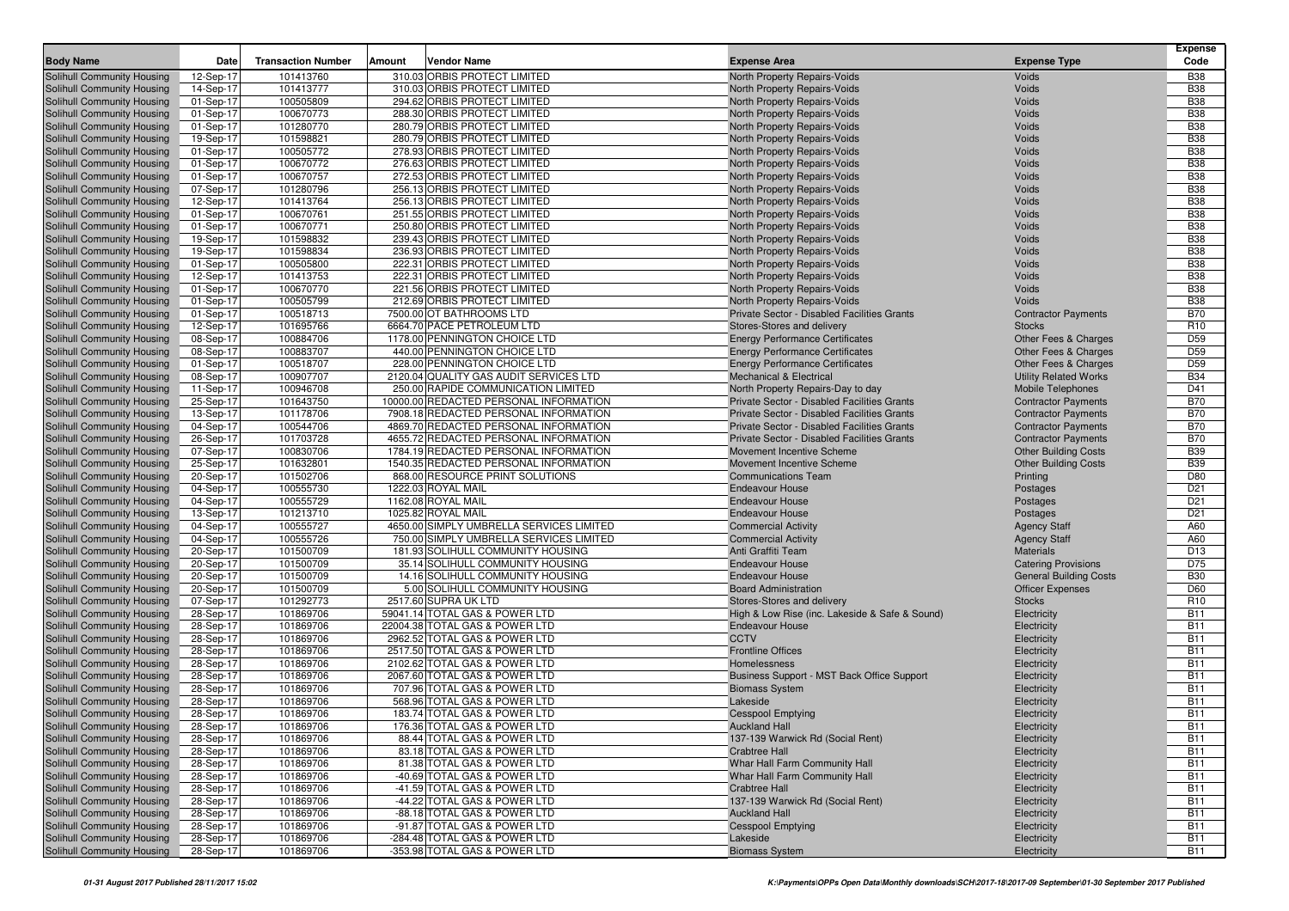| <b>Body Name</b>                                         | Date                   | <b>Transaction Number</b> | Amount | Vendor Name                                                                    | <b>Expense Area</b>                                     | <b>Expense Type</b>                                        | <b>Expense</b><br>Code   |
|----------------------------------------------------------|------------------------|---------------------------|--------|--------------------------------------------------------------------------------|---------------------------------------------------------|------------------------------------------------------------|--------------------------|
| Solihull Community Housing                               | 12-Sep-17              | 101413760                 |        | 310.03 ORBIS PROTECT LIMITED                                                   | North Property Repairs-Voids                            | Voids                                                      | <b>B38</b>               |
| Solihull Community Housing                               | 14-Sep-17              | 101413777                 |        | 310.03 ORBIS PROTECT LIMITED                                                   | North Property Repairs-Voids                            | Voids                                                      | <b>B38</b>               |
| Solihull Community Housing                               | 01-Sep-17              | 100505809                 |        | 294.62 ORBIS PROTECT LIMITED                                                   | North Property Repairs-Voids                            | Voids                                                      | <b>B38</b>               |
| Solihull Community Housing                               | 01-Sep-17              | 100670773                 |        | 288.30 ORBIS PROTECT LIMITED                                                   | North Property Repairs-Voids                            | Voids                                                      | <b>B38</b>               |
| Solihull Community Housing                               | 01-Sep-17              | 101280770                 |        | 280.79 ORBIS PROTECT LIMITED                                                   | North Property Repairs-Voids                            | Voids                                                      | <b>B38</b>               |
| Solihull Community Housing                               | 19-Sep-17              | 101598821                 |        | 280.79 ORBIS PROTECT LIMITED                                                   | North Property Repairs-Voids                            | Voids                                                      | <b>B38</b>               |
| Solihull Community Housing                               | 01-Sep-17              | 100505772                 |        | 278.93 ORBIS PROTECT LIMITED                                                   | North Property Repairs-Voids                            | Voids                                                      | <b>B38</b>               |
| Solihull Community Housing                               | 01-Sep-17              | 100670772                 |        | 276.63 ORBIS PROTECT LIMITED                                                   | North Property Repairs-Voids                            | Voids                                                      | <b>B38</b>               |
| Solihull Community Housing                               | 01-Sep-17              | 100670757                 |        | 272.53 ORBIS PROTECT LIMITED                                                   | North Property Repairs-Voids                            | Voids                                                      | <b>B38</b>               |
| Solihull Community Housing                               | 07-Sep-17              | 101280796                 |        | 256.13 ORBIS PROTECT LIMITED                                                   | North Property Repairs-Voids                            | Voids                                                      | <b>B38</b>               |
| Solihull Community Housing                               | 12-Sep-17              | 101413764                 |        | 256.13 ORBIS PROTECT LIMITED                                                   | <b>North Property Repairs-Voids</b>                     | Voids                                                      | <b>B38</b>               |
| Solihull Community Housing                               | 01-Sep-17              | 100670761                 |        | 251.55 ORBIS PROTECT LIMITED                                                   | North Property Repairs-Voids                            | Voids                                                      | <b>B38</b>               |
| Solihull Community Housing                               | 01-Sep-17              | 100670771                 |        | 250.80 ORBIS PROTECT LIMITED                                                   | North Property Repairs-Voids                            | Voids                                                      | <b>B38</b>               |
| Solihull Community Housing                               | 19-Sep-17              | 101598832                 |        | 239.43 ORBIS PROTECT LIMITED                                                   | North Property Repairs-Voids                            | Voids                                                      | <b>B38</b>               |
| Solihull Community Housing                               | 19-Sep-17              | 101598834                 |        | 236.93 ORBIS PROTECT LIMITED                                                   | North Property Repairs-Voids                            | Voids                                                      | <b>B38</b>               |
| Solihull Community Housing                               | 01-Sep-17              | 100505800                 |        | 222.31 ORBIS PROTECT LIMITED                                                   | North Property Repairs-Voids                            | Voids                                                      | <b>B38</b>               |
| Solihull Community Housing                               | 12-Sep-17              | 101413753                 |        | 222.31 ORBIS PROTECT LIMITED                                                   | North Property Repairs-Voids                            | Voids                                                      | <b>B38</b>               |
| Solihull Community Housing                               | 01-Sep-17              | 100670770                 |        | 221.56 ORBIS PROTECT LIMITED                                                   | North Property Repairs-Voids                            | Voids                                                      | <b>B38</b>               |
| Solihull Community Housing                               | 01-Sep-17              | 100505799                 |        | 212.69 ORBIS PROTECT LIMITED                                                   | North Property Repairs-Voids                            | Voids                                                      | <b>B38</b>               |
| Solihull Community Housing                               | 01-Sep-17              | 100518713                 |        | 7500.00 OT BATHROOMS LTD                                                       | Private Sector - Disabled Facilities Grants             | <b>Contractor Payments</b>                                 | <b>B70</b>               |
| Solihull Community Housing                               | 12-Sep-17              | 101695766                 |        | 6664.70 PACE PETROLEUM LTD                                                     | Stores-Stores and delivery                              | <b>Stocks</b>                                              | R <sub>10</sub>          |
| Solihull Community Housing                               | 08-Sep-17              | 100884706                 |        | 1178.00 PENNINGTON CHOICE LTD                                                  | <b>Energy Performance Certificates</b>                  | Other Fees & Charges                                       | D <sub>59</sub>          |
| Solihull Community Housing                               | 08-Sep-17              | 100883707                 |        | 440.00 PENNINGTON CHOICE LTD                                                   | <b>Energy Performance Certificates</b>                  | Other Fees & Charges                                       | D <sub>59</sub>          |
| Solihull Community Housing                               | 01-Sep-17              | 100518707                 |        | 228.00 PENNINGTON CHOICE LTD                                                   | <b>Energy Performance Certificates</b>                  | <b>Other Fees &amp; Charges</b>                            | D <sub>59</sub>          |
| Solihull Community Housing                               | 08-Sep-17              | 100907707                 |        | 2120.04 QUALITY GAS AUDIT SERVICES LTD                                         | <b>Mechanical &amp; Electrical</b>                      | <b>Utility Related Works</b>                               | <b>B34</b>               |
| Solihull Community Housing                               | 11-Sep-17              | 100946708                 |        | 250.00 RAPIDE COMMUNICATION LIMITED                                            | North Property Repairs-Day to day                       | <b>Mobile Telephones</b>                                   | D41                      |
| Solihull Community Housing                               | 25-Sep-17              | 101643750                 |        | 10000.00 REDACTED PERSONAL INFORMATION                                         | Private Sector - Disabled Facilities Grants             | <b>Contractor Payments</b>                                 | <b>B70</b>               |
| Solihull Community Housing                               | 13-Sep-17              | 101178706                 |        | 7908.18 REDACTED PERSONAL INFORMATION                                          | Private Sector - Disabled Facilities Grants             | <b>Contractor Payments</b>                                 | <b>B70</b>               |
| Solihull Community Housing                               | 04-Sep-17              | 100544706                 |        | 4869.70 REDACTED PERSONAL INFORMATION                                          | Private Sector - Disabled Facilities Grants             | <b>Contractor Payments</b>                                 | <b>B70</b>               |
| Solihull Community Housing                               | 26-Sep-17              | 101703728                 |        | 4655.72 REDACTED PERSONAL INFORMATION                                          | Private Sector - Disabled Facilities Grants             | <b>Contractor Payments</b>                                 | <b>B70</b>               |
| Solihull Community Housing                               | 07-Sep-17              | 100830706                 |        | 1784.19 REDACTED PERSONAL INFORMATION<br>1540.35 REDACTED PERSONAL INFORMATION | Movement Incentive Scheme                               | <b>Other Building Costs</b><br><b>Other Building Costs</b> | <b>B39</b><br><b>B39</b> |
| Solihull Community Housing<br>Solihull Community Housing | 25-Sep-17<br>20-Sep-17 | 101632801<br>101502706    |        | 868.00 RESOURCE PRINT SOLUTIONS                                                | Movement Incentive Scheme<br><b>Communications Team</b> | Printing                                                   | D80                      |
| Solihull Community Housing                               | 04-Sep-17              | 100555730                 |        | 1222.03 ROYAL MAIL                                                             | <b>Endeavour House</b>                                  | Postages                                                   | D <sub>21</sub>          |
| Solihull Community Housing                               | 04-Sep-17              | 100555729                 |        | 1162.08 ROYAL MAIL                                                             | <b>Endeavour House</b>                                  | Postages                                                   | D <sub>21</sub>          |
| Solihull Community Housing                               | 13-Sep-17              | 101213710                 |        | 1025.82 ROYAL MAIL                                                             | <b>Endeavour House</b>                                  | Postages                                                   | D <sub>21</sub>          |
| Solihull Community Housing                               | 04-Sep-17              | 100555727                 |        | 4650.00 SIMPLY UMBRELLA SERVICES LIMITED                                       | <b>Commercial Activity</b>                              | <b>Agency Staff</b>                                        | A60                      |
| Solihull Community Housing                               | 04-Sep-17              | 100555726                 |        | 750.00 SIMPLY UMBRELLA SERVICES LIMITED                                        | <b>Commercial Activity</b>                              | <b>Agency Staff</b>                                        | A60                      |
| Solihull Community Housing                               | 20-Sep-17              | 101500709                 |        | 181.93 SOLIHULL COMMUNITY HOUSING                                              | Anti Graffiti Team                                      | <b>Materials</b>                                           | D <sub>13</sub>          |
| Solihull Community Housing                               | 20-Sep-17              | 101500709                 |        | 35.14 SOLIHULL COMMUNITY HOUSING                                               | <b>Endeavour House</b>                                  | <b>Catering Provisions</b>                                 | D75                      |
| Solihull Community Housing                               | 20-Sep-17              | 101500709                 |        | 14.16 SOLIHULL COMMUNITY HOUSING                                               | <b>Endeavour House</b>                                  | <b>General Building Costs</b>                              | <b>B30</b>               |
| Solihull Community Housing                               | 20-Sep-17              | 101500709                 |        | 5.00 SOLIHULL COMMUNITY HOUSING                                                | <b>Board Administration</b>                             | <b>Officer Expenses</b>                                    | D60                      |
| Solihull Community Housing                               | 07-Sep-17              | 101292773                 |        | 2517.60 SUPRA UK LTD                                                           | Stores-Stores and delivery                              | <b>Stocks</b>                                              | R <sub>10</sub>          |
| Solihull Community Housing                               | 28-Sep-17              | 101869706                 |        | 59041.14 TOTAL GAS & POWER LTD                                                 | High & Low Rise (inc. Lakeside & Safe & Sound)          | Electricity                                                | <b>B11</b>               |
| Solihull Community Housing                               | 28-Sep-17              | 101869706                 |        | 22004.38 TOTAL GAS & POWER LTD                                                 | <b>Endeavour House</b>                                  | Electricity                                                | <b>B11</b>               |
| Solihull Community Housing                               | 28-Sep-17              | 101869706                 |        | 2962.52 TOTAL GAS & POWER LTD                                                  | <b>CCTV</b>                                             | Electricity                                                | <b>B11</b>               |
| Solihull Community Housing                               | 28-Sep-17              | 101869706                 |        | 2517.50 TOTAL GAS & POWER LTD                                                  | <b>Frontline Offices</b>                                | Electricity                                                | <b>B11</b>               |
| Solihull Community Housing                               | 28-Sep-17              | 101869706                 |        | 2102.62 TOTAL GAS & POWER LTD                                                  | Homelessness                                            | Electricity                                                | <b>B11</b>               |
| Solihull Community Housing                               | 28-Sep-17              | 101869706                 |        | 2067.60 TOTAL GAS & POWER LTD                                                  | Business Support - MST Back Office Support              | Electricity                                                | <b>B11</b>               |
| Solihull Community Housing                               | 28-Sep-17              | 101869706                 |        | 707.96 TOTAL GAS & POWER LTD                                                   | <b>Biomass System</b>                                   | Electricity                                                | <b>B11</b>               |
| Solihull Community Housing                               | 28-Sep-17              | 101869706                 |        | 568.96 TOTAL GAS & POWER LTD                                                   | Lakeside                                                | Electricity                                                | <b>B11</b>               |
| Solihull Community Housing                               | 28-Sep-17              | 101869706                 |        | 183.74 TOTAL GAS & POWER LTD                                                   | <b>Cesspool Emptying</b>                                | Electricity                                                | <b>B11</b>               |
| Solihull Community Housing                               | 28-Sep-17              | 101869706                 |        | 176.36 TOTAL GAS & POWER LTD                                                   | <b>Auckland Hall</b>                                    | Electricity                                                | <b>B11</b>               |
| Solihull Community Housing                               | 28-Sep-17              | 101869706                 |        | 88.44 TOTAL GAS & POWER LTD                                                    | 137-139 Warwick Rd (Social Rent)                        | Electricity                                                | <b>B11</b>               |
| Solihull Community Housing                               | 28-Sep-17              | 101869706                 |        | 83.18 TOTAL GAS & POWER LTD                                                    | <b>Crabtree Hall</b>                                    | Electricity                                                | <b>B11</b>               |
| Solihull Community Housing                               | 28-Sep-17              | 101869706                 |        | 81.38 TOTAL GAS & POWER LTD                                                    | Whar Hall Farm Community Hall                           | Electricity                                                | <b>B11</b>               |
| Solihull Community Housing                               | 28-Sep-17              | 101869706                 |        | -40.69 TOTAL GAS & POWER LTD                                                   | Whar Hall Farm Community Hall                           | Electricity                                                | <b>B11</b>               |
| Solihull Community Housing                               | 28-Sep-17              | 101869706                 |        | -41.59 TOTAL GAS & POWER LTD                                                   | <b>Crabtree Hall</b>                                    | Electricity                                                | <b>B11</b>               |
| Solihull Community Housing                               | 28-Sep-17              | 101869706                 |        | -44.22 TOTAL GAS & POWER LTD                                                   | 137-139 Warwick Rd (Social Rent)                        | Electricity                                                | <b>B11</b>               |
| Solihull Community Housing                               | 28-Sep-17              | 101869706                 |        | -88.18 TOTAL GAS & POWER LTD                                                   | <b>Auckland Hall</b>                                    | Electricity                                                | <b>B11</b>               |
| Solihull Community Housing                               | 28-Sep-17              | 101869706                 |        | -91.87 TOTAL GAS & POWER LTD                                                   | <b>Cesspool Emptying</b>                                | Electricity                                                | <b>B11</b>               |
| Solihull Community Housing                               | 28-Sep-17              | 101869706                 |        | -284.48 TOTAL GAS & POWER LTD                                                  | Lakeside                                                | Electricity                                                | <b>B11</b>               |
| Solihull Community Housing                               | 28-Sep-17              | 101869706                 |        | -353.98 TOTAL GAS & POWER LTD                                                  | <b>Biomass System</b>                                   | Electricity                                                | <b>B11</b>               |